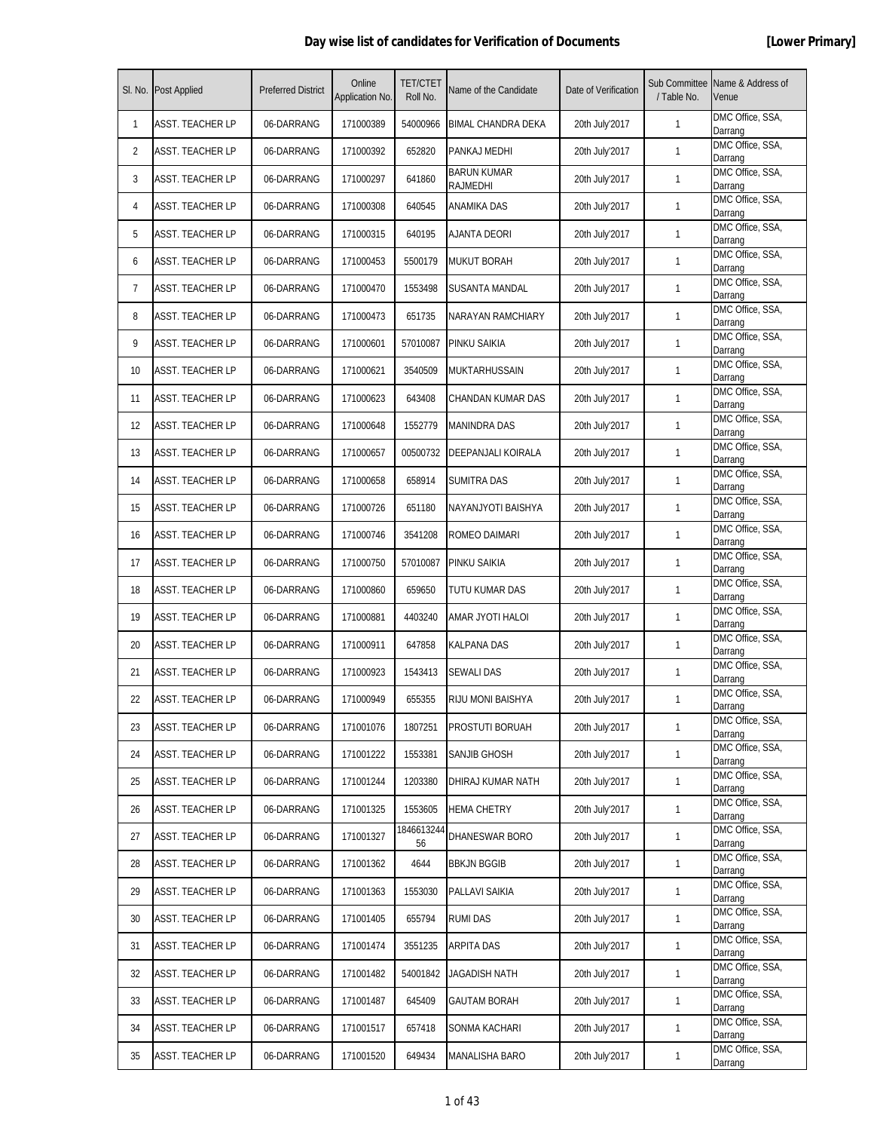|    | SI. No. Post Applied    | <b>Preferred District</b> | Online<br>Application No. | <b>TET/CTET</b><br>Roll No. | Name of the Candidate          | Date of Verification | Sub Committee<br>/ Table No. | Name & Address of<br>Venue  |
|----|-------------------------|---------------------------|---------------------------|-----------------------------|--------------------------------|----------------------|------------------------------|-----------------------------|
| 1  | <b>ASST. TEACHER LP</b> | 06-DARRANG                | 171000389                 | 54000966                    | BIMAL CHANDRA DEKA             | 20th July'2017       | $\mathbf{1}$                 | DMC Office, SSA,<br>Darrang |
| 2  | <b>ASST. TEACHER LP</b> | 06-DARRANG                | 171000392                 | 652820                      | PANKAJ MEDHI                   | 20th July'2017       | $\mathbf{1}$                 | DMC Office, SSA,<br>Darrang |
| 3  | <b>ASST. TEACHER LP</b> | 06-DARRANG                | 171000297                 | 641860                      | <b>BARUN KUMAR</b><br>RAJMEDHI | 20th July'2017       | $\mathbf{1}$                 | DMC Office, SSA,<br>Darrang |
| 4  | <b>ASST. TEACHER LP</b> | 06-DARRANG                | 171000308                 | 640545                      | ANAMIKA DAS                    | 20th July'2017       | $\mathbf{1}$                 | DMC Office, SSA,<br>Darrang |
| 5  | ASST. TEACHER LP        | 06-DARRANG                | 171000315                 | 640195                      | AJANTA DEORI                   | 20th July'2017       | $\mathbf{1}$                 | DMC Office, SSA,<br>Darrang |
| 6  | <b>ASST. TEACHER LP</b> | 06-DARRANG                | 171000453                 | 5500179                     | <b>MUKUT BORAH</b>             | 20th July'2017       | $\mathbf{1}$                 | DMC Office, SSA,<br>Darrang |
| 7  | <b>ASST. TEACHER LP</b> | 06-DARRANG                | 171000470                 | 1553498                     | SUSANTA MANDAL                 | 20th July'2017       | $\mathbf{1}$                 | DMC Office, SSA,<br>Darrang |
| 8  | <b>ASST. TEACHER LP</b> | 06-DARRANG                | 171000473                 | 651735                      | NARAYAN RAMCHIARY              | 20th July'2017       | $\mathbf{1}$                 | DMC Office, SSA,<br>Darrang |
| 9  | <b>ASST. TEACHER LP</b> | 06-DARRANG                | 171000601                 | 57010087                    | PINKU SAIKIA                   | 20th July'2017       | $\mathbf{1}$                 | DMC Office, SSA,<br>Darrang |
| 10 | <b>ASST. TEACHER LP</b> | 06-DARRANG                | 171000621                 | 3540509                     | MUKTARHUSSAIN                  | 20th July'2017       | $\mathbf{1}$                 | DMC Office, SSA,<br>Darrang |
| 11 | <b>ASST. TEACHER LP</b> | 06-DARRANG                | 171000623                 | 643408                      | CHANDAN KUMAR DAS              | 20th July'2017       | $\mathbf{1}$                 | DMC Office, SSA,<br>Darrang |
| 12 | <b>ASST. TEACHER LP</b> | 06-DARRANG                | 171000648                 | 1552779                     | <b>MANINDRA DAS</b>            | 20th July'2017       | $\mathbf{1}$                 | DMC Office, SSA,<br>Darrang |
| 13 | <b>ASST. TEACHER LP</b> | 06-DARRANG                | 171000657                 | 00500732                    | DEEPANJALI KOIRALA             | 20th July'2017       | $\mathbf{1}$                 | DMC Office, SSA,<br>Darrang |
| 14 | <b>ASST. TEACHER LP</b> | 06-DARRANG                | 171000658                 | 658914                      | <b>SUMITRA DAS</b>             | 20th July'2017       | $\mathbf{1}$                 | DMC Office, SSA,<br>Darrang |
| 15 | <b>ASST. TEACHER LP</b> | 06-DARRANG                | 171000726                 | 651180                      | NAYANJYOTI BAISHYA             | 20th July'2017       | $\mathbf{1}$                 | DMC Office, SSA,<br>Darrang |
| 16 | <b>ASST. TEACHER LP</b> | 06-DARRANG                | 171000746                 | 3541208                     | ROMEO DAIMARI                  | 20th July'2017       | $\mathbf{1}$                 | DMC Office, SSA,<br>Darrang |
| 17 | <b>ASST. TEACHER LP</b> | 06-DARRANG                | 171000750                 | 57010087                    | PINKU SAIKIA                   | 20th July'2017       | 1                            | DMC Office, SSA,<br>Darrang |
| 18 | <b>ASST. TEACHER LP</b> | 06-DARRANG                | 171000860                 | 659650                      | TUTU KUMAR DAS                 | 20th July'2017       | $\mathbf{1}$                 | DMC Office, SSA,<br>Darrang |
| 19 | <b>ASST. TEACHER LP</b> | 06-DARRANG                | 171000881                 | 4403240                     | AMAR JYOTI HALOI               | 20th July'2017       | $\mathbf{1}$                 | DMC Office, SSA,<br>Darrang |
| 20 | <b>ASST. TEACHER LP</b> | 06-DARRANG                | 171000911                 | 647858                      | <b>KALPANA DAS</b>             | 20th July'2017       | $\mathbf{1}$                 | DMC Office, SSA,<br>Darrang |
| 21 | <b>ASST. TEACHER LP</b> | 06-DARRANG                | 171000923                 | 1543413                     | <b>SEWALI DAS</b>              | 20th July'2017       | $\mathbf{1}$                 | DMC Office, SSA,<br>Darrang |
| 22 | ASST. TEACHER LP        | 06-DARRANG                | 171000949                 | 655355                      | RIJU MONI BAISHYA              | 20th July'2017       | $\mathbf{1}$                 | DMC Office, SSA,<br>Darrang |
| 23 | ASST. TEACHER LP        | 06-DARRANG                | 171001076                 | 1807251                     | PROSTUTI BORUAH                | 20th July'2017       | $\mathbf{1}$                 | DMC Office, SSA,<br>Darrang |
| 24 | <b>ASST. TEACHER LP</b> | 06-DARRANG                | 171001222                 | 1553381                     | SANJIB GHOSH                   | 20th July'2017       | $\mathbf{1}$                 | DMC Office, SSA,<br>Darrang |
| 25 | <b>ASST. TEACHER LP</b> | 06-DARRANG                | 171001244                 | 1203380                     | DHIRAJ KUMAR NATH              | 20th July'2017       | $\mathbf{1}$                 | DMC Office, SSA,<br>Darrang |
| 26 | <b>ASST. TEACHER LP</b> | 06-DARRANG                | 171001325                 | 1553605                     | <b>HEMA CHETRY</b>             | 20th July'2017       | $\mathbf{1}$                 | DMC Office, SSA,<br>Darrang |
| 27 | ASST. TEACHER LP        | 06-DARRANG                | 171001327                 | 1846613244<br>56            | DHANESWAR BORO                 | 20th July'2017       | $\mathbf{1}$                 | DMC Office, SSA,<br>Darrang |
| 28 | <b>ASST. TEACHER LP</b> | 06-DARRANG                | 171001362                 | 4644                        | <b>BBKJN BGGIB</b>             | 20th July'2017       | $\mathbf{1}$                 | DMC Office, SSA,<br>Darrang |
| 29 | <b>ASST. TEACHER LP</b> | 06-DARRANG                | 171001363                 | 1553030                     | PALLAVI SAIKIA                 | 20th July'2017       | $\mathbf{1}$                 | DMC Office, SSA,<br>Darrang |
| 30 | <b>ASST. TEACHER LP</b> | 06-DARRANG                | 171001405                 | 655794                      | <b>RUMI DAS</b>                | 20th July'2017       | $\mathbf{1}$                 | DMC Office, SSA,<br>Darrang |
| 31 | <b>ASST. TEACHER LP</b> | 06-DARRANG                | 171001474                 | 3551235                     | ARPITA DAS                     | 20th July'2017       | $\mathbf{1}$                 | DMC Office, SSA,<br>Darrang |
| 32 | <b>ASST. TEACHER LP</b> | 06-DARRANG                | 171001482                 | 54001842                    | JAGADISH NATH                  | 20th July'2017       | $\mathbf{1}$                 | DMC Office, SSA,<br>Darrang |
| 33 | ASST. TEACHER LP        | 06-DARRANG                | 171001487                 | 645409                      | <b>GAUTAM BORAH</b>            | 20th July'2017       | $\mathbf{1}$                 | DMC Office, SSA,<br>Darrang |
| 34 | <b>ASST. TEACHER LP</b> | 06-DARRANG                | 171001517                 | 657418                      | SONMA KACHARI                  | 20th July'2017       | $\mathbf{1}$                 | DMC Office, SSA,<br>Darrang |
| 35 | <b>ASST. TEACHER LP</b> | 06-DARRANG                | 171001520                 | 649434                      | MANALISHA BARO                 | 20th July'2017       | $\mathbf{1}$                 | DMC Office, SSA,<br>Darrang |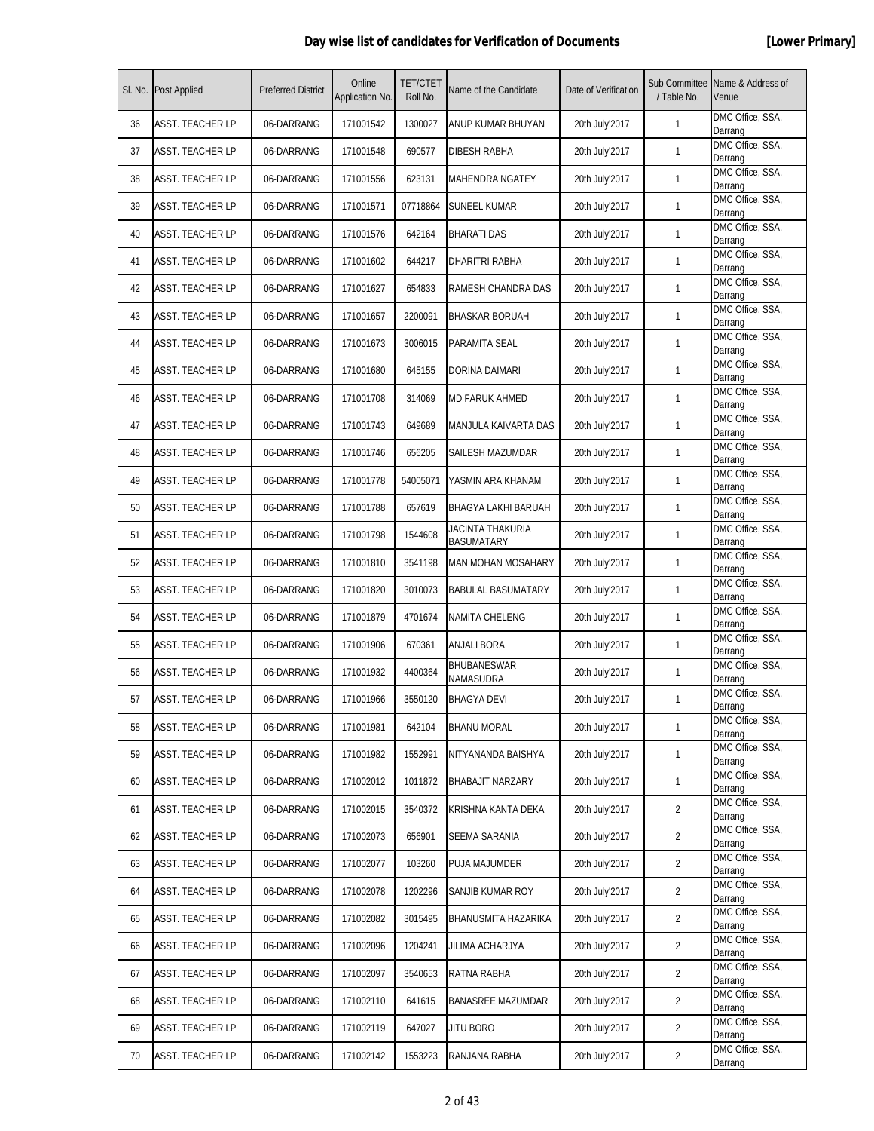|    | SI. No. Post Applied    | <b>Preferred District</b> | Online<br>Application No. | <b>TET/CTET</b><br>Roll No. | Name of the Candidate                 | Date of Verification | Sub Committee<br>/ Table No. | Name & Address of<br>Venue  |
|----|-------------------------|---------------------------|---------------------------|-----------------------------|---------------------------------------|----------------------|------------------------------|-----------------------------|
| 36 | <b>ASST. TEACHER LP</b> | 06-DARRANG                | 171001542                 | 1300027                     | ANUP KUMAR BHUYAN                     | 20th July'2017       | $\mathbf{1}$                 | DMC Office, SSA,<br>Darrang |
| 37 | <b>ASST. TEACHER LP</b> | 06-DARRANG                | 171001548                 | 690577                      | DIBESH RABHA                          | 20th July'2017       | $\mathbf{1}$                 | DMC Office, SSA,<br>Darrang |
| 38 | <b>ASST. TEACHER LP</b> | 06-DARRANG                | 171001556                 | 623131                      | MAHENDRA NGATEY                       | 20th July'2017       | $\mathbf{1}$                 | DMC Office, SSA,<br>Darrang |
| 39 | <b>ASST. TEACHER LP</b> | 06-DARRANG                | 171001571                 | 07718864                    | <b>SUNEEL KUMAR</b>                   | 20th July'2017       | $\mathbf{1}$                 | DMC Office, SSA,<br>Darrang |
| 40 | <b>ASST. TEACHER LP</b> | 06-DARRANG                | 171001576                 | 642164                      | <b>BHARATI DAS</b>                    | 20th July'2017       | $\mathbf{1}$                 | DMC Office, SSA,<br>Darrang |
| 41 | <b>ASST. TEACHER LP</b> | 06-DARRANG                | 171001602                 | 644217                      | DHARITRI RABHA                        | 20th July'2017       | $\mathbf{1}$                 | DMC Office, SSA,<br>Darrang |
| 42 | <b>ASST. TEACHER LP</b> | 06-DARRANG                | 171001627                 | 654833                      | RAMESH CHANDRA DAS                    | 20th July'2017       | $\mathbf{1}$                 | DMC Office, SSA,<br>Darrang |
| 43 | <b>ASST. TEACHER LP</b> | 06-DARRANG                | 171001657                 | 2200091                     | <b>BHASKAR BORUAH</b>                 | 20th July'2017       | $\mathbf{1}$                 | DMC Office, SSA,<br>Darrang |
| 44 | <b>ASST. TEACHER LP</b> | 06-DARRANG                | 171001673                 | 3006015                     | PARAMITA SEAL                         | 20th July'2017       | $\mathbf{1}$                 | DMC Office, SSA,<br>Darrang |
| 45 | <b>ASST. TEACHER LP</b> | 06-DARRANG                | 171001680                 | 645155                      | DORINA DAIMARI                        | 20th July'2017       | $\mathbf{1}$                 | DMC Office, SSA,<br>Darrang |
| 46 | <b>ASST. TEACHER LP</b> | 06-DARRANG                | 171001708                 | 314069                      | MD FARUK AHMED                        | 20th July'2017       | $\mathbf{1}$                 | DMC Office, SSA,<br>Darrang |
| 47 | <b>ASST. TEACHER LP</b> | 06-DARRANG                | 171001743                 | 649689                      | MANJULA KAIVARTA DAS                  | 20th July'2017       | $\mathbf{1}$                 | DMC Office, SSA,<br>Darrang |
| 48 | <b>ASST. TEACHER LP</b> | 06-DARRANG                | 171001746                 | 656205                      | SAILESH MAZUMDAR                      | 20th July'2017       | $\mathbf{1}$                 | DMC Office, SSA,<br>Darrang |
| 49 | <b>ASST. TEACHER LP</b> | 06-DARRANG                | 171001778                 | 54005071                    | YASMIN ARA KHANAM                     | 20th July'2017       | $\mathbf{1}$                 | DMC Office, SSA,<br>Darrang |
| 50 | <b>ASST. TEACHER LP</b> | 06-DARRANG                | 171001788                 | 657619                      | BHAGYA LAKHI BARUAH                   | 20th July'2017       | $\mathbf{1}$                 | DMC Office, SSA,<br>Darrang |
| 51 | <b>ASST. TEACHER LP</b> | 06-DARRANG                | 171001798                 | 1544608                     | JACINTA THAKURIA<br><b>BASUMATARY</b> | 20th July'2017       | $\mathbf{1}$                 | DMC Office, SSA,<br>Darrang |
| 52 | <b>ASST. TEACHER LP</b> | 06-DARRANG                | 171001810                 | 3541198                     | <b>MAN MOHAN MOSAHARY</b>             | 20th July'2017       | $\mathbf{1}$                 | DMC Office, SSA,<br>Darrang |
| 53 | <b>ASST. TEACHER LP</b> | 06-DARRANG                | 171001820                 | 3010073                     | <b>BABULAL BASUMATARY</b>             | 20th July'2017       | $\mathbf{1}$                 | DMC Office, SSA,<br>Darrang |
| 54 | <b>ASST. TEACHER LP</b> | 06-DARRANG                | 171001879                 | 4701674                     | NAMITA CHELENG                        | 20th July'2017       | $\mathbf{1}$                 | DMC Office, SSA,<br>Darrang |
| 55 | <b>ASST. TEACHER LP</b> | 06-DARRANG                | 171001906                 | 670361                      | ANJALI BORA                           | 20th July'2017       | $\mathbf{1}$                 | DMC Office, SSA,<br>Darrang |
| 56 | <b>ASST. TEACHER LP</b> | 06-DARRANG                | 171001932                 | 4400364                     | <b>BHUBANESWAR</b><br>NAMASUDRA       | 20th July'2017       | $\mathbf{1}$                 | DMC Office, SSA,<br>Darrang |
| 57 | <b>ASST. TEACHER LP</b> | 06-DARRANG                | 171001966                 | 3550120                     | <b>BHAGYA DEVI</b>                    | 20th July'2017       | $\mathbf{1}$                 | DMC Office, SSA,<br>Darrang |
| 58 | <b>ASST. TEACHER LP</b> | 06-DARRANG                | 171001981                 | 642104                      | <b>BHANU MORAL</b>                    | 20th July'2017       | $\mathbf{1}$                 | DMC Office, SSA,<br>Darrang |
| 59 | <b>ASST. TEACHER LP</b> | 06-DARRANG                | 171001982                 | 1552991                     | NITYANANDA BAISHYA                    | 20th July'2017       | $\mathbf{1}$                 | DMC Office, SSA,<br>Darrang |
| 60 | <b>ASST. TEACHER LP</b> | 06-DARRANG                | 171002012                 | 1011872                     | <b>BHABAJIT NARZARY</b>               | 20th July'2017       | 1                            | DMC Office, SSA,<br>Darrang |
| 61 | <b>ASST. TEACHER LP</b> | 06-DARRANG                | 171002015                 | 3540372                     | KRISHNA KANTA DEKA                    | 20th July'2017       | $\overline{2}$               | DMC Office, SSA,<br>Darrang |
| 62 | <b>ASST. TEACHER LP</b> | 06-DARRANG                | 171002073                 | 656901                      | SEEMA SARANIA                         | 20th July'2017       | $\overline{2}$               | DMC Office, SSA,<br>Darrang |
| 63 | <b>ASST. TEACHER LP</b> | 06-DARRANG                | 171002077                 | 103260                      | PUJA MAJUMDER                         | 20th July'2017       | $\overline{2}$               | DMC Office, SSA,<br>Darrang |
| 64 | <b>ASST. TEACHER LP</b> | 06-DARRANG                | 171002078                 | 1202296                     | SANJIB KUMAR ROY                      | 20th July'2017       | $\overline{2}$               | DMC Office, SSA,<br>Darrang |
| 65 | <b>ASST. TEACHER LP</b> | 06-DARRANG                | 171002082                 | 3015495                     | BHANUSMITA HAZARIKA                   | 20th July'2017       | $\overline{2}$               | DMC Office, SSA,<br>Darrang |
| 66 | <b>ASST. TEACHER LP</b> | 06-DARRANG                | 171002096                 | 1204241                     | JILIMA ACHARJYA                       | 20th July'2017       | $\overline{2}$               | DMC Office, SSA,<br>Darrang |
| 67 | <b>ASST. TEACHER LP</b> | 06-DARRANG                | 171002097                 | 3540653                     | RATNA RABHA                           | 20th July'2017       | $\overline{2}$               | DMC Office, SSA,<br>Darrang |
| 68 | ASST. TEACHER LP        | 06-DARRANG                | 171002110                 | 641615                      | BANASREE MAZUMDAR                     | 20th July'2017       | $\overline{2}$               | DMC Office, SSA,<br>Darrang |
| 69 | <b>ASST. TEACHER LP</b> | 06-DARRANG                | 171002119                 | 647027                      | Jitu Boro                             | 20th July'2017       | $\overline{2}$               | DMC Office, SSA,<br>Darrang |
| 70 | <b>ASST. TEACHER LP</b> | 06-DARRANG                | 171002142                 | 1553223                     | RANJANA RABHA                         | 20th July'2017       | 2                            | DMC Office, SSA,<br>Darrang |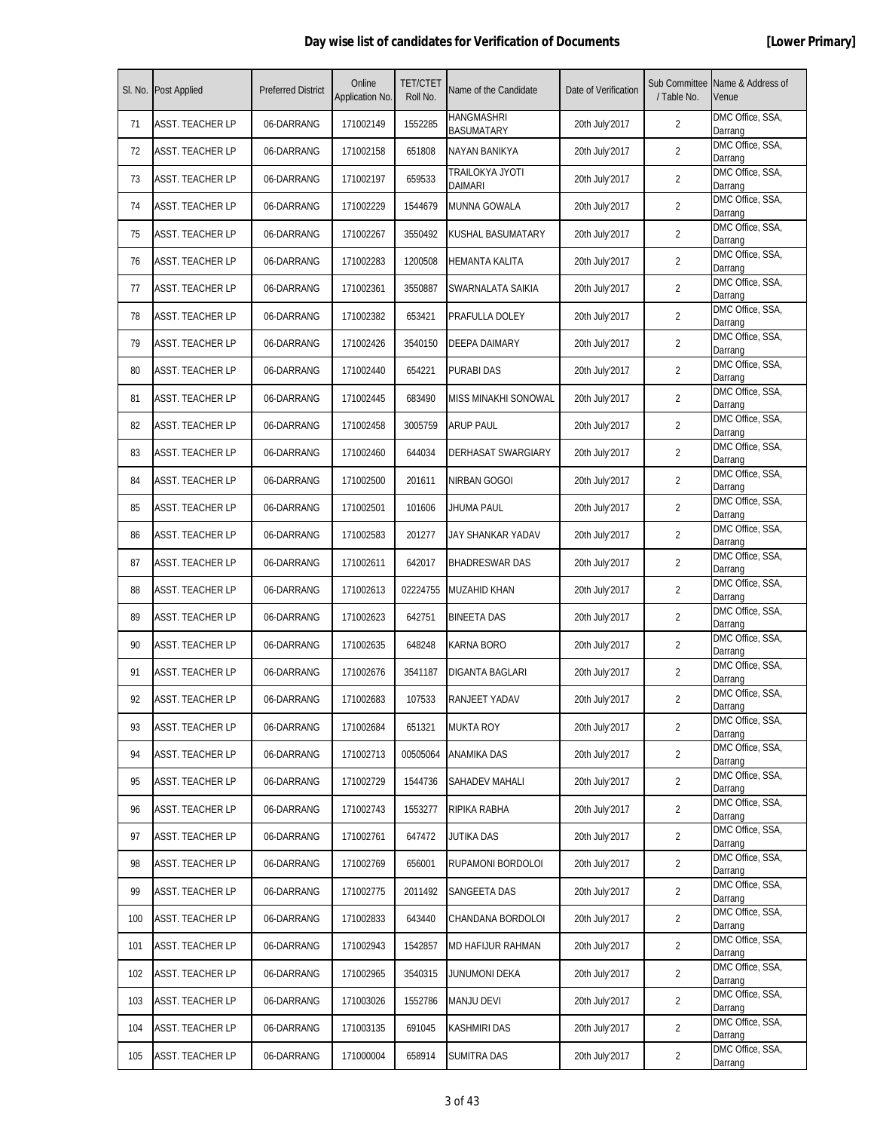|     | SI. No. Post Applied    | <b>Preferred District</b> | Online<br>Application No. | <b>TET/CTET</b><br>Roll No. | Name of the Candidate                  | Date of Verification | Sub Committee<br>/ Table No. | Name & Address of<br>Venue  |
|-----|-------------------------|---------------------------|---------------------------|-----------------------------|----------------------------------------|----------------------|------------------------------|-----------------------------|
| 71  | ASST. TEACHER LP        | 06-DARRANG                | 171002149                 | 1552285                     | <b>HANGMASHRI</b><br><b>BASUMATARY</b> | 20th July'2017       | $\overline{2}$               | DMC Office, SSA,<br>Darrang |
| 72  | ASST. TEACHER LP        | 06-DARRANG                | 171002158                 | 651808                      | NAYAN BANIKYA                          | 20th July'2017       | 2                            | DMC Office, SSA,<br>Darrang |
| 73  | ASST. TEACHER LP        | 06-DARRANG                | 171002197                 | 659533                      | TRAILOKYA JYOTI<br><b>DAIMARI</b>      | 20th July'2017       | $\overline{2}$               | DMC Office, SSA,<br>Darrang |
| 74  | ASST. TEACHER LP        | 06-DARRANG                | 171002229                 | 1544679                     | MUNNA GOWALA                           | 20th July'2017       | $\overline{2}$               | DMC Office, SSA,<br>Darrang |
| 75  | ASST. TEACHER LP        | 06-DARRANG                | 171002267                 | 3550492                     | KUSHAL BASUMATARY                      | 20th July'2017       | 2                            | DMC Office, SSA,<br>Darrang |
| 76  | ASST. TEACHER LP        | 06-DARRANG                | 171002283                 | 1200508                     | HEMANTA KALITA                         | 20th July'2017       | 2                            | DMC Office, SSA,<br>Darrang |
| 77  | <b>ASST. TEACHER LP</b> | 06-DARRANG                | 171002361                 | 3550887                     | SWARNALATA SAIKIA                      | 20th July'2017       | 2                            | DMC Office, SSA,<br>Darrang |
| 78  | <b>ASST. TEACHER LP</b> | 06-DARRANG                | 171002382                 | 653421                      | PRAFULLA DOLEY                         | 20th July'2017       | $\overline{2}$               | DMC Office, SSA,<br>Darrang |
| 79  | ASST. TEACHER LP        | 06-DARRANG                | 171002426                 | 3540150                     | DEEPA DAIMARY                          | 20th July'2017       | $\overline{2}$               | DMC Office, SSA,<br>Darrang |
| 80  | <b>ASST. TEACHER LP</b> | 06-DARRANG                | 171002440                 | 654221                      | PURABI DAS                             | 20th July'2017       | 2                            | DMC Office, SSA,<br>Darrang |
| 81  | ASST. TEACHER LP        | 06-DARRANG                | 171002445                 | 683490                      | <b>MISS MINAKHI SONOWAL</b>            | 20th July'2017       | 2                            | DMC Office, SSA,<br>Darrang |
| 82  | <b>ASST. TEACHER LP</b> | 06-DARRANG                | 171002458                 | 3005759                     | <b>ARUP PAUL</b>                       | 20th July'2017       | 2                            | DMC Office, SSA,<br>Darrang |
| 83  | <b>ASST. TEACHER LP</b> | 06-DARRANG                | 171002460                 | 644034                      | <b>DERHASAT SWARGIARY</b>              | 20th July'2017       | $\overline{2}$               | DMC Office, SSA,<br>Darrang |
| 84  | <b>ASST. TEACHER LP</b> | 06-DARRANG                | 171002500                 | 201611                      | NIRBAN GOGOI                           | 20th July'2017       | $\overline{2}$               | DMC Office, SSA,<br>Darrang |
| 85  | <b>ASST. TEACHER LP</b> | 06-DARRANG                | 171002501                 | 101606                      | JHUMA PAUL                             | 20th July'2017       | $\overline{2}$               | DMC Office, SSA,<br>Darrang |
| 86  | ASST. TEACHER LP        | 06-DARRANG                | 171002583                 | 201277                      | JAY SHANKAR YADAV                      | 20th July'2017       | $\overline{2}$               | DMC Office, SSA,<br>Darrang |
| 87  | <b>ASST. TEACHER LP</b> | 06-DARRANG                | 171002611                 | 642017                      | <b>BHADRESWAR DAS</b>                  | 20th July'2017       | $\overline{2}$               | DMC Office, SSA,<br>Darrang |
| 88  | <b>ASST. TEACHER LP</b> | 06-DARRANG                | 171002613                 | 02224755                    | MUZAHID KHAN                           | 20th July'2017       | 2                            | DMC Office, SSA,<br>Darrang |
| 89  | <b>ASST. TEACHER LP</b> | 06-DARRANG                | 171002623                 | 642751                      | <b>BINEETA DAS</b>                     | 20th July'2017       | 2                            | DMC Office, SSA,<br>Darrang |
| 90  | ASST. TEACHER LP        | 06-DARRANG                | 171002635                 | 648248                      | KARNA BORO                             | 20th July'2017       | $\overline{2}$               | DMC Office, SSA,<br>Darrang |
| 91  | ASST. TEACHER LP        | 06-DARRANG                | 171002676                 | 3541187                     | DIGANTA BAGLARI                        | 20th July'2017       | $\overline{2}$               | DMC Office, SSA,<br>Darrang |
| 92  | <b>ASST. TEACHER LP</b> | 06-DARRANG                | 171002683                 | 107533                      | RANJEET YADAV                          | 20th July'2017       | $\overline{2}$               | DMC Office, SSA,<br>Darrang |
| 93  | <b>ASST. TEACHER LP</b> | 06-DARRANG                | 171002684                 | 651321                      | <b>MUKTA ROY</b>                       | 20th July'2017       | $\overline{2}$               | DMC Office, SSA,<br>Darrang |
| 94  | <b>ASST. TEACHER LP</b> | 06-DARRANG                | 171002713                 | 00505064                    | ANAMIKA DAS                            | 20th July'2017       | $\overline{2}$               | DMC Office, SSA,<br>Darrang |
| 95  | <b>ASST. TEACHER LP</b> | 06-DARRANG                | 171002729                 | 1544736                     | SAHADEV MAHALI                         | 20th July'2017       | 2                            | DMC Office, SSA,<br>Darrang |
| 96  | ASST. TEACHER LP        | 06-DARRANG                | 171002743                 | 1553277                     | RIPIKA RABHA                           | 20th July'2017       | $\overline{2}$               | DMC Office, SSA,<br>Darrang |
| 97  | ASST. TEACHER LP        | 06-DARRANG                | 171002761                 | 647472                      | <b>JUTIKA DAS</b>                      | 20th July'2017       | $\overline{2}$               | DMC Office, SSA,<br>Darrang |
| 98  | <b>ASST. TEACHER LP</b> | 06-DARRANG                | 171002769                 | 656001                      | RUPAMONI BORDOLOI                      | 20th July'2017       | $\overline{2}$               | DMC Office, SSA,<br>Darrang |
| 99  | <b>ASST. TEACHER LP</b> | 06-DARRANG                | 171002775                 | 2011492                     | SANGEETA DAS                           | 20th July'2017       | $\overline{2}$               | DMC Office, SSA,<br>Darrang |
| 100 | <b>ASST. TEACHER LP</b> | 06-DARRANG                | 171002833                 | 643440                      | CHANDANA BORDOLOI                      | 20th July'2017       | $\overline{2}$               | DMC Office, SSA,<br>Darrang |
| 101 | ASST. TEACHER LP        | 06-DARRANG                | 171002943                 | 1542857                     | MD HAFIJUR RAHMAN                      | 20th July'2017       | $\overline{2}$               | DMC Office, SSA,<br>Darrang |
| 102 | <b>ASST. TEACHER LP</b> | 06-DARRANG                | 171002965                 | 3540315                     | JUNUMONI DEKA                          | 20th July'2017       | 2                            | DMC Office, SSA,<br>Darrang |
| 103 | <b>ASST. TEACHER LP</b> | 06-DARRANG                | 171003026                 | 1552786                     | <b>MANJU DEVI</b>                      | 20th July'2017       | $\overline{2}$               | DMC Office, SSA,<br>Darrang |
| 104 | ASST. TEACHER LP        | 06-DARRANG                | 171003135                 | 691045                      | <b>KASHMIRI DAS</b>                    | 20th July'2017       | $\overline{2}$               | DMC Office, SSA,<br>Darrang |
| 105 | ASST. TEACHER LP        | 06-DARRANG                | 171000004                 | 658914                      | <b>SUMITRA DAS</b>                     | 20th July'2017       | $\overline{2}$               | DMC Office, SSA,<br>Darrang |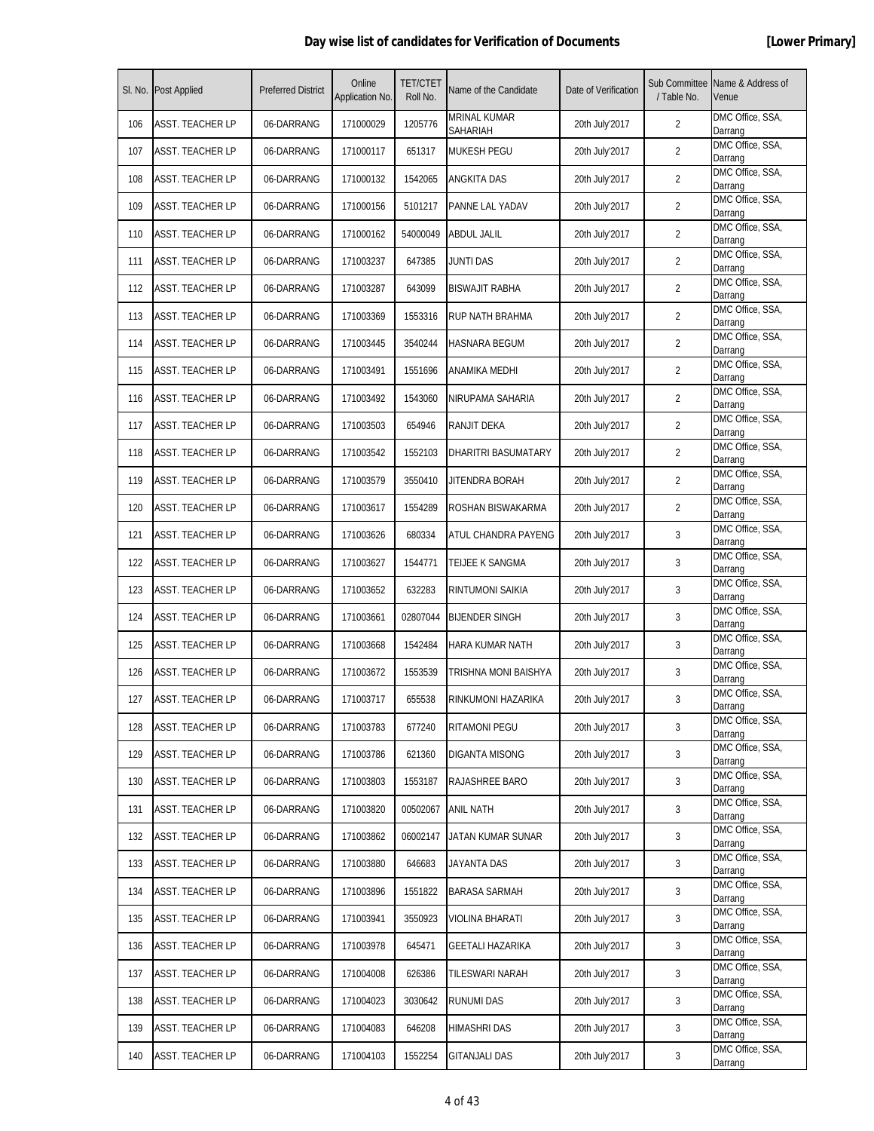|     | SI. No. Post Applied    | <b>Preferred District</b> | Online<br>Application No. | <b>TET/CTET</b><br>Roll No. | Name of the Candidate           | Date of Verification | Sub Committee<br>/ Table No. | Name & Address of<br>Venue  |
|-----|-------------------------|---------------------------|---------------------------|-----------------------------|---------------------------------|----------------------|------------------------------|-----------------------------|
| 106 | <b>ASST. TEACHER LP</b> | 06-DARRANG                | 171000029                 | 1205776                     | <b>MRINAL KUMAR</b><br>SAHARIAH | 20th July'2017       | $\overline{2}$               | DMC Office, SSA,<br>Darrang |
| 107 | <b>ASST. TEACHER LP</b> | 06-DARRANG                | 171000117                 | 651317                      | MUKESH PEGU                     | 20th July'2017       | 2                            | DMC Office, SSA,<br>Darrang |
| 108 | ASST. TEACHER LP        | 06-DARRANG                | 171000132                 | 1542065                     | ANGKITA DAS                     | 20th July'2017       | $\overline{2}$               | DMC Office, SSA,<br>Darrang |
| 109 | <b>ASST. TEACHER LP</b> | 06-DARRANG                | 171000156                 | 5101217                     | PANNE LAL YADAV                 | 20th July'2017       | $\overline{2}$               | DMC Office, SSA,<br>Darrang |
| 110 | ASST. TEACHER LP        | 06-DARRANG                | 171000162                 | 54000049                    | ABDUL JALIL                     | 20th July'2017       | 2                            | DMC Office, SSA,<br>Darrang |
| 111 | ASST. TEACHER LP        | 06-DARRANG                | 171003237                 | 647385                      | JUNTI DAS                       | 20th July'2017       | 2                            | DMC Office, SSA,<br>Darrang |
| 112 | <b>ASST. TEACHER LP</b> | 06-DARRANG                | 171003287                 | 643099                      | <b>BISWAJIT RABHA</b>           | 20th July'2017       | 2                            | DMC Office, SSA,<br>Darrang |
| 113 | <b>ASST. TEACHER LP</b> | 06-DARRANG                | 171003369                 | 1553316                     | RUP NATH BRAHMA                 | 20th July'2017       | $\overline{2}$               | DMC Office, SSA,<br>Darrang |
| 114 | <b>ASST. TEACHER LP</b> | 06-DARRANG                | 171003445                 | 3540244                     | HASNARA BEGUM                   | 20th July'2017       | $\overline{2}$               | DMC Office, SSA,<br>Darrang |
| 115 | ASST. TEACHER LP        | 06-DARRANG                | 171003491                 | 1551696                     | ANAMIKA MEDHI                   | 20th July'2017       | 2                            | DMC Office, SSA,<br>Darrang |
| 116 | ASST. TEACHER LP        | 06-DARRANG                | 171003492                 | 1543060                     | NIRUPAMA SAHARIA                | 20th July'2017       | 2                            | DMC Office, SSA,<br>Darrang |
| 117 | <b>ASST. TEACHER LP</b> | 06-DARRANG                | 171003503                 | 654946                      | RANJIT DEKA                     | 20th July'2017       | 2                            | DMC Office, SSA,<br>Darrang |
| 118 | <b>ASST. TEACHER LP</b> | 06-DARRANG                | 171003542                 | 1552103                     | DHARITRI BASUMATARY             | 20th July'2017       | $\overline{2}$               | DMC Office, SSA,<br>Darrang |
| 119 | <b>ASST. TEACHER LP</b> | 06-DARRANG                | 171003579                 | 3550410                     | JITENDRA BORAH                  | 20th July'2017       | $\overline{2}$               | DMC Office, SSA,<br>Darrang |
| 120 | <b>ASST. TEACHER LP</b> | 06-DARRANG                | 171003617                 | 1554289                     | ROSHAN BISWAKARMA               | 20th July'2017       | $\overline{2}$               | DMC Office, SSA,<br>Darrang |
| 121 | ASST. TEACHER LP        | 06-DARRANG                | 171003626                 | 680334                      | ATUL CHANDRA PAYENG             | 20th July'2017       | 3                            | DMC Office, SSA,<br>Darrang |
| 122 | <b>ASST. TEACHER LP</b> | 06-DARRANG                | 171003627                 | 1544771                     | TEIJEE K SANGMA                 | 20th July'2017       | 3                            | DMC Office, SSA,<br>Darrang |
| 123 | <b>ASST. TEACHER LP</b> | 06-DARRANG                | 171003652                 | 632283                      | RINTUMONI SAIKIA                | 20th July'2017       | 3                            | DMC Office, SSA,<br>Darrang |
| 124 | <b>ASST. TEACHER LP</b> | 06-DARRANG                | 171003661                 | 02807044                    | <b>BIJENDER SINGH</b>           | 20th July'2017       | 3                            | DMC Office, SSA,<br>Darrang |
| 125 | ASST. TEACHER LP        | 06-DARRANG                | 171003668                 | 1542484                     | HARA KUMAR NATH                 | 20th July'2017       | 3                            | DMC Office, SSA,<br>Darrang |
| 126 | ASST. TEACHER LP        | 06-DARRANG                | 171003672                 | 1553539                     | TRISHNA MONI BAISHYA            | 20th July'2017       | 3                            | DMC Office, SSA,<br>Darrang |
| 127 | <b>ASST. TEACHER LP</b> | 06-DARRANG                | 171003717                 | 655538                      | RINKUMONI HAZARIKA              | 20th July'2017       | 3                            | DMC Office, SSA,<br>Darrang |
| 128 | <b>ASST. TEACHER LP</b> | 06-DARRANG                | 171003783                 | 677240                      | <b>RITAMONI PEGU</b>            | 20th July'2017       | 3                            | DMC Office, SSA,<br>Darrang |
| 129 | <b>ASST. TEACHER LP</b> | 06-DARRANG                | 171003786                 | 621360                      | <b>DIGANTA MISONG</b>           | 20th July'2017       | 3                            | DMC Office, SSA,<br>Darrang |
| 130 | ASST. TEACHER LP        | 06-DARRANG                | 171003803                 | 1553187                     | RAJASHREE BARO                  | 20th July'2017       | 3                            | DMC Office, SSA,<br>Darrang |
| 131 | ASST. TEACHER LP        | 06-DARRANG                | 171003820                 | 00502067                    | <b>ANIL NATH</b>                | 20th July'2017       | 3                            | DMC Office, SSA,<br>Darrang |
| 132 | <b>ASST. TEACHER LP</b> | 06-DARRANG                | 171003862                 | 06002147                    | JATAN KUMAR SUNAR               | 20th July'2017       | 3                            | DMC Office, SSA,<br>Darrang |
| 133 | ASST. TEACHER LP        | 06-DARRANG                | 171003880                 | 646683                      | JAYANTA DAS                     | 20th July'2017       | 3                            | DMC Office, SSA,<br>Darrang |
| 134 | ASST. TEACHER LP        | 06-DARRANG                | 171003896                 | 1551822                     | <b>BARASA SARMAH</b>            | 20th July'2017       | 3                            | DMC Office, SSA,<br>Darrang |
| 135 | <b>ASST. TEACHER LP</b> | 06-DARRANG                | 171003941                 | 3550923                     | <b>VIOLINA BHARATI</b>          | 20th July'2017       | 3                            | DMC Office, SSA,<br>Darrang |
| 136 | ASST. TEACHER LP        | 06-DARRANG                | 171003978                 | 645471                      | GEETALI HAZARIKA                | 20th July'2017       | 3                            | DMC Office, SSA,<br>Darrang |
| 137 | <b>ASST. TEACHER LP</b> | 06-DARRANG                | 171004008                 | 626386                      | TILESWARI NARAH                 | 20th July'2017       | 3                            | DMC Office, SSA,<br>Darrang |
| 138 | <b>ASST. TEACHER LP</b> | 06-DARRANG                | 171004023                 | 3030642                     | <b>RUNUMI DAS</b>               | 20th July'2017       | 3                            | DMC Office, SSA,<br>Darrang |
| 139 | ASST. TEACHER LP        | 06-DARRANG                | 171004083                 | 646208                      | HIMASHRI DAS                    | 20th July'2017       | 3                            | DMC Office, SSA,<br>Darrang |
| 140 | <b>ASST. TEACHER LP</b> | 06-DARRANG                | 171004103                 | 1552254                     | <b>GITANJALI DAS</b>            | 20th July'2017       | 3                            | DMC Office, SSA,<br>Darrang |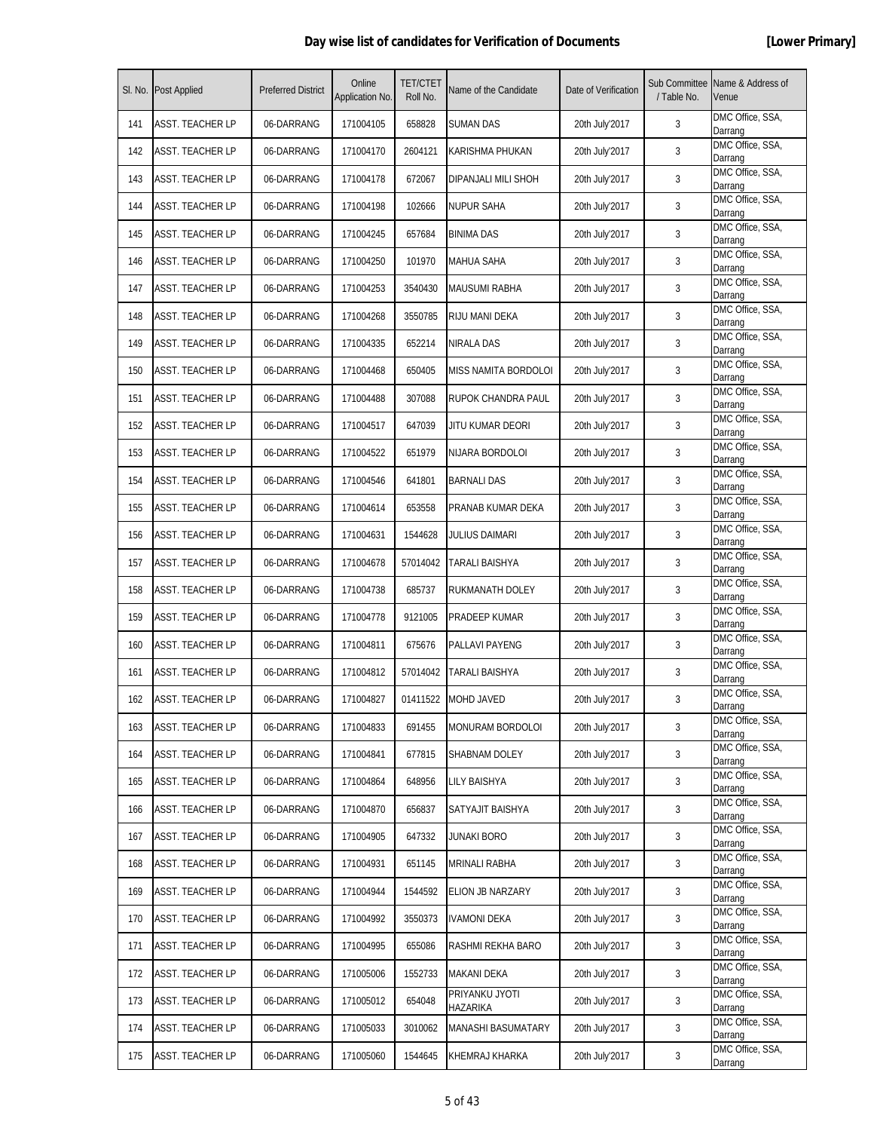|     | SI. No. Post Applied    | <b>Preferred District</b> | Online<br>Application No. | <b>TET/CTET</b><br>Roll No. | Name of the Candidate      | Date of Verification | Sub Committee<br>/ Table No. | Name & Address of<br>Venue  |
|-----|-------------------------|---------------------------|---------------------------|-----------------------------|----------------------------|----------------------|------------------------------|-----------------------------|
| 141 | ASST. TEACHER LP        | 06-DARRANG                | 171004105                 | 658828                      | SUMAN DAS                  | 20th July'2017       | 3                            | DMC Office, SSA,<br>Darrang |
| 142 | <b>ASST. TEACHER LP</b> | 06-DARRANG                | 171004170                 | 2604121                     | KARISHMA PHUKAN            | 20th July'2017       | 3                            | DMC Office, SSA,<br>Darrang |
| 143 | ASST. TEACHER LP        | 06-DARRANG                | 171004178                 | 672067                      | DIPANJALI MILI SHOH        | 20th July'2017       | 3                            | DMC Office, SSA,<br>Darrang |
| 144 | <b>ASST. TEACHER LP</b> | 06-DARRANG                | 171004198                 | 102666                      | <b>NUPUR SAHA</b>          | 20th July'2017       | 3                            | DMC Office, SSA,<br>Darrang |
| 145 | ASST. TEACHER LP        | 06-DARRANG                | 171004245                 | 657684                      | <b>BINIMA DAS</b>          | 20th July'2017       | 3                            | DMC Office, SSA,<br>Darrang |
| 146 | <b>ASST. TEACHER LP</b> | 06-DARRANG                | 171004250                 | 101970                      | MAHUA SAHA                 | 20th July'2017       | 3                            | DMC Office, SSA,<br>Darrang |
| 147 | <b>ASST. TEACHER LP</b> | 06-DARRANG                | 171004253                 | 3540430                     | <b>MAUSUMI RABHA</b>       | 20th July'2017       | 3                            | DMC Office, SSA,<br>Darrang |
| 148 | <b>ASST. TEACHER LP</b> | 06-DARRANG                | 171004268                 | 3550785                     | RIJU MANI DEKA             | 20th July'2017       | 3                            | DMC Office, SSA,<br>Darrang |
| 149 | <b>ASST. TEACHER LP</b> | 06-DARRANG                | 171004335                 | 652214                      | NIRALA DAS                 | 20th July'2017       | 3                            | DMC Office, SSA,<br>Darrang |
| 150 | <b>ASST. TEACHER LP</b> | 06-DARRANG                | 171004468                 | 650405                      | MISS NAMITA BORDOLOI       | 20th July'2017       | 3                            | DMC Office, SSA,<br>Darrang |
| 151 | ASST. TEACHER LP        | 06-DARRANG                | 171004488                 | 307088                      | RUPOK CHANDRA PAUL         | 20th July'2017       | 3                            | DMC Office, SSA,<br>Darrang |
| 152 | <b>ASST. TEACHER LP</b> | 06-DARRANG                | 171004517                 | 647039                      | JITU KUMAR DEORI           | 20th July'2017       | 3                            | DMC Office, SSA,<br>Darrang |
| 153 | <b>ASST. TEACHER LP</b> | 06-DARRANG                | 171004522                 | 651979                      | NIJARA BORDOLOI            | 20th July'2017       | 3                            | DMC Office, SSA,<br>Darrang |
| 154 | <b>ASST. TEACHER LP</b> | 06-DARRANG                | 171004546                 | 641801                      | <b>BARNALI DAS</b>         | 20th July'2017       | 3                            | DMC Office, SSA,<br>Darrang |
| 155 | <b>ASST. TEACHER LP</b> | 06-DARRANG                | 171004614                 | 653558                      | PRANAB KUMAR DEKA          | 20th July'2017       | 3                            | DMC Office, SSA,<br>Darrang |
| 156 | ASST. TEACHER LP        | 06-DARRANG                | 171004631                 | 1544628                     | JULIUS DAIMARI             | 20th July'2017       | 3                            | DMC Office, SSA,<br>Darrang |
| 157 | <b>ASST. TEACHER LP</b> | 06-DARRANG                | 171004678                 | 57014042                    | TARALI BAISHYA             | 20th July'2017       | 3                            | DMC Office, SSA,<br>Darrang |
| 158 | <b>ASST. TEACHER LP</b> | 06-DARRANG                | 171004738                 | 685737                      | RUKMANATH DOLEY            | 20th July'2017       | 3                            | DMC Office, SSA,<br>Darrang |
| 159 | <b>ASST. TEACHER LP</b> | 06-DARRANG                | 171004778                 | 9121005                     | PRADEEP KUMAR              | 20th July'2017       | 3                            | DMC Office, SSA,<br>Darrang |
| 160 | ASST. TEACHER LP        | 06-DARRANG                | 171004811                 | 675676                      | PALLAVI PAYENG             | 20th July'2017       | 3                            | DMC Office, SSA,<br>Darrang |
| 161 | ASST. TEACHER LP        | 06-DARRANG                | 171004812                 | 57014042                    | TARALI BAISHYA             | 20th July'2017       | 3                            | DMC Office, SSA,<br>Darrang |
| 162 | <b>ASST. TEACHER LP</b> | 06-DARRANG                | 171004827                 | 01411522                    | <b>MOHD JAVED</b>          | 20th July'2017       | 3                            | DMC Office, SSA,<br>Darrang |
| 163 | <b>ASST. TEACHER LP</b> | 06-DARRANG                | 171004833                 | 691455                      | MONURAM BORDOLOI           | 20th July'2017       | 3                            | DMC Office, SSA,<br>Darrang |
| 164 | ASST. TEACHER LP        | 06-DARRANG                | 171004841                 | 677815                      | SHABNAM DOLEY              | 20th July'2017       | 3                            | DMC Office, SSA,<br>Darrang |
| 165 | ASST. TEACHER LP        | 06-DARRANG                | 171004864                 | 648956                      | LILY BAISHYA               | 20th July'2017       | 3                            | DMC Office, SSA,<br>Darrang |
| 166 | ASST. TEACHER LP        | 06-DARRANG                | 171004870                 | 656837                      | SATYAJIT BAISHYA           | 20th July'2017       | 3                            | DMC Office, SSA,<br>Darrang |
| 167 | <b>ASST. TEACHER LP</b> | 06-DARRANG                | 171004905                 | 647332                      | JUNAKI BORO                | 20th July'2017       | 3                            | DMC Office, SSA,<br>Darrang |
| 168 | ASST. TEACHER LP        | 06-DARRANG                | 171004931                 | 651145                      | MRINALI RABHA              | 20th July'2017       | 3                            | DMC Office, SSA,<br>Darrang |
| 169 | ASST. TEACHER LP        | 06-DARRANG                | 171004944                 | 1544592                     | ELION JB NARZARY           | 20th July'2017       | 3                            | DMC Office, SSA,<br>Darrang |
| 170 | <b>ASST. TEACHER LP</b> | 06-DARRANG                | 171004992                 | 3550373                     | <b>IVAMONI DEKA</b>        | 20th July'2017       | 3                            | DMC Office, SSA,<br>Darrang |
| 171 | ASST. TEACHER LP        | 06-DARRANG                | 171004995                 | 655086                      | RASHMI REKHA BARO          | 20th July'2017       | 3                            | DMC Office, SSA,<br>Darrang |
| 172 | <b>ASST. TEACHER LP</b> | 06-DARRANG                | 171005006                 | 1552733                     | MAKANI DEKA                | 20th July'2017       | 3                            | DMC Office, SSA,<br>Darrang |
| 173 | <b>ASST. TEACHER LP</b> | 06-DARRANG                | 171005012                 | 654048                      | PRIYANKU JYOTI<br>HAZARIKA | 20th July'2017       | 3                            | DMC Office, SSA,<br>Darrang |
| 174 | ASST. TEACHER LP        | 06-DARRANG                | 171005033                 | 3010062                     | MANASHI BASUMATARY         | 20th July'2017       | 3                            | DMC Office, SSA,<br>Darrang |
| 175 | <b>ASST. TEACHER LP</b> | 06-DARRANG                | 171005060                 | 1544645                     | KHEMRAJ KHARKA             | 20th July'2017       | 3                            | DMC Office, SSA,<br>Darrang |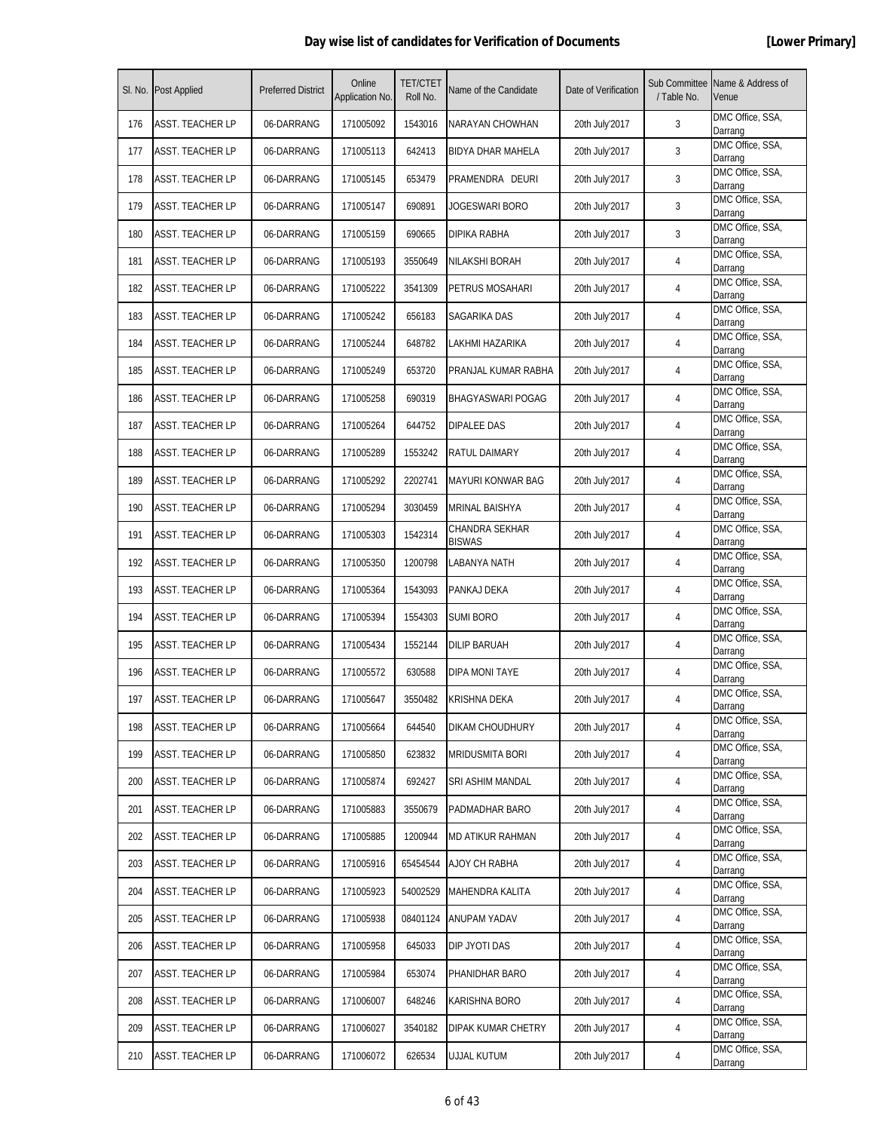| SI. No. | <b>Post Applied</b>     | <b>Preferred District</b> | Online<br>Application No. | <b>TET/CTET</b><br>Roll No. | Name of the Candidate           | Date of Verification | Sub Committee<br>/ Table No. | Name & Address of<br>Venue  |
|---------|-------------------------|---------------------------|---------------------------|-----------------------------|---------------------------------|----------------------|------------------------------|-----------------------------|
| 176     | <b>ASST. TEACHER LP</b> | 06-DARRANG                | 171005092                 | 1543016                     | NARAYAN CHOWHAN                 | 20th July'2017       | 3                            | DMC Office, SSA,<br>Darrang |
| 177     | ASST. TEACHER LP        | 06-DARRANG                | 171005113                 | 642413                      | <b>BIDYA DHAR MAHELA</b>        | 20th July'2017       | 3                            | DMC Office, SSA,<br>Darrang |
| 178     | ASST. TEACHER LP        | 06-DARRANG                | 171005145                 | 653479                      | PRAMENDRA DEURI                 | 20th July'2017       | 3                            | DMC Office, SSA,<br>Darrang |
| 179     | <b>ASST. TEACHER LP</b> | 06-DARRANG                | 171005147                 | 690891                      | JOGESWARI BORO                  | 20th July'2017       | 3                            | DMC Office, SSA,<br>Darrang |
| 180     | <b>ASST. TEACHER LP</b> | 06-DARRANG                | 171005159                 | 690665                      | DIPIKA RABHA                    | 20th July'2017       | 3                            | DMC Office, SSA,<br>Darrang |
| 181     | <b>ASST. TEACHER LP</b> | 06-DARRANG                | 171005193                 | 3550649                     | <b>NILAKSHI BORAH</b>           | 20th July'2017       | 4                            | DMC Office, SSA,<br>Darrang |
| 182     | <b>ASST. TEACHER LP</b> | 06-DARRANG                | 171005222                 | 3541309                     | PETRUS MOSAHARI                 | 20th July'2017       | 4                            | DMC Office, SSA,<br>Darrang |
| 183     | ASST. TEACHER LP        | 06-DARRANG                | 171005242                 | 656183                      | SAGARIKA DAS                    | 20th July'2017       | 4                            | DMC Office, SSA,<br>Darrang |
| 184     | <b>ASST. TEACHER LP</b> | 06-DARRANG                | 171005244                 | 648782                      | LAKHMI HAZARIKA                 | 20th July'2017       | 4                            | DMC Office, SSA,<br>Darrang |
| 185     | ASST. TEACHER LP        | 06-DARRANG                | 171005249                 | 653720                      | PRANJAL KUMAR RABHA             | 20th July'2017       | 4                            | DMC Office, SSA,<br>Darrang |
| 186     | <b>ASST. TEACHER LP</b> | 06-DARRANG                | 171005258                 | 690319                      | BHAGYASWARI POGAG               | 20th July'2017       | 4                            | DMC Office, SSA,<br>Darrang |
| 187     | <b>ASST. TEACHER LP</b> | 06-DARRANG                | 171005264                 | 644752                      | DIPALEE DAS                     | 20th July'2017       | 4                            | DMC Office, SSA,<br>Darrang |
| 188     | ASST. TEACHER LP        | 06-DARRANG                | 171005289                 | 1553242                     | RATUL DAIMARY                   | 20th July'2017       | 4                            | DMC Office, SSA,<br>Darrang |
| 189     | <b>ASST. TEACHER LP</b> | 06-DARRANG                | 171005292                 | 2202741                     | <b>MAYURI KONWAR BAG</b>        | 20th July'2017       | 4                            | DMC Office, SSA,<br>Darrang |
| 190     | <b>ASST. TEACHER LP</b> | 06-DARRANG                | 171005294                 | 3030459                     | MRINAL BAISHYA                  | 20th July'2017       | 4                            | DMC Office, SSA,<br>Darrang |
| 191     | <b>ASST. TEACHER LP</b> | 06-DARRANG                | 171005303                 | 1542314                     | CHANDRA SEKHAR<br><b>BISWAS</b> | 20th July'2017       | 4                            | DMC Office, SSA,<br>Darrang |
| 192     | <b>ASST. TEACHER LP</b> | 06-DARRANG                | 171005350                 | 1200798                     | LABANYA NATH                    | 20th July'2017       | 4                            | DMC Office, SSA,<br>Darrang |
| 193     | <b>ASST. TEACHER LP</b> | 06-DARRANG                | 171005364                 | 1543093                     | PANKAJ DEKA                     | 20th July'2017       | 4                            | DMC Office, SSA,<br>Darrang |
| 194     | <b>ASST. TEACHER LP</b> | 06-DARRANG                | 171005394                 | 1554303                     | <b>SUMI BORO</b>                | 20th July'2017       | 4                            | DMC Office, SSA,<br>Darrang |
| 195     | ASST. TEACHER LP        | 06-DARRANG                | 171005434                 | 1552144                     | DILIP BARUAH                    | 20th July'2017       | 4                            | DMC Office, SSA,<br>Darrang |
| 196     | ASST. TEACHER LP        | 06-DARRANG                | 171005572                 | 630588                      | DIPA MONI TAYE                  | 20th July'2017       | 4                            | DMC Office, SSA,<br>Darrang |
| 197     | <b>ASST. TEACHER LP</b> | 06-DARRANG                | 171005647                 | 3550482                     | <b>KRISHNA DEKA</b>             | 20th July'2017       | 4                            | DMC Office, SSA,<br>Darrang |
| 198     | <b>ASST. TEACHER LP</b> | 06-DARRANG                | 171005664                 | 644540                      | DIKAM CHOUDHURY                 | 20th July'2017       | 4                            | DMC Office, SSA,<br>Darrang |
| 199     | <b>ASST. TEACHER LP</b> | 06-DARRANG                | 171005850                 | 623832                      | <b>MRIDUSMITA BORI</b>          | 20th July'2017       | 4                            | DMC Office, SSA,<br>Darrang |
| 200     | <b>ASST. TEACHER LP</b> | 06-DARRANG                | 171005874                 | 692427                      | SRI ASHIM MANDAL                | 20th July'2017       | 4                            | DMC Office, SSA,<br>Darrang |
| 201     | ASST. TEACHER LP        | 06-DARRANG                | 171005883                 | 3550679                     | PADMADHAR BARO                  | 20th July'2017       | 4                            | DMC Office, SSA,<br>Darrang |
| 202     | <b>ASST. TEACHER LP</b> | 06-DARRANG                | 171005885                 | 1200944                     | MD ATIKUR RAHMAN                | 20th July'2017       | 4                            | DMC Office, SSA,<br>Darrang |
| 203     | <b>ASST. TEACHER LP</b> | 06-DARRANG                | 171005916                 | 65454544                    | AJOY CH RABHA                   | 20th July'2017       | 4                            | DMC Office, SSA,<br>Darrang |
| 204     | <b>ASST. TEACHER LP</b> | 06-DARRANG                | 171005923                 | 54002529                    | MAHENDRA KALITA                 | 20th July'2017       | 4                            | DMC Office, SSA,<br>Darrang |
| 205     | <b>ASST. TEACHER LP</b> | 06-DARRANG                | 171005938                 | 08401124                    | ANUPAM YADAV                    | 20th July'2017       | 4                            | DMC Office, SSA,<br>Darrang |
| 206     | <b>ASST. TEACHER LP</b> | 06-DARRANG                | 171005958                 | 645033                      | DIP JYOTI DAS                   | 20th July'2017       | 4                            | DMC Office, SSA,<br>Darrang |
| 207     | <b>ASST. TEACHER LP</b> | 06-DARRANG                | 171005984                 | 653074                      | PHANIDHAR BARO                  | 20th July'2017       | 4                            | DMC Office, SSA,<br>Darrang |
| 208     | <b>ASST. TEACHER LP</b> | 06-DARRANG                | 171006007                 | 648246                      | KARISHNA BORO                   | 20th July'2017       | 4                            | DMC Office, SSA,<br>Darrang |
| 209     | <b>ASST. TEACHER LP</b> | 06-DARRANG                | 171006027                 | 3540182                     | DIPAK KUMAR CHETRY              | 20th July'2017       | 4                            | DMC Office, SSA,<br>Darrang |
| 210     | <b>ASST. TEACHER LP</b> | 06-DARRANG                | 171006072                 | 626534                      | UJJAL KUTUM                     | 20th July'2017       | 4                            | DMC Office, SSA,<br>Darrang |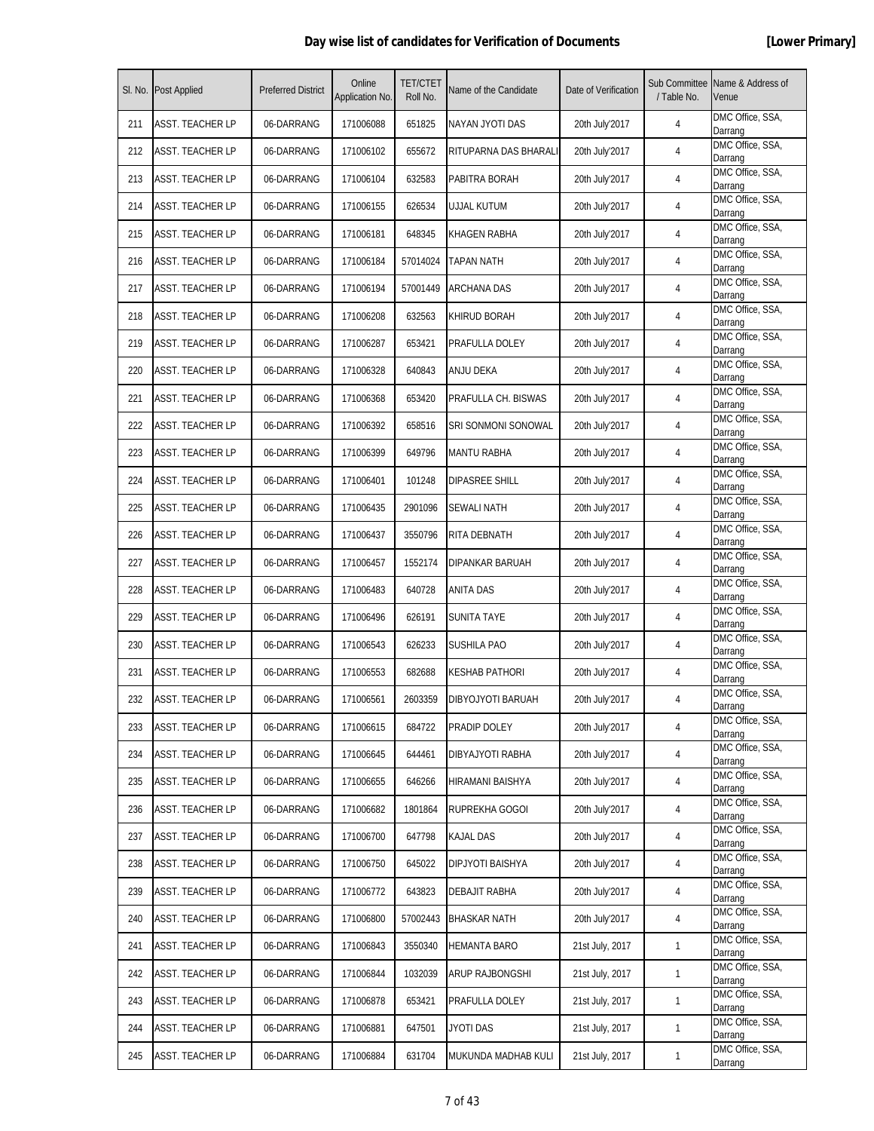| SI. No. | <b>Post Applied</b>     | <b>Preferred District</b> | Online<br>Application No. | <b>TET/CTET</b><br>Roll No. | Name of the Candidate  | Date of Verification | Sub Committee<br>/ Table No. | Name & Address of<br>Venue  |
|---------|-------------------------|---------------------------|---------------------------|-----------------------------|------------------------|----------------------|------------------------------|-----------------------------|
| 211     | <b>ASST. TEACHER LP</b> | 06-DARRANG                | 171006088                 | 651825                      | NAYAN JYOTI DAS        | 20th July'2017       | 4                            | DMC Office, SSA,<br>Darrang |
| 212     | ASST. TEACHER LP        | 06-DARRANG                | 171006102                 | 655672                      | RITUPARNA DAS BHARALI  | 20th July'2017       | 4                            | DMC Office, SSA,<br>Darrang |
| 213     | ASST. TEACHER LP        | 06-DARRANG                | 171006104                 | 632583                      | PABITRA BORAH          | 20th July'2017       | 4                            | DMC Office, SSA,<br>Darrang |
| 214     | <b>ASST. TEACHER LP</b> | 06-DARRANG                | 171006155                 | 626534                      | <b>UJJAL KUTUM</b>     | 20th July'2017       | 4                            | DMC Office, SSA,<br>Darrang |
| 215     | <b>ASST. TEACHER LP</b> | 06-DARRANG                | 171006181                 | 648345                      | KHAGEN RABHA           | 20th July'2017       | 4                            | DMC Office, SSA,<br>Darrang |
| 216     | <b>ASST. TEACHER LP</b> | 06-DARRANG                | 171006184                 | 57014024                    | <b>TAPAN NATH</b>      | 20th July'2017       | 4                            | DMC Office, SSA,<br>Darrang |
| 217     | <b>ASST. TEACHER LP</b> | 06-DARRANG                | 171006194                 | 57001449                    | <b>ARCHANA DAS</b>     | 20th July'2017       | 4                            | DMC Office, SSA,<br>Darrang |
| 218     | <b>ASST. TEACHER LP</b> | 06-DARRANG                | 171006208                 | 632563                      | <b>KHIRUD BORAH</b>    | 20th July'2017       | $\overline{4}$               | DMC Office, SSA,<br>Darrang |
| 219     | <b>ASST. TEACHER LP</b> | 06-DARRANG                | 171006287                 | 653421                      | PRAFULLA DOLEY         | 20th July'2017       | 4                            | DMC Office, SSA,<br>Darrang |
| 220     | <b>ASST. TEACHER LP</b> | 06-DARRANG                | 171006328                 | 640843                      | ANJU DEKA              | 20th July'2017       | 4                            | DMC Office, SSA,<br>Darrang |
| 221     | <b>ASST. TEACHER LP</b> | 06-DARRANG                | 171006368                 | 653420                      | PRAFULLA CH. BISWAS    | 20th July'2017       | 4                            | DMC Office, SSA,<br>Darrang |
| 222     | <b>ASST. TEACHER LP</b> | 06-DARRANG                | 171006392                 | 658516                      | SRI SONMONI SONOWAL    | 20th July'2017       | 4                            | DMC Office, SSA,<br>Darrang |
| 223     | ASST. TEACHER LP        | 06-DARRANG                | 171006399                 | 649796                      | <b>MANTU RABHA</b>     | 20th July'2017       | 4                            | DMC Office, SSA,<br>Darrang |
| 224     | <b>ASST. TEACHER LP</b> | 06-DARRANG                | 171006401                 | 101248                      | DIPASREE SHILL         | 20th July'2017       | 4                            | DMC Office, SSA,<br>Darrang |
| 225     | <b>ASST. TEACHER LP</b> | 06-DARRANG                | 171006435                 | 2901096                     | <b>SEWALI NATH</b>     | 20th July'2017       | 4                            | DMC Office, SSA,<br>Darrang |
| 226     | <b>ASST. TEACHER LP</b> | 06-DARRANG                | 171006437                 | 3550796                     | RITA DEBNATH           | 20th July'2017       | 4                            | DMC Office, SSA,<br>Darrang |
| 227     | <b>ASST. TEACHER LP</b> | 06-DARRANG                | 171006457                 | 1552174                     | DIPANKAR BARUAH        | 20th July'2017       | 4                            | DMC Office, SSA,<br>Darrang |
| 228     | <b>ASST. TEACHER LP</b> | 06-DARRANG                | 171006483                 | 640728                      | <b>ANITA DAS</b>       | 20th July'2017       | 4                            | DMC Office, SSA,<br>Darrang |
| 229     | <b>ASST. TEACHER LP</b> | 06-DARRANG                | 171006496                 | 626191                      | <b>SUNITA TAYE</b>     | 20th July'2017       | 4                            | DMC Office, SSA,<br>Darrang |
| 230     | ASST. TEACHER LP        | 06-DARRANG                | 171006543                 | 626233                      | <b>SUSHILA PAO</b>     | 20th July'2017       | 4                            | DMC Office, SSA,<br>Darrang |
| 231     | ASST. TEACHER LP        | 06-DARRANG                | 171006553                 | 682688                      | KESHAB PATHORI         | 20th July'2017       | 4                            | DMC Office, SSA,<br>Darrang |
| 232     | <b>ASST. TEACHER LP</b> | 06-DARRANG                | 171006561                 | 2603359                     | DIBYOJYOTI BARUAH      | 20th July'2017       | 4                            | DMC Office, SSA,<br>Darrang |
| 233     | <b>ASST. TEACHER LP</b> | 06-DARRANG                | 171006615                 | 684722                      | PRADIP DOLEY           | 20th July'2017       | 4                            | DMC Office, SSA,<br>Darrang |
| 234     | <b>ASST. TEACHER LP</b> | 06-DARRANG                | 171006645                 | 644461                      | DIBYAJYOTI RABHA       | 20th July'2017       | 4                            | DMC Office, SSA,<br>Darrang |
| 235     | ASST. TEACHER LP        | 06-DARRANG                | 171006655                 | 646266                      | HIRAMANI BAISHYA       | 20th July'2017       | 4                            | DMC Office, SSA,<br>Darrang |
| 236     | ASST. TEACHER LP        | 06-DARRANG                | 171006682                 | 1801864                     | RUPREKHA GOGOI         | 20th July'2017       | 4                            | DMC Office, SSA,<br>Darrang |
| 237     | <b>ASST. TEACHER LP</b> | 06-DARRANG                | 171006700                 | 647798                      | KAJAL DAS              | 20th July'2017       | 4                            | DMC Office, SSA,<br>Darrang |
| 238     | <b>ASST. TEACHER LP</b> | 06-DARRANG                | 171006750                 | 645022                      | DIPJYOTI BAISHYA       | 20th July'2017       | 4                            | DMC Office, SSA,<br>Darrang |
| 239     | <b>ASST. TEACHER LP</b> | 06-DARRANG                | 171006772                 | 643823                      | <b>DEBAJIT RABHA</b>   | 20th July'2017       | 4                            | DMC Office, SSA,<br>Darrang |
| 240     | <b>ASST. TEACHER LP</b> | 06-DARRANG                | 171006800                 | 57002443                    | <b>BHASKAR NATH</b>    | 20th July'2017       | 4                            | DMC Office, SSA,<br>Darrang |
| 241     | <b>ASST. TEACHER LP</b> | 06-DARRANG                | 171006843                 | 3550340                     | <b>HEMANTA BARO</b>    | 21st July, 2017      | 1                            | DMC Office, SSA,<br>Darrang |
| 242     | <b>ASST. TEACHER LP</b> | 06-DARRANG                | 171006844                 | 1032039                     | <b>ARUP RAJBONGSHI</b> | 21st July, 2017      | $\mathbf{1}$                 | DMC Office, SSA,<br>Darrang |
| 243     | <b>ASST. TEACHER LP</b> | 06-DARRANG                | 171006878                 | 653421                      | PRAFULLA DOLEY         | 21st July, 2017      | $\mathbf{1}$                 | DMC Office, SSA,<br>Darrang |
| 244     | <b>ASST. TEACHER LP</b> | 06-DARRANG                | 171006881                 | 647501                      | JYOTI DAS              | 21st July, 2017      | $\mathbf{1}$                 | DMC Office, SSA,<br>Darrang |
| 245     | <b>ASST. TEACHER LP</b> | 06-DARRANG                | 171006884                 | 631704                      | MUKUNDA MADHAB KULI    | 21st July, 2017      | $\mathbf{1}$                 | DMC Office, SSA,<br>Darrang |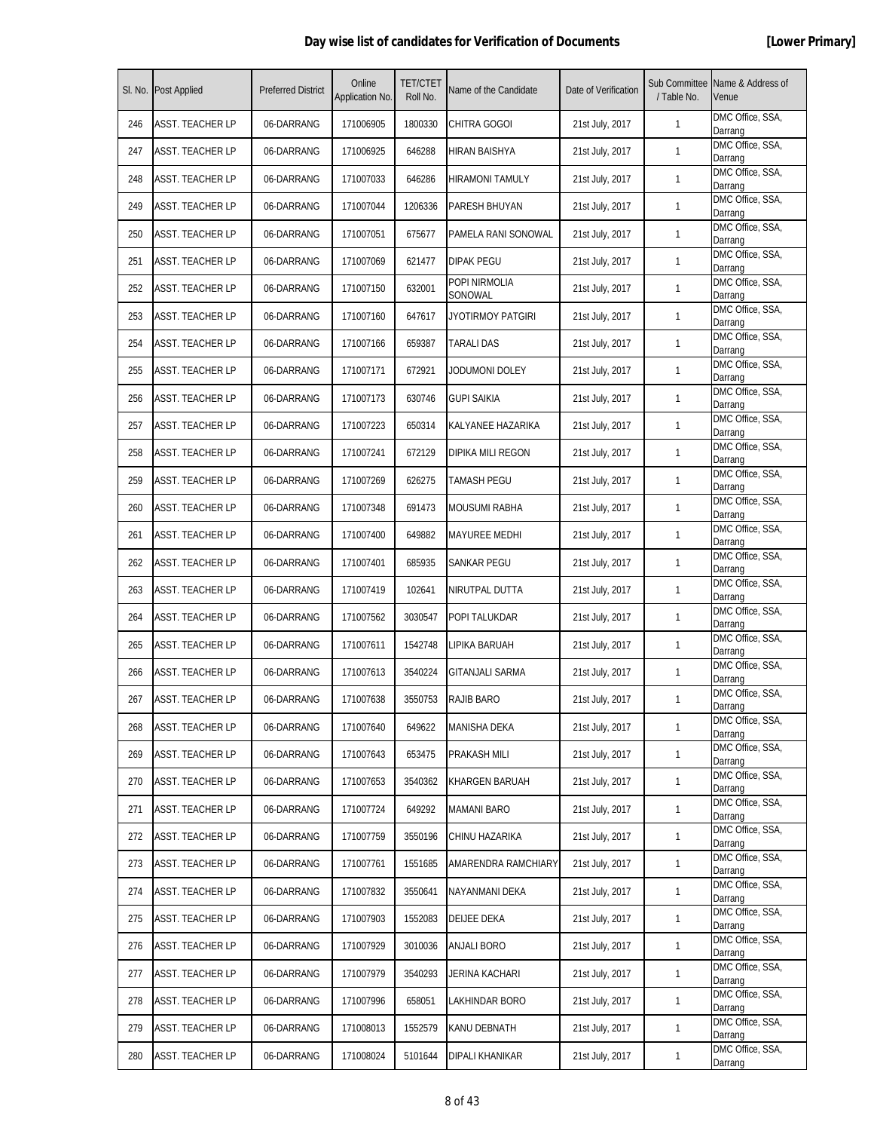|     | SI. No. Post Applied    | <b>Preferred District</b> | Online<br>Application No. | <b>TET/CTET</b><br>Roll No. | Name of the Candidate    | Date of Verification | / Table No.  | Sub Committee Name & Address of<br>Venue |
|-----|-------------------------|---------------------------|---------------------------|-----------------------------|--------------------------|----------------------|--------------|------------------------------------------|
| 246 | ASST. TEACHER LP        | 06-DARRANG                | 171006905                 | 1800330                     | CHITRA GOGOI             | 21st July, 2017      | $\mathbf{1}$ | DMC Office, SSA,<br>Darrang              |
| 247 | <b>ASST. TEACHER LP</b> | 06-DARRANG                | 171006925                 | 646288                      | HIRAN BAISHYA            | 21st July, 2017      | $\mathbf{1}$ | DMC Office, SSA,<br>Darrang              |
| 248 | <b>ASST. TEACHER LP</b> | 06-DARRANG                | 171007033                 | 646286                      | <b>HIRAMONI TAMULY</b>   | 21st July, 2017      | $\mathbf{1}$ | DMC Office, SSA,<br>Darrang              |
| 249 | <b>ASST. TEACHER LP</b> | 06-DARRANG                | 171007044                 | 1206336                     | PARESH BHUYAN            | 21st July, 2017      | $\mathbf{1}$ | DMC Office, SSA,<br>Darrang              |
| 250 | <b>ASST. TEACHER LP</b> | 06-DARRANG                | 171007051                 | 675677                      | PAMELA RANI SONOWAL      | 21st July, 2017      | $\mathbf{1}$ | DMC Office, SSA,<br>Darrang              |
| 251 | <b>ASST. TEACHER LP</b> | 06-DARRANG                | 171007069                 | 621477                      | DIPAK PEGU               | 21st July, 2017      | 1            | DMC Office, SSA,<br>Darrang              |
| 252 | <b>ASST. TEACHER LP</b> | 06-DARRANG                | 171007150                 | 632001                      | POPI NIRMOLIA<br>SONOWAL | 21st July, 2017      | $\mathbf{1}$ | DMC Office, SSA,<br>Darrang              |
| 253 | <b>ASST. TEACHER LP</b> | 06-DARRANG                | 171007160                 | 647617                      | JYOTIRMOY PATGIRI        | 21st July, 2017      | $\mathbf{1}$ | DMC Office, SSA,<br>Darrang              |
| 254 | <b>ASST. TEACHER LP</b> | 06-DARRANG                | 171007166                 | 659387                      | TARALI DAS               | 21st July, 2017      | $\mathbf{1}$ | DMC Office, SSA,<br>Darrang              |
| 255 | ASST. TEACHER LP        | 06-DARRANG                | 171007171                 | 672921                      | Jodumoni doley           | 21st July, 2017      | $\mathbf{1}$ | DMC Office, SSA,<br>Darrang              |
| 256 | <b>ASST. TEACHER LP</b> | 06-DARRANG                | 171007173                 | 630746                      | <b>GUPI SAIKIA</b>       | 21st July, 2017      | $\mathbf{1}$ | DMC Office, SSA,<br>Darrang              |
| 257 | <b>ASST. TEACHER LP</b> | 06-DARRANG                | 171007223                 | 650314                      | KALYANEE HAZARIKA        | 21st July, 2017      | $\mathbf{1}$ | DMC Office, SSA,<br>Darrang              |
| 258 | <b>ASST. TEACHER LP</b> | 06-DARRANG                | 171007241                 | 672129                      | <b>DIPIKA MILI REGON</b> | 21st July, 2017      | $\mathbf{1}$ | DMC Office, SSA,<br>Darrang              |
| 259 | <b>ASST. TEACHER LP</b> | 06-DARRANG                | 171007269                 | 626275                      | <b>TAMASH PEGU</b>       | 21st July, 2017      | $\mathbf{1}$ | DMC Office, SSA,<br>Darrang              |
| 260 | ASST. TEACHER LP        | 06-DARRANG                | 171007348                 | 691473                      | <b>MOUSUMI RABHA</b>     | 21st July, 2017      | $\mathbf{1}$ | DMC Office, SSA,<br>Darrang              |
| 261 | <b>ASST. TEACHER LP</b> | 06-DARRANG                | 171007400                 | 649882                      | MAYUREE MEDHI            | 21st July, 2017      | 1            | DMC Office, SSA,<br>Darrang              |
| 262 | <b>ASST. TEACHER LP</b> | 06-DARRANG                | 171007401                 | 685935                      | SANKAR PEGU              | 21st July, 2017      | $\mathbf{1}$ | DMC Office, SSA,<br>Darrang              |
| 263 | <b>ASST. TEACHER LP</b> | 06-DARRANG                | 171007419                 | 102641                      | NIRUTPAL DUTTA           | 21st July, 2017      | $\mathbf{1}$ | DMC Office, SSA,<br>Darrang              |
| 264 | <b>ASST. TEACHER LP</b> | 06-DARRANG                | 171007562                 | 3030547                     | POPI TALUKDAR            | 21st July, 2017      | $\mathbf{1}$ | DMC Office, SSA,<br>Darrang              |
| 265 | ASST. TEACHER LP        | 06-DARRANG                | 171007611                 | 1542748                     | LIPIKA BARUAH            | 21st July, 2017      | $\mathbf{1}$ | DMC Office, SSA,<br>Darrang              |
| 266 | <b>ASST. TEACHER LP</b> | 06-DARRANG                | 171007613                 | 3540224                     | <b>GITANJALI SARMA</b>   | 21st July, 2017      | $\mathbf{1}$ | DMC Office, SSA,<br>Darrang              |
| 267 | <b>ASST. TEACHER LP</b> | 06-DARRANG                | 171007638                 | 3550753                     | <b>RAJIB BARO</b>        | 21st July, 2017      | 1            | DMC Office, SSA,<br>Darrang              |
| 268 | <b>ASST. TEACHER LP</b> | 06-DARRANG                | 171007640                 | 649622                      | <b>MANISHA DEKA</b>      | 21st July, 2017      | $\mathbf{1}$ | DMC Office, SSA,<br>Darrang              |
| 269 | <b>ASST. TEACHER LP</b> | 06-DARRANG                | 171007643                 | 653475                      | PRAKASH MILI             | 21st July, 2017      | $\mathbf{1}$ | DMC Office, SSA,<br>Darrang              |
| 270 | <b>ASST. TEACHER LP</b> | 06-DARRANG                | 171007653                 | 3540362                     | <b>KHARGEN BARUAH</b>    | 21st July, 2017      | $\mathbf{1}$ | DMC Office, SSA,<br>Darrang              |
| 271 | <b>ASST. TEACHER LP</b> | 06-DARRANG                | 171007724                 | 649292                      | MAMANI BARO              | 21st July, 2017      | $\mathbf{1}$ | DMC Office, SSA,<br>Darrang              |
| 272 | <b>ASST. TEACHER LP</b> | 06-DARRANG                | 171007759                 | 3550196                     | CHINU HAZARIKA           | 21st July, 2017      | $\mathbf{1}$ | DMC Office, SSA,<br>Darrang              |
| 273 | <b>ASST. TEACHER LP</b> | 06-DARRANG                | 171007761                 | 1551685                     | AMARENDRA RAMCHIARY      | 21st July, 2017      | $\mathbf{1}$ | DMC Office, SSA,<br>Darrang              |
| 274 | <b>ASST. TEACHER LP</b> | 06-DARRANG                | 171007832                 | 3550641                     | NAYANMANI DEKA           | 21st July, 2017      | $\mathbf{1}$ | DMC Office, SSA,<br>Darrang              |
| 275 | <b>ASST. TEACHER LP</b> | 06-DARRANG                | 171007903                 | 1552083                     | DEIJEE DEKA              | 21st July, 2017      | $\mathbf{1}$ | DMC Office, SSA,<br>Darrang              |
| 276 | <b>ASST. TEACHER LP</b> | 06-DARRANG                | 171007929                 | 3010036                     | <b>ANJALI BORO</b>       | 21st July, 2017      | $\mathbf{1}$ | DMC Office, SSA,<br>Darrang              |
| 277 | <b>ASST. TEACHER LP</b> | 06-DARRANG                | 171007979                 | 3540293                     | JERINA KACHARI           | 21st July, 2017      | $\mathbf{1}$ | DMC Office, SSA,<br>Darrang              |
| 278 | <b>ASST. TEACHER LP</b> | 06-DARRANG                | 171007996                 | 658051                      | LAKHINDAR BORO           | 21st July, 2017      | $\mathbf{1}$ | DMC Office, SSA,<br>Darrang              |
| 279 | <b>ASST. TEACHER LP</b> | 06-DARRANG                | 171008013                 | 1552579                     | KANU DEBNATH             | 21st July, 2017      | $\mathbf{1}$ | DMC Office, SSA,<br>Darrang              |
| 280 | <b>ASST. TEACHER LP</b> | 06-DARRANG                | 171008024                 | 5101644                     | DIPALI KHANIKAR          | 21st July, 2017      | $\mathbf{1}$ | DMC Office, SSA,<br>Darrang              |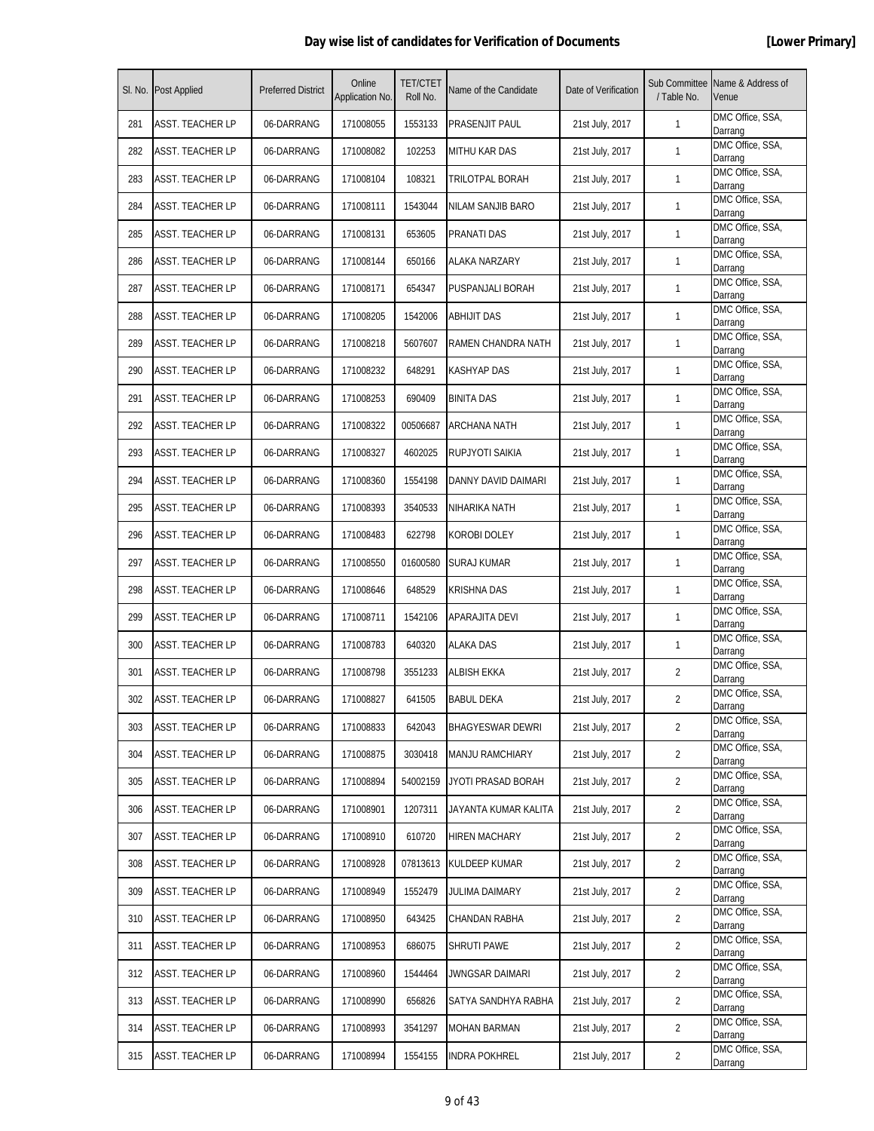|     | SI. No. Post Applied    | <b>Preferred District</b> | Online<br>Application No. | <b>TET/CTET</b><br>Roll No. | Name of the Candidate    | Date of Verification | Sub Committee<br>/ Table No. | Name & Address of<br>Venue  |
|-----|-------------------------|---------------------------|---------------------------|-----------------------------|--------------------------|----------------------|------------------------------|-----------------------------|
| 281 | <b>ASST. TEACHER LP</b> | 06-DARRANG                | 171008055                 | 1553133                     | PRASENJIT PAUL           | 21st July, 2017      | $\mathbf{1}$                 | DMC Office, SSA,<br>Darrang |
| 282 | ASST. TEACHER LP        | 06-DARRANG                | 171008082                 | 102253                      | MITHU KAR DAS            | 21st July, 2017      | $\mathbf{1}$                 | DMC Office, SSA,<br>Darrang |
| 283 | <b>ASST. TEACHER LP</b> | 06-DARRANG                | 171008104                 | 108321                      | TRILOTPAL BORAH          | 21st July, 2017      | $\mathbf{1}$                 | DMC Office, SSA,<br>Darrang |
| 284 | <b>ASST. TEACHER LP</b> | 06-DARRANG                | 171008111                 | 1543044                     | <b>NILAM SANJIB BARO</b> | 21st July, 2017      | $\mathbf{1}$                 | DMC Office, SSA,<br>Darrang |
| 285 | ASST. TEACHER LP        | 06-DARRANG                | 171008131                 | 653605                      | PRANATI DAS              | 21st July, 2017      | $\mathbf{1}$                 | DMC Office, SSA,<br>Darrang |
| 286 | <b>ASST. TEACHER LP</b> | 06-DARRANG                | 171008144                 | 650166                      | ALAKA NARZARY            | 21st July, 2017      | 1                            | DMC Office, SSA,<br>Darrang |
| 287 | <b>ASST. TEACHER LP</b> | 06-DARRANG                | 171008171                 | 654347                      | PUSPANJALI BORAH         | 21st July, 2017      | $\mathbf{1}$                 | DMC Office, SSA,<br>Darrang |
| 288 | <b>ASST. TEACHER LP</b> | 06-DARRANG                | 171008205                 | 1542006                     | <b>ABHIJIT DAS</b>       | 21st July, 2017      | $\mathbf{1}$                 | DMC Office, SSA,<br>Darrang |
| 289 | <b>ASST. TEACHER LP</b> | 06-DARRANG                | 171008218                 | 5607607                     | RAMEN CHANDRA NATH       | 21st July, 2017      | 1                            | DMC Office, SSA,<br>Darrang |
| 290 | ASST. TEACHER LP        | 06-DARRANG                | 171008232                 | 648291                      | KASHYAP DAS              | 21st July, 2017      | $\mathbf{1}$                 | DMC Office, SSA,<br>Darrang |
| 291 | <b>ASST. TEACHER LP</b> | 06-DARRANG                | 171008253                 | 690409                      | <b>BINITA DAS</b>        | 21st July, 2017      | 1                            | DMC Office, SSA,<br>Darrang |
| 292 | <b>ASST. TEACHER LP</b> | 06-DARRANG                | 171008322                 | 00506687                    | <b>ARCHANA NATH</b>      | 21st July, 2017      | $\mathbf{1}$                 | DMC Office, SSA,<br>Darrang |
| 293 | <b>ASST. TEACHER LP</b> | 06-DARRANG                | 171008327                 | 4602025                     | RUPJYOTI SAIKIA          | 21st July, 2017      | $\mathbf{1}$                 | DMC Office, SSA,<br>Darrang |
| 294 | <b>ASST. TEACHER LP</b> | 06-DARRANG                | 171008360                 | 1554198                     | DANNY DAVID DAIMARI      | 21st July, 2017      | $\mathbf{1}$                 | DMC Office, SSA,<br>Darrang |
| 295 | ASST. TEACHER LP        | 06-DARRANG                | 171008393                 | 3540533                     | NIHARIKA NATH            | 21st July, 2017      | $\mathbf{1}$                 | DMC Office, SSA,<br>Darrang |
| 296 | ASST. TEACHER LP        | 06-DARRANG                | 171008483                 | 622798                      | KOROBI DOLEY             | 21st July, 2017      | 1                            | DMC Office, SSA,<br>Darrang |
| 297 | <b>ASST. TEACHER LP</b> | 06-DARRANG                | 171008550                 | 01600580                    | SURAJ KUMAR              | 21st July, 2017      | $\mathbf{1}$                 | DMC Office, SSA,<br>Darrang |
| 298 | <b>ASST. TEACHER LP</b> | 06-DARRANG                | 171008646                 | 648529                      | <b>KRISHNA DAS</b>       | 21st July, 2017      | $\mathbf{1}$                 | DMC Office, SSA,<br>Darrang |
| 299 | <b>ASST. TEACHER LP</b> | 06-DARRANG                | 171008711                 | 1542106                     | APARAJITA DEVI           | 21st July, 2017      | 1                            | DMC Office, SSA,<br>Darrang |
| 300 | ASST. TEACHER LP        | 06-DARRANG                | 171008783                 | 640320                      | ALAKA DAS                | 21st July, 2017      | $\mathbf{1}$                 | DMC Office, SSA,<br>Darrang |
| 301 | ASST. TEACHER LP        | 06-DARRANG                | 171008798                 | 3551233                     | ALBISH EKKA              | 21st July, 2017      | 2                            | DMC Office, SSA,<br>Darrang |
| 302 | <b>ASST. TEACHER LP</b> | 06-DARRANG                | 171008827                 | 641505                      | <b>BABUL DEKA</b>        | 21st July, 2017      | $\overline{2}$               | DMC Office, SSA,<br>Darrang |
| 303 | ASST. TEACHER LP        | 06-DARRANG                | 171008833                 | 642043                      | <b>BHAGYESWAR DEWRI</b>  | 21st July, 2017      | $\overline{2}$               | DMC Office, SSA,<br>Darrang |
| 304 | <b>ASST. TEACHER LP</b> | 06-DARRANG                | 171008875                 | 3030418                     | <b>MANJU RAMCHIARY</b>   | 21st July, 2017      | $\overline{2}$               | DMC Office, SSA,<br>Darrang |
| 305 | <b>ASST. TEACHER LP</b> | 06-DARRANG                | 171008894                 | 54002159                    | JYOTI PRASAD BORAH       | 21st July, 2017      | 2                            | DMC Office, SSA,<br>Darrang |
| 306 | ASST. TEACHER LP        | 06-DARRANG                | 171008901                 | 1207311                     | JAYANTA KUMAR KALITA     | 21st July, 2017      | $\overline{2}$               | DMC Office, SSA,<br>Darrang |
| 307 | <b>ASST. TEACHER LP</b> | 06-DARRANG                | 171008910                 | 610720                      | HIREN MACHARY            | 21st July, 2017      | $\overline{2}$               | DMC Office, SSA,<br>Darrang |
| 308 | <b>ASST. TEACHER LP</b> | 06-DARRANG                | 171008928                 | 07813613                    | KULDEEP KUMAR            | 21st July, 2017      | $\overline{2}$               | DMC Office, SSA,<br>Darrang |
| 309 | <b>ASST. TEACHER LP</b> | 06-DARRANG                | 171008949                 | 1552479                     | JULIMA DAIMARY           | 21st July, 2017      | $\overline{2}$               | DMC Office, SSA,<br>Darrang |
| 310 | <b>ASST. TEACHER LP</b> | 06-DARRANG                | 171008950                 | 643425                      | CHANDAN RABHA            | 21st July, 2017      | $\overline{2}$               | DMC Office, SSA,<br>Darrang |
| 311 | <b>ASST. TEACHER LP</b> | 06-DARRANG                | 171008953                 | 686075                      | SHRUTI PAWE              | 21st July, 2017      | 2                            | DMC Office, SSA,<br>Darrang |
| 312 | <b>ASST. TEACHER LP</b> | 06-DARRANG                | 171008960                 | 1544464                     | JWNGSAR DAIMARI          | 21st July, 2017      | $\overline{2}$               | DMC Office, SSA,<br>Darrang |
| 313 | <b>ASST. TEACHER LP</b> | 06-DARRANG                | 171008990                 | 656826                      | SATYA SANDHYA RABHA      | 21st July, 2017      | $\overline{2}$               | DMC Office, SSA,<br>Darrang |
| 314 | <b>ASST. TEACHER LP</b> | 06-DARRANG                | 171008993                 | 3541297                     | MOHAN BARMAN             | 21st July, 2017      | $\overline{2}$               | DMC Office, SSA,<br>Darrang |
| 315 | <b>ASST. TEACHER LP</b> | 06-DARRANG                | 171008994                 | 1554155                     | INDRA POKHREL            | 21st July, 2017      | 2                            | DMC Office, SSA,<br>Darrang |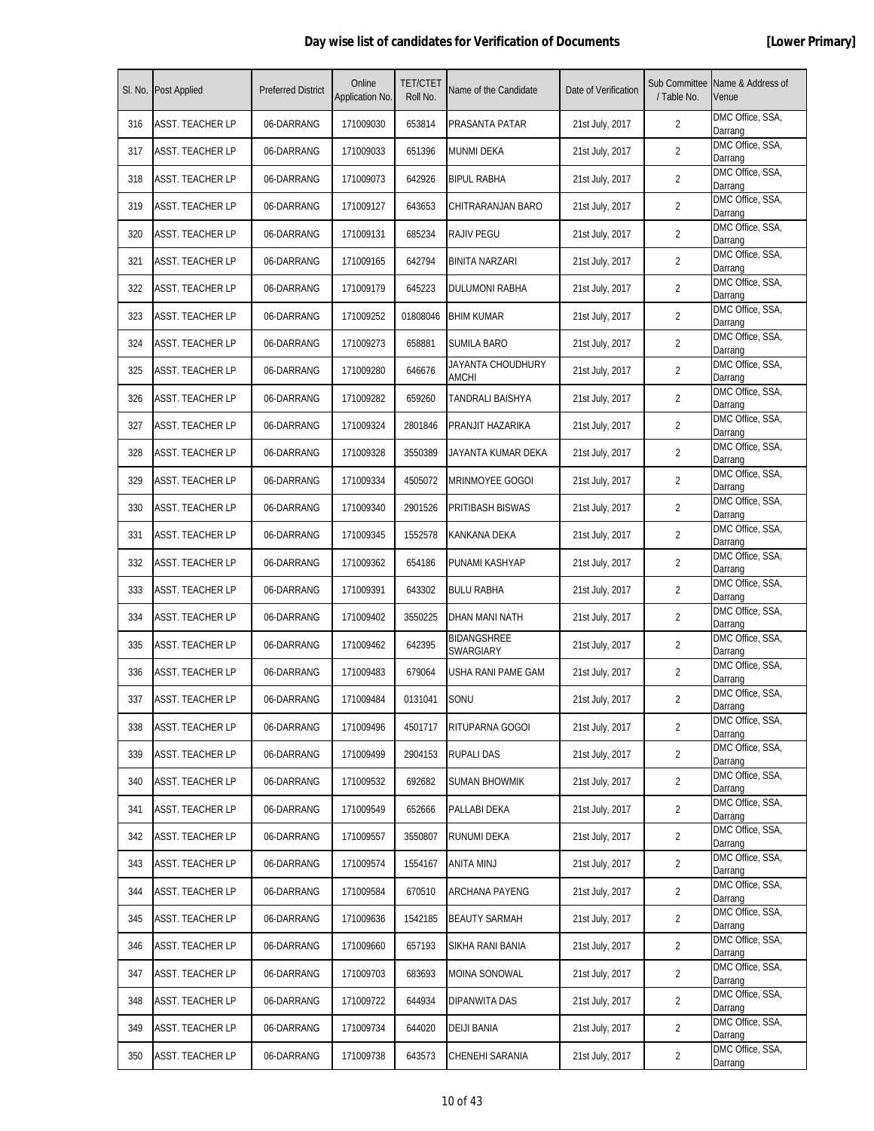|     | SI. No. Post Applied    | <b>Preferred District</b> | Online<br>Application No. | <b>TET/CTET</b><br>Roll No. | Name of the Candidate      | Date of Verification | Sub Committee<br>/ Table No. | Name & Address of<br>Venue  |
|-----|-------------------------|---------------------------|---------------------------|-----------------------------|----------------------------|----------------------|------------------------------|-----------------------------|
| 316 | <b>ASST. TEACHER LP</b> | 06-DARRANG                | 171009030                 | 653814                      | PRASANTA PATAR             | 21st July, 2017      | $\overline{2}$               | DMC Office, SSA,<br>Darrang |
| 317 | ASST. TEACHER LP        | 06-DARRANG                | 171009033                 | 651396                      | <b>MUNMI DEKA</b>          | 21st July, 2017      | 2                            | DMC Office, SSA,<br>Darrang |
| 318 | <b>ASST. TEACHER LP</b> | 06-DARRANG                | 171009073                 | 642926                      | <b>BIPUL RABHA</b>         | 21st July, 2017      | $\overline{2}$               | DMC Office, SSA,<br>Darrang |
| 319 | <b>ASST. TEACHER LP</b> | 06-DARRANG                | 171009127                 | 643653                      | CHITRARANJAN BARO          | 21st July, 2017      | $\overline{2}$               | DMC Office, SSA,<br>Darrang |
| 320 | ASST. TEACHER LP        | 06-DARRANG                | 171009131                 | 685234                      | <b>RAJIV PEGU</b>          | 21st July, 2017      | 2                            | DMC Office, SSA,<br>Darrang |
| 321 | <b>ASST. TEACHER LP</b> | 06-DARRANG                | 171009165                 | 642794                      | BINITA NARZARI             | 21st July, 2017      | $\overline{2}$               | DMC Office, SSA,<br>Darrang |
| 322 | <b>ASST. TEACHER LP</b> | 06-DARRANG                | 171009179                 | 645223                      | DULUMONI RABHA             | 21st July, 2017      | $\overline{2}$               | DMC Office, SSA,<br>Darrang |
| 323 | <b>ASST. TEACHER LP</b> | 06-DARRANG                | 171009252                 | 01808046                    | <b>BHIM KUMAR</b>          | 21st July, 2017      | $\overline{2}$               | DMC Office, SSA,<br>Darrang |
| 324 | <b>ASST. TEACHER LP</b> | 06-DARRANG                | 171009273                 | 658881                      | <b>SUMILA BARO</b>         | 21st July, 2017      | $\overline{2}$               | DMC Office, SSA,<br>Darrang |
| 325 | ASST. TEACHER LP        | 06-DARRANG                | 171009280                 | 646676                      | JAYANTA CHOUDHURY<br>AMCHI | 21st July, 2017      | 2                            | DMC Office, SSA,<br>Darrang |
| 326 | <b>ASST. TEACHER LP</b> | 06-DARRANG                | 171009282                 | 659260                      | TANDRALI BAISHYA           | 21st July, 2017      | $\overline{2}$               | DMC Office, SSA,<br>Darrang |
| 327 | <b>ASST. TEACHER LP</b> | 06-DARRANG                | 171009324                 | 2801846                     | PRANJIT HAZARIKA           | 21st July, 2017      | 2                            | DMC Office, SSA,<br>Darrang |
| 328 | <b>ASST. TEACHER LP</b> | 06-DARRANG                | 171009328                 | 3550389                     | JAYANTA KUMAR DEKA         | 21st July, 2017      | $\overline{2}$               | DMC Office, SSA,<br>Darrang |
| 329 | <b>ASST. TEACHER LP</b> | 06-DARRANG                | 171009334                 | 4505072                     | <b>MRINMOYEE GOGOI</b>     | 21st July, 2017      | $\overline{2}$               | DMC Office, SSA,<br>Darrang |
| 330 | ASST. TEACHER LP        | 06-DARRANG                | 171009340                 | 2901526                     | PRITIBASH BISWAS           | 21st July, 2017      | $\overline{2}$               | DMC Office, SSA,<br>Darrang |
| 331 | ASST. TEACHER LP        | 06-DARRANG                | 171009345                 | 1552578                     | KANKANA DEKA               | 21st July, 2017      | $\overline{2}$               | DMC Office, SSA,<br>Darrang |
| 332 | <b>ASST. TEACHER LP</b> | 06-DARRANG                | 171009362                 | 654186                      | PUNAMI KASHYAP             | 21st July, 2017      | 2                            | DMC Office, SSA,<br>Darrang |
| 333 | <b>ASST. TEACHER LP</b> | 06-DARRANG                | 171009391                 | 643302                      | <b>BULU RABHA</b>          | 21st July, 2017      | $\overline{2}$               | DMC Office, SSA,<br>Darrang |
| 334 | <b>ASST. TEACHER LP</b> | 06-DARRANG                | 171009402                 | 3550225                     | DHAN MANI NATH             | 21st July, 2017      | 2                            | DMC Office, SSA,<br>Darrang |
| 335 | ASST. TEACHER LP        | 06-DARRANG                | 171009462                 | 642395                      | BIDANGSHREE<br>SWARGIARY   | 21st July, 2017      | 2                            | DMC Office, SSA,<br>Darrang |
| 336 | <b>ASST. TEACHER LP</b> | 06-DARRANG                | 171009483                 | 679064                      | USHA RANI PAME GAM         | 21st July, 2017      | 2                            | DMC Office, SSA,<br>Darrang |
| 337 | <b>ASST. TEACHER LP</b> | 06-DARRANG                | 171009484                 | 0131041                     | SONU                       | 21st July, 2017      | $\overline{2}$               | DMC Office, SSA,<br>Darrang |
| 338 | ASST. TEACHER LP        | 06-DARRANG                | 171009496                 | 4501717                     | RITUPARNA GOGOI            | 21st July, 2017      | $\overline{2}$               | DMC Office, SSA,<br>Darrang |
| 339 | <b>ASST. TEACHER LP</b> | 06-DARRANG                | 171009499                 | 2904153                     | <b>RUPALI DAS</b>          | 21st July, 2017      | $\overline{2}$               | DMC Office, SSA,<br>Darrang |
| 340 | <b>ASST. TEACHER LP</b> | 06-DARRANG                | 171009532                 | 692682                      | <b>SUMAN BHOWMIK</b>       | 21st July, 2017      | 2                            | DMC Office, SSA,<br>Darrang |
| 341 | ASST. TEACHER LP        | 06-DARRANG                | 171009549                 | 652666                      | PALLABI DEKA               | 21st July, 2017      | $\overline{2}$               | DMC Office, SSA,<br>Darrang |
| 342 | <b>ASST. TEACHER LP</b> | 06-DARRANG                | 171009557                 | 3550807                     | RUNUMI DEKA                | 21st July, 2017      | $\overline{2}$               | DMC Office, SSA,<br>Darrang |
| 343 | <b>ASST. TEACHER LP</b> | 06-DARRANG                | 171009574                 | 1554167                     | ANITA MINJ                 | 21st July, 2017      | $\overline{2}$               | DMC Office, SSA,<br>Darrang |
| 344 | <b>ASST. TEACHER LP</b> | 06-DARRANG                | 171009584                 | 670510                      | ARCHANA PAYENG             | 21st July, 2017      | $\overline{2}$               | DMC Office, SSA,<br>Darrang |
| 345 | <b>ASST. TEACHER LP</b> | 06-DARRANG                | 171009636                 | 1542185                     | <b>BEAUTY SARMAH</b>       | 21st July, 2017      | $\overline{2}$               | DMC Office, SSA,<br>Darrang |
| 346 | <b>ASST. TEACHER LP</b> | 06-DARRANG                | 171009660                 | 657193                      | SIKHA RANI BANIA           | 21st July, 2017      | 2                            | DMC Office, SSA,<br>Darrang |
| 347 | <b>ASST. TEACHER LP</b> | 06-DARRANG                | 171009703                 | 683693                      | MOINA SONOWAL              | 21st July, 2017      | $\overline{2}$               | DMC Office, SSA,<br>Darrang |
| 348 | <b>ASST. TEACHER LP</b> | 06-DARRANG                | 171009722                 | 644934                      | DIPANWITA DAS              | 21st July, 2017      | $\overline{2}$               | DMC Office, SSA,<br>Darrang |
| 349 | <b>ASST. TEACHER LP</b> | 06-DARRANG                | 171009734                 | 644020                      | <b>DEIJI BANIA</b>         | 21st July, 2017      | $\overline{2}$               | DMC Office, SSA,<br>Darrang |
| 350 | <b>ASST. TEACHER LP</b> | 06-DARRANG                | 171009738                 | 643573                      | CHENEHI SARANIA            | 21st July, 2017      | 2                            | DMC Office, SSA,<br>Darrang |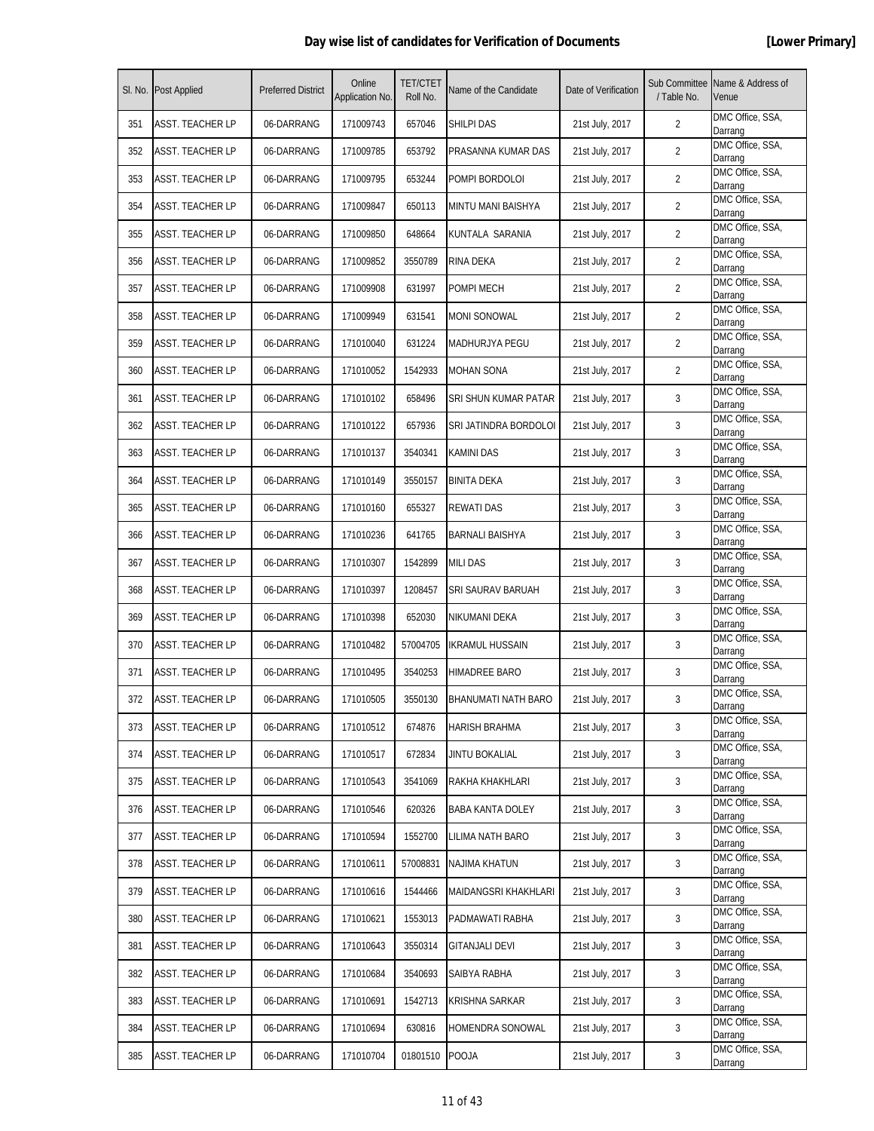|     | SI. No. Post Applied    | <b>Preferred District</b> | Online<br>Application No. | <b>TET/CTET</b><br>Roll No. | Name of the Candidate     | Date of Verification | Sub Committee<br>/ Table No. | Name & Address of<br>Venue  |
|-----|-------------------------|---------------------------|---------------------------|-----------------------------|---------------------------|----------------------|------------------------------|-----------------------------|
| 351 | <b>ASST. TEACHER LP</b> | 06-DARRANG                | 171009743                 | 657046                      | SHILPI DAS                | 21st July, 2017      | $\overline{2}$               | DMC Office, SSA,<br>Darrang |
| 352 | ASST. TEACHER LP        | 06-DARRANG                | 171009785                 | 653792                      | PRASANNA KUMAR DAS        | 21st July, 2017      | 2                            | DMC Office, SSA,<br>Darrang |
| 353 | <b>ASST. TEACHER LP</b> | 06-DARRANG                | 171009795                 | 653244                      | POMPI BORDOLOI            | 21st July, 2017      | $\overline{2}$               | DMC Office, SSA,<br>Darrang |
| 354 | <b>ASST. TEACHER LP</b> | 06-DARRANG                | 171009847                 | 650113                      | <b>MINTU MANI BAISHYA</b> | 21st July, 2017      | $\overline{2}$               | DMC Office, SSA,<br>Darrang |
| 355 | ASST. TEACHER LP        | 06-DARRANG                | 171009850                 | 648664                      | KUNTALA SARANIA           | 21st July, 2017      | 2                            | DMC Office, SSA,<br>Darrang |
| 356 | <b>ASST. TEACHER LP</b> | 06-DARRANG                | 171009852                 | 3550789                     | <b>RINA DEKA</b>          | 21st July, 2017      | 2                            | DMC Office, SSA,<br>Darrang |
| 357 | <b>ASST. TEACHER LP</b> | 06-DARRANG                | 171009908                 | 631997                      | POMPI MECH                | 21st July, 2017      | $\overline{2}$               | DMC Office, SSA,<br>Darrang |
| 358 | <b>ASST. TEACHER LP</b> | 06-DARRANG                | 171009949                 | 631541                      | MONI SONOWAL              | 21st July, 2017      | $\overline{2}$               | DMC Office, SSA,<br>Darrang |
| 359 | <b>ASST. TEACHER LP</b> | 06-DARRANG                | 171010040                 | 631224                      | MADHURJYA PEGU            | 21st July, 2017      | $\overline{2}$               | DMC Office, SSA,<br>Darrang |
| 360 | ASST. TEACHER LP        | 06-DARRANG                | 171010052                 | 1542933                     | MOHAN SONA                | 21st July, 2017      | 2                            | DMC Office, SSA,<br>Darrang |
| 361 | <b>ASST. TEACHER LP</b> | 06-DARRANG                | 171010102                 | 658496                      | SRI SHUN KUMAR PATAR      | 21st July, 2017      | 3                            | DMC Office, SSA,<br>Darrang |
| 362 | <b>ASST. TEACHER LP</b> | 06-DARRANG                | 171010122                 | 657936                      | SRI JATINDRA BORDOLOI     | 21st July, 2017      | 3                            | DMC Office, SSA,<br>Darrang |
| 363 | <b>ASST. TEACHER LP</b> | 06-DARRANG                | 171010137                 | 3540341                     | <b>KAMINI DAS</b>         | 21st July, 2017      | 3                            | DMC Office, SSA,<br>Darrang |
| 364 | <b>ASST. TEACHER LP</b> | 06-DARRANG                | 171010149                 | 3550157                     | <b>BINITA DEKA</b>        | 21st July, 2017      | 3                            | DMC Office, SSA,<br>Darrang |
| 365 | ASST. TEACHER LP        | 06-DARRANG                | 171010160                 | 655327                      | <b>REWATI DAS</b>         | 21st July, 2017      | 3                            | DMC Office, SSA,<br>Darrang |
| 366 | ASST. TEACHER LP        | 06-DARRANG                | 171010236                 | 641765                      | BARNALI BAISHYA           | 21st July, 2017      | 3                            | DMC Office, SSA,<br>Darrang |
| 367 | <b>ASST. TEACHER LP</b> | 06-DARRANG                | 171010307                 | 1542899                     | MILI DAS                  | 21st July, 2017      | 3                            | DMC Office, SSA,<br>Darrang |
| 368 | <b>ASST. TEACHER LP</b> | 06-DARRANG                | 171010397                 | 1208457                     | SRI SAURAV BARUAH         | 21st July, 2017      | 3                            | DMC Office, SSA,<br>Darrang |
| 369 | <b>ASST. TEACHER LP</b> | 06-DARRANG                | 171010398                 | 652030                      | NIKUMANI DEKA             | 21st July, 2017      | 3                            | DMC Office, SSA,<br>Darrang |
| 370 | ASST. TEACHER LP        | 06-DARRANG                | 171010482                 | 57004705                    | IKRAMUL HUSSAIN           | 21st July, 2017      | 3                            | DMC Office, SSA,<br>Darrang |
| 371 | <b>ASST. TEACHER LP</b> | 06-DARRANG                | 171010495                 | 3540253                     | HIMADREE BARO             | 21st July, 2017      | 3                            | DMC Office, SSA,<br>Darrang |
| 372 | <b>ASST. TEACHER LP</b> | 06-DARRANG                | 171010505                 | 3550130                     | BHANUMATI NATH BARO       | 21st July, 2017      | 3                            | DMC Office, SSA,<br>Darrang |
| 373 | ASST. TEACHER LP        | 06-DARRANG                | 171010512                 | 674876                      | HARISH BRAHMA             | 21st July, 2017      | 3                            | DMC Office, SSA,<br>Darrang |
| 374 | <b>ASST. TEACHER LP</b> | 06-DARRANG                | 171010517                 | 672834                      | JINTU BOKALIAL            | 21st July, 2017      | 3                            | DMC Office, SSA,<br>Darrang |
| 375 | <b>ASST. TEACHER LP</b> | 06-DARRANG                | 171010543                 | 3541069                     | RAKHA KHAKHLARI           | 21st July, 2017      | 3                            | DMC Office, SSA,<br>Darrang |
| 376 | ASST. TEACHER LP        | 06-DARRANG                | 171010546                 | 620326                      | <b>BABA KANTA DOLEY</b>   | 21st July, 2017      | 3                            | DMC Office, SSA,<br>Darrang |
| 377 | <b>ASST. TEACHER LP</b> | 06-DARRANG                | 171010594                 | 1552700                     | LILIMA NATH BARO          | 21st July, 2017      | 3                            | DMC Office, SSA,<br>Darrang |
| 378 | <b>ASST. TEACHER LP</b> | 06-DARRANG                | 171010611                 | 57008831                    | NAJIMA KHATUN             | 21st July, 2017      | 3                            | DMC Office, SSA,<br>Darrang |
| 379 | <b>ASST. TEACHER LP</b> | 06-DARRANG                | 171010616                 | 1544466                     | MAIDANGSRI KHAKHLARI      | 21st July, 2017      | 3                            | DMC Office, SSA,<br>Darrang |
| 380 | <b>ASST. TEACHER LP</b> | 06-DARRANG                | 171010621                 | 1553013                     | PADMAWATI RABHA           | 21st July, 2017      | 3                            | DMC Office, SSA,<br>Darrang |
| 381 | <b>ASST. TEACHER LP</b> | 06-DARRANG                | 171010643                 | 3550314                     | GITANJALI DEVI            | 21st July, 2017      | 3                            | DMC Office, SSA,<br>Darrang |
| 382 | <b>ASST. TEACHER LP</b> | 06-DARRANG                | 171010684                 | 3540693                     | SAIBYA RABHA              | 21st July, 2017      | 3                            | DMC Office, SSA,<br>Darrang |
| 383 | <b>ASST. TEACHER LP</b> | 06-DARRANG                | 171010691                 | 1542713                     | KRISHNA SARKAR            | 21st July, 2017      | 3                            | DMC Office, SSA,<br>Darrang |
| 384 | <b>ASST. TEACHER LP</b> | 06-DARRANG                | 171010694                 | 630816                      | HOMENDRA SONOWAL          | 21st July, 2017      | 3                            | DMC Office, SSA,<br>Darrang |
| 385 | <b>ASST. TEACHER LP</b> | 06-DARRANG                | 171010704                 | 01801510                    | <b>POOJA</b>              | 21st July, 2017      | 3                            | DMC Office, SSA,<br>Darrang |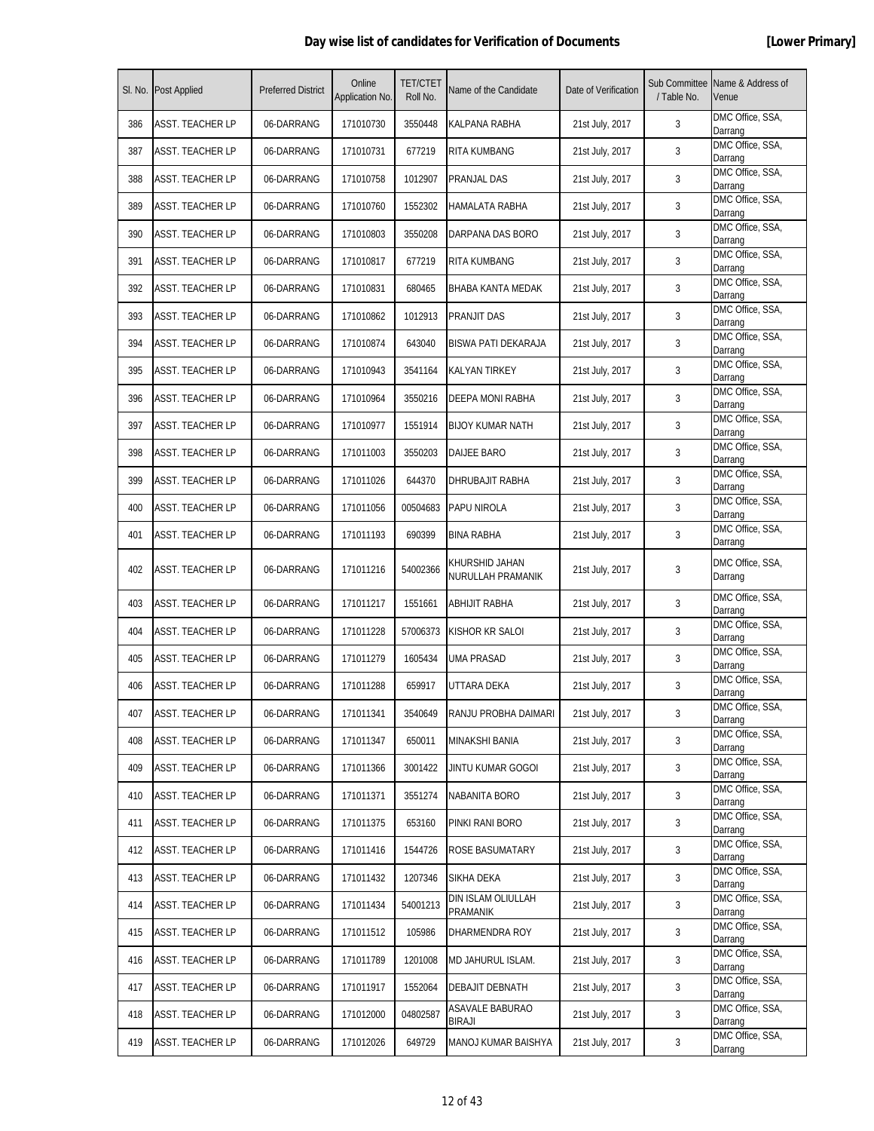|     | SI. No. Post Applied    | <b>Preferred District</b> | Online<br>Application No. | <b>TET/CTET</b><br>Roll No. | Name of the Candidate               | Date of Verification | / Table No. | Sub Committee Name & Address of<br>Venue |
|-----|-------------------------|---------------------------|---------------------------|-----------------------------|-------------------------------------|----------------------|-------------|------------------------------------------|
| 386 | <b>ASST. TEACHER LP</b> | 06-DARRANG                | 171010730                 | 3550448                     | KALPANA RABHA                       | 21st July, 2017      | 3           | DMC Office, SSA,<br>Darrang              |
| 387 | ASST. TEACHER LP        | 06-DARRANG                | 171010731                 | 677219                      | <b>RITA KUMBANG</b>                 | 21st July, 2017      | 3           | DMC Office, SSA,<br>Darrang              |
| 388 | ASST. TEACHER LP        | 06-DARRANG                | 171010758                 | 1012907                     | PRANJAL DAS                         | 21st July, 2017      | 3           | DMC Office, SSA,<br>Darrang              |
| 389 | <b>ASST. TEACHER LP</b> | 06-DARRANG                | 171010760                 | 1552302                     | HAMALATA RABHA                      | 21st July, 2017      | 3           | DMC Office, SSA,<br>Darrang              |
| 390 | ASST. TEACHER LP        | 06-DARRANG                | 171010803                 | 3550208                     | DARPANA DAS BORO                    | 21st July, 2017      | 3           | DMC Office, SSA,<br>Darrang              |
| 391 | <b>ASST. TEACHER LP</b> | 06-DARRANG                | 171010817                 | 677219                      | RITA KUMBANG                        | 21st July, 2017      | 3           | DMC Office, SSA,<br>Darrang              |
| 392 | ASST. TEACHER LP        | 06-DARRANG                | 171010831                 | 680465                      | BHABA KANTA MEDAK                   | 21st July, 2017      | 3           | DMC Office, SSA,<br>Darrang              |
| 393 | <b>ASST. TEACHER LP</b> | 06-DARRANG                | 171010862                 | 1012913                     | PRANJIT DAS                         | 21st July, 2017      | 3           | DMC Office, SSA,<br>Darrang              |
| 394 | <b>ASST. TEACHER LP</b> | 06-DARRANG                | 171010874                 | 643040                      | BISWA PATI DEKARAJA                 | 21st July, 2017      | 3           | DMC Office, SSA,<br>Darrang              |
| 395 | ASST. TEACHER LP        | 06-DARRANG                | 171010943                 | 3541164                     | <b>KALYAN TIRKEY</b>                | 21st July, 2017      | 3           | DMC Office, SSA,<br>Darrang              |
| 396 | <b>ASST. TEACHER LP</b> | 06-DARRANG                | 171010964                 | 3550216                     | DEEPA MONI RABHA                    | 21st July, 2017      | 3           | DMC Office, SSA,<br>Darrang              |
| 397 | <b>ASST. TEACHER LP</b> | 06-DARRANG                | 171010977                 | 1551914                     | <b>BIJOY KUMAR NATH</b>             | 21st July, 2017      | 3           | DMC Office, SSA,<br>Darrang              |
| 398 | <b>ASST. TEACHER LP</b> | 06-DARRANG                | 171011003                 | 3550203                     | DAIJEE BARO                         | 21st July, 2017      | 3           | DMC Office, SSA,<br>Darrang              |
| 399 | ASST. TEACHER LP        | 06-DARRANG                | 171011026                 | 644370                      | DHRUBAJIT RABHA                     | 21st July, 2017      | 3           | DMC Office, SSA,<br>Darrang              |
| 400 | ASST. TEACHER LP        | 06-DARRANG                | 171011056                 | 00504683                    | PAPU NIROLA                         | 21st July, 2017      | 3           | DMC Office, SSA,<br>Darrang              |
| 401 | ASST. TEACHER LP        | 06-DARRANG                | 171011193                 | 690399                      | BINA RABHA                          | 21st July, 2017      | 3           | DMC Office, SSA,<br>Darrang              |
| 402 | <b>ASST. TEACHER LP</b> | 06-DARRANG                | 171011216                 | 54002366                    | KHURSHID JAHAN<br>NURULLAH PRAMANIK | 21st July, 2017      | 3           | DMC Office, SSA,<br>Darrang              |
| 403 | <b>ASST. TEACHER LP</b> | 06-DARRANG                | 171011217                 | 1551661                     | ABHIJIT RABHA                       | 21st July, 2017      | 3           | DMC Office, SSA,<br>Darrang              |
| 404 | <b>ASST. TEACHER LP</b> | 06-DARRANG                | 171011228                 | 57006373                    | KISHOR KR SALOI                     | 21st July, 2017      | 3           | DMC Office, SSA,<br>Darrang              |
| 405 | ASST. TEACHER LP        | 06-DARRANG                | 171011279                 | 1605434                     | UMA PRASAD                          | 21st July, 2017      | 3           | DMC Office, SSA,<br>Darrang              |
| 406 | <b>ASST. TEACHER LP</b> | 06-DARRANG                | 171011288                 | 659917                      | UTTARA DEKA                         | 21st July, 2017      | 3           | DMC Office, SSA,<br>Darrang              |
| 407 | <b>ASST. TEACHER LP</b> | 06-DARRANG                | 171011341                 | 3540649                     | RANJU PROBHA DAIMARI                | 21st July, 2017      | 3           | DMC Office, SSA,<br>Darrang              |
| 408 | <b>ASST. TEACHER LP</b> | 06-DARRANG                | 171011347                 | 650011                      | MINAKSHI BANIA                      | 21st July, 2017      | 3           | DMC Office, SSA,<br>Darrang              |
| 409 | <b>ASST. TEACHER LP</b> | 06-DARRANG                | 171011366                 | 3001422                     | JINTU KUMAR GOGOI                   | 21st July, 2017      | 3           | DMC Office, SSA,<br>Darrang              |
| 410 | <b>ASST. TEACHER LP</b> | 06-DARRANG                | 171011371                 | 3551274                     | <b>NABANITA BORO</b>                | 21st July, 2017      | 3           | DMC Office, SSA,<br>Darrang              |
| 411 | <b>ASST. TEACHER LP</b> | 06-DARRANG                | 171011375                 | 653160                      | PINKI RANI BORO                     | 21st July, 2017      | 3           | DMC Office, SSA,<br>Darrang              |
| 412 | <b>ASST. TEACHER LP</b> | 06-DARRANG                | 171011416                 | 1544726                     | <b>ROSE BASUMATARY</b>              | 21st July, 2017      | 3           | DMC Office, SSA,<br>Darrang              |
| 413 | ASST. TEACHER LP        | 06-DARRANG                | 171011432                 | 1207346                     | SIKHA DEKA                          | 21st July, 2017      | 3           | DMC Office, SSA,<br>Darrang              |
| 414 | <b>ASST. TEACHER LP</b> | 06-DARRANG                | 171011434                 | 54001213                    | DIN ISLAM OLIULLAH<br>PRAMANIK      | 21st July, 2017      | 3           | DMC Office, SSA,<br>Darrang              |
| 415 | <b>ASST. TEACHER LP</b> | 06-DARRANG                | 171011512                 | 105986                      | DHARMENDRA ROY                      | 21st July, 2017      | 3           | DMC Office, SSA,<br>Darrang              |
| 416 | <b>ASST. TEACHER LP</b> | 06-DARRANG                | 171011789                 | 1201008                     | MD JAHURUL ISLAM.                   | 21st July, 2017      | 3           | DMC Office, SSA,<br>Darrang              |
| 417 | <b>ASST. TEACHER LP</b> | 06-DARRANG                | 171011917                 | 1552064                     | <b>DEBAJIT DEBNATH</b>              | 21st July, 2017      | 3           | DMC Office, SSA,<br>Darrang              |
| 418 | <b>ASST. TEACHER LP</b> | 06-DARRANG                | 171012000                 | 04802587                    | ASAVALE BABURAO<br>BIRAJI           | 21st July, 2017      | 3           | DMC Office, SSA,<br>Darrang              |
| 419 | <b>ASST. TEACHER LP</b> | 06-DARRANG                | 171012026                 | 649729                      | MANOJ KUMAR BAISHYA                 | 21st July, 2017      | 3           | DMC Office, SSA,<br>Darrang              |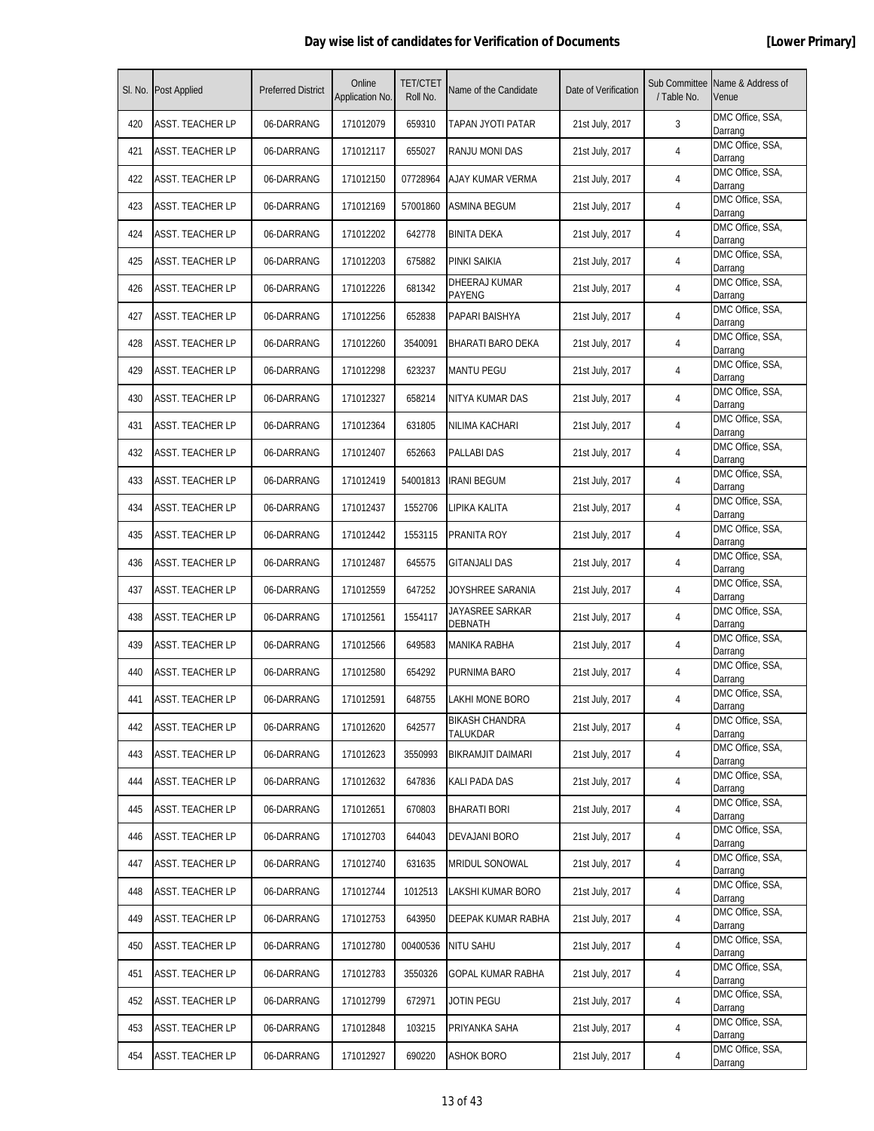|     | SI. No. Post Applied    | <b>Preferred District</b> | Online<br>Application No. | <b>TET/CTET</b><br>Roll No. | Name of the Candidate             | Date of Verification | Sub Committee<br>/ Table No. | Name & Address of<br>Venue  |
|-----|-------------------------|---------------------------|---------------------------|-----------------------------|-----------------------------------|----------------------|------------------------------|-----------------------------|
| 420 | <b>ASST. TEACHER LP</b> | 06-DARRANG                | 171012079                 | 659310                      | TAPAN JYOTI PATAR                 | 21st July, 2017      | 3                            | DMC Office, SSA,<br>Darrang |
| 421 | <b>ASST. TEACHER LP</b> | 06-DARRANG                | 171012117                 | 655027                      | RANJU MONI DAS                    | 21st July, 2017      | 4                            | DMC Office, SSA,<br>Darrang |
| 422 | <b>ASST. TEACHER LP</b> | 06-DARRANG                | 171012150                 | 07728964                    | AJAY KUMAR VERMA                  | 21st July, 2017      | 4                            | DMC Office, SSA,<br>Darrang |
| 423 | <b>ASST. TEACHER LP</b> | 06-DARRANG                | 171012169                 | 57001860                    | <b>ASMINA BEGUM</b>               | 21st July, 2017      | 4                            | DMC Office, SSA,<br>Darrang |
| 424 | ASST. TEACHER LP        | 06-DARRANG                | 171012202                 | 642778                      | <b>BINITA DEKA</b>                | 21st July, 2017      | 4                            | DMC Office, SSA,<br>Darrang |
| 425 | <b>ASST. TEACHER LP</b> | 06-DARRANG                | 171012203                 | 675882                      | PINKI SAIKIA                      | 21st July, 2017      | 4                            | DMC Office, SSA,<br>Darrang |
| 426 | <b>ASST. TEACHER LP</b> | 06-DARRANG                | 171012226                 | 681342                      | DHEERAJ KUMAR<br>PAYENG           | 21st July, 2017      | 4                            | DMC Office, SSA,<br>Darrang |
| 427 | <b>ASST. TEACHER LP</b> | 06-DARRANG                | 171012256                 | 652838                      | PAPARI BAISHYA                    | 21st July, 2017      | 4                            | DMC Office, SSA,<br>Darrang |
| 428 | <b>ASST. TEACHER LP</b> | 06-DARRANG                | 171012260                 | 3540091                     | BHARATI BARO DEKA                 | 21st July, 2017      | 4                            | DMC Office, SSA,<br>Darrang |
| 429 | ASST. TEACHER LP        | 06-DARRANG                | 171012298                 | 623237                      | <b>MANTU PEGU</b>                 | 21st July, 2017      | 4                            | DMC Office, SSA,<br>Darrang |
| 430 | <b>ASST. TEACHER LP</b> | 06-DARRANG                | 171012327                 | 658214                      | NITYA KUMAR DAS                   | 21st July, 2017      | 4                            | DMC Office, SSA,<br>Darrang |
| 431 | <b>ASST. TEACHER LP</b> | 06-DARRANG                | 171012364                 | 631805                      | NILIMA KACHARI                    | 21st July, 2017      | 4                            | DMC Office, SSA,<br>Darrang |
| 432 | <b>ASST. TEACHER LP</b> | 06-DARRANG                | 171012407                 | 652663                      | <b>PALLABI DAS</b>                | 21st July, 2017      | 4                            | DMC Office, SSA,<br>Darrang |
| 433 | <b>ASST. TEACHER LP</b> | 06-DARRANG                | 171012419                 | 54001813                    | <b>IRANI BEGUM</b>                | 21st July, 2017      | 4                            | DMC Office, SSA,<br>Darrang |
| 434 | ASST. TEACHER LP        | 06-DARRANG                | 171012437                 | 1552706                     | LIPIKA KALITA                     | 21st July, 2017      | 4                            | DMC Office, SSA,<br>Darrang |
| 435 | <b>ASST. TEACHER LP</b> | 06-DARRANG                | 171012442                 | 1553115                     | PRANITA ROY                       | 21st July, 2017      | 4                            | DMC Office, SSA,<br>Darrang |
| 436 | <b>ASST. TEACHER LP</b> | 06-DARRANG                | 171012487                 | 645575                      | GITANJALI DAS                     | 21st July, 2017      | 4                            | DMC Office, SSA,<br>Darrang |
| 437 | <b>ASST. TEACHER LP</b> | 06-DARRANG                | 171012559                 | 647252                      | JOYSHREE SARANIA                  | 21st July, 2017      | 4                            | DMC Office, SSA,<br>Darrang |
| 438 | <b>ASST. TEACHER LP</b> | 06-DARRANG                | 171012561                 | 1554117                     | JAYASREE SARKAR<br>DEBNATH        | 21st July, 2017      | 4                            | DMC Office, SSA,<br>Darrang |
| 439 | <b>ASST. TEACHER LP</b> | 06-DARRANG                | 171012566                 | 649583                      | MANIKA RABHA                      | 21st July, 2017      | 4                            | DMC Office, SSA,<br>Darrang |
| 440 | <b>ASST. TEACHER LP</b> | 06-DARRANG                | 171012580                 | 654292                      | PURNIMA BARO                      | 21st July, 2017      | 4                            | DMC Office, SSA,<br>Darrang |
| 441 | ASST. TEACHER LP        | 06-DARRANG                | 171012591                 | 648755                      | LAKHI MONE BORO                   | 21st July, 2017      | 4                            | DMC Office, SSA,<br>Darrang |
| 442 | <b>ASST. TEACHER LP</b> | 06-DARRANG                | 171012620                 | 642577                      | <b>BIKASH CHANDRA</b><br>TALUKDAR | 21st July, 2017      | 4                            | DMC Office, SSA,<br>Darrang |
| 443 | <b>ASST. TEACHER LP</b> | 06-DARRANG                | 171012623                 | 3550993                     | <b>BIKRAMJIT DAIMARI</b>          | 21st July, 2017      | 4                            | DMC Office, SSA,<br>Darrang |
| 444 | <b>ASST. TEACHER LP</b> | 06-DARRANG                | 171012632                 | 647836                      | <b>KALI PADA DAS</b>              | 21st July, 2017      | 4                            | DMC Office, SSA,<br>Darrang |
| 445 | ASST. TEACHER LP        | 06-DARRANG                | 171012651                 | 670803                      | BHARATI BORI                      | 21st July, 2017      | 4                            | DMC Office, SSA,<br>Darrang |
| 446 | <b>ASST. TEACHER LP</b> | 06-DARRANG                | 171012703                 | 644043                      | DEVAJANI BORO                     | 21st July, 2017      | 4                            | DMC Office, SSA,<br>Darrang |
| 447 | <b>ASST. TEACHER LP</b> | 06-DARRANG                | 171012740                 | 631635                      | <b>MRIDUL SONOWAL</b>             | 21st July, 2017      | 4                            | DMC Office, SSA,<br>Darrang |
| 448 | <b>ASST. TEACHER LP</b> | 06-DARRANG                | 171012744                 | 1012513                     | LAKSHI KUMAR BORO                 | 21st July, 2017      | 4                            | DMC Office, SSA,<br>Darrang |
| 449 | <b>ASST. TEACHER LP</b> | 06-DARRANG                | 171012753                 | 643950                      | DEEPAK KUMAR RABHA                | 21st July, 2017      | 4                            | DMC Office, SSA,<br>Darrang |
| 450 | <b>ASST. TEACHER LP</b> | 06-DARRANG                | 171012780                 | 00400536                    | <b>NITU SAHU</b>                  | 21st July, 2017      | 4                            | DMC Office, SSA,<br>Darrang |
| 451 | <b>ASST. TEACHER LP</b> | 06-DARRANG                | 171012783                 | 3550326                     | GOPAL KUMAR RABHA                 | 21st July, 2017      | 4                            | DMC Office, SSA,<br>Darrang |
| 452 | <b>ASST. TEACHER LP</b> | 06-DARRANG                | 171012799                 | 672971                      | Jotin Pegu                        | 21st July, 2017      | 4                            | DMC Office, SSA,<br>Darrang |
| 453 | <b>ASST. TEACHER LP</b> | 06-DARRANG                | 171012848                 | 103215                      | PRIYANKA SAHA                     | 21st July, 2017      | 4                            | DMC Office, SSA,<br>Darrang |
| 454 | <b>ASST. TEACHER LP</b> | 06-DARRANG                | 171012927                 | 690220                      | ASHOK BORO                        | 21st July, 2017      | 4                            | DMC Office, SSA,<br>Darrang |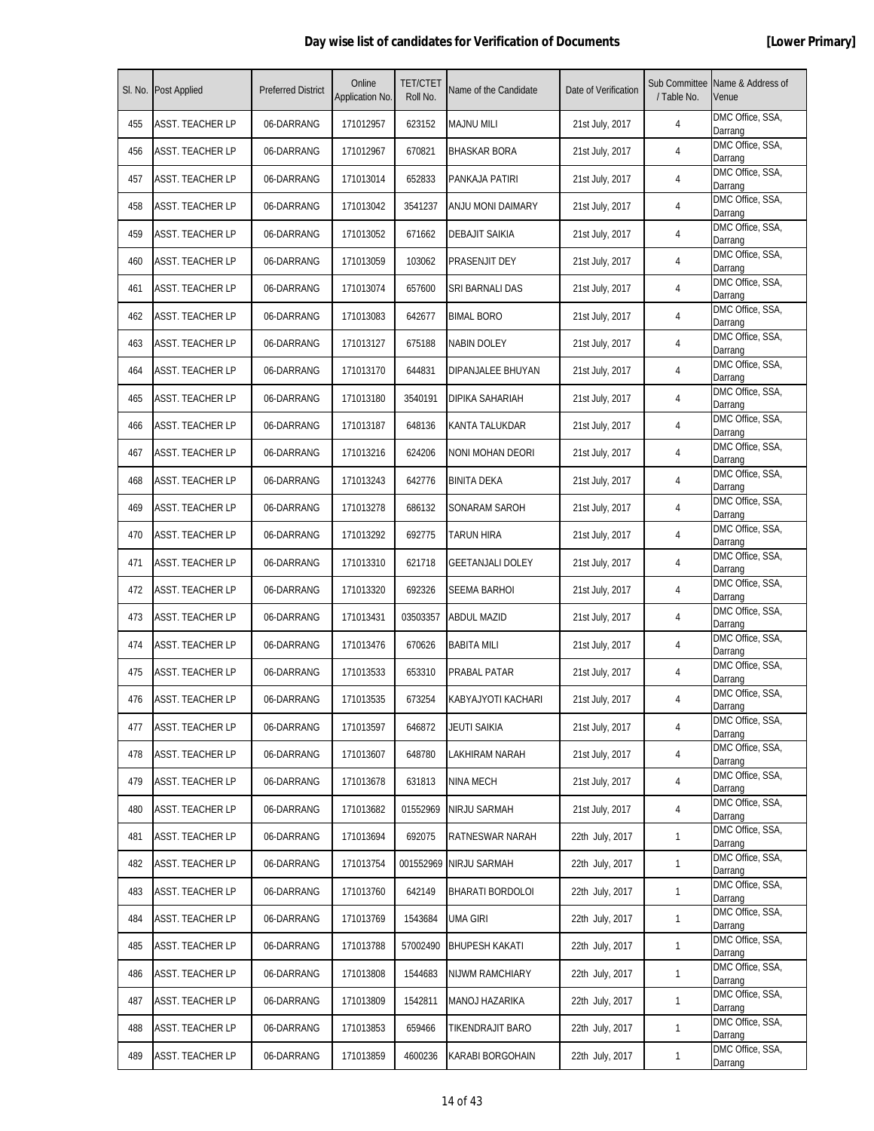|     | SI. No. Post Applied    | <b>Preferred District</b> | Online<br>Application No. | <b>TET/CTET</b><br>Roll No. | Name of the Candidate   | Date of Verification | / Table No.  | Sub Committee Name & Address of<br>Venue |
|-----|-------------------------|---------------------------|---------------------------|-----------------------------|-------------------------|----------------------|--------------|------------------------------------------|
| 455 | ASST. TEACHER LP        | 06-DARRANG                | 171012957                 | 623152                      | <b>MAJNU MILI</b>       | 21st July, 2017      | 4            | DMC Office, SSA,<br>Darrang              |
| 456 | ASST. TEACHER LP        | 06-DARRANG                | 171012967                 | 670821                      | <b>BHASKAR BORA</b>     | 21st July, 2017      | 4            | DMC Office, SSA,<br>Darrang              |
| 457 | <b>ASST. TEACHER LP</b> | 06-DARRANG                | 171013014                 | 652833                      | PANKAJA PATIRI          | 21st July, 2017      | 4            | DMC Office, SSA,<br>Darrang              |
| 458 | <b>ASST. TEACHER LP</b> | 06-DARRANG                | 171013042                 | 3541237                     | ANJU MONI DAIMARY       | 21st July, 2017      | 4            | DMC Office, SSA,<br>Darrang              |
| 459 | ASST. TEACHER LP        | 06-DARRANG                | 171013052                 | 671662                      | DEBAJIT SAIKIA          | 21st July, 2017      | 4            | DMC Office, SSA,<br>Darrang              |
| 460 | <b>ASST. TEACHER LP</b> | 06-DARRANG                | 171013059                 | 103062                      | PRASENJIT DEY           | 21st July, 2017      | 4            | DMC Office, SSA,<br>Darrang              |
| 461 | ASST. TEACHER LP        | 06-DARRANG                | 171013074                 | 657600                      | SRI BARNALI DAS         | 21st July, 2017      | 4            | DMC Office, SSA,<br>Darrang              |
| 462 | <b>ASST. TEACHER LP</b> | 06-DARRANG                | 171013083                 | 642677                      | <b>BIMAL BORO</b>       | 21st July, 2017      | 4            | DMC Office, SSA,<br>Darrang              |
| 463 | <b>ASST. TEACHER LP</b> | 06-DARRANG                | 171013127                 | 675188                      | NABIN DOLEY             | 21st July, 2017      | 4            | DMC Office, SSA,<br>Darrang              |
| 464 | ASST. TEACHER LP        | 06-DARRANG                | 171013170                 | 644831                      | DIPANJALEE BHUYAN       | 21st July, 2017      | 4            | DMC Office, SSA,<br>Darrang              |
| 465 | <b>ASST. TEACHER LP</b> | 06-DARRANG                | 171013180                 | 3540191                     | DIPIKA SAHARIAH         | 21st July, 2017      | 4            | DMC Office, SSA,<br>Darrang              |
| 466 | <b>ASST. TEACHER LP</b> | 06-DARRANG                | 171013187                 | 648136                      | KANTA TALUKDAR          | 21st July, 2017      | 4            | DMC Office, SSA,<br>Darrang              |
| 467 | <b>ASST. TEACHER LP</b> | 06-DARRANG                | 171013216                 | 624206                      | NONI MOHAN DEORI        | 21st July, 2017      | 4            | DMC Office, SSA,<br>Darrang              |
| 468 | ASST. TEACHER LP        | 06-DARRANG                | 171013243                 | 642776                      | <b>BINITA DEKA</b>      | 21st July, 2017      | 4            | DMC Office, SSA,<br>Darrang              |
| 469 | ASST. TEACHER LP        | 06-DARRANG                | 171013278                 | 686132                      | SONARAM SAROH           | 21st July, 2017      | 4            | DMC Office, SSA,<br>Darrang              |
| 470 | <b>ASST. TEACHER LP</b> | 06-DARRANG                | 171013292                 | 692775                      | TARUN HIRA              | 21st July, 2017      | 4            | DMC Office, SSA,<br>Darrang              |
| 471 | ASST. TEACHER LP        | 06-DARRANG                | 171013310                 | 621718                      | <b>GEETANJALI DOLEY</b> | 21st July, 2017      | 4            | DMC Office, SSA,<br>Darrang              |
| 472 | <b>ASST. TEACHER LP</b> | 06-DARRANG                | 171013320                 | 692326                      | <b>SEEMA BARHOI</b>     | 21st July, 2017      | 4            | DMC Office, SSA,<br>Darrang              |
| 473 | <b>ASST. TEACHER LP</b> | 06-DARRANG                | 171013431                 | 03503357                    | <b>ABDUL MAZID</b>      | 21st July, 2017      | 4            | DMC Office, SSA,<br>Darrang              |
| 474 | ASST. TEACHER LP        | 06-DARRANG                | 171013476                 | 670626                      | <b>BABITA MILI</b>      | 21st July, 2017      | 4            | DMC Office, SSA,<br>Darrang              |
| 475 | <b>ASST. TEACHER LP</b> | 06-DARRANG                | 171013533                 | 653310                      | PRABAL PATAR            | 21st July, 2017      | 4            | DMC Office, SSA,<br>Darrang              |
| 476 | <b>ASST. TEACHER LP</b> | 06-DARRANG                | 171013535                 | 673254                      | KABYAJYOTI KACHARI      | 21st July, 2017      | 4            | DMC Office, SSA,<br>Darrang              |
| 477 | <b>ASST. TEACHER LP</b> | 06-DARRANG                | 171013597                 | 646872                      | <b>JEUTI SAIKIA</b>     | 21st July, 2017      | 4            | DMC Office, SSA,<br>Darrang              |
| 478 | <b>ASST. TEACHER LP</b> | 06-DARRANG                | 171013607                 | 648780                      | LAKHIRAM NARAH          | 21st July, 2017      | 4            | DMC Office, SSA,<br>Darrang              |
| 479 | <b>ASST. TEACHER LP</b> | 06-DARRANG                | 171013678                 | 631813                      | NINA MECH               | 21st July, 2017      | 4            | DMC Office, SSA,<br>Darrang              |
| 480 | ASST. TEACHER LP        | 06-DARRANG                | 171013682                 | 01552969                    | NIRJU SARMAH            | 21st July, 2017      | 4            | DMC Office, SSA,<br>Darrang              |
| 481 | ASST. TEACHER LP        | 06-DARRANG                | 171013694                 | 692075                      | <b>RATNESWAR NARAH</b>  | 22th July, 2017      | $\mathbf{1}$ | DMC Office, SSA,<br>Darrang              |
| 482 | <b>ASST. TEACHER LP</b> | 06-DARRANG                | 171013754                 | 001552969                   | <b>NIRJU SARMAH</b>     | 22th July, 2017      | $\mathbf{1}$ | DMC Office, SSA,<br>Darrang              |
| 483 | <b>ASST. TEACHER LP</b> | 06-DARRANG                | 171013760                 | 642149                      | BHARATI BORDOLOI        | 22th July, 2017      | $\mathbf{1}$ | DMC Office, SSA,<br>Darrang              |
| 484 | <b>ASST. TEACHER LP</b> | 06-DARRANG                | 171013769                 | 1543684                     | UMA GIRI                | 22th July, 2017      | $\mathbf{1}$ | DMC Office, SSA,<br>Darrang              |
| 485 | ASST. TEACHER LP        | 06-DARRANG                | 171013788                 | 57002490                    | <b>BHUPESH KAKATI</b>   | 22th July, 2017      | $\mathbf{1}$ | DMC Office, SSA,<br>Darrang              |
| 486 | <b>ASST. TEACHER LP</b> | 06-DARRANG                | 171013808                 | 1544683                     | NIJWM RAMCHIARY         | 22th July, 2017      | $\mathbf{1}$ | DMC Office, SSA,<br>Darrang              |
| 487 | <b>ASST. TEACHER LP</b> | 06-DARRANG                | 171013809                 | 1542811                     | MANOJ HAZARIKA          | 22th July, 2017      | $\mathbf{1}$ | DMC Office, SSA,<br>Darrang              |
| 488 | <b>ASST. TEACHER LP</b> | 06-DARRANG                | 171013853                 | 659466                      | TIKENDRAJIT BARO        | 22th July, 2017      | $\mathbf{1}$ | DMC Office, SSA,<br>Darrang              |
| 489 | <b>ASST. TEACHER LP</b> | 06-DARRANG                | 171013859                 | 4600236                     | KARABI BORGOHAIN        | 22th July, 2017      | $\mathbf{1}$ | DMC Office, SSA,<br>Darrang              |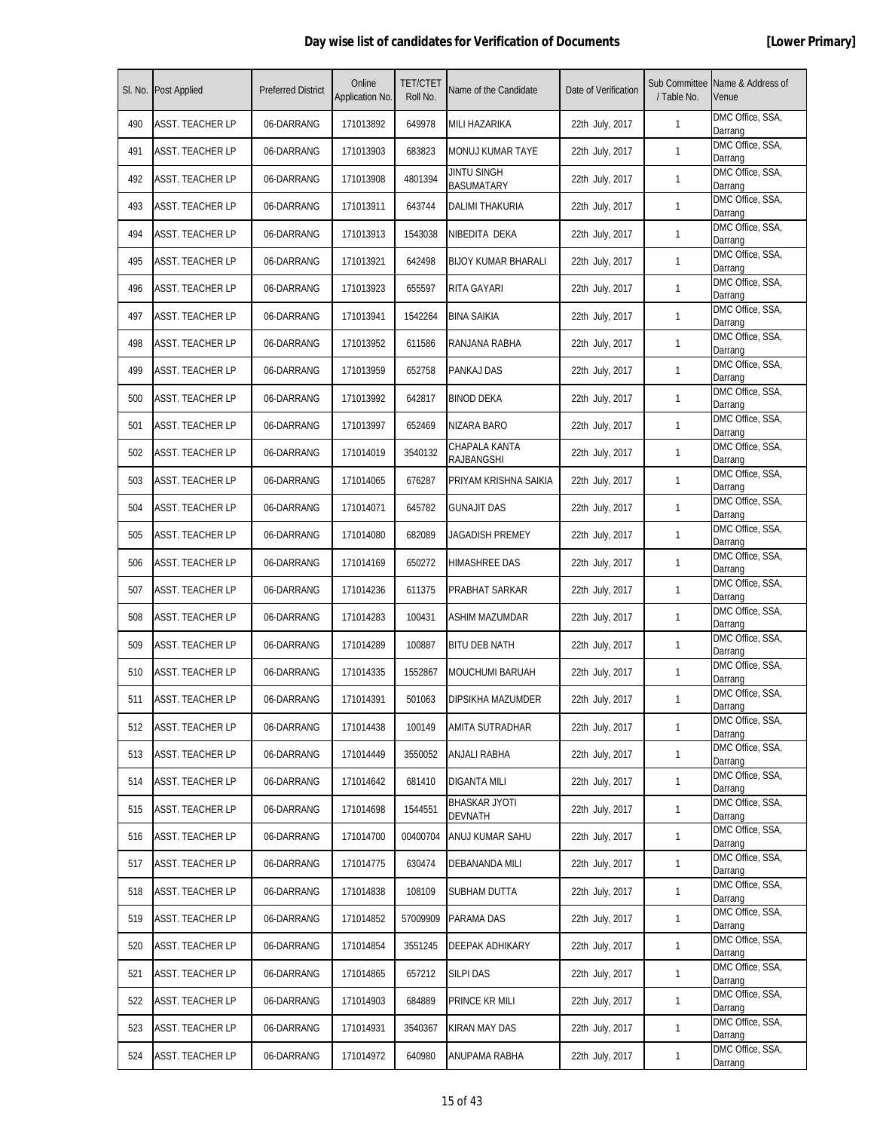|     | SI. No. Post Applied    | <b>Preferred District</b> | Online<br>Application No. | <b>TET/CTET</b><br>Roll No. | Name of the Candidate           | Date of Verification | / Table No.  | Sub Committee Name & Address of<br>Venue |
|-----|-------------------------|---------------------------|---------------------------|-----------------------------|---------------------------------|----------------------|--------------|------------------------------------------|
| 490 | <b>ASST. TEACHER LP</b> | 06-DARRANG                | 171013892                 | 649978                      | MILI HAZARIKA                   | 22th July, 2017      | $\mathbf{1}$ | DMC Office, SSA,<br>Darrang              |
| 491 | <b>ASST. TEACHER LP</b> | 06-DARRANG                | 171013903                 | 683823                      | MONUJ KUMAR TAYE                | 22th July, 2017      | $\mathbf{1}$ | DMC Office, SSA,<br>Darrang              |
| 492 | <b>ASST. TEACHER LP</b> | 06-DARRANG                | 171013908                 | 4801394                     | JINTU SINGH<br>BASUMATARY       | 22th July, 2017      | $\mathbf{1}$ | DMC Office, SSA,<br>Darrang              |
| 493 | <b>ASST. TEACHER LP</b> | 06-DARRANG                | 171013911                 | 643744                      | DALIMI THAKURIA                 | 22th July, 2017      | 1            | DMC Office, SSA,<br>Darrang              |
| 494 | ASST. TEACHER LP        | 06-DARRANG                | 171013913                 | 1543038                     | NIBEDITA DEKA                   | 22th July, 2017      | $\mathbf{1}$ | DMC Office, SSA,<br>Darrang              |
| 495 | ASST. TEACHER LP        | 06-DARRANG                | 171013921                 | 642498                      | <b>BIJOY KUMAR BHARALI</b>      | 22th July, 2017      | 1            | DMC Office, SSA,<br>Darrang              |
| 496 | ASST. TEACHER LP        | 06-DARRANG                | 171013923                 | 655597                      | RITA GAYARI                     | 22th July, 2017      | 1            | DMC Office, SSA,<br>Darrang              |
| 497 | <b>ASST. TEACHER LP</b> | 06-DARRANG                | 171013941                 | 1542264                     | <b>BINA SAIKIA</b>              | 22th July, 2017      | $\mathbf{1}$ | DMC Office, SSA,<br>Darrang              |
| 498 | <b>ASST. TEACHER LP</b> | 06-DARRANG                | 171013952                 | 611586                      | RANJANA RABHA                   | 22th July, 2017      | 1            | DMC Office, SSA,<br>Darrang              |
| 499 | ASST. TEACHER LP        | 06-DARRANG                | 171013959                 | 652758                      | PANKAJ DAS                      | 22th July, 2017      | $\mathbf{1}$ | DMC Office, SSA,<br>Darrang              |
| 500 | <b>ASST. TEACHER LP</b> | 06-DARRANG                | 171013992                 | 642817                      | BINOD DEKA                      | 22th July, 2017      | 1            | DMC Office, SSA,<br>Darrang              |
| 501 | <b>ASST. TEACHER LP</b> | 06-DARRANG                | 171013997                 | 652469                      | NIZARA BARO                     | 22th July, 2017      | 1            | DMC Office, SSA,<br>Darrang              |
| 502 | <b>ASST. TEACHER LP</b> | 06-DARRANG                | 171014019                 | 3540132                     | CHAPALA KANTA<br>RAJBANGSHI     | 22th July, 2017      | $\mathbf{1}$ | DMC Office, SSA,<br>Darrang              |
| 503 | <b>ASST. TEACHER LP</b> | 06-DARRANG                | 171014065                 | 676287                      | PRIYAM KRISHNA SAIKIA           | 22th July, 2017      | 1            | DMC Office, SSA,<br>Darrang              |
| 504 | ASST. TEACHER LP        | 06-DARRANG                | 171014071                 | 645782                      | <b>GUNAJIT DAS</b>              | 22th July, 2017      | $\mathbf{1}$ | DMC Office, SSA,<br>Darrang              |
| 505 | <b>ASST. TEACHER LP</b> | 06-DARRANG                | 171014080                 | 682089                      | JAGADISH PREMEY                 | 22th July, 2017      | 1            | DMC Office, SSA,<br>Darrang              |
| 506 | <b>ASST. TEACHER LP</b> | 06-DARRANG                | 171014169                 | 650272                      | HIMASHREE DAS                   | 22th July, 2017      | 1            | DMC Office, SSA,<br>Darrang              |
| 507 | <b>ASST. TEACHER LP</b> | 06-DARRANG                | 171014236                 | 611375                      | PRABHAT SARKAR                  | 22th July, 2017      | $\mathbf{1}$ | DMC Office, SSA,<br>Darrang              |
| 508 | <b>ASST. TEACHER LP</b> | 06-DARRANG                | 171014283                 | 100431                      | <b>ASHIM MAZUMDAR</b>           | 22th July, 2017      | 1            | DMC Office, SSA,<br>Darrang              |
| 509 | <b>ASST. TEACHER LP</b> | 06-DARRANG                | 171014289                 | 100887                      | BITU DEB NATH                   | 22th July, 2017      | $\mathbf{1}$ | DMC Office, SSA,<br>Darrang              |
| 510 | <b>ASST. TEACHER LP</b> | 06-DARRANG                | 171014335                 | 1552867                     | <b>MOUCHUMI BARUAH</b>          | 22th July, 2017      | 1            | DMC Office, SSA,<br>Darrang              |
| 511 | ASST. TEACHER LP        | 06-DARRANG                | 171014391                 | 501063                      | DIPSIKHA MAZUMDER               | 22th July, 2017      | 1            | DMC Office, SSA,<br>Darrang              |
| 512 | ASST. TEACHER LP        | 06-DARRANG                | 171014438                 | 100149                      | AMITA SUTRADHAR                 | 22th July, 2017      | $\mathbf{1}$ | DMC Office, SSA,<br>Darrang              |
| 513 | <b>ASST. TEACHER LP</b> | 06-DARRANG                | 171014449                 | 3550052                     | ANJALI RABHA                    | 22th July, 2017      | $\mathbf{1}$ | DMC Office, SSA,<br>Darrang              |
| 514 | <b>ASST. TEACHER LP</b> | 06-DARRANG                | 171014642                 | 681410                      | <b>DIGANTA MILI</b>             | 22th July, 2017      | 1            | DMC Office, SSA,<br>Darrang              |
| 515 | <b>ASST. TEACHER LP</b> | 06-DARRANG                | 171014698                 | 1544551                     | <b>BHASKAR JYOTI</b><br>DEVNATH | 22th July, 2017      | $\mathbf{1}$ | DMC Office, SSA,<br>Darrang              |
| 516 | <b>ASST. TEACHER LP</b> | 06-DARRANG                | 171014700                 | 00400704                    | ANUJ KUMAR SAHU                 | 22th July, 2017      | $\mathbf{1}$ | DMC Office, SSA,<br>Darrang              |
| 517 | <b>ASST. TEACHER LP</b> | 06-DARRANG                | 171014775                 | 630474                      | DEBANANDA MILI                  | 22th July, 2017      | 1            | DMC Office, SSA,<br>Darrang              |
| 518 | <b>ASST. TEACHER LP</b> | 06-DARRANG                | 171014838                 | 108109                      | SUBHAM DUTTA                    | 22th July, 2017      | $\mathbf{1}$ | DMC Office, SSA,<br>Darrang              |
| 519 | <b>ASST. TEACHER LP</b> | 06-DARRANG                | 171014852                 | 57009909                    | PARAMA DAS                      | 22th July, 2017      | $\mathbf{1}$ | DMC Office, SSA,<br>Darrang              |
| 520 | <b>ASST. TEACHER LP</b> | 06-DARRANG                | 171014854                 | 3551245                     | DEEPAK ADHIKARY                 | 22th July, 2017      | $\mathbf{1}$ | DMC Office, SSA,<br>Darrang              |
| 521 | <b>ASST. TEACHER LP</b> | 06-DARRANG                | 171014865                 | 657212                      | <b>SILPI DAS</b>                | 22th July, 2017      | $\mathbf{1}$ | DMC Office, SSA,<br>Darrang              |
| 522 | ASST. TEACHER LP        | 06-DARRANG                | 171014903                 | 684889                      | PRINCE KR MILI                  | 22th July, 2017      | 1            | DMC Office, SSA,<br>Darrang              |
| 523 | <b>ASST. TEACHER LP</b> | 06-DARRANG                | 171014931                 | 3540367                     | KIRAN MAY DAS                   | 22th July, 2017      | $\mathbf{1}$ | DMC Office, SSA,<br>Darrang              |
| 524 | <b>ASST. TEACHER LP</b> | 06-DARRANG                | 171014972                 | 640980                      | ANUPAMA RABHA                   | 22th July, 2017      | $\mathbf{1}$ | DMC Office, SSA,<br>Darrang              |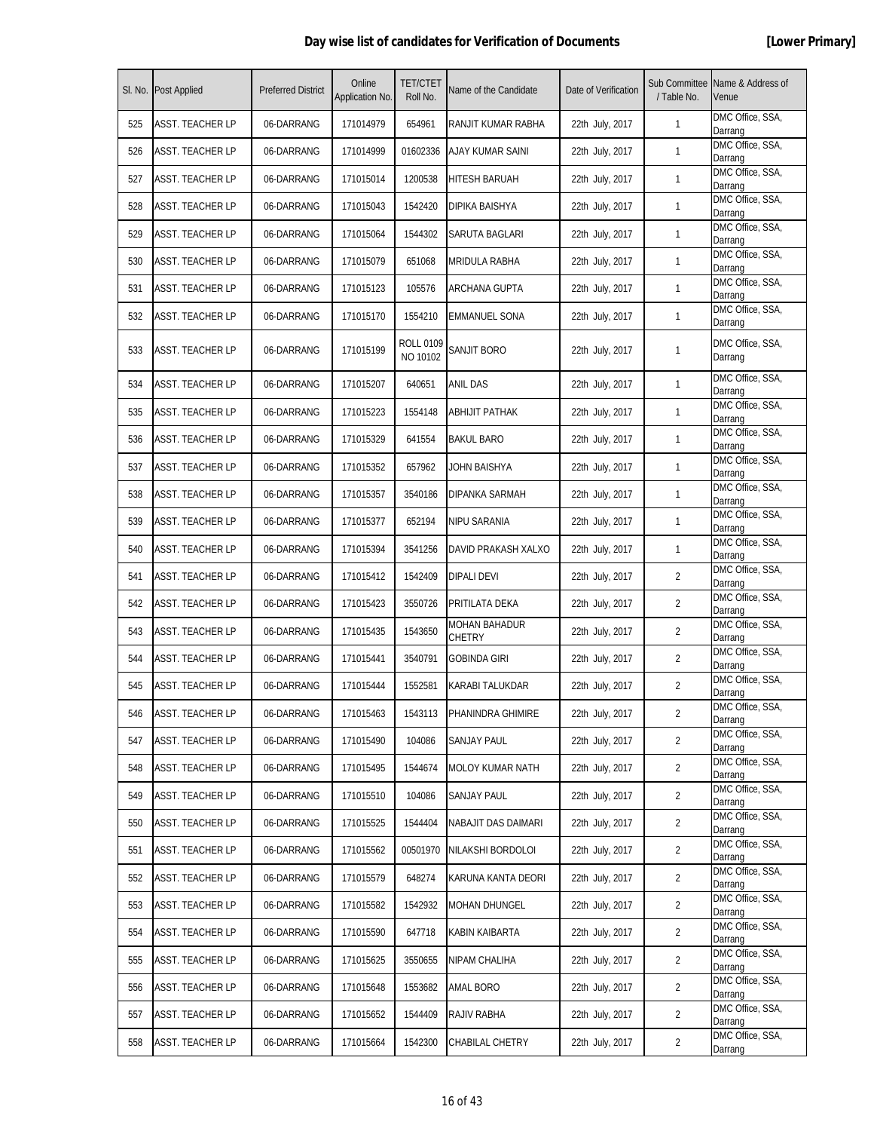|     | SI. No. Post Applied    | <b>Preferred District</b> | Online<br>Application No. | <b>TET/CTET</b><br>Roll No.  | Name of the Candidate          | Date of Verification | Sub Committee<br>/ Table No. | Name & Address of<br>Venue  |
|-----|-------------------------|---------------------------|---------------------------|------------------------------|--------------------------------|----------------------|------------------------------|-----------------------------|
| 525 | <b>ASST. TEACHER LP</b> | 06-DARRANG                | 171014979                 | 654961                       | RANJIT KUMAR RABHA             | 22th July, 2017      | $\mathbf{1}$                 | DMC Office, SSA,<br>Darrang |
| 526 | <b>ASST. TEACHER LP</b> | 06-DARRANG                | 171014999                 | 01602336                     | AJAY KUMAR SAINI               | 22th July, 2017      | $\mathbf{1}$                 | DMC Office, SSA,<br>Darrang |
| 527 | <b>ASST. TEACHER LP</b> | 06-DARRANG                | 171015014                 | 1200538                      | <b>HITESH BARUAH</b>           | 22th July, 2017      | $\mathbf{1}$                 | DMC Office, SSA,<br>Darrang |
| 528 | <b>ASST. TEACHER LP</b> | 06-DARRANG                | 171015043                 | 1542420                      | DIPIKA BAISHYA                 | 22th July, 2017      | $\mathbf{1}$                 | DMC Office, SSA,<br>Darrang |
| 529 | ASST. TEACHER LP        | 06-DARRANG                | 171015064                 | 1544302                      | SARUTA BAGLARI                 | 22th July, 2017      | $\mathbf{1}$                 | DMC Office, SSA,<br>Darrang |
| 530 | ASST. TEACHER LP        | 06-DARRANG                | 171015079                 | 651068                       | MRIDULA RABHA                  | 22th July, 2017      | 1                            | DMC Office, SSA,<br>Darrang |
| 531 | ASST. TEACHER LP        | 06-DARRANG                | 171015123                 | 105576                       | ARCHANA GUPTA                  | 22th July, 2017      | $\mathbf{1}$                 | DMC Office, SSA,<br>Darrang |
| 532 | <b>ASST. TEACHER LP</b> | 06-DARRANG                | 171015170                 | 1554210                      | EMMANUEL SONA                  | 22th July, 2017      | $\mathbf{1}$                 | DMC Office, SSA,<br>Darrang |
| 533 | <b>ASST. TEACHER LP</b> | 06-DARRANG                | 171015199                 | <b>ROLL 0109</b><br>NO 10102 | SANJIT BORO                    | 22th July, 2017      | 1                            | DMC Office, SSA,<br>Darrang |
| 534 | <b>ASST. TEACHER LP</b> | 06-DARRANG                | 171015207                 | 640651                       | ANIL DAS                       | 22th July, 2017      | $\mathbf{1}$                 | DMC Office, SSA,<br>Darrang |
| 535 | <b>ASST. TEACHER LP</b> | 06-DARRANG                | 171015223                 | 1554148                      | ABHIJIT PATHAK                 | 22th July, 2017      | 1                            | DMC Office, SSA,<br>Darrang |
| 536 | ASST. TEACHER LP        | 06-DARRANG                | 171015329                 | 641554                       | <b>BAKUL BARO</b>              | 22th July, 2017      | $\mathbf{1}$                 | DMC Office, SSA,<br>Darrang |
| 537 | <b>ASST. TEACHER LP</b> | 06-DARRANG                | 171015352                 | 657962                       | JOHN BAISHYA                   | 22th July, 2017      | 1                            | DMC Office, SSA,<br>Darrang |
| 538 | <b>ASST. TEACHER LP</b> | 06-DARRANG                | 171015357                 | 3540186                      | DIPANKA SARMAH                 | 22th July, 2017      | $\mathbf{1}$                 | DMC Office, SSA,<br>Darrang |
| 539 | <b>ASST. TEACHER LP</b> | 06-DARRANG                | 171015377                 | 652194                       | NIPU SARANIA                   | 22th July, 2017      | 1                            | DMC Office, SSA,<br>Darrang |
| 540 | <b>ASST. TEACHER LP</b> | 06-DARRANG                | 171015394                 | 3541256                      | DAVID PRAKASH XALXO            | 22th July, 2017      | 1                            | DMC Office, SSA,<br>Darrang |
| 541 | ASST. TEACHER LP        | 06-DARRANG                | 171015412                 | 1542409                      | DIPALI DEVI                    | 22th July, 2017      | 2                            | DMC Office, SSA,<br>Darrang |
| 542 | ASST. TEACHER LP        | 06-DARRANG                | 171015423                 | 3550726                      | PRITILATA DEKA                 | 22th July, 2017      | $\overline{2}$               | DMC Office, SSA,<br>Darrang |
| 543 | <b>ASST. TEACHER LP</b> | 06-DARRANG                | 171015435                 | 1543650                      | <b>MOHAN BAHADUR</b><br>CHETRY | 22th July, 2017      | 2                            | DMC Office, SSA,<br>Darrang |
| 544 | <b>ASST. TEACHER LP</b> | 06-DARRANG                | 171015441                 | 3540791                      | GOBINDA GIRI                   | 22th July, 2017      | $\overline{2}$               | DMC Office, SSA,<br>Darrang |
| 545 | <b>ASST. TEACHER LP</b> | 06-DARRANG                | 171015444                 | 1552581                      | KARABI TALUKDAR                | 22th July, 2017      | $\overline{2}$               | DMC Office, SSA,<br>Darrang |
| 546 | ASST. TEACHER LP        | 06-DARRANG                | 171015463                 | 1543113                      | PHANINDRA GHIMIRE              | 22th July, 2017      | $\overline{2}$               | DMC Office, SSA,<br>Darrang |
| 547 | ASST. TEACHER LP        | 06-DARRANG                | 171015490                 | 104086                       | SANJAY PAUL                    | 22th July, 2017      | $\overline{2}$               | DMC Office, SSA,<br>Darrang |
| 548 | <b>ASST. TEACHER LP</b> | 06-DARRANG                | 171015495                 | 1544674                      | <b>MOLOY KUMAR NATH</b>        | 22th July, 2017      | $\overline{2}$               | DMC Office, SSA,<br>Darrang |
| 549 | <b>ASST. TEACHER LP</b> | 06-DARRANG                | 171015510                 | 104086                       | SANJAY PAUL                    | 22th July, 2017      | 2                            | DMC Office, SSA,<br>Darrang |
| 550 | ASST. TEACHER LP        | 06-DARRANG                | 171015525                 | 1544404                      | NABAJIT DAS DAIMARI            | 22th July, 2017      | $\overline{2}$               | DMC Office, SSA,<br>Darrang |
| 551 | <b>ASST. TEACHER LP</b> | 06-DARRANG                | 171015562                 | 00501970                     | NILAKSHI BORDOLOI              | 22th July, 2017      | $\overline{2}$               | DMC Office, SSA,<br>Darrang |
| 552 | ASST. TEACHER LP        | 06-DARRANG                | 171015579                 | 648274                       | KARUNA KANTA DEORI             | 22th July, 2017      | $\overline{2}$               | DMC Office, SSA,<br>Darrang |
| 553 | <b>ASST. TEACHER LP</b> | 06-DARRANG                | 171015582                 | 1542932                      | MOHAN DHUNGEL                  | 22th July, 2017      | $\overline{2}$               | DMC Office, SSA,<br>Darrang |
| 554 | <b>ASST. TEACHER LP</b> | 06-DARRANG                | 171015590                 | 647718                       | KABIN KAIBARTA                 | 22th July, 2017      | $\overline{2}$               | DMC Office, SSA,<br>Darrang |
| 555 | <b>ASST. TEACHER LP</b> | 06-DARRANG                | 171015625                 | 3550655                      | NIPAM CHALIHA                  | 22th July, 2017      | $\overline{2}$               | DMC Office, SSA,<br>Darrang |
| 556 | <b>ASST. TEACHER LP</b> | 06-DARRANG                | 171015648                 | 1553682                      | amal Boro                      | 22th July, 2017      | $\overline{2}$               | DMC Office, SSA,<br>Darrang |
| 557 | ASST. TEACHER LP        | 06-DARRANG                | 171015652                 | 1544409                      | RAJIV RABHA                    | 22th July, 2017      | 2                            | DMC Office, SSA,<br>Darrang |
| 558 | <b>ASST. TEACHER LP</b> | 06-DARRANG                | 171015664                 | 1542300                      | CHABILAL CHETRY                | 22th July, 2017      | $\overline{2}$               | DMC Office, SSA,<br>Darrang |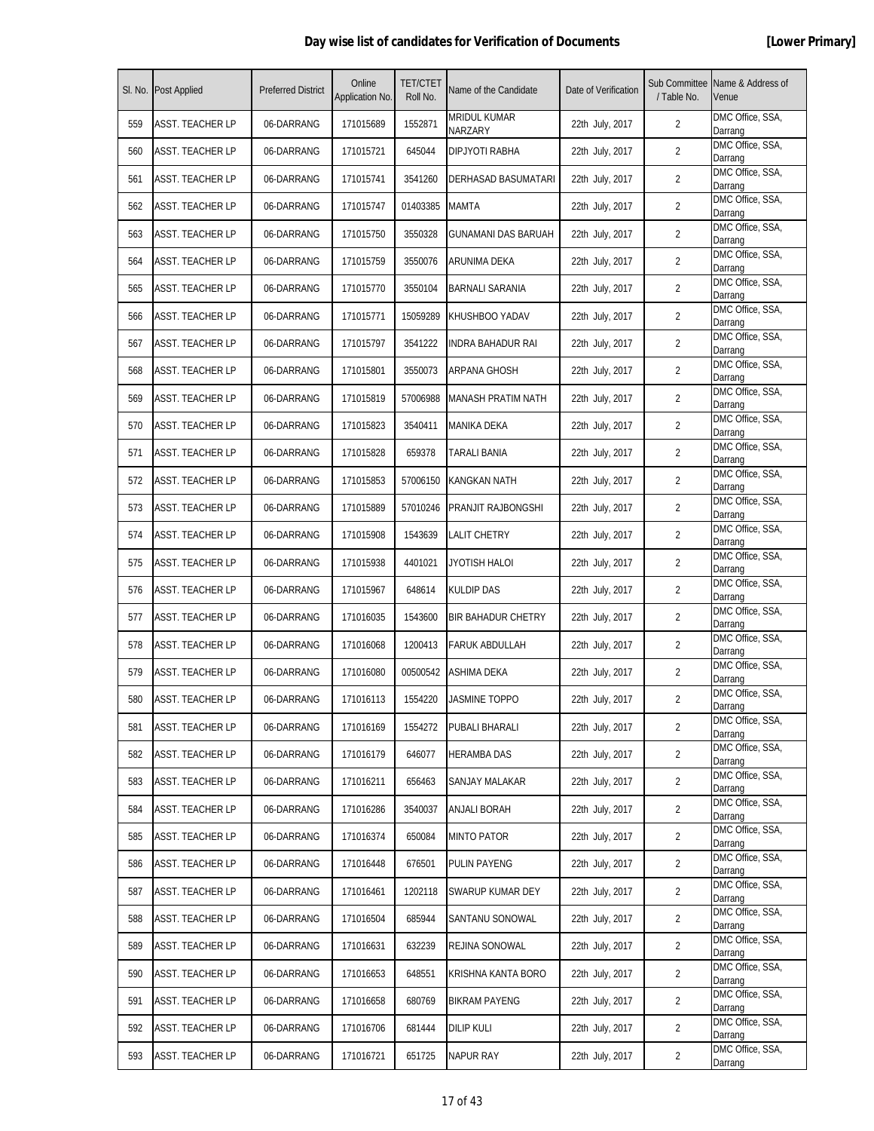|     | SI. No. Post Applied    | <b>Preferred District</b> | Online<br>Application No. | <b>TET/CTET</b><br>Roll No. | Name of the Candidate          | Date of Verification | / Table No.    | Sub Committee Name & Address of<br>Venue |
|-----|-------------------------|---------------------------|---------------------------|-----------------------------|--------------------------------|----------------------|----------------|------------------------------------------|
| 559 | ASST. TEACHER LP        | 06-DARRANG                | 171015689                 | 1552871                     | <b>MRIDUL KUMAR</b><br>NARZARY | 22th July, 2017      | 2              | DMC Office, SSA,<br>Darrang              |
| 560 | ASST. TEACHER LP        | 06-DARRANG                | 171015721                 | 645044                      | DIPJYOTI RABHA                 | 22th July, 2017      | 2              | DMC Office, SSA,<br>Darrang              |
| 561 | <b>ASST. TEACHER LP</b> | 06-DARRANG                | 171015741                 | 3541260                     | DERHASAD BASUMATARI            | 22th July, 2017      | 2              | DMC Office, SSA,<br>Darrang              |
| 562 | <b>ASST. TEACHER LP</b> | 06-DARRANG                | 171015747                 | 01403385                    | <b>MAMTA</b>                   | 22th July, 2017      | $\overline{2}$ | DMC Office, SSA,<br>Darrang              |
| 563 | ASST. TEACHER LP        | 06-DARRANG                | 171015750                 | 3550328                     | GUNAMANI DAS BARUAH            | 22th July, 2017      | 2              | DMC Office, SSA,<br>Darrang              |
| 564 | <b>ASST. TEACHER LP</b> | 06-DARRANG                | 171015759                 | 3550076                     | ARUNIMA DEKA                   | 22th July, 2017      | 2              | DMC Office, SSA,<br>Darrang              |
| 565 | ASST. TEACHER LP        | 06-DARRANG                | 171015770                 | 3550104                     | BARNALI SARANIA                | 22th July, 2017      | $\overline{2}$ | DMC Office, SSA,<br>Darrang              |
| 566 | ASST. TEACHER LP        | 06-DARRANG                | 171015771                 | 15059289                    | KHUSHBOO YADAV                 | 22th July, 2017      | $\overline{2}$ | DMC Office, SSA,<br>Darrang              |
| 567 | <b>ASST. TEACHER LP</b> | 06-DARRANG                | 171015797                 | 3541222                     | <b>INDRA BAHADUR RAI</b>       | 22th July, 2017      | $\overline{2}$ | DMC Office, SSA,<br>Darrang              |
| 568 | ASST. TEACHER LP        | 06-DARRANG                | 171015801                 | 3550073                     | ARPANA GHOSH                   | 22th July, 2017      | 2              | DMC Office, SSA,<br>Darrang              |
| 569 | ASST. TEACHER LP        | 06-DARRANG                | 171015819                 | 57006988                    | MANASH PRATIM NATH             | 22th July, 2017      | 2              | DMC Office, SSA,<br>Darrang              |
| 570 | ASST. TEACHER LP        | 06-DARRANG                | 171015823                 | 3540411                     | MANIKA DEKA                    | 22th July, 2017      | $\overline{2}$ | DMC Office, SSA,<br>Darrang              |
| 571 | <b>ASST. TEACHER LP</b> | 06-DARRANG                | 171015828                 | 659378                      | <b>TARALI BANIA</b>            | 22th July, 2017      | $\overline{2}$ | DMC Office, SSA,<br>Darrang              |
| 572 | <b>ASST. TEACHER LP</b> | 06-DARRANG                | 171015853                 | 57006150                    | <b>KANGKAN NATH</b>            | 22th July, 2017      | $\overline{2}$ | DMC Office, SSA,<br>Darrang              |
| 573 | ASST. TEACHER LP        | 06-DARRANG                | 171015889                 | 57010246                    | PRANJIT RAJBONGSHI             | 22th July, 2017      | $\overline{2}$ | DMC Office, SSA,<br>Darrang              |
| 574 | ASST. TEACHER LP        | 06-DARRANG                | 171015908                 | 1543639                     | LALIT CHETRY                   | 22th July, 2017      | $\overline{2}$ | DMC Office, SSA,<br>Darrang              |
| 575 | ASST. TEACHER LP        | 06-DARRANG                | 171015938                 | 4401021                     | JYOTISH HALOI                  | 22th July, 2017      | $\overline{2}$ | DMC Office, SSA,<br>Darrang              |
| 576 | <b>ASST. TEACHER LP</b> | 06-DARRANG                | 171015967                 | 648614                      | <b>KULDIP DAS</b>              | 22th July, 2017      | 2              | DMC Office, SSA,<br>Darrang              |
| 577 | <b>ASST. TEACHER LP</b> | 06-DARRANG                | 171016035                 | 1543600                     | <b>BIR BAHADUR CHETRY</b>      | 22th July, 2017      | $\overline{2}$ | DMC Office, SSA,<br>Darrang              |
| 578 | <b>ASST. TEACHER LP</b> | 06-DARRANG                | 171016068                 | 1200413                     | <b>FARUK ABDULLAH</b>          | 22th July, 2017      | 2              | DMC Office, SSA,<br>Darrang              |
| 579 | <b>ASST. TEACHER LP</b> | 06-DARRANG                | 171016080                 | 00500542                    | ASHIMA DEKA                    | 22th July, 2017      | $\overline{2}$ | DMC Office, SSA,<br>Darrang              |
| 580 | <b>ASST. TEACHER LP</b> | 06-DARRANG                | 171016113                 | 1554220                     | <b>JASMINE TOPPO</b>           | 22th July, 2017      | $\overline{2}$ | DMC Office, SSA,<br>Darrang              |
| 581 | <b>ASST. TEACHER LP</b> | 06-DARRANG                | 171016169                 | 1554272                     | PUBALI BHARALI                 | 22th July, 2017      | $\overline{2}$ | DMC Office, SSA,<br>Darrang              |
| 582 | <b>ASST. TEACHER LP</b> | 06-DARRANG                | 171016179                 | 646077                      | <b>HERAMBA DAS</b>             | 22th July, 2017      | $\overline{2}$ | DMC Office, SSA,<br>Darrang              |
| 583 | <b>ASST. TEACHER LP</b> | 06-DARRANG                | 171016211                 | 656463                      | SANJAY MALAKAR                 | 22th July, 2017      | $\overline{2}$ | DMC Office, SSA,<br>Darrang              |
| 584 | ASST. TEACHER LP        | 06-DARRANG                | 171016286                 | 3540037                     | ANJALI BORAH                   | 22th July, 2017      | $\overline{2}$ | DMC Office, SSA,<br>Darrang              |
| 585 | ASST. TEACHER LP        | 06-DARRANG                | 171016374                 | 650084                      | <b>MINTO PATOR</b>             | 22th July, 2017      | 2              | DMC Office, SSA,<br>Darrang              |
| 586 | <b>ASST. TEACHER LP</b> | 06-DARRANG                | 171016448                 | 676501                      | PULIN PAYENG                   | 22th July, 2017      | $\overline{2}$ | DMC Office, SSA,<br>Darrang              |
| 587 | <b>ASST. TEACHER LP</b> | 06-DARRANG                | 171016461                 | 1202118                     | SWARUP KUMAR DEY               | 22th July, 2017      | $\overline{2}$ | DMC Office, SSA,<br>Darrang              |
| 588 | <b>ASST. TEACHER LP</b> | 06-DARRANG                | 171016504                 | 685944                      | SANTANU SONOWAL                | 22th July, 2017      | $\overline{2}$ | DMC Office, SSA,<br>Darrang              |
| 589 | ASST. TEACHER LP        | 06-DARRANG                | 171016631                 | 632239                      | REJINA SONOWAL                 | 22th July, 2017      | $\overline{2}$ | DMC Office, SSA,<br>Darrang              |
| 590 | <b>ASST. TEACHER LP</b> | 06-DARRANG                | 171016653                 | 648551                      | KRISHNA KANTA BORO             | 22th July, 2017      | $\overline{2}$ | DMC Office, SSA,<br>Darrang              |
| 591 | <b>ASST. TEACHER LP</b> | 06-DARRANG                | 171016658                 | 680769                      | <b>BIKRAM PAYENG</b>           | 22th July, 2017      | $\overline{2}$ | DMC Office, SSA,<br>Darrang              |
| 592 | <b>ASST. TEACHER LP</b> | 06-DARRANG                | 171016706                 | 681444                      | <b>DILIP KULI</b>              | 22th July, 2017      | $\overline{2}$ | DMC Office, SSA,<br>Darrang              |
| 593 | <b>ASST. TEACHER LP</b> | 06-DARRANG                | 171016721                 | 651725                      | <b>NAPUR RAY</b>               | 22th July, 2017      | 2              | DMC Office, SSA,<br>Darrang              |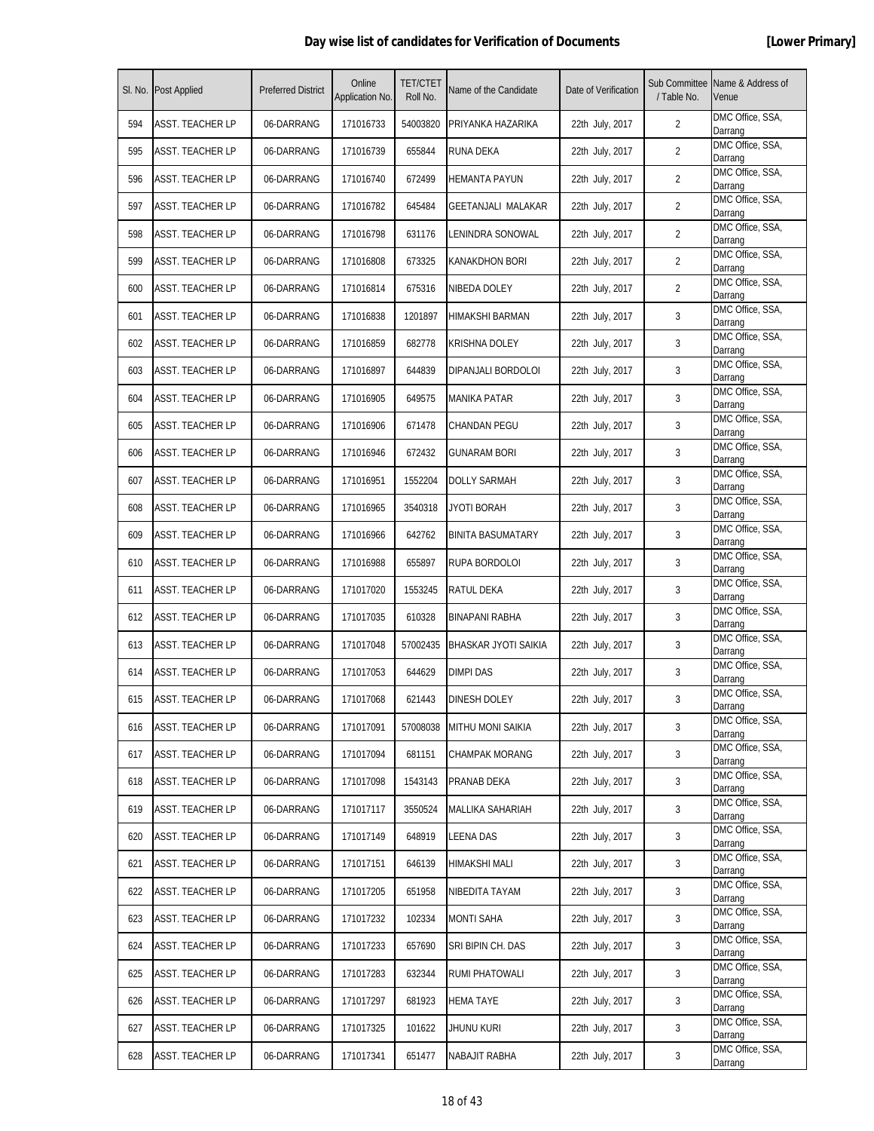|     | SI. No. Post Applied    | <b>Preferred District</b> | Online<br>Application No. | <b>TET/CTET</b><br>Roll No. | Name of the Candidate    | Date of Verification | Sub Committee<br>/ Table No. | Name & Address of<br>Venue  |
|-----|-------------------------|---------------------------|---------------------------|-----------------------------|--------------------------|----------------------|------------------------------|-----------------------------|
| 594 | <b>ASST. TEACHER LP</b> | 06-DARRANG                | 171016733                 | 54003820                    | PRIYANKA HAZARIKA        | 22th July, 2017      | 2                            | DMC Office, SSA,<br>Darrang |
| 595 | <b>ASST. TEACHER LP</b> | 06-DARRANG                | 171016739                 | 655844                      | RUNA DEKA                | 22th July, 2017      | $\overline{2}$               | DMC Office, SSA,<br>Darrang |
| 596 | <b>ASST. TEACHER LP</b> | 06-DARRANG                | 171016740                 | 672499                      | <b>HEMANTA PAYUN</b>     | 22th July, 2017      | $\overline{2}$               | DMC Office, SSA,<br>Darrang |
| 597 | <b>ASST. TEACHER LP</b> | 06-DARRANG                | 171016782                 | 645484                      | GEETANJALI MALAKAR       | 22th July, 2017      | 2                            | DMC Office, SSA,<br>Darrang |
| 598 | ASST. TEACHER LP        | 06-DARRANG                | 171016798                 | 631176                      | LENINDRA SONOWAL         | 22th July, 2017      | 2                            | DMC Office, SSA,<br>Darrang |
| 599 | ASST. TEACHER LP        | 06-DARRANG                | 171016808                 | 673325                      | KANAKDHON BORI           | 22th July, 2017      | 2                            | DMC Office, SSA,<br>Darrang |
| 600 | <b>ASST. TEACHER LP</b> | 06-DARRANG                | 171016814                 | 675316                      | NIBEDA DOLEY             | 22th July, 2017      | $\overline{2}$               | DMC Office, SSA,<br>Darrang |
| 601 | <b>ASST. TEACHER LP</b> | 06-DARRANG                | 171016838                 | 1201897                     | HIMAKSHI BARMAN          | 22th July, 2017      | 3                            | DMC Office, SSA,<br>Darrang |
| 602 | <b>ASST. TEACHER LP</b> | 06-DARRANG                | 171016859                 | 682778                      | <b>KRISHNA DOLEY</b>     | 22th July, 2017      | 3                            | DMC Office, SSA,<br>Darrang |
| 603 | <b>ASST. TEACHER LP</b> | 06-DARRANG                | 171016897                 | 644839                      | DIPANJALI BORDOLOI       | 22th July, 2017      | 3                            | DMC Office, SSA,<br>Darrang |
| 604 | ASST. TEACHER LP        | 06-DARRANG                | 171016905                 | 649575                      | MANIKA PATAR             | 22th July, 2017      | 3                            | DMC Office, SSA,<br>Darrang |
| 605 | <b>ASST. TEACHER LP</b> | 06-DARRANG                | 171016906                 | 671478                      | CHANDAN PEGU             | 22th July, 2017      | 3                            | DMC Office, SSA,<br>Darrang |
| 606 | <b>ASST. TEACHER LP</b> | 06-DARRANG                | 171016946                 | 672432                      | <b>GUNARAM BORI</b>      | 22th July, 2017      | 3                            | DMC Office, SSA,<br>Darrang |
| 607 | <b>ASST. TEACHER LP</b> | 06-DARRANG                | 171016951                 | 1552204                     | <b>DOLLY SARMAH</b>      | 22th July, 2017      | 3                            | DMC Office, SSA,<br>Darrang |
| 608 | ASST. TEACHER LP        | 06-DARRANG                | 171016965                 | 3540318                     | JYOTI BORAH              | 22th July, 2017      | 3                            | DMC Office, SSA,<br>Darrang |
| 609 | ASST. TEACHER LP        | 06-DARRANG                | 171016966                 | 642762                      | <b>BINITA BASUMATARY</b> | 22th July, 2017      | 3                            | DMC Office, SSA,<br>Darrang |
| 610 | <b>ASST. TEACHER LP</b> | 06-DARRANG                | 171016988                 | 655897                      | RUPA BORDOLOI            | 22th July, 2017      | 3                            | DMC Office, SSA,<br>Darrang |
| 611 | <b>ASST. TEACHER LP</b> | 06-DARRANG                | 171017020                 | 1553245                     | <b>RATUL DEKA</b>        | 22th July, 2017      | 3                            | DMC Office, SSA,<br>Darrang |
| 612 | <b>ASST. TEACHER LP</b> | 06-DARRANG                | 171017035                 | 610328                      | BINAPANI RABHA           | 22th July, 2017      | 3                            | DMC Office, SSA,<br>Darrang |
| 613 | <b>ASST. TEACHER LP</b> | 06-DARRANG                | 171017048                 | 57002435                    | BHASKAR JYOTI SAIKIA     | 22th July, 2017      | 3                            | DMC Office, SSA,<br>Darrang |
| 614 | <b>ASST. TEACHER LP</b> | 06-DARRANG                | 171017053                 | 644629                      | DIMPI DAS                | 22th July, 2017      | 3                            | DMC Office, SSA,<br>Darrang |
| 615 | <b>ASST. TEACHER LP</b> | 06-DARRANG                | 171017068                 | 621443                      | DINESH DOLEY             | 22th July, 2017      | 3                            | DMC Office, SSA,<br>Darrang |
| 616 | ASST. TEACHER LP        | 06-DARRANG                | 171017091                 | 57008038                    | <b>MITHU MONI SAIKIA</b> | 22th July, 2017      | 3                            | DMC Office, SSA,<br>Darrang |
| 617 | <b>ASST. TEACHER LP</b> | 06-DARRANG                | 171017094                 | 681151                      | <b>CHAMPAK MORANG</b>    | 22th July, 2017      | 3                            | DMC Office, SSA,<br>Darrang |
| 618 | <b>ASST. TEACHER LP</b> | 06-DARRANG                | 171017098                 | 1543143                     | PRANAB DEKA              | 22th July, 2017      | 3                            | DMC Office, SSA,<br>Darrang |
| 619 | <b>ASST. TEACHER LP</b> | 06-DARRANG                | 171017117                 | 3550524                     | MALLIKA SAHARIAH         | 22th July, 2017      | 3                            | DMC Office, SSA,<br>Darrang |
| 620 | <b>ASST. TEACHER LP</b> | 06-DARRANG                | 171017149                 | 648919                      | LEENA DAS                | 22th July, 2017      | 3                            | DMC Office, SSA,<br>Darrang |
| 621 | <b>ASST. TEACHER LP</b> | 06-DARRANG                | 171017151                 | 646139                      | HIMAKSHI MALI            | 22th July, 2017      | 3                            | DMC Office, SSA,<br>Darrang |
| 622 | <b>ASST. TEACHER LP</b> | 06-DARRANG                | 171017205                 | 651958                      | NIBEDITA TAYAM           | 22th July, 2017      | 3                            | DMC Office, SSA,<br>Darrang |
| 623 | <b>ASST. TEACHER LP</b> | 06-DARRANG                | 171017232                 | 102334                      | <b>MONTI SAHA</b>        | 22th July, 2017      | 3                            | DMC Office, SSA,<br>Darrang |
| 624 | ASST. TEACHER LP        | 06-DARRANG                | 171017233                 | 657690                      | SRI BIPIN CH. DAS        | 22th July, 2017      | 3                            | DMC Office, SSA,<br>Darrang |
| 625 | <b>ASST. TEACHER LP</b> | 06-DARRANG                | 171017283                 | 632344                      | RUMI PHATOWALI           | 22th July, 2017      | 3                            | DMC Office, SSA,<br>Darrang |
| 626 | <b>ASST. TEACHER LP</b> | 06-DARRANG                | 171017297                 | 681923                      | <b>HEMA TAYE</b>         | 22th July, 2017      | 3                            | DMC Office, SSA,<br>Darrang |
| 627 | <b>ASST. TEACHER LP</b> | 06-DARRANG                | 171017325                 | 101622                      | jhunu kuri               | 22th July, 2017      | 3                            | DMC Office, SSA,<br>Darrang |
| 628 | <b>ASST. TEACHER LP</b> | 06-DARRANG                | 171017341                 | 651477                      | NABAJIT RABHA            | 22th July, 2017      | 3                            | DMC Office, SSA,<br>Darrang |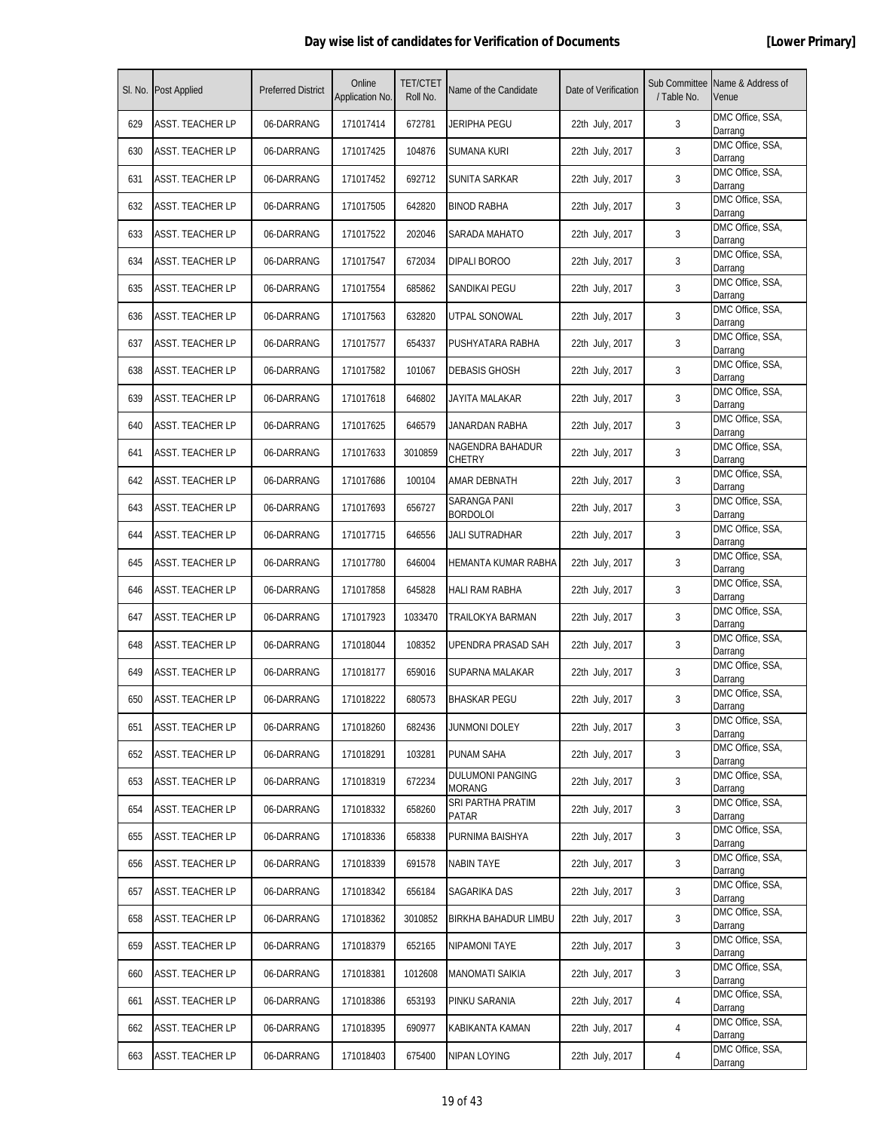|     | SI. No. Post Applied    | <b>Preferred District</b> | Online<br>Application No. | <b>TET/CTET</b><br>Roll No. | Name of the Candidate                    | Date of Verification | / Table No. | Sub Committee Name & Address of<br>Venue |
|-----|-------------------------|---------------------------|---------------------------|-----------------------------|------------------------------------------|----------------------|-------------|------------------------------------------|
| 629 | <b>ASST. TEACHER LP</b> | 06-DARRANG                | 171017414                 | 672781                      | JERIPHA PEGU                             | 22th July, 2017      | 3           | DMC Office, SSA,<br>Darrang              |
| 630 | <b>ASST. TEACHER LP</b> | 06-DARRANG                | 171017425                 | 104876                      | SUMANA KURI                              | 22th July, 2017      | 3           | DMC Office, SSA,<br>Darrang              |
| 631 | <b>ASST. TEACHER LP</b> | 06-DARRANG                | 171017452                 | 692712                      | SUNITA SARKAR                            | 22th July, 2017      | 3           | DMC Office, SSA,<br>Darrang              |
| 632 | <b>ASST. TEACHER LP</b> | 06-DARRANG                | 171017505                 | 642820                      | <b>BINOD RABHA</b>                       | 22th July, 2017      | 3           | DMC Office, SSA,<br>Darrang              |
| 633 | ASST. TEACHER LP        | 06-DARRANG                | 171017522                 | 202046                      | SARADA MAHATO                            | 22th July, 2017      | 3           | DMC Office, SSA,<br>Darrang              |
| 634 | ASST. TEACHER LP        | 06-DARRANG                | 171017547                 | 672034                      | DIPALI BOROO                             | 22th July, 2017      | 3           | DMC Office, SSA,<br>Darrang              |
| 635 | ASST. TEACHER LP        | 06-DARRANG                | 171017554                 | 685862                      | SANDIKAI PEGU                            | 22th July, 2017      | 3           | DMC Office, SSA,<br>Darrang              |
| 636 | <b>ASST. TEACHER LP</b> | 06-DARRANG                | 171017563                 | 632820                      | UTPAL SONOWAL                            | 22th July, 2017      | 3           | DMC Office, SSA,<br>Darrang              |
| 637 | <b>ASST. TEACHER LP</b> | 06-DARRANG                | 171017577                 | 654337                      | PUSHYATARA RABHA                         | 22th July, 2017      | 3           | DMC Office, SSA,<br>Darrang              |
| 638 | ASST. TEACHER LP        | 06-DARRANG                | 171017582                 | 101067                      | <b>DEBASIS GHOSH</b>                     | 22th July, 2017      | 3           | DMC Office, SSA,<br>Darrang              |
| 639 | ASST. TEACHER LP        | 06-DARRANG                | 171017618                 | 646802                      | JAYITA MALAKAR                           | 22th July, 2017      | 3           | DMC Office, SSA,<br>Darrang              |
| 640 | <b>ASST. TEACHER LP</b> | 06-DARRANG                | 171017625                 | 646579                      | JANARDAN RABHA                           | 22th July, 2017      | 3           | DMC Office, SSA,<br>Darrang              |
| 641 | <b>ASST. TEACHER LP</b> | 06-DARRANG                | 171017633                 | 3010859                     | NAGENDRA BAHADUR<br>CHETRY               | 22th July, 2017      | 3           | DMC Office, SSA,<br>Darrang              |
| 642 | <b>ASST. TEACHER LP</b> | 06-DARRANG                | 171017686                 | 100104                      | AMAR DEBNATH                             | 22th July, 2017      | 3           | DMC Office, SSA,<br>Darrang              |
| 643 | ASST. TEACHER LP        | 06-DARRANG                | 171017693                 | 656727                      | SARANGA PANI<br><b>BORDOLOI</b>          | 22th July, 2017      | 3           | DMC Office, SSA,<br>Darrang              |
| 644 | <b>ASST. TEACHER LP</b> | 06-DARRANG                | 171017715                 | 646556                      | JALI SUTRADHAR                           | 22th July, 2017      | 3           | DMC Office, SSA,<br>Darrang              |
| 645 | <b>ASST. TEACHER LP</b> | 06-DARRANG                | 171017780                 | 646004                      | HEMANTA KUMAR RABHA                      | 22th July, 2017      | 3           | DMC Office, SSA,<br>Darrang              |
| 646 | <b>ASST. TEACHER LP</b> | 06-DARRANG                | 171017858                 | 645828                      | <b>HALI RAM RABHA</b>                    | 22th July, 2017      | 3           | DMC Office, SSA,<br>Darrang              |
| 647 | <b>ASST. TEACHER LP</b> | 06-DARRANG                | 171017923                 | 1033470                     | TRAILOKYA BARMAN                         | 22th July, 2017      | 3           | DMC Office, SSA,<br>Darrang              |
| 648 | <b>ASST. TEACHER LP</b> | 06-DARRANG                | 171018044                 | 108352                      | UPENDRA PRASAD SAH                       | 22th July, 2017      | 3           | DMC Office, SSA,<br>Darrang              |
| 649 | <b>ASST. TEACHER LP</b> | 06-DARRANG                | 171018177                 | 659016                      | SUPARNA MALAKAR                          | 22th July, 2017      | 3           | DMC Office, SSA,<br>Darrang              |
| 650 | <b>ASST. TEACHER LP</b> | 06-DARRANG                | 171018222                 | 680573                      | <b>BHASKAR PEGU</b>                      | 22th July, 2017      | 3           | DMC Office, SSA,<br>Darrang              |
| 651 | <b>ASST. TEACHER LP</b> | 06-DARRANG                | 171018260                 | 682436                      | JUNMONI DOLEY                            | 22th July, 2017      | 3           | DMC Office, SSA,<br>Darrang              |
| 652 | <b>ASST. TEACHER LP</b> | 06-DARRANG                | 171018291                 | 103281                      | PUNAM SAHA                               | 22th July, 2017      | 3           | DMC Office, SSA,<br>Darrang              |
| 653 | <b>ASST. TEACHER LP</b> | 06-DARRANG                | 171018319                 | 672234                      | <b>DULUMONI PANGING</b><br><b>MORANG</b> | 22th July, 2017      | 3           | DMC Office, SSA,<br>Darrang              |
| 654 | <b>ASST. TEACHER LP</b> | 06-DARRANG                | 171018332                 | 658260                      | SRI PARTHA PRATIM<br>PATAR               | 22th July, 2017      | 3           | DMC Office, SSA,<br>Darrang              |
| 655 | <b>ASST. TEACHER LP</b> | 06-DARRANG                | 171018336                 | 658338                      | PURNIMA BAISHYA                          | 22th July, 2017      | 3           | DMC Office, SSA,<br>Darrang              |
| 656 | <b>ASST. TEACHER LP</b> | 06-DARRANG                | 171018339                 | 691578                      | <b>NABIN TAYE</b>                        | 22th July, 2017      | 3           | DMC Office, SSA,<br>Darrang              |
| 657 | <b>ASST. TEACHER LP</b> | 06-DARRANG                | 171018342                 | 656184                      | SAGARIKA DAS                             | 22th July, 2017      | 3           | DMC Office, SSA,<br>Darrang              |
| 658 | <b>ASST. TEACHER LP</b> | 06-DARRANG                | 171018362                 | 3010852                     | BIRKHA BAHADUR LIMBU                     | 22th July, 2017      | 3           | DMC Office, SSA,<br>Darrang              |
| 659 | <b>ASST. TEACHER LP</b> | 06-DARRANG                | 171018379                 | 652165                      | NIPAMONI TAYE                            | 22th July, 2017      | 3           | DMC Office, SSA,<br>Darrang              |
| 660 | <b>ASST. TEACHER LP</b> | 06-DARRANG                | 171018381                 | 1012608                     | <b>MANOMATI SAIKIA</b>                   | 22th July, 2017      | 3           | DMC Office, SSA,<br>Darrang              |
| 661 | ASST. TEACHER LP        | 06-DARRANG                | 171018386                 | 653193                      | PINKU SARANIA                            | 22th July, 2017      | 4           | DMC Office, SSA,<br>Darrang              |
| 662 | <b>ASST. TEACHER LP</b> | 06-DARRANG                | 171018395                 | 690977                      | KABIKANTA KAMAN                          | 22th July, 2017      | 4           | DMC Office, SSA,<br>Darrang              |
| 663 | <b>ASST. TEACHER LP</b> | 06-DARRANG                | 171018403                 | 675400                      | NIPAN LOYING                             | 22th July, 2017      | 4           | DMC Office, SSA,<br>Darrang              |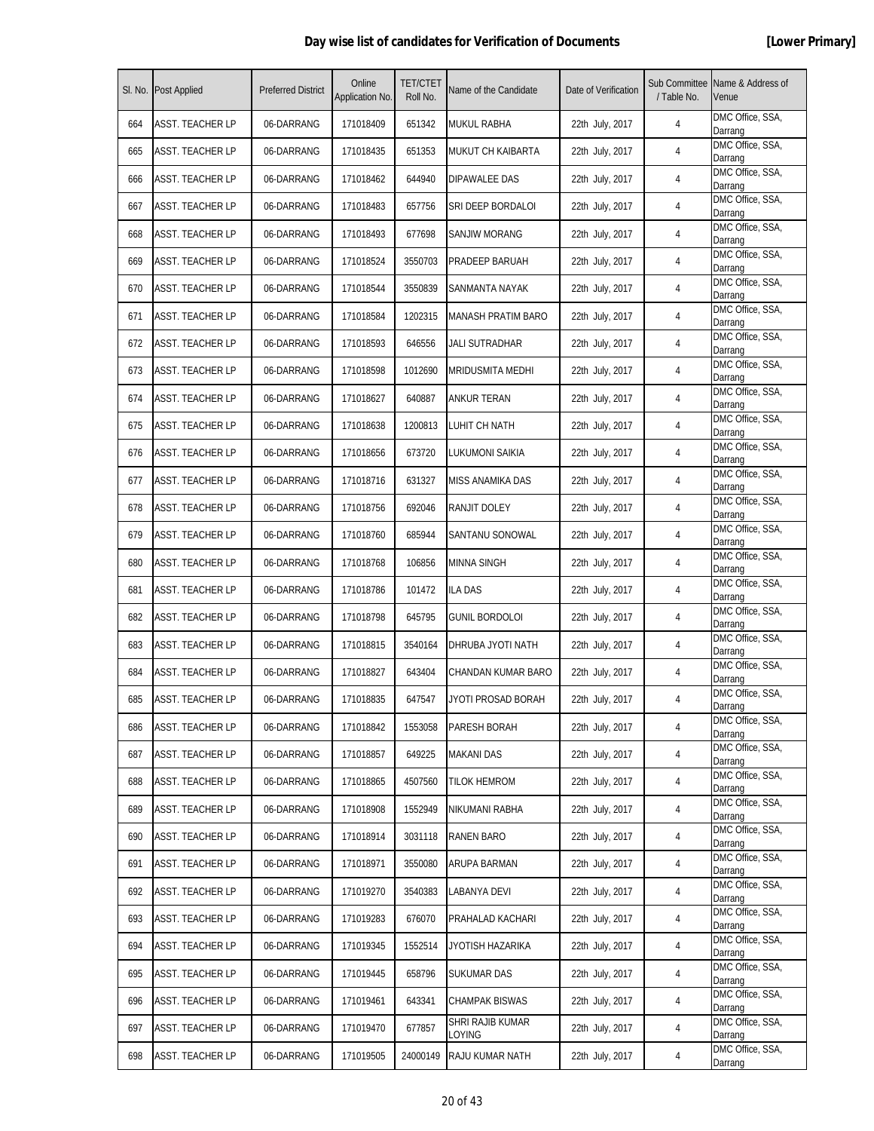|     | SI. No. Post Applied    | <b>Preferred District</b> | Online<br>Application No. | <b>TET/CTET</b><br>Roll No. | Name of the Candidate      | Date of Verification | Sub Committee<br>/ Table No. | Name & Address of<br>Venue  |
|-----|-------------------------|---------------------------|---------------------------|-----------------------------|----------------------------|----------------------|------------------------------|-----------------------------|
| 664 | <b>ASST. TEACHER LP</b> | 06-DARRANG                | 171018409                 | 651342                      | MUKUL RABHA                | 22th July, 2017      | 4                            | DMC Office, SSA,<br>Darrang |
| 665 | ASST. TEACHER LP        | 06-DARRANG                | 171018435                 | 651353                      | MUKUT CH KAIBARTA          | 22th July, 2017      | 4                            | DMC Office, SSA,<br>Darrang |
| 666 | <b>ASST. TEACHER LP</b> | 06-DARRANG                | 171018462                 | 644940                      | DIPAWALEE DAS              | 22th July, 2017      | 4                            | DMC Office, SSA,<br>Darrang |
| 667 | <b>ASST. TEACHER LP</b> | 06-DARRANG                | 171018483                 | 657756                      | SRI DEEP BORDALOI          | 22th July, 2017      | 4                            | DMC Office, SSA,<br>Darrang |
| 668 | ASST. TEACHER LP        | 06-DARRANG                | 171018493                 | 677698                      | SANJIW MORANG              | 22th July, 2017      | 4                            | DMC Office, SSA,<br>Darrang |
| 669 | ASST. TEACHER LP        | 06-DARRANG                | 171018524                 | 3550703                     | PRADEEP BARUAH             | 22th July, 2017      | 4                            | DMC Office, SSA,<br>Darrang |
| 670 | ASST. TEACHER LP        | 06-DARRANG                | 171018544                 | 3550839                     | SANMANTA NAYAK             | 22th July, 2017      | 4                            | DMC Office, SSA,<br>Darrang |
| 671 | <b>ASST. TEACHER LP</b> | 06-DARRANG                | 171018584                 | 1202315                     | <b>MANASH PRATIM BARO</b>  | 22th July, 2017      | 4                            | DMC Office, SSA,<br>Darrang |
| 672 | <b>ASST. TEACHER LP</b> | 06-DARRANG                | 171018593                 | 646556                      | JALI SUTRADHAR             | 22th July, 2017      | 4                            | DMC Office, SSA,<br>Darrang |
| 673 | <b>ASST. TEACHER LP</b> | 06-DARRANG                | 171018598                 | 1012690                     | MRIDUSMITA MEDHI           | 22th July, 2017      | 4                            | DMC Office, SSA,<br>Darrang |
| 674 | ASST. TEACHER LP        | 06-DARRANG                | 171018627                 | 640887                      | ANKUR TERAN                | 22th July, 2017      | 4                            | DMC Office, SSA,<br>Darrang |
| 675 | <b>ASST. TEACHER LP</b> | 06-DARRANG                | 171018638                 | 1200813                     | LUHIT CH NATH              | 22th July, 2017      | 4                            | DMC Office, SSA,<br>Darrang |
| 676 | <b>ASST. TEACHER LP</b> | 06-DARRANG                | 171018656                 | 673720                      | LUKUMONI SAIKIA            | 22th July, 2017      | 4                            | DMC Office, SSA,<br>Darrang |
| 677 | <b>ASST. TEACHER LP</b> | 06-DARRANG                | 171018716                 | 631327                      | MISS ANAMIKA DAS           | 22th July, 2017      | 4                            | DMC Office, SSA,<br>Darrang |
| 678 | ASST. TEACHER LP        | 06-DARRANG                | 171018756                 | 692046                      | RANJIT DOLEY               | 22th July, 2017      | 4                            | DMC Office, SSA,<br>Darrang |
| 679 | ASST. TEACHER LP        | 06-DARRANG                | 171018760                 | 685944                      | SANTANU SONOWAL            | 22th July, 2017      | 4                            | DMC Office, SSA,<br>Darrang |
| 680 | <b>ASST. TEACHER LP</b> | 06-DARRANG                | 171018768                 | 106856                      | MINNA SINGH                | 22th July, 2017      | 4                            | DMC Office, SSA,<br>Darrang |
| 681 | <b>ASST. TEACHER LP</b> | 06-DARRANG                | 171018786                 | 101472                      | <b>ILA DAS</b>             | 22th July, 2017      | 4                            | DMC Office, SSA,<br>Darrang |
| 682 | <b>ASST. TEACHER LP</b> | 06-DARRANG                | 171018798                 | 645795                      | <b>GUNIL BORDOLOI</b>      | 22th July, 2017      | 4                            | DMC Office, SSA,<br>Darrang |
| 683 | ASST. TEACHER LP        | 06-DARRANG                | 171018815                 | 3540164                     | DHRUBA JYOTI NATH          | 22th July, 2017      | 4                            | DMC Office, SSA,<br>Darrang |
| 684 | ASST. TEACHER LP        | 06-DARRANG                | 171018827                 | 643404                      | CHANDAN KUMAR BARO         | 22th July, 2017      | 4                            | DMC Office, SSA,<br>Darrang |
| 685 | <b>ASST. TEACHER LP</b> | 06-DARRANG                | 171018835                 | 647547                      | JYOTI PROSAD BORAH         | 22th July, 2017      | 4                            | DMC Office, SSA,<br>Darrang |
| 686 | ASST. TEACHER LP        | 06-DARRANG                | 171018842                 | 1553058                     | PARESH BORAH               | 22th July, 2017      | 4                            | DMC Office, SSA,<br>Darrang |
| 687 | <b>ASST. TEACHER LP</b> | 06-DARRANG                | 171018857                 | 649225                      | <b>MAKANI DAS</b>          | 22th July, 2017      | 4                            | DMC Office, SSA,<br>Darrang |
| 688 | <b>ASST. TEACHER LP</b> | 06-DARRANG                | 171018865                 | 4507560                     | <b>TILOK HEMROM</b>        | 22th July, 2017      | 4                            | DMC Office, SSA,<br>Darrang |
| 689 | ASST. TEACHER LP        | 06-DARRANG                | 171018908                 | 1552949                     | NIKUMANI RABHA             | 22th July, 2017      | 4                            | DMC Office, SSA,<br>Darrang |
| 690 | <b>ASST. TEACHER LP</b> | 06-DARRANG                | 171018914                 | 3031118                     | RANEN BARO                 | 22th July, 2017      | 4                            | DMC Office, SSA,<br>Darrang |
| 691 | <b>ASST. TEACHER LP</b> | 06-DARRANG                | 171018971                 | 3550080                     | ARUPA BARMAN               | 22th July, 2017      | 4                            | DMC Office, SSA,<br>Darrang |
| 692 | <b>ASST. TEACHER LP</b> | 06-DARRANG                | 171019270                 | 3540383                     | LABANYA DEVI               | 22th July, 2017      | 4                            | DMC Office, SSA,<br>Darrang |
| 693 | <b>ASST. TEACHER LP</b> | 06-DARRANG                | 171019283                 | 676070                      | PRAHALAD KACHARI           | 22th July, 2017      | 4                            | DMC Office, SSA,<br>Darrang |
| 694 | ASST. TEACHER LP        | 06-DARRANG                | 171019345                 | 1552514                     | JYOTISH HAZARIKA           | 22th July, 2017      | 4                            | DMC Office, SSA,<br>Darrang |
| 695 | <b>ASST. TEACHER LP</b> | 06-DARRANG                | 171019445                 | 658796                      | <b>SUKUMAR DAS</b>         | 22th July, 2017      | 4                            | DMC Office, SSA,<br>Darrang |
| 696 | <b>ASST. TEACHER LP</b> | 06-DARRANG                | 171019461                 | 643341                      | CHAMPAK BISWAS             | 22th July, 2017      | 4                            | DMC Office, SSA,<br>Darrang |
| 697 | <b>ASST. TEACHER LP</b> | 06-DARRANG                | 171019470                 | 677857                      | SHRI RAJIB KUMAR<br>LOYING | 22th July, 2017      | 4                            | DMC Office, SSA,<br>Darrang |
| 698 | <b>ASST. TEACHER LP</b> | 06-DARRANG                | 171019505                 | 24000149                    | RAJU KUMAR NATH            | 22th July, 2017      | 4                            | DMC Office, SSA,<br>Darrang |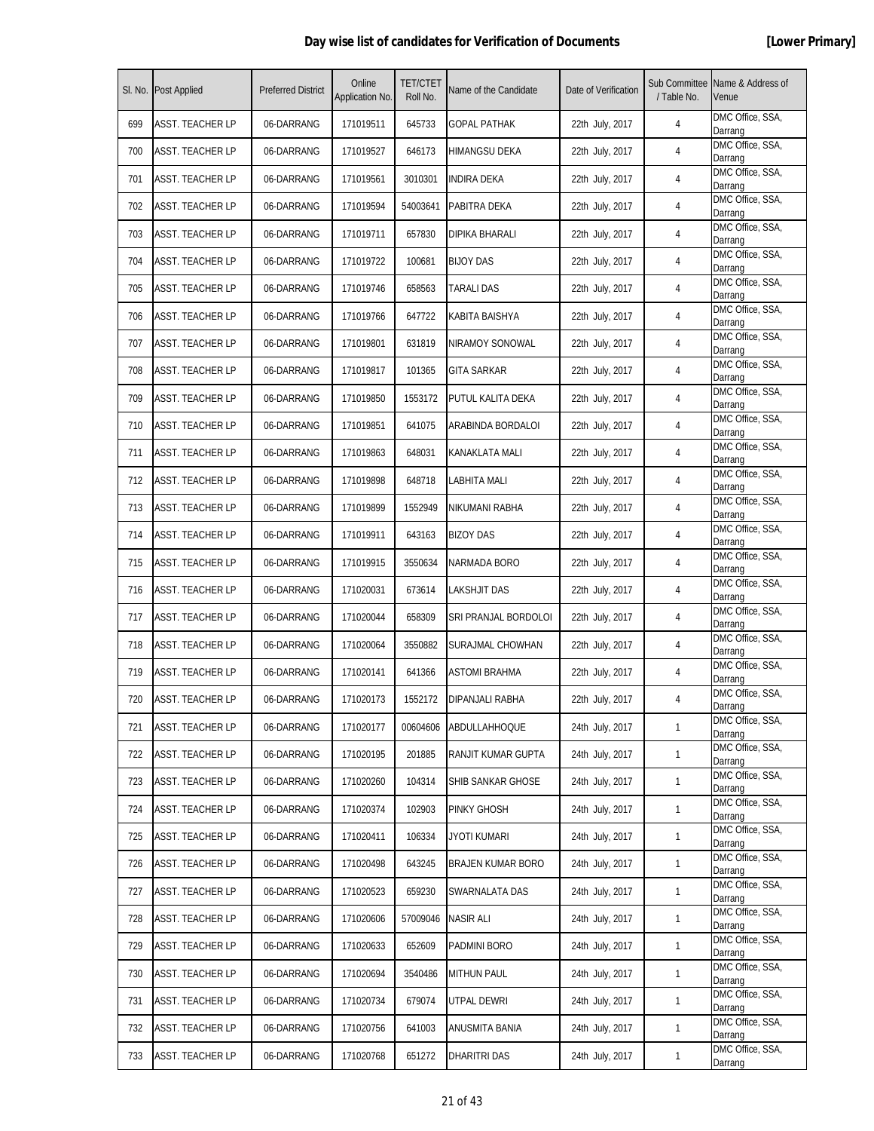|     | SI. No. Post Applied    | <b>Preferred District</b> | Online<br>Application No. | <b>TET/CTET</b><br>Roll No. | Name of the Candidate | Date of Verification | Sub Committee<br>/ Table No. | Name & Address of<br>Venue  |
|-----|-------------------------|---------------------------|---------------------------|-----------------------------|-----------------------|----------------------|------------------------------|-----------------------------|
| 699 | <b>ASST. TEACHER LP</b> | 06-DARRANG                | 171019511                 | 645733                      | <b>GOPAL PATHAK</b>   | 22th July, 2017      | 4                            | DMC Office, SSA,<br>Darrang |
| 700 | ASST. TEACHER LP        | 06-DARRANG                | 171019527                 | 646173                      | <b>HIMANGSU DEKA</b>  | 22th July, 2017      | 4                            | DMC Office, SSA,<br>Darrang |
| 701 | <b>ASST. TEACHER LP</b> | 06-DARRANG                | 171019561                 | 3010301                     | <b>INDIRA DEKA</b>    | 22th July, 2017      | 4                            | DMC Office, SSA,<br>Darrang |
| 702 | <b>ASST. TEACHER LP</b> | 06-DARRANG                | 171019594                 | 54003641                    | PABITRA DEKA          | 22th July, 2017      | 4                            | DMC Office, SSA,<br>Darrang |
| 703 | ASST. TEACHER LP        | 06-DARRANG                | 171019711                 | 657830                      | DIPIKA BHARALI        | 22th July, 2017      | 4                            | DMC Office, SSA,<br>Darrang |
| 704 | ASST. TEACHER LP        | 06-DARRANG                | 171019722                 | 100681                      | <b>BIJOY DAS</b>      | 22th July, 2017      | 4                            | DMC Office, SSA,<br>Darrang |
| 705 | <b>ASST. TEACHER LP</b> | 06-DARRANG                | 171019746                 | 658563                      | TARALI DAS            | 22th July, 2017      | 4                            | DMC Office, SSA,<br>Darrang |
| 706 | <b>ASST. TEACHER LP</b> | 06-DARRANG                | 171019766                 | 647722                      | KABITA BAISHYA        | 22th July, 2017      | 4                            | DMC Office, SSA,<br>Darrang |
| 707 | <b>ASST. TEACHER LP</b> | 06-DARRANG                | 171019801                 | 631819                      | NIRAMOY SONOWAL       | 22th July, 2017      | 4                            | DMC Office, SSA,<br>Darrang |
| 708 | ASST. TEACHER LP        | 06-DARRANG                | 171019817                 | 101365                      | GITA SARKAR           | 22th July, 2017      | 4                            | DMC Office, SSA,<br>Darrang |
| 709 | <b>ASST. TEACHER LP</b> | 06-DARRANG                | 171019850                 | 1553172                     | PUTUL KALITA DEKA     | 22th July, 2017      | 4                            | DMC Office, SSA,<br>Darrang |
| 710 | <b>ASST. TEACHER LP</b> | 06-DARRANG                | 171019851                 | 641075                      | ARABINDA BORDALOI     | 22th July, 2017      | 4                            | DMC Office, SSA,<br>Darrang |
| 711 | <b>ASST. TEACHER LP</b> | 06-DARRANG                | 171019863                 | 648031                      | KANAKLATA MALI        | 22th July, 2017      | 4                            | DMC Office, SSA,<br>Darrang |
| 712 | <b>ASST. TEACHER LP</b> | 06-DARRANG                | 171019898                 | 648718                      | <b>LABHITA MALI</b>   | 22th July, 2017      | 4                            | DMC Office, SSA,<br>Darrang |
| 713 | ASST. TEACHER LP        | 06-DARRANG                | 171019899                 | 1552949                     | NIKUMANI RABHA        | 22th July, 2017      | 4                            | DMC Office, SSA,<br>Darrang |
| 714 | ASST. TEACHER LP        | 06-DARRANG                | 171019911                 | 643163                      | BIZOY DAS             | 22th July, 2017      | 4                            | DMC Office, SSA,<br>Darrang |
| 715 | <b>ASST. TEACHER LP</b> | 06-DARRANG                | 171019915                 | 3550634                     | NARMADA BORO          | 22th July, 2017      | 4                            | DMC Office, SSA,<br>Darrang |
| 716 | <b>ASST. TEACHER LP</b> | 06-DARRANG                | 171020031                 | 673614                      | LAKSHJIT DAS          | 22th July, 2017      | 4                            | DMC Office, SSA,<br>Darrang |
| 717 | <b>ASST. TEACHER LP</b> | 06-DARRANG                | 171020044                 | 658309                      | SRI PRANJAL BORDOLOI  | 22th July, 2017      | 4                            | DMC Office, SSA,<br>Darrang |
| 718 | <b>ASST. TEACHER LP</b> | 06-DARRANG                | 171020064                 | 3550882                     | SURAJMAL CHOWHAN      | 22th July, 2017      | 4                            | DMC Office, SSA,<br>Darrang |
| 719 | ASST. TEACHER LP        | 06-DARRANG                | 171020141                 | 641366                      | <b>ASTOMI BRAHMA</b>  | 22th July, 2017      | 4                            | DMC Office, SSA,<br>Darrang |
| 720 | <b>ASST. TEACHER LP</b> | 06-DARRANG                | 171020173                 | 1552172                     | DIPANJALI RABHA       | 22th July, 2017      | 4                            | DMC Office, SSA,<br>Darrang |
| 721 | ASST. TEACHER LP        | 06-DARRANG                | 171020177                 | 00604606                    | <b>ABDULLAHHOQUE</b>  | 24th July, 2017      | $\mathbf{1}$                 | DMC Office, SSA,<br>Darrang |
| 722 | <b>ASST. TEACHER LP</b> | 06-DARRANG                | 171020195                 | 201885                      | RANJIT KUMAR GUPTA    | 24th July, 2017      | $\mathbf{1}$                 | DMC Office, SSA,<br>Darrang |
| 723 | <b>ASST. TEACHER LP</b> | 06-DARRANG                | 171020260                 | 104314                      | SHIB SANKAR GHOSE     | 24th July, 2017      | 1                            | DMC Office, SSA,<br>Darrang |
| 724 | <b>ASST. TEACHER LP</b> | 06-DARRANG                | 171020374                 | 102903                      | PINKY GHOSH           | 24th July, 2017      | $\mathbf{1}$                 | DMC Office, SSA,<br>Darrang |
| 725 | <b>ASST. TEACHER LP</b> | 06-DARRANG                | 171020411                 | 106334                      | <b>JYOTI KUMARI</b>   | 24th July, 2017      | $\mathbf{1}$                 | DMC Office, SSA,<br>Darrang |
| 726 | <b>ASST. TEACHER LP</b> | 06-DARRANG                | 171020498                 | 643245                      | BRAJEN KUMAR BORO     | 24th July, 2017      | $\mathbf{1}$                 | DMC Office, SSA,<br>Darrang |
| 727 | <b>ASST. TEACHER LP</b> | 06-DARRANG                | 171020523                 | 659230                      | SWARNALATA DAS        | 24th July, 2017      | $\mathbf{1}$                 | DMC Office, SSA,<br>Darrang |
| 728 | <b>ASST. TEACHER LP</b> | 06-DARRANG                | 171020606                 | 57009046                    | <b>NASIR ALI</b>      | 24th July, 2017      | $\mathbf{1}$                 | DMC Office, SSA,<br>Darrang |
| 729 | ASST. TEACHER LP        | 06-DARRANG                | 171020633                 | 652609                      | PADMINI BORO          | 24th July, 2017      | $\mathbf{1}$                 | DMC Office, SSA,<br>Darrang |
| 730 | <b>ASST. TEACHER LP</b> | 06-DARRANG                | 171020694                 | 3540486                     | <b>MITHUN PAUL</b>    | 24th July, 2017      | $\mathbf{1}$                 | DMC Office, SSA,<br>Darrang |
| 731 | <b>ASST. TEACHER LP</b> | 06-DARRANG                | 171020734                 | 679074                      | UTPAL DEWRI           | 24th July, 2017      | $\mathbf{1}$                 | DMC Office, SSA,<br>Darrang |
| 732 | <b>ASST. TEACHER LP</b> | 06-DARRANG                | 171020756                 | 641003                      | ANUSMITA BANIA        | 24th July, 2017      | $\mathbf{1}$                 | DMC Office, SSA,<br>Darrang |
| 733 | <b>ASST. TEACHER LP</b> | 06-DARRANG                | 171020768                 | 651272                      | DHARITRI DAS          | 24th July, 2017      | $\mathbf{1}$                 | DMC Office, SSA,<br>Darrang |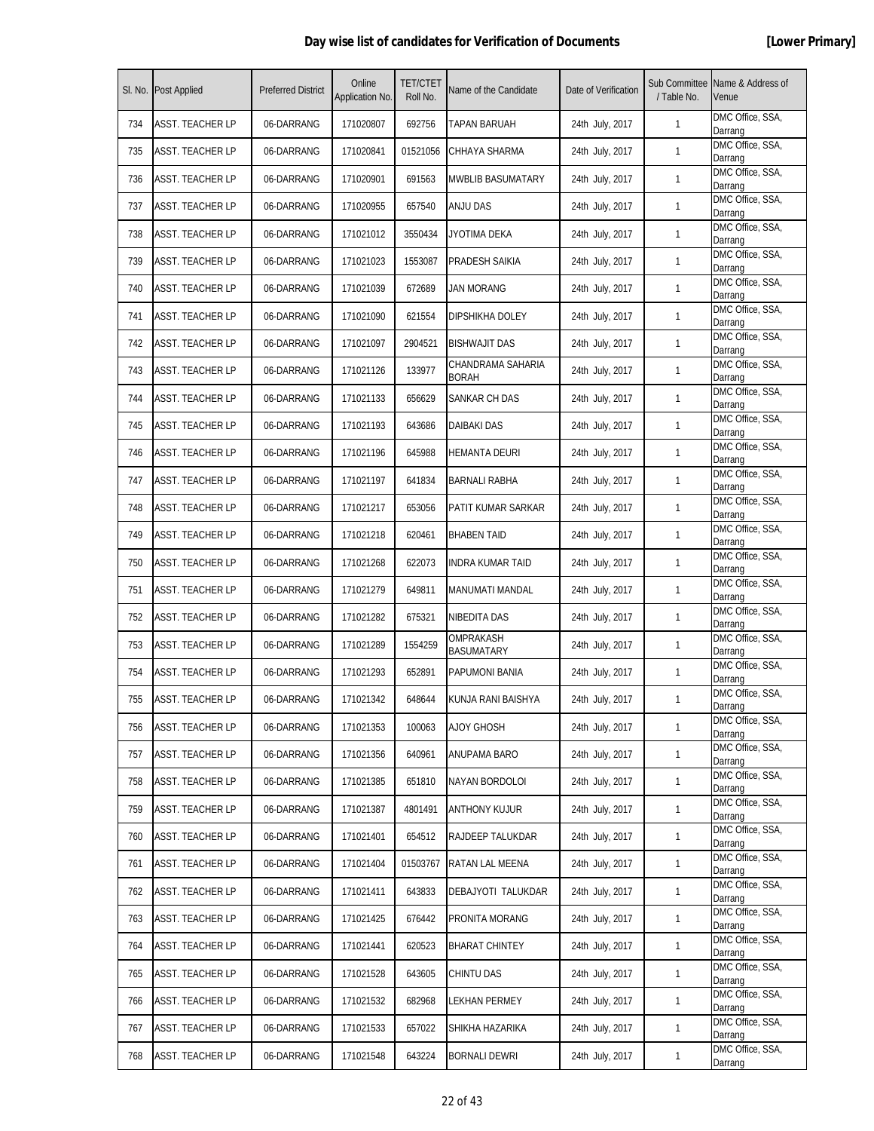|     | SI. No. Post Applied    | <b>Preferred District</b> | Online<br>Application No. | <b>TET/CTET</b><br>Roll No. | Name of the Candidate             | Date of Verification | Sub Committee<br>/ Table No. | Name & Address of<br>Venue  |
|-----|-------------------------|---------------------------|---------------------------|-----------------------------|-----------------------------------|----------------------|------------------------------|-----------------------------|
| 734 | <b>ASST. TEACHER LP</b> | 06-DARRANG                | 171020807                 | 692756                      | TAPAN BARUAH                      | 24th July, 2017      | 1                            | DMC Office, SSA,<br>Darrang |
| 735 | ASST. TEACHER LP        | 06-DARRANG                | 171020841                 | 01521056                    | CHHAYA SHARMA                     | 24th July, 2017      | 1                            | DMC Office, SSA,<br>Darrang |
| 736 | <b>ASST. TEACHER LP</b> | 06-DARRANG                | 171020901                 | 691563                      | <b>MWBLIB BASUMATARY</b>          | 24th July, 2017      | $\mathbf{1}$                 | DMC Office, SSA,<br>Darrang |
| 737 | <b>ASST. TEACHER LP</b> | 06-DARRANG                | 171020955                 | 657540                      | <b>ANJU DAS</b>                   | 24th July, 2017      | $\mathbf{1}$                 | DMC Office, SSA,<br>Darrang |
| 738 | ASST. TEACHER LP        | 06-DARRANG                | 171021012                 | 3550434                     | JYOTIMA DEKA                      | 24th July, 2017      | $\mathbf{1}$                 | DMC Office, SSA,<br>Darrang |
| 739 | <b>ASST. TEACHER LP</b> | 06-DARRANG                | 171021023                 | 1553087                     | PRADESH SAIKIA                    | 24th July, 2017      | 1                            | DMC Office, SSA,<br>Darrang |
| 740 | ASST. TEACHER LP        | 06-DARRANG                | 171021039                 | 672689                      | JAN MORANG                        | 24th July, 2017      | $\mathbf{1}$                 | DMC Office, SSA,<br>Darrang |
| 741 | <b>ASST. TEACHER LP</b> | 06-DARRANG                | 171021090                 | 621554                      | DIPSHIKHA DOLEY                   | 24th July, 2017      | $\mathbf{1}$                 | DMC Office, SSA,<br>Darrang |
| 742 | ASST. TEACHER LP        | 06-DARRANG                | 171021097                 | 2904521                     | <b>BISHWAJIT DAS</b>              | 24th July, 2017      | 1                            | DMC Office, SSA,<br>Darrang |
| 743 | ASST. TEACHER LP        | 06-DARRANG                | 171021126                 | 133977                      | CHANDRAMA SAHARIA<br><b>BORAH</b> | 24th July, 2017      | $\mathbf{1}$                 | DMC Office, SSA,<br>Darrang |
| 744 | ASST. TEACHER LP        | 06-DARRANG                | 171021133                 | 656629                      | SANKAR CH DAS                     | 24th July, 2017      | $\mathbf{1}$                 | DMC Office, SSA,<br>Darrang |
| 745 | ASST. TEACHER LP        | 06-DARRANG                | 171021193                 | 643686                      | DAIBAKI DAS                       | 24th July, 2017      | $\mathbf{1}$                 | DMC Office, SSA,<br>Darrang |
| 746 | <b>ASST. TEACHER LP</b> | 06-DARRANG                | 171021196                 | 645988                      | HEMANTA DEURI                     | 24th July, 2017      | $\mathbf{1}$                 | DMC Office, SSA,<br>Darrang |
| 747 | <b>ASST. TEACHER LP</b> | 06-DARRANG                | 171021197                 | 641834                      | BARNALI RABHA                     | 24th July, 2017      | $\mathbf{1}$                 | DMC Office, SSA,<br>Darrang |
| 748 | ASST. TEACHER LP        | 06-DARRANG                | 171021217                 | 653056                      | PATIT KUMAR SARKAR                | 24th July, 2017      | $\mathbf{1}$                 | DMC Office, SSA,<br>Darrang |
| 749 | ASST. TEACHER LP        | 06-DARRANG                | 171021218                 | 620461                      | <b>BHABEN TAID</b>                | 24th July, 2017      | $\mathbf{1}$                 | DMC Office, SSA,<br>Darrang |
| 750 | ASST. TEACHER LP        | 06-DARRANG                | 171021268                 | 622073                      | INDRA KUMAR TAID                  | 24th July, 2017      | $\mathbf{1}$                 | DMC Office, SSA,<br>Darrang |
| 751 | <b>ASST. TEACHER LP</b> | 06-DARRANG                | 171021279                 | 649811                      | MANUMATI MANDAL                   | 24th July, 2017      | 1                            | DMC Office, SSA,<br>Darrang |
| 752 | <b>ASST. TEACHER LP</b> | 06-DARRANG                | 171021282                 | 675321                      | NIBEDITA DAS                      | 24th July, 2017      | 1                            | DMC Office, SSA,<br>Darrang |
| 753 | ASST. TEACHER LP        | 06-DARRANG                | 171021289                 | 1554259                     | OMPRAKASH<br><b>BASUMATARY</b>    | 24th July, 2017      | $\mathbf{1}$                 | DMC Office, SSA,<br>Darrang |
| 754 | ASST. TEACHER LP        | 06-DARRANG                | 171021293                 | 652891                      | PAPUMONI BANIA                    | 24th July, 2017      | $\mathbf{1}$                 | DMC Office, SSA,<br>Darrang |
| 755 | ASST. TEACHER LP        | 06-DARRANG                | 171021342                 | 648644                      | KUNJA RANI BAISHYA                | 24th July, 2017      | $\mathbf{1}$                 | DMC Office, SSA,<br>Darrang |
| 756 | ASST. TEACHER LP        | 06-DARRANG                | 171021353                 | 100063                      | <b>AJOY GHOSH</b>                 | 24th July, 2017      | $\mathbf{1}$                 | DMC Office, SSA,<br>Darrang |
| 757 | <b>ASST. TEACHER LP</b> | 06-DARRANG                | 171021356                 | 640961                      | ANUPAMA BARO                      | 24th July, 2017      | $\mathbf{1}$                 | DMC Office, SSA,<br>Darrang |
| 758 | <b>ASST. TEACHER LP</b> | 06-DARRANG                | 171021385                 | 651810                      | NAYAN BORDOLOI                    | 24th July, 2017      | $\mathbf{1}$                 | DMC Office, SSA,<br>Darrang |
| 759 | ASST. TEACHER LP        | 06-DARRANG                | 171021387                 | 4801491                     | ANTHONY KUJUR                     | 24th July, 2017      | 1                            | DMC Office, SSA,<br>Darrang |
| 760 | ASST. TEACHER LP        | 06-DARRANG                | 171021401                 | 654512                      | <b>RAJDEEP TALUKDAR</b>           | 24th July, 2017      | 1                            | DMC Office, SSA,<br>Darrang |
| 761 | <b>ASST. TEACHER LP</b> | 06-DARRANG                | 171021404                 | 01503767                    | RATAN LAL MEENA                   | 24th July, 2017      | $\mathbf{1}$                 | DMC Office, SSA,<br>Darrang |
| 762 | <b>ASST. TEACHER LP</b> | 06-DARRANG                | 171021411                 | 643833                      | DEBAJYOTI TALUKDAR                | 24th July, 2017      | $\mathbf{1}$                 | DMC Office, SSA,<br>Darrang |
| 763 | <b>ASST. TEACHER LP</b> | 06-DARRANG                | 171021425                 | 676442                      | PRONITA MORANG                    | 24th July, 2017      | $\mathbf{1}$                 | DMC Office, SSA,<br>Darrang |
| 764 | ASST. TEACHER LP        | 06-DARRANG                | 171021441                 | 620523                      | BHARAT CHINTEY                    | 24th July, 2017      | $\mathbf{1}$                 | DMC Office, SSA,<br>Darrang |
| 765 | <b>ASST. TEACHER LP</b> | 06-DARRANG                | 171021528                 | 643605                      | <b>CHINTU DAS</b>                 | 24th July, 2017      | $\mathbf{1}$                 | DMC Office, SSA,<br>Darrang |
| 766 | <b>ASST. TEACHER LP</b> | 06-DARRANG                | 171021532                 | 682968                      | LEKHAN PERMEY                     | 24th July, 2017      | $\mathbf{1}$                 | DMC Office, SSA,<br>Darrang |
| 767 | <b>ASST. TEACHER LP</b> | 06-DARRANG                | 171021533                 | 657022                      | SHIKHA HAZARIKA                   | 24th July, 2017      | $\mathbf{1}$                 | DMC Office, SSA,<br>Darrang |
| 768 | <b>ASST. TEACHER LP</b> | 06-DARRANG                | 171021548                 | 643224                      | BORNALI DEWRI                     | 24th July, 2017      | $\mathbf{1}$                 | DMC Office, SSA,<br>Darrang |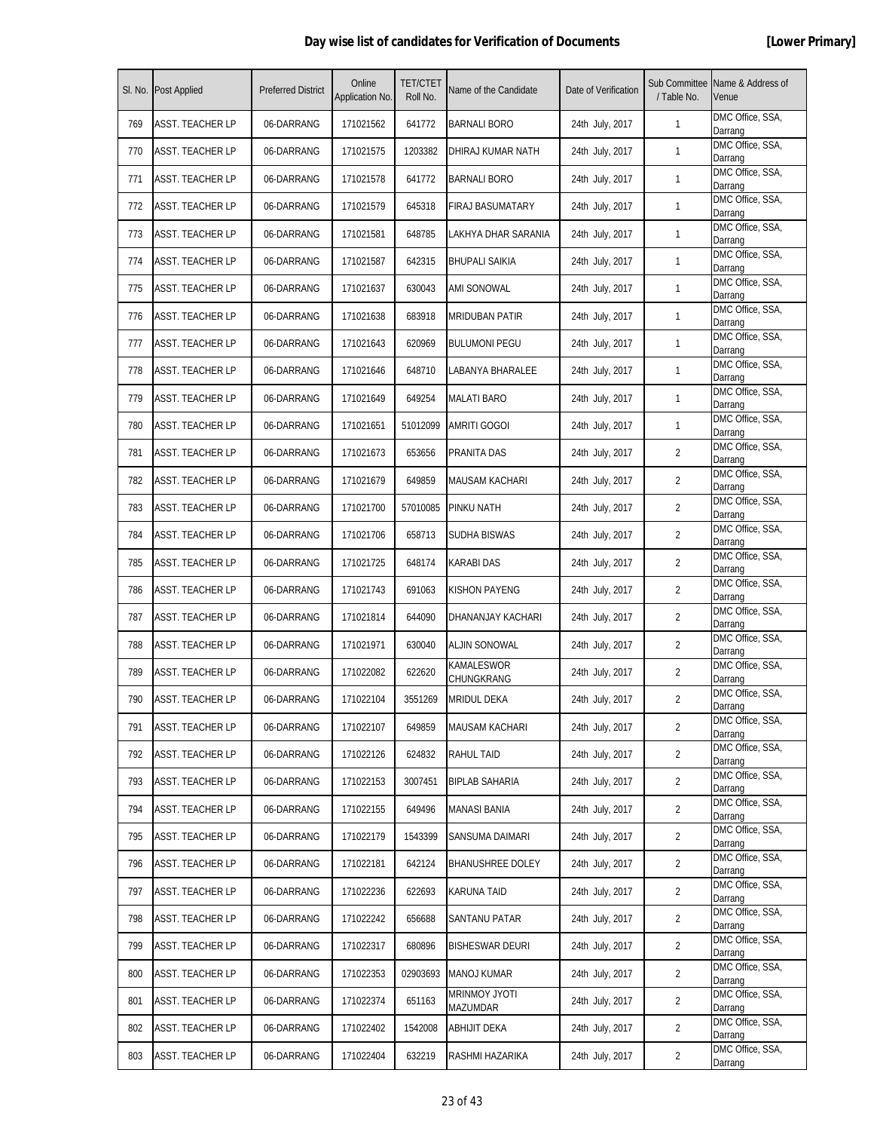|     | SI. No. Post Applied    | <b>Preferred District</b> | Online<br>Application No. | <b>TET/CTET</b><br>Roll No. | Name of the Candidate           | Date of Verification | / Table No.    | Sub Committee Name & Address of<br>Venue |
|-----|-------------------------|---------------------------|---------------------------|-----------------------------|---------------------------------|----------------------|----------------|------------------------------------------|
| 769 | ASST. TEACHER LP        | 06-DARRANG                | 171021562                 | 641772                      | <b>BARNALI BORO</b>             | 24th July, 2017      | $\mathbf{1}$   | DMC Office, SSA,<br>Darrang              |
| 770 | ASST. TEACHER LP        | 06-DARRANG                | 171021575                 | 1203382                     | DHIRAJ KUMAR NATH               | 24th July, 2017      | $\mathbf{1}$   | DMC Office, SSA,<br>Darrang              |
| 771 | <b>ASST. TEACHER LP</b> | 06-DARRANG                | 171021578                 | 641772                      | <b>BARNALI BORO</b>             | 24th July, 2017      | $\mathbf{1}$   | DMC Office, SSA,<br>Darrang              |
| 772 | <b>ASST. TEACHER LP</b> | 06-DARRANG                | 171021579                 | 645318                      | <b>FIRAJ BASUMATARY</b>         | 24th July, 2017      | $\mathbf{1}$   | DMC Office, SSA,<br>Darrang              |
| 773 | ASST. TEACHER LP        | 06-DARRANG                | 171021581                 | 648785                      | LAKHYA DHAR SARANIA             | 24th July, 2017      | 1              | DMC Office, SSA,<br>Darrang              |
| 774 | <b>ASST. TEACHER LP</b> | 06-DARRANG                | 171021587                 | 642315                      | BHUPALI SAIKIA                  | 24th July, 2017      | 1              | DMC Office, SSA,<br>Darrang              |
| 775 | ASST. TEACHER LP        | 06-DARRANG                | 171021637                 | 630043                      | ami sonowal                     | 24th July, 2017      | $\mathbf{1}$   | DMC Office, SSA,<br>Darrang              |
| 776 | <b>ASST. TEACHER LP</b> | 06-DARRANG                | 171021638                 | 683918                      | <b>MRIDUBAN PATIR</b>           | 24th July, 2017      | $\mathbf{1}$   | DMC Office, SSA,<br>Darrang              |
| 777 | <b>ASST. TEACHER LP</b> | 06-DARRANG                | 171021643                 | 620969                      | <b>BULUMONI PEGU</b>            | 24th July, 2017      | $\mathbf{1}$   | DMC Office, SSA,<br>Darrang              |
| 778 | ASST. TEACHER LP        | 06-DARRANG                | 171021646                 | 648710                      | LABANYA BHARALEE                | 24th July, 2017      | 1              | DMC Office, SSA,<br>Darrang              |
| 779 | ASST. TEACHER LP        | 06-DARRANG                | 171021649                 | 649254                      | <b>MALATI BARO</b>              | 24th July, 2017      | 1              | DMC Office, SSA,<br>Darrang              |
| 780 | ASST. TEACHER LP        | 06-DARRANG                | 171021651                 | 51012099                    | <b>AMRITI GOGOI</b>             | 24th July, 2017      | $\mathbf{1}$   | DMC Office, SSA,<br>Darrang              |
| 781 | <b>ASST. TEACHER LP</b> | 06-DARRANG                | 171021673                 | 653656                      | PRANITA DAS                     | 24th July, 2017      | 2              | DMC Office, SSA,<br>Darrang              |
| 782 | <b>ASST. TEACHER LP</b> | 06-DARRANG                | 171021679                 | 649859                      | <b>MAUSAM KACHARI</b>           | 24th July, 2017      | $\overline{2}$ | DMC Office, SSA,<br>Darrang              |
| 783 | ASST. TEACHER LP        | 06-DARRANG                | 171021700                 | 57010085                    | PINKU NATH                      | 24th July, 2017      | $\overline{2}$ | DMC Office, SSA,<br>Darrang              |
| 784 | ASST. TEACHER LP        | 06-DARRANG                | 171021706                 | 658713                      | SUDHA BISWAS                    | 24th July, 2017      | $\overline{2}$ | DMC Office, SSA,<br>Darrang              |
| 785 | ASST. TEACHER LP        | 06-DARRANG                | 171021725                 | 648174                      | KARABI DAS                      | 24th July, 2017      | $\overline{2}$ | DMC Office, SSA,<br>Darrang              |
| 786 | ASST. TEACHER LP        | 06-DARRANG                | 171021743                 | 691063                      | <b>KISHON PAYENG</b>            | 24th July, 2017      | 2              | DMC Office, SSA,<br>Darrang              |
| 787 | <b>ASST. TEACHER LP</b> | 06-DARRANG                | 171021814                 | 644090                      | DHANANJAY KACHARI               | 24th July, 2017      | $\overline{2}$ | DMC Office, SSA,<br>Darrang              |
| 788 | ASST. TEACHER LP        | 06-DARRANG                | 171021971                 | 630040                      | ALJIN SONOWAL                   | 24th July, 2017      | 2              | DMC Office, SSA,<br>Darrang              |
| 789 | ASST. TEACHER LP        | 06-DARRANG                | 171022082                 | 622620                      | <b>KAMALESWOR</b><br>CHUNGKRANG | 24th July, 2017      | $\overline{2}$ | DMC Office, SSA,<br>Darrang              |
| 790 | <b>ASST. TEACHER LP</b> | 06-DARRANG                | 171022104                 | 3551269                     | <b>MRIDUL DEKA</b>              | 24th July, 2017      | $\overline{2}$ | DMC Office, SSA,<br>Darrang              |
| 791 | <b>ASST. TEACHER LP</b> | 06-DARRANG                | 171022107                 | 649859                      | <b>MAUSAM KACHARI</b>           | 24th July, 2017      | $\overline{2}$ | DMC Office, SSA,<br>Darrang              |
| 792 | <b>ASST. TEACHER LP</b> | 06-DARRANG                | 171022126                 | 624832                      | <b>RAHUL TAID</b>               | 24th July, 2017      | $\overline{2}$ | DMC Office, SSA,<br>Darrang              |
| 793 | <b>ASST. TEACHER LP</b> | 06-DARRANG                | 171022153                 | 3007451                     | <b>BIPLAB SAHARIA</b>           | 24th July, 2017      | $\overline{2}$ | DMC Office, SSA,<br>Darrang              |
| 794 | ASST. TEACHER LP        | 06-DARRANG                | 171022155                 | 649496                      | MANASI BANIA                    | 24th July, 2017      | $\overline{2}$ | DMC Office, SSA,<br>Darrang              |
| 795 | <b>ASST. TEACHER LP</b> | 06-DARRANG                | 171022179                 | 1543399                     | SANSUMA DAIMARI                 | 24th July, 2017      | 2              | DMC Office, SSA,<br>Darrang              |
| 796 | <b>ASST. TEACHER LP</b> | 06-DARRANG                | 171022181                 | 642124                      | <b>BHANUSHREE DOLEY</b>         | 24th July, 2017      | $\overline{2}$ | DMC Office, SSA,<br>Darrang              |
| 797 | <b>ASST. TEACHER LP</b> | 06-DARRANG                | 171022236                 | 622693                      | <b>KARUNA TAID</b>              | 24th July, 2017      | $\overline{2}$ | DMC Office, SSA,<br>Darrang              |
| 798 | <b>ASST. TEACHER LP</b> | 06-DARRANG                | 171022242                 | 656688                      | SANTANU PATAR                   | 24th July, 2017      | $\overline{2}$ | DMC Office, SSA,<br>Darrang              |
| 799 | <b>ASST. TEACHER LP</b> | 06-DARRANG                | 171022317                 | 680896                      | <b>BISHESWAR DEURI</b>          | 24th July, 2017      | $\overline{2}$ | DMC Office, SSA,<br>Darrang              |
| 800 | <b>ASST. TEACHER LP</b> | 06-DARRANG                | 171022353                 | 02903693                    | <b>MANOJ KUMAR</b>              | 24th July, 2017      | $\overline{2}$ | DMC Office, SSA,<br>Darrang              |
| 801 | <b>ASST. TEACHER LP</b> | 06-DARRANG                | 171022374                 | 651163                      | MRINMOY JYOTI<br>MAZUMDAR       | 24th July, 2017      | $\overline{2}$ | DMC Office, SSA,<br>Darrang              |
| 802 | <b>ASST. TEACHER LP</b> | 06-DARRANG                | 171022402                 | 1542008                     | <b>ABHIJIT DEKA</b>             | 24th July, 2017      | $\overline{2}$ | DMC Office, SSA,<br>Darrang              |
| 803 | <b>ASST. TEACHER LP</b> | 06-DARRANG                | 171022404                 | 632219                      | RASHMI HAZARIKA                 | 24th July, 2017      | 2              | DMC Office, SSA,<br>Darrang              |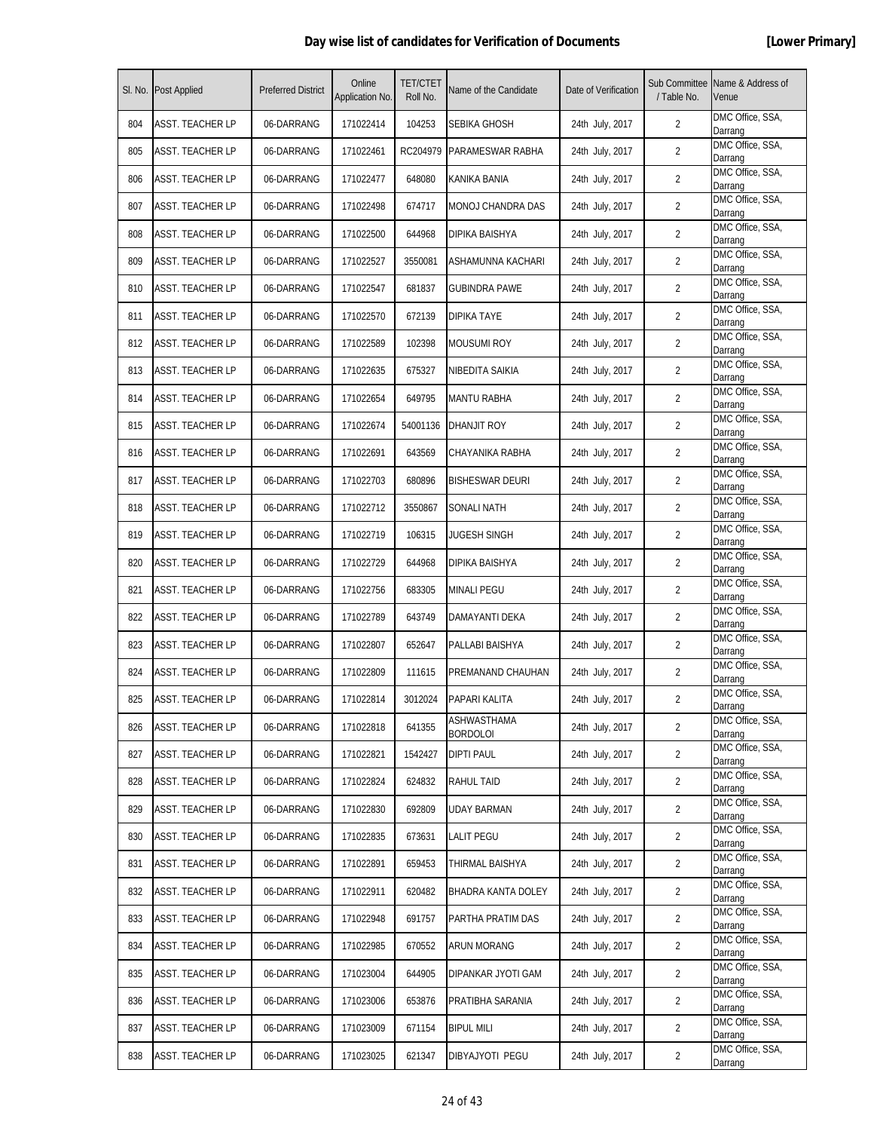|     | SI. No. Post Applied    | <b>Preferred District</b> | Online<br>Application No. | <b>TET/CTET</b><br>Roll No. | Name of the Candidate          | Date of Verification | / Table No.    | Sub Committee Name & Address of<br>Venue |
|-----|-------------------------|---------------------------|---------------------------|-----------------------------|--------------------------------|----------------------|----------------|------------------------------------------|
| 804 | ASST. TEACHER LP        | 06-DARRANG                | 171022414                 | 104253                      | SEBIKA GHOSH                   | 24th July, 2017      | $\overline{2}$ | DMC Office, SSA,<br>Darrang              |
| 805 | <b>ASST. TEACHER LP</b> | 06-DARRANG                | 171022461                 | RC204979                    | PARAMESWAR RABHA               | 24th July, 2017      | $\overline{2}$ | DMC Office, SSA,<br>Darrang              |
| 806 | <b>ASST. TEACHER LP</b> | 06-DARRANG                | 171022477                 | 648080                      | KANIKA BANIA                   | 24th July, 2017      | $\overline{2}$ | DMC Office, SSA,<br>Darrang              |
| 807 | <b>ASST. TEACHER LP</b> | 06-DARRANG                | 171022498                 | 674717                      | MONOJ CHANDRA DAS              | 24th July, 2017      | $\overline{2}$ | DMC Office, SSA,<br>Darrang              |
| 808 | ASST. TEACHER LP        | 06-DARRANG                | 171022500                 | 644968                      | DIPIKA BAISHYA                 | 24th July, 2017      | 2              | DMC Office, SSA,<br>Darrang              |
| 809 | ASST. TEACHER LP        | 06-DARRANG                | 171022527                 | 3550081                     | ASHAMUNNA KACHARI              | 24th July, 2017      | 2              | DMC Office, SSA,<br>Darrang              |
| 810 | ASST. TEACHER LP        | 06-DARRANG                | 171022547                 | 681837                      | <b>GUBINDRA PAWE</b>           | 24th July, 2017      | $\overline{2}$ | DMC Office, SSA,<br>Darrang              |
| 811 | <b>ASST. TEACHER LP</b> | 06-DARRANG                | 171022570                 | 672139                      | <b>DIPIKA TAYE</b>             | 24th July, 2017      | $\overline{2}$ | DMC Office, SSA,<br>Darrang              |
| 812 | <b>ASST. TEACHER LP</b> | 06-DARRANG                | 171022589                 | 102398                      | <b>MOUSUMI ROY</b>             | 24th July, 2017      | $\overline{2}$ | DMC Office, SSA,<br>Darrang              |
| 813 | ASST. TEACHER LP        | 06-DARRANG                | 171022635                 | 675327                      | NIBEDITA SAIKIA                | 24th July, 2017      | 2              | DMC Office, SSA,<br>Darrang              |
| 814 | ASST. TEACHER LP        | 06-DARRANG                | 171022654                 | 649795                      | MANTU RABHA                    | 24th July, 2017      | $\overline{2}$ | DMC Office, SSA,<br>Darrang              |
| 815 | <b>ASST. TEACHER LP</b> | 06-DARRANG                | 171022674                 | 54001136                    | DHANJIT ROY                    | 24th July, 2017      | $\overline{2}$ | DMC Office, SSA,<br>Darrang              |
| 816 | <b>ASST. TEACHER LP</b> | 06-DARRANG                | 171022691                 | 643569                      | CHAYANIKA RABHA                | 24th July, 2017      | $\overline{2}$ | DMC Office, SSA,<br>Darrang              |
| 817 | <b>ASST. TEACHER LP</b> | 06-DARRANG                | 171022703                 | 680896                      | <b>BISHESWAR DEURI</b>         | 24th July, 2017      | $\overline{2}$ | DMC Office, SSA,<br>Darrang              |
| 818 | ASST. TEACHER LP        | 06-DARRANG                | 171022712                 | 3550867                     | SONALI NATH                    | 24th July, 2017      | 2              | DMC Office, SSA,<br>Darrang              |
| 819 | <b>ASST. TEACHER LP</b> | 06-DARRANG                | 171022719                 | 106315                      | JUGESH SINGH                   | 24th July, 2017      | $\overline{2}$ | DMC Office, SSA,<br>Darrang              |
| 820 | <b>ASST. TEACHER LP</b> | 06-DARRANG                | 171022729                 | 644968                      | DIPIKA BAISHYA                 | 24th July, 2017      | $\overline{2}$ | DMC Office, SSA,<br>Darrang              |
| 821 | <b>ASST. TEACHER LP</b> | 06-DARRANG                | 171022756                 | 683305                      | <b>MINALI PEGU</b>             | 24th July, 2017      | $\overline{2}$ | DMC Office, SSA,<br>Darrang              |
| 822 | <b>ASST. TEACHER LP</b> | 06-DARRANG                | 171022789                 | 643749                      | DAMAYANTI DEKA                 | 24th July, 2017      | 2              | DMC Office, SSA,<br>Darrang              |
| 823 | ASST. TEACHER LP        | 06-DARRANG                | 171022807                 | 652647                      | PALLABI BAISHYA                | 24th July, 2017      | 2              | DMC Office, SSA,<br>Darrang              |
| 824 | ASST. TEACHER LP        | 06-DARRANG                | 171022809                 | 111615                      | PREMANAND CHAUHAN              | 24th July, 2017      | $\overline{2}$ | DMC Office, SSA,<br>Darrang              |
| 825 | <b>ASST. TEACHER LP</b> | 06-DARRANG                | 171022814                 | 3012024                     | PAPARI KALITA                  | 24th July, 2017      | $\overline{2}$ | DMC Office, SSA,<br>Darrang              |
| 826 | <b>ASST. TEACHER LP</b> | 06-DARRANG                | 171022818                 | 641355                      | ASHWASTHAMA<br><b>BORDOLOI</b> | 24th July, 2017      | $\overline{2}$ | DMC Office, SSA,<br>Darrang              |
| 827 | <b>ASST. TEACHER LP</b> | 06-DARRANG                | 171022821                 | 1542427                     | <b>DIPTI PAUL</b>              | 24th July, 2017      | $\overline{2}$ | DMC Office, SSA,<br>Darrang              |
| 828 | <b>ASST. TEACHER LP</b> | 06-DARRANG                | 171022824                 | 624832                      | RAHUL TAID                     | 24th July, 2017      | $\overline{2}$ | DMC Office, SSA,<br>Darrang              |
| 829 | <b>ASST. TEACHER LP</b> | 06-DARRANG                | 171022830                 | 692809                      | UDAY BARMAN                    | 24th July, 2017      | $\overline{2}$ | DMC Office, SSA,<br>Darrang              |
| 830 | <b>ASST. TEACHER LP</b> | 06-DARRANG                | 171022835                 | 673631                      | Lalit Pegu                     | 24th July, 2017      | $\overline{2}$ | DMC Office, SSA,<br>Darrang              |
| 831 | <b>ASST. TEACHER LP</b> | 06-DARRANG                | 171022891                 | 659453                      | THIRMAL BAISHYA                | 24th July, 2017      | $\overline{2}$ | DMC Office, SSA,<br>Darrang              |
| 832 | <b>ASST. TEACHER LP</b> | 06-DARRANG                | 171022911                 | 620482                      | BHADRA KANTA DOLEY             | 24th July, 2017      | $\overline{2}$ | DMC Office, SSA,<br>Darrang              |
| 833 | <b>ASST. TEACHER LP</b> | 06-DARRANG                | 171022948                 | 691757                      | PARTHA PRATIM DAS              | 24th July, 2017      | $\overline{2}$ | DMC Office, SSA,<br>Darrang              |
| 834 | <b>ASST. TEACHER LP</b> | 06-DARRANG                | 171022985                 | 670552                      | ARUN MORANG                    | 24th July, 2017      | $\overline{2}$ | DMC Office, SSA,<br>Darrang              |
| 835 | <b>ASST. TEACHER LP</b> | 06-DARRANG                | 171023004                 | 644905                      | DIPANKAR JYOTI GAM             | 24th July, 2017      | $\overline{2}$ | DMC Office, SSA,<br>Darrang              |
| 836 | <b>ASST. TEACHER LP</b> | 06-DARRANG                | 171023006                 | 653876                      | PRATIBHA SARANIA               | 24th July, 2017      | $\overline{2}$ | DMC Office, SSA,<br>Darrang              |
| 837 | <b>ASST. TEACHER LP</b> | 06-DARRANG                | 171023009                 | 671154                      | <b>BIPUL MILI</b>              | 24th July, 2017      | $\overline{2}$ | DMC Office, SSA,<br>Darrang              |
| 838 | <b>ASST. TEACHER LP</b> | 06-DARRANG                | 171023025                 | 621347                      | DIBYAJYOTI PEGU                | 24th July, 2017      | 2              | DMC Office, SSA,<br>Darrang              |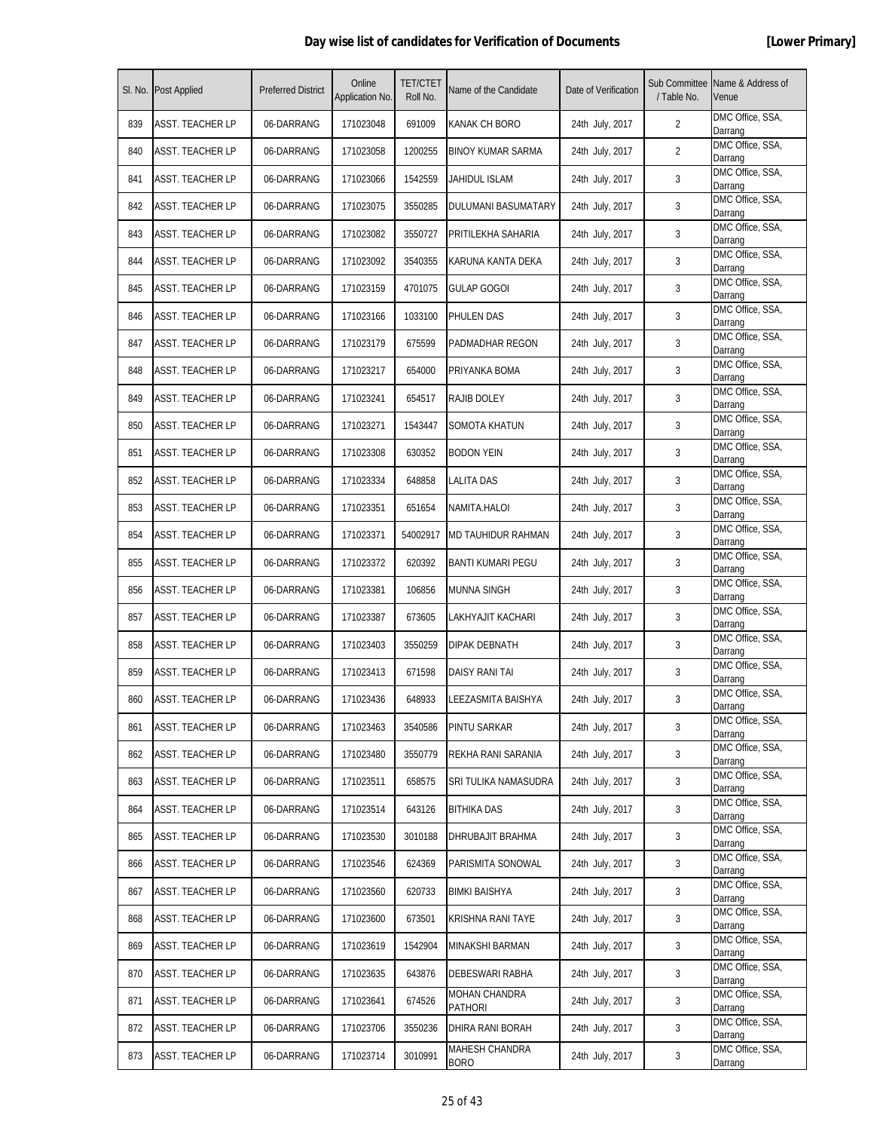|     | SI. No. Post Applied    | <b>Preferred District</b> | Online<br>Application No. | <b>TET/CTET</b><br>Roll No. | Name of the Candidate           | Date of Verification | Sub Committee<br>/ Table No. | Name & Address of<br>Venue  |
|-----|-------------------------|---------------------------|---------------------------|-----------------------------|---------------------------------|----------------------|------------------------------|-----------------------------|
| 839 | <b>ASST. TEACHER LP</b> | 06-DARRANG                | 171023048                 | 691009                      | KANAK CH BORO                   | 24th July, 2017      | $\overline{2}$               | DMC Office, SSA,<br>Darrang |
| 840 | ASST. TEACHER LP        | 06-DARRANG                | 171023058                 | 1200255                     | <b>BINOY KUMAR SARMA</b>        | 24th July, 2017      | 2                            | DMC Office, SSA,<br>Darrang |
| 841 | <b>ASST. TEACHER LP</b> | 06-DARRANG                | 171023066                 | 1542559                     | JAHIDUL ISLAM                   | 24th July, 2017      | 3                            | DMC Office, SSA,<br>Darrang |
| 842 | <b>ASST. TEACHER LP</b> | 06-DARRANG                | 171023075                 | 3550285                     | DULUMANI BASUMATARY             | 24th July, 2017      | 3                            | DMC Office, SSA,<br>Darrang |
| 843 | ASST. TEACHER LP        | 06-DARRANG                | 171023082                 | 3550727                     | PRITILEKHA SAHARIA              | 24th July, 2017      | 3                            | DMC Office, SSA,<br>Darrang |
| 844 | <b>ASST. TEACHER LP</b> | 06-DARRANG                | 171023092                 | 3540355                     | KARUNA KANTA DEKA               | 24th July, 2017      | 3                            | DMC Office, SSA,<br>Darrang |
| 845 | ASST. TEACHER LP        | 06-DARRANG                | 171023159                 | 4701075                     | <b>GULAP GOGOI</b>              | 24th July, 2017      | 3                            | DMC Office, SSA,<br>Darrang |
| 846 | <b>ASST. TEACHER LP</b> | 06-DARRANG                | 171023166                 | 1033100                     | PHULEN DAS                      | 24th July, 2017      | 3                            | DMC Office, SSA,<br>Darrang |
| 847 | <b>ASST. TEACHER LP</b> | 06-DARRANG                | 171023179                 | 675599                      | PADMADHAR REGON                 | 24th July, 2017      | 3                            | DMC Office, SSA,<br>Darrang |
| 848 | ASST. TEACHER LP        | 06-DARRANG                | 171023217                 | 654000                      | PRIYANKA BOMA                   | 24th July, 2017      | 3                            | DMC Office, SSA,<br>Darrang |
| 849 | ASST. TEACHER LP        | 06-DARRANG                | 171023241                 | 654517                      | RAJIB DOLEY                     | 24th July, 2017      | 3                            | DMC Office, SSA,<br>Darrang |
| 850 | ASST. TEACHER LP        | 06-DARRANG                | 171023271                 | 1543447                     | SOMOTA KHATUN                   | 24th July, 2017      | 3                            | DMC Office, SSA,<br>Darrang |
| 851 | <b>ASST. TEACHER LP</b> | 06-DARRANG                | 171023308                 | 630352                      | <b>BODON YEIN</b>               | 24th July, 2017      | 3                            | DMC Office, SSA,<br>Darrang |
| 852 | <b>ASST. TEACHER LP</b> | 06-DARRANG                | 171023334                 | 648858                      | LALITA DAS                      | 24th July, 2017      | 3                            | DMC Office, SSA,<br>Darrang |
| 853 | ASST. TEACHER LP        | 06-DARRANG                | 171023351                 | 651654                      | NAMITA.HALOI                    | 24th July, 2017      | 3                            | DMC Office, SSA,<br>Darrang |
| 854 | ASST. TEACHER LP        | 06-DARRANG                | 171023371                 | 54002917                    | MD TAUHIDUR RAHMAN              | 24th July, 2017      | 3                            | DMC Office, SSA,<br>Darrang |
| 855 | ASST. TEACHER LP        | 06-DARRANG                | 171023372                 | 620392                      | BANTI KUMARI PEGU               | 24th July, 2017      | 3                            | DMC Office, SSA,<br>Darrang |
| 856 | <b>ASST. TEACHER LP</b> | 06-DARRANG                | 171023381                 | 106856                      | <b>MUNNA SINGH</b>              | 24th July, 2017      | 3                            | DMC Office, SSA,<br>Darrang |
| 857 | <b>ASST. TEACHER LP</b> | 06-DARRANG                | 171023387                 | 673605                      | LAKHYAJIT KACHARI               | 24th July, 2017      | 3                            | DMC Office, SSA,<br>Darrang |
| 858 | ASST. TEACHER LP        | 06-DARRANG                | 171023403                 | 3550259                     | DIPAK DEBNATH                   | 24th July, 2017      | 3                            | DMC Office, SSA,<br>Darrang |
| 859 | ASST. TEACHER LP        | 06-DARRANG                | 171023413                 | 671598                      | DAISY RANI TAI                  | 24th July, 2017      | 3                            | DMC Office, SSA,<br>Darrang |
| 860 | ASST. TEACHER LP        | 06-DARRANG                | 171023436                 | 648933                      | LEEZASMITA BAISHYA              | 24th July, 2017      | 3                            | DMC Office, SSA,<br>Darrang |
| 861 | ASST. TEACHER LP        | 06-DARRANG                | 171023463                 | 3540586                     | PINTU SARKAR                    | 24th July, 2017      | 3                            | DMC Office, SSA,<br>Darrang |
| 862 | ASST. TEACHER LP        | 06-DARRANG                | 171023480                 | 3550779                     | REKHA RANI SARANIA              | 24th July, 2017      | 3                            | DMC Office, SSA,<br>Darrang |
| 863 | <b>ASST. TEACHER LP</b> | 06-DARRANG                | 171023511                 | 658575                      | SRI TULIKA NAMASUDRA            | 24th July, 2017      | 3                            | DMC Office, SSA,<br>Darrang |
| 864 | ASST. TEACHER LP        | 06-DARRANG                | 171023514                 | 643126                      | <b>BITHIKA DAS</b>              | 24th July, 2017      | 3                            | DMC Office, SSA,<br>Darrang |
| 865 | <b>ASST. TEACHER LP</b> | 06-DARRANG                | 171023530                 | 3010188                     | DHRUBAJIT BRAHMA                | 24th July, 2017      | 3                            | DMC Office, SSA,<br>Darrang |
| 866 | <b>ASST. TEACHER LP</b> | 06-DARRANG                | 171023546                 | 624369                      | PARISMITA SONOWAL               | 24th July, 2017      | 3                            | DMC Office, SSA,<br>Darrang |
| 867 | ASST. TEACHER LP        | 06-DARRANG                | 171023560                 | 620733                      | <b>BIMKI BAISHYA</b>            | 24th July, 2017      | 3                            | DMC Office, SSA,<br>Darrang |
| 868 | <b>ASST. TEACHER LP</b> | 06-DARRANG                | 171023600                 | 673501                      | KRISHNA RANI TAYE               | 24th July, 2017      | 3                            | DMC Office, SSA,<br>Darrang |
| 869 | ASST. TEACHER LP        | 06-DARRANG                | 171023619                 | 1542904                     | MINAKSHI BARMAN                 | 24th July, 2017      | 3                            | DMC Office, SSA,<br>Darrang |
| 870 | <b>ASST. TEACHER LP</b> | 06-DARRANG                | 171023635                 | 643876                      | DEBESWARI RABHA                 | 24th July, 2017      | 3                            | DMC Office, SSA,<br>Darrang |
| 871 | <b>ASST. TEACHER LP</b> | 06-DARRANG                | 171023641                 | 674526                      | MOHAN CHANDRA<br><b>PATHORI</b> | 24th July, 2017      | 3                            | DMC Office, SSA,<br>Darrang |
| 872 | <b>ASST. TEACHER LP</b> | 06-DARRANG                | 171023706                 | 3550236                     | DHIRA RANI BORAH                | 24th July, 2017      | 3                            | DMC Office, SSA,<br>Darrang |
| 873 | <b>ASST. TEACHER LP</b> | 06-DARRANG                | 171023714                 | 3010991                     | MAHESH CHANDRA<br><b>BORO</b>   | 24th July, 2017      | 3                            | DMC Office, SSA,<br>Darrang |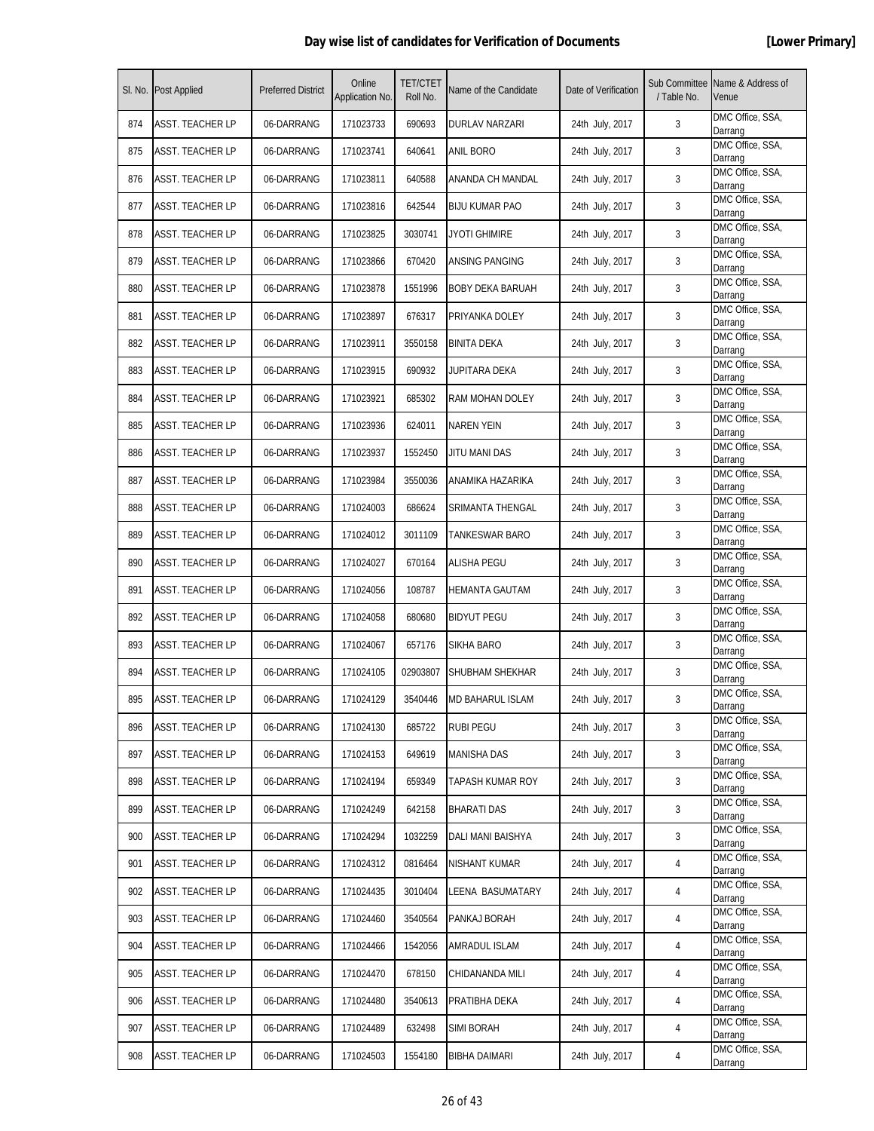|     | SI. No. Post Applied    | <b>Preferred District</b> | Online<br>Application No. | <b>TET/CTET</b><br>Roll No. | Name of the Candidate  | Date of Verification | Sub Committee<br>/ Table No. | Name & Address of<br>Venue  |
|-----|-------------------------|---------------------------|---------------------------|-----------------------------|------------------------|----------------------|------------------------------|-----------------------------|
| 874 | <b>ASST. TEACHER LP</b> | 06-DARRANG                | 171023733                 | 690693                      | <b>DURLAV NARZARI</b>  | 24th July, 2017      | 3                            | DMC Office, SSA,<br>Darrang |
| 875 | <b>ASST. TEACHER LP</b> | 06-DARRANG                | 171023741                 | 640641                      | ANIL BORO              | 24th July, 2017      | 3                            | DMC Office, SSA,<br>Darrang |
| 876 | <b>ASST. TEACHER LP</b> | 06-DARRANG                | 171023811                 | 640588                      | ANANDA CH MANDAL       | 24th July, 2017      | 3                            | DMC Office, SSA,<br>Darrang |
| 877 | <b>ASST. TEACHER LP</b> | 06-DARRANG                | 171023816                 | 642544                      | <b>BIJU KUMAR PAO</b>  | 24th July, 2017      | 3                            | DMC Office, SSA,<br>Darrang |
| 878 | ASST. TEACHER LP        | 06-DARRANG                | 171023825                 | 3030741                     | JYOTI GHIMIRE          | 24th July, 2017      | 3                            | DMC Office, SSA,<br>Darrang |
| 879 | ASST. TEACHER LP        | 06-DARRANG                | 171023866                 | 670420                      | ANSING PANGING         | 24th July, 2017      | 3                            | DMC Office, SSA,<br>Darrang |
| 880 | ASST. TEACHER LP        | 06-DARRANG                | 171023878                 | 1551996                     | BOBY DEKA BARUAH       | 24th July, 2017      | 3                            | DMC Office, SSA,<br>Darrang |
| 881 | <b>ASST. TEACHER LP</b> | 06-DARRANG                | 171023897                 | 676317                      | PRIYANKA DOLEY         | 24th July, 2017      | 3                            | DMC Office, SSA,<br>Darrang |
| 882 | <b>ASST. TEACHER LP</b> | 06-DARRANG                | 171023911                 | 3550158                     | <b>BINITA DEKA</b>     | 24th July, 2017      | 3                            | DMC Office, SSA,<br>Darrang |
| 883 | ASST. TEACHER LP        | 06-DARRANG                | 171023915                 | 690932                      | JUPITARA DEKA          | 24th July, 2017      | 3                            | DMC Office, SSA,<br>Darrang |
| 884 | ASST. TEACHER LP        | 06-DARRANG                | 171023921                 | 685302                      | <b>RAM MOHAN DOLEY</b> | 24th July, 2017      | 3                            | DMC Office, SSA,<br>Darrang |
| 885 | <b>ASST. TEACHER LP</b> | 06-DARRANG                | 171023936                 | 624011                      | <b>NAREN YEIN</b>      | 24th July, 2017      | 3                            | DMC Office, SSA,<br>Darrang |
| 886 | <b>ASST. TEACHER LP</b> | 06-DARRANG                | 171023937                 | 1552450                     | JITU MANI DAS          | 24th July, 2017      | 3                            | DMC Office, SSA,<br>Darrang |
| 887 | <b>ASST. TEACHER LP</b> | 06-DARRANG                | 171023984                 | 3550036                     | ANAMIKA HAZARIKA       | 24th July, 2017      | 3                            | DMC Office, SSA,<br>Darrang |
| 888 | ASST. TEACHER LP        | 06-DARRANG                | 171024003                 | 686624                      | SRIMANTA THENGAL       | 24th July, 2017      | 3                            | DMC Office, SSA,<br>Darrang |
| 889 | ASST. TEACHER LP        | 06-DARRANG                | 171024012                 | 3011109                     | TANKESWAR BARO         | 24th July, 2017      | 3                            | DMC Office, SSA,<br>Darrang |
| 890 | <b>ASST. TEACHER LP</b> | 06-DARRANG                | 171024027                 | 670164                      | ALISHA PEGU            | 24th July, 2017      | 3                            | DMC Office, SSA,<br>Darrang |
| 891 | <b>ASST. TEACHER LP</b> | 06-DARRANG                | 171024056                 | 108787                      | <b>HEMANTA GAUTAM</b>  | 24th July, 2017      | 3                            | DMC Office, SSA,<br>Darrang |
| 892 | <b>ASST. TEACHER LP</b> | 06-DARRANG                | 171024058                 | 680680                      | <b>BIDYUT PEGU</b>     | 24th July, 2017      | 3                            | DMC Office, SSA,<br>Darrang |
| 893 | ASST. TEACHER LP        | 06-DARRANG                | 171024067                 | 657176                      | SIKHA BARO             | 24th July, 2017      | 3                            | DMC Office, SSA,<br>Darrang |
| 894 | <b>ASST. TEACHER LP</b> | 06-DARRANG                | 171024105                 | 02903807                    | SHUBHAM SHEKHAR        | 24th July, 2017      | 3                            | DMC Office, SSA,<br>Darrang |
| 895 | <b>ASST. TEACHER LP</b> | 06-DARRANG                | 171024129                 | 3540446                     | MD BAHARUL ISLAM       | 24th July, 2017      | 3                            | DMC Office, SSA,<br>Darrang |
| 896 | ASST. TEACHER LP        | 06-DARRANG                | 171024130                 | 685722                      | <b>RUBI PEGU</b>       | 24th July, 2017      | 3                            | DMC Office, SSA,<br>Darrang |
| 897 | <b>ASST. TEACHER LP</b> | 06-DARRANG                | 171024153                 | 649619                      | <b>MANISHA DAS</b>     | 24th July, 2017      | 3                            | DMC Office, SSA,<br>Darrang |
| 898 | <b>ASST. TEACHER LP</b> | 06-DARRANG                | 171024194                 | 659349                      | TAPASH KUMAR ROY       | 24th July, 2017      | 3                            | DMC Office, SSA,<br>Darrang |
| 899 | <b>ASST. TEACHER LP</b> | 06-DARRANG                | 171024249                 | 642158                      | <b>BHARATI DAS</b>     | 24th July, 2017      | 3                            | DMC Office, SSA,<br>Darrang |
| 900 | <b>ASST. TEACHER LP</b> | 06-DARRANG                | 171024294                 | 1032259                     | DALI MANI BAISHYA      | 24th July, 2017      | 3                            | DMC Office, SSA,<br>Darrang |
| 901 | <b>ASST. TEACHER LP</b> | 06-DARRANG                | 171024312                 | 0816464                     | NISHANT KUMAR          | 24th July, 2017      | 4                            | DMC Office, SSA,<br>Darrang |
| 902 | <b>ASST. TEACHER LP</b> | 06-DARRANG                | 171024435                 | 3010404                     | LEENA BASUMATARY       | 24th July, 2017      | 4                            | DMC Office, SSA,<br>Darrang |
| 903 | <b>ASST. TEACHER LP</b> | 06-DARRANG                | 171024460                 | 3540564                     | PANKAJ BORAH           | 24th July, 2017      | 4                            | DMC Office, SSA,<br>Darrang |
| 904 | ASST. TEACHER LP        | 06-DARRANG                | 171024466                 | 1542056                     | AMRADUL ISLAM          | 24th July, 2017      | 4                            | DMC Office, SSA,<br>Darrang |
| 905 | <b>ASST. TEACHER LP</b> | 06-DARRANG                | 171024470                 | 678150                      | CHIDANANDA MILI        | 24th July, 2017      | 4                            | DMC Office, SSA,<br>Darrang |
| 906 | ASST. TEACHER LP        | 06-DARRANG                | 171024480                 | 3540613                     | PRATIBHA DEKA          | 24th July, 2017      | 4                            | DMC Office, SSA,<br>Darrang |
| 907 | <b>ASST. TEACHER LP</b> | 06-DARRANG                | 171024489                 | 632498                      | <b>SIMI BORAH</b>      | 24th July, 2017      | 4                            | DMC Office, SSA,<br>Darrang |
| 908 | <b>ASST. TEACHER LP</b> | 06-DARRANG                | 171024503                 | 1554180                     | <b>BIBHA DAIMARI</b>   | 24th July, 2017      | 4                            | DMC Office, SSA,<br>Darrang |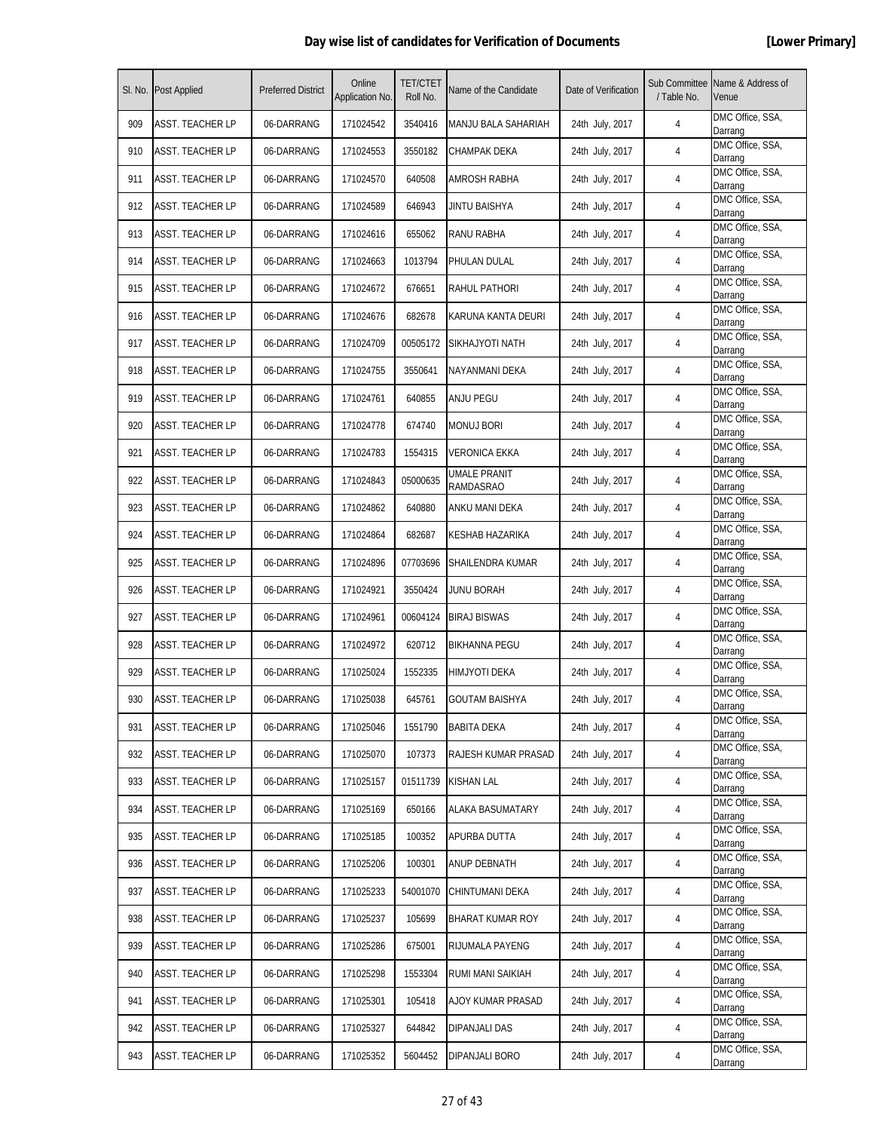|     | SI. No. Post Applied    | <b>Preferred District</b> | Online<br>Application No. | <b>TET/CTET</b><br>Roll No. | Name of the Candidate            | Date of Verification | Sub Committee<br>/ Table No. | Name & Address of<br>Venue  |
|-----|-------------------------|---------------------------|---------------------------|-----------------------------|----------------------------------|----------------------|------------------------------|-----------------------------|
| 909 | <b>ASST. TEACHER LP</b> | 06-DARRANG                | 171024542                 | 3540416                     | MANJU BALA SAHARIAH              | 24th July, 2017      | 4                            | DMC Office, SSA,<br>Darrang |
| 910 | ASST. TEACHER LP        | 06-DARRANG                | 171024553                 | 3550182                     | CHAMPAK DEKA                     | 24th July, 2017      | 4                            | DMC Office, SSA,<br>Darrang |
| 911 | <b>ASST. TEACHER LP</b> | 06-DARRANG                | 171024570                 | 640508                      | AMROSH RABHA                     | 24th July, 2017      | 4                            | DMC Office, SSA,<br>Darrang |
| 912 | <b>ASST. TEACHER LP</b> | 06-DARRANG                | 171024589                 | 646943                      | JINTU BAISHYA                    | 24th July, 2017      | 4                            | DMC Office, SSA,<br>Darrang |
| 913 | ASST. TEACHER LP        | 06-DARRANG                | 171024616                 | 655062                      | RANU RABHA                       | 24th July, 2017      | 4                            | DMC Office, SSA,<br>Darrang |
| 914 | ASST. TEACHER LP        | 06-DARRANG                | 171024663                 | 1013794                     | PHULAN DULAL                     | 24th July, 2017      | 4                            | DMC Office, SSA,<br>Darrang |
| 915 | <b>ASST. TEACHER LP</b> | 06-DARRANG                | 171024672                 | 676651                      | RAHUL PATHORI                    | 24th July, 2017      | 4                            | DMC Office, SSA,<br>Darrang |
| 916 | <b>ASST. TEACHER LP</b> | 06-DARRANG                | 171024676                 | 682678                      | KARUNA KANTA DEURI               | 24th July, 2017      | 4                            | DMC Office, SSA,<br>Darrang |
| 917 | <b>ASST. TEACHER LP</b> | 06-DARRANG                | 171024709                 | 00505172                    | SIKHAJYOTI NATH                  | 24th July, 2017      | 4                            | DMC Office, SSA,<br>Darrang |
| 918 | ASST. TEACHER LP        | 06-DARRANG                | 171024755                 | 3550641                     | NAYANMANI DEKA                   | 24th July, 2017      | 4                            | DMC Office, SSA,<br>Darrang |
| 919 | ASST. TEACHER LP        | 06-DARRANG                | 171024761                 | 640855                      | ANJU PEGU                        | 24th July, 2017      | 4                            | DMC Office, SSA,<br>Darrang |
| 920 | <b>ASST. TEACHER LP</b> | 06-DARRANG                | 171024778                 | 674740                      | <b>MONUJ BORI</b>                | 24th July, 2017      | 4                            | DMC Office, SSA,<br>Darrang |
| 921 | <b>ASST. TEACHER LP</b> | 06-DARRANG                | 171024783                 | 1554315                     | <b>VERONICA EKKA</b>             | 24th July, 2017      | 4                            | DMC Office, SSA,<br>Darrang |
| 922 | <b>ASST. TEACHER LP</b> | 06-DARRANG                | 171024843                 | 05000635                    | UMALE PRANIT<br><b>RAMDASRAO</b> | 24th July, 2017      | 4                            | DMC Office, SSA,<br>Darrang |
| 923 | ASST. TEACHER LP        | 06-DARRANG                | 171024862                 | 640880                      | ANKU MANI DEKA                   | 24th July, 2017      | 4                            | DMC Office, SSA,<br>Darrang |
| 924 | ASST. TEACHER LP        | 06-DARRANG                | 171024864                 | 682687                      | KESHAB HAZARIKA                  | 24th July, 2017      | 4                            | DMC Office, SSA,<br>Darrang |
| 925 | <b>ASST. TEACHER LP</b> | 06-DARRANG                | 171024896                 | 07703696                    | SHAILENDRA KUMAR                 | 24th July, 2017      | 4                            | DMC Office, SSA,<br>Darrang |
| 926 | <b>ASST. TEACHER LP</b> | 06-DARRANG                | 171024921                 | 3550424                     | <b>JUNU BORAH</b>                | 24th July, 2017      | 4                            | DMC Office, SSA,<br>Darrang |
| 927 | <b>ASST. TEACHER LP</b> | 06-DARRANG                | 171024961                 | 00604124                    | <b>BIRAJ BISWAS</b>              | 24th July, 2017      | 4                            | DMC Office, SSA,<br>Darrang |
| 928 | ASST. TEACHER LP        | 06-DARRANG                | 171024972                 | 620712                      | <b>BIKHANNA PEGU</b>             | 24th July, 2017      | 4                            | DMC Office, SSA,<br>Darrang |
| 929 | ASST. TEACHER LP        | 06-DARRANG                | 171025024                 | 1552335                     | HIMJYOTI DEKA                    | 24th July, 2017      | 4                            | DMC Office, SSA,<br>Darrang |
| 930 | <b>ASST. TEACHER LP</b> | 06-DARRANG                | 171025038                 | 645761                      | GOUTAM BAISHYA                   | 24th July, 2017      | 4                            | DMC Office, SSA,<br>Darrang |
| 931 | ASST. TEACHER LP        | 06-DARRANG                | 171025046                 | 1551790                     | <b>BABITA DEKA</b>               | 24th July, 2017      | 4                            | DMC Office, SSA,<br>Darrang |
| 932 | <b>ASST. TEACHER LP</b> | 06-DARRANG                | 171025070                 | 107373                      | RAJESH KUMAR PRASAD              | 24th July, 2017      | 4                            | DMC Office, SSA,<br>Darrang |
| 933 | <b>ASST. TEACHER LP</b> | 06-DARRANG                | 171025157                 | 01511739                    | KISHAN LAL                       | 24th July, 2017      | 4                            | DMC Office, SSA,<br>Darrang |
| 934 | <b>ASST. TEACHER LP</b> | 06-DARRANG                | 171025169                 | 650166                      | ALAKA BASUMATARY                 | 24th July, 2017      | 4                            | DMC Office, SSA,<br>Darrang |
| 935 | <b>ASST. TEACHER LP</b> | 06-DARRANG                | 171025185                 | 100352                      | APURBA DUTTA                     | 24th July, 2017      | 4                            | DMC Office, SSA,<br>Darrang |
| 936 | <b>ASST. TEACHER LP</b> | 06-DARRANG                | 171025206                 | 100301                      | ANUP DEBNATH                     | 24th July, 2017      | 4                            | DMC Office, SSA,<br>Darrang |
| 937 | <b>ASST. TEACHER LP</b> | 06-DARRANG                | 171025233                 | 54001070                    | CHINTUMANI DEKA                  | 24th July, 2017      | 4                            | DMC Office, SSA,<br>Darrang |
| 938 | <b>ASST. TEACHER LP</b> | 06-DARRANG                | 171025237                 | 105699                      | BHARAT KUMAR ROY                 | 24th July, 2017      | 4                            | DMC Office, SSA,<br>Darrang |
| 939 | ASST. TEACHER LP        | 06-DARRANG                | 171025286                 | 675001                      | RIJUMALA PAYENG                  | 24th July, 2017      | 4                            | DMC Office, SSA,<br>Darrang |
| 940 | <b>ASST. TEACHER LP</b> | 06-DARRANG                | 171025298                 | 1553304                     | RUMI MANI SAIKIAH                | 24th July, 2017      | 4                            | DMC Office, SSA,<br>Darrang |
| 941 | <b>ASST. TEACHER LP</b> | 06-DARRANG                | 171025301                 | 105418                      | AJOY KUMAR PRASAD                | 24th July, 2017      | 4                            | DMC Office, SSA,<br>Darrang |
| 942 | <b>ASST. TEACHER LP</b> | 06-DARRANG                | 171025327                 | 644842                      | <b>DIPANJALI DAS</b>             | 24th July, 2017      | 4                            | DMC Office, SSA,<br>Darrang |
| 943 | <b>ASST. TEACHER LP</b> | 06-DARRANG                | 171025352                 | 5604452                     | DIPANJALI BORO                   | 24th July, 2017      | 4                            | DMC Office, SSA,<br>Darrang |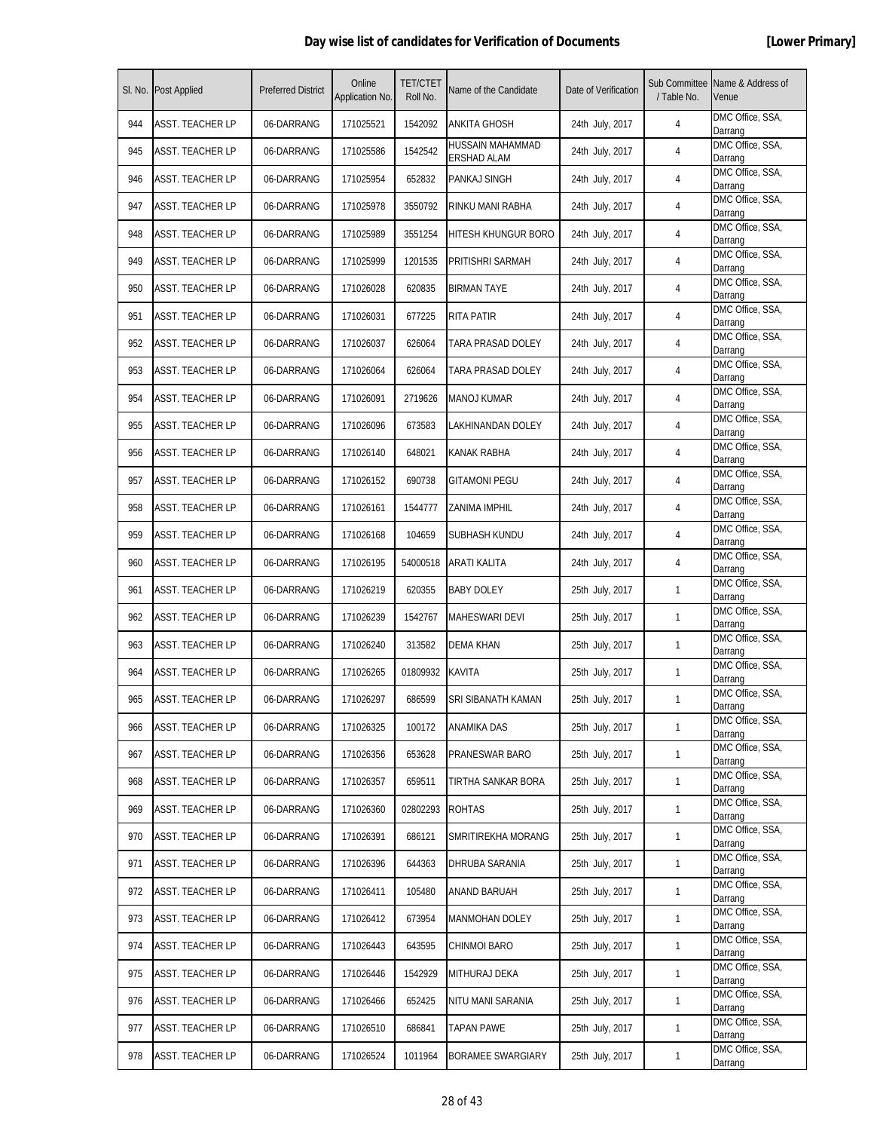|     | SI. No. Post Applied    | <b>Preferred District</b> | Online<br>Application No. | <b>TET/CTET</b><br>Roll No. | Name of the Candidate           | Date of Verification | / Table No.  | Sub Committee Name & Address of<br>Venue |
|-----|-------------------------|---------------------------|---------------------------|-----------------------------|---------------------------------|----------------------|--------------|------------------------------------------|
| 944 | <b>ASST. TEACHER LP</b> | 06-DARRANG                | 171025521                 | 1542092                     | ANKITA GHOSH                    | 24th July, 2017      | 4            | DMC Office, SSA,<br>Darrang              |
| 945 | <b>ASST. TEACHER LP</b> | 06-DARRANG                | 171025586                 | 1542542                     | HUSSAIN MAHAMMAD<br>ERSHAD ALAM | 24th July, 2017      | 4            | DMC Office, SSA,<br>Darrang              |
| 946 | <b>ASST. TEACHER LP</b> | 06-DARRANG                | 171025954                 | 652832                      | PANKAJ SINGH                    | 24th July, 2017      | 4            | DMC Office, SSA,<br>Darrang              |
| 947 | <b>ASST. TEACHER LP</b> | 06-DARRANG                | 171025978                 | 3550792                     | RINKU MANI RABHA                | 24th July, 2017      | 4            | DMC Office, SSA,<br>Darrang              |
| 948 | <b>ASST. TEACHER LP</b> | 06-DARRANG                | 171025989                 | 3551254                     | <b>HITESH KHUNGUR BORO</b>      | 24th July, 2017      | 4            | DMC Office, SSA,<br>Darrang              |
| 949 | ASST. TEACHER LP        | 06-DARRANG                | 171025999                 | 1201535                     | PRITISHRI SARMAH                | 24th July, 2017      | 4            | DMC Office, SSA,<br>Darrang              |
| 950 | ASST. TEACHER LP        | 06-DARRANG                | 171026028                 | 620835                      | <b>BIRMAN TAYE</b>              | 24th July, 2017      | 4            | DMC Office, SSA,<br>Darrang              |
| 951 | <b>ASST. TEACHER LP</b> | 06-DARRANG                | 171026031                 | 677225                      | <b>RITA PATIR</b>               | 24th July, 2017      | 4            | DMC Office, SSA,<br>Darrang              |
| 952 | <b>ASST. TEACHER LP</b> | 06-DARRANG                | 171026037                 | 626064                      | TARA PRASAD DOLEY               | 24th July, 2017      | 4            | DMC Office, SSA,<br>Darrang              |
| 953 | ASST. TEACHER LP        | 06-DARRANG                | 171026064                 | 626064                      | TARA PRASAD DOLEY               | 24th July, 2017      | 4            | DMC Office, SSA,<br>Darrang              |
| 954 | ASST. TEACHER LP        | 06-DARRANG                | 171026091                 | 2719626                     | <b>MANOJ KUMAR</b>              | 24th July, 2017      | 4            | DMC Office, SSA,<br>Darrang              |
| 955 | ASST. TEACHER LP        | 06-DARRANG                | 171026096                 | 673583                      | LAKHINANDAN DOLEY               | 24th July, 2017      | 4            | DMC Office, SSA,<br>Darrang              |
| 956 | <b>ASST. TEACHER LP</b> | 06-DARRANG                | 171026140                 | 648021                      | KANAK RABHA                     | 24th July, 2017      | 4            | DMC Office, SSA,<br>Darrang              |
| 957 | <b>ASST. TEACHER LP</b> | 06-DARRANG                | 171026152                 | 690738                      | <b>GITAMONI PEGU</b>            | 24th July, 2017      | 4            | DMC Office, SSA,<br>Darrang              |
| 958 | ASST. TEACHER LP        | 06-DARRANG                | 171026161                 | 1544777                     | ZANIMA IMPHIL                   | 24th July, 2017      | 4            | DMC Office, SSA,<br>Darrang              |
| 959 | ASST. TEACHER LP        | 06-DARRANG                | 171026168                 | 104659                      | SUBHASH KUNDU                   | 24th July, 2017      | 4            | DMC Office, SSA,<br>Darrang              |
| 960 | <b>ASST. TEACHER LP</b> | 06-DARRANG                | 171026195                 | 54000518                    | ARATI KALITA                    | 24th July, 2017      | 4            | DMC Office, SSA,<br>Darrang              |
| 961 | <b>ASST. TEACHER LP</b> | 06-DARRANG                | 171026219                 | 620355                      | <b>BABY DOLEY</b>               | 25th July, 2017      | 1            | DMC Office, SSA,<br>Darrang              |
| 962 | <b>ASST. TEACHER LP</b> | 06-DARRANG                | 171026239                 | 1542767                     | MAHESWARI DEVI                  | 25th July, 2017      | 1            | DMC Office, SSA,<br>Darrang              |
| 963 | ASST. TEACHER LP        | 06-DARRANG                | 171026240                 | 313582                      | DEMA KHAN                       | 25th July, 2017      | 1            | DMC Office, SSA,<br>Darrang              |
| 964 | ASST. TEACHER LP        | 06-DARRANG                | 171026265                 | 01809932                    | <b>KAVITA</b>                   | 25th July, 2017      | 1            | DMC Office, SSA,<br>Darrang              |
| 965 | ASST. TEACHER LP        | 06-DARRANG                | 171026297                 | 686599                      | SRI SIBANATH KAMAN              | 25th July, 2017      | $\mathbf{1}$ | DMC Office, SSA,<br>Darrang              |
| 966 | ASST. TEACHER LP        | 06-DARRANG                | 171026325                 | 100172                      | ANAMIKA DAS                     | 25th July, 2017      | $\mathbf{1}$ | DMC Office, SSA,<br>Darrang              |
| 967 | <b>ASST. TEACHER LP</b> | 06-DARRANG                | 171026356                 | 653628                      | PRANESWAR BARO                  | 25th July, 2017      | $\mathbf{1}$ | DMC Office, SSA,<br>Darrang              |
| 968 | <b>ASST. TEACHER LP</b> | 06-DARRANG                | 171026357                 | 659511                      | TIRTHA SANKAR BORA              | 25th July, 2017      | $\mathbf{1}$ | DMC Office, SSA,<br>Darrang              |
| 969 | ASST. TEACHER LP        | 06-DARRANG                | 171026360                 | 02802293                    | <b>ROHTAS</b>                   | 25th July, 2017      | $\mathbf{1}$ | DMC Office, SSA,<br>Darrang              |
| 970 | <b>ASST. TEACHER LP</b> | 06-DARRANG                | 171026391                 | 686121                      | SMRITIREKHA MORANG              | 25th July, 2017      | $\mathbf{1}$ | DMC Office, SSA,<br>Darrang              |
| 971 | ASST. TEACHER LP        | 06-DARRANG                | 171026396                 | 644363                      | DHRUBA SARANIA                  | 25th July, 2017      | $\mathbf{1}$ | DMC Office, SSA,<br>Darrang              |
| 972 | ASST. TEACHER LP        | 06-DARRANG                | 171026411                 | 105480                      | ANAND BARUAH                    | 25th July, 2017      | $\mathbf{1}$ | DMC Office, SSA,<br>Darrang              |
| 973 | <b>ASST. TEACHER LP</b> | 06-DARRANG                | 171026412                 | 673954                      | <b>MANMOHAN DOLEY</b>           | 25th July, 2017      | $\mathbf{1}$ | DMC Office, SSA,<br>Darrang              |
| 974 | ASST. TEACHER LP        | 06-DARRANG                | 171026443                 | 643595                      | CHINMOI BARO                    | 25th July, 2017      | $\mathbf{1}$ | DMC Office, SSA,<br>Darrang              |
| 975 | <b>ASST. TEACHER LP</b> | 06-DARRANG                | 171026446                 | 1542929                     | MITHURAJ DEKA                   | 25th July, 2017      | $\mathbf{1}$ | DMC Office, SSA,<br>Darrang              |
| 976 | ASST. TEACHER LP        | 06-DARRANG                | 171026466                 | 652425                      | NITU MANI SARANIA               | 25th July, 2017      | $\mathbf{1}$ | DMC Office, SSA,<br>Darrang              |
| 977 | <b>ASST. TEACHER LP</b> | 06-DARRANG                | 171026510                 | 686841                      | <b>TAPAN PAWE</b>               | 25th July, 2017      | $\mathbf{1}$ | DMC Office, SSA,<br>Darrang              |
| 978 | <b>ASST. TEACHER LP</b> | 06-DARRANG                | 171026524                 | 1011964                     | BORAMEE SWARGIARY               | 25th July, 2017      | $\mathbf{1}$ | DMC Office, SSA,<br>Darrang              |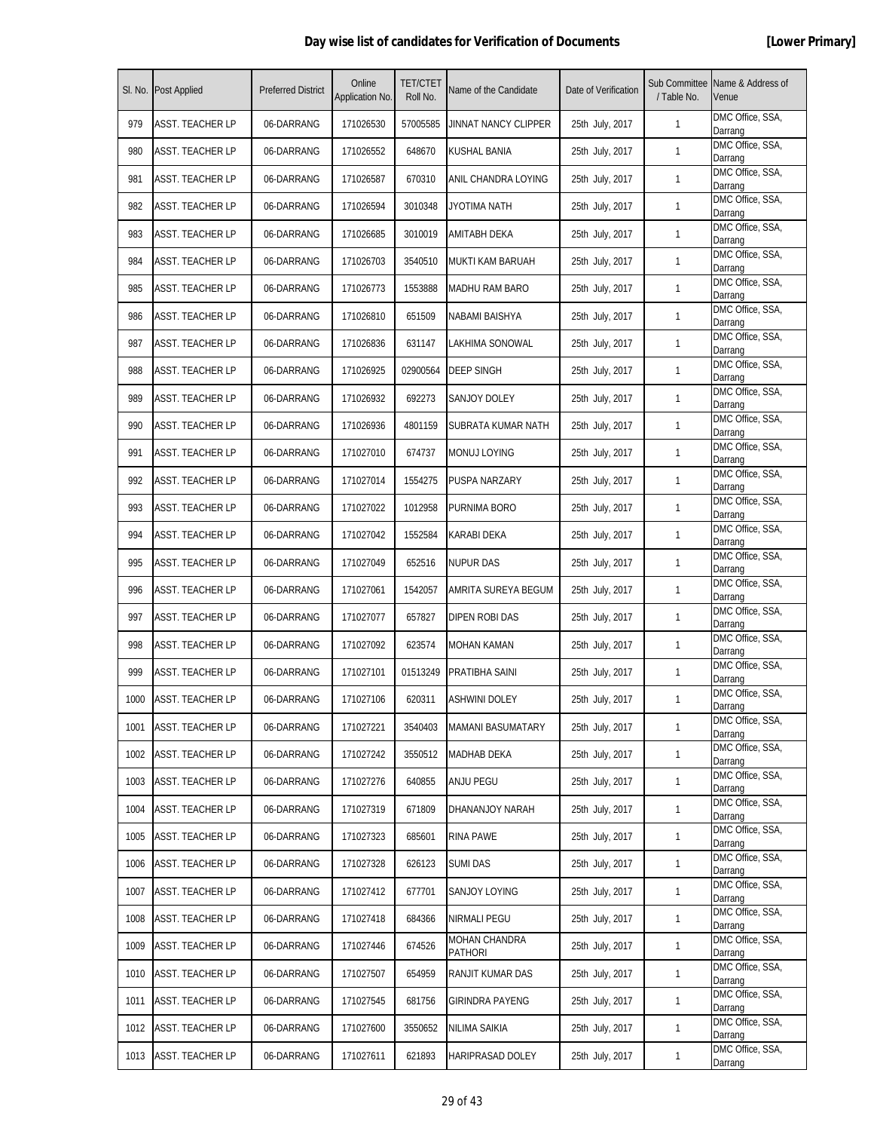|      | SI. No. Post Applied    | <b>Preferred District</b> | Online<br>Application No. | <b>TET/CTET</b><br>Roll No. | Name of the Candidate    | Date of Verification | Sub Committee<br>/ Table No. | Name & Address of<br>Venue  |
|------|-------------------------|---------------------------|---------------------------|-----------------------------|--------------------------|----------------------|------------------------------|-----------------------------|
| 979  | <b>ASST. TEACHER LP</b> | 06-DARRANG                | 171026530                 | 57005585                    | JINNAT NANCY CLIPPER     | 25th July, 2017      | 1                            | DMC Office, SSA,<br>Darrang |
| 980  | <b>ASST. TEACHER LP</b> | 06-DARRANG                | 171026552                 | 648670                      | KUSHAL BANIA             | 25th July, 2017      | $\mathbf{1}$                 | DMC Office, SSA,<br>Darrang |
| 981  | <b>ASST. TEACHER LP</b> | 06-DARRANG                | 171026587                 | 670310                      | ANIL CHANDRA LOYING      | 25th July, 2017      | 1                            | DMC Office, SSA,<br>Darrang |
| 982  | <b>ASST. TEACHER LP</b> | 06-DARRANG                | 171026594                 | 3010348                     | JYOTIMA NATH             | 25th July, 2017      | 1                            | DMC Office, SSA,<br>Darrang |
| 983  | ASST. TEACHER LP        | 06-DARRANG                | 171026685                 | 3010019                     | AMITABH DEKA             | 25th July, 2017      | $\mathbf{1}$                 | DMC Office, SSA,<br>Darrang |
| 984  | ASST. TEACHER LP        | 06-DARRANG                | 171026703                 | 3540510                     | MUKTI KAM BARUAH         | 25th July, 2017      | 1                            | DMC Office, SSA,<br>Darrang |
| 985  | ASST. TEACHER LP        | 06-DARRANG                | 171026773                 | 1553888                     | MADHU RAM BARO           | 25th July, 2017      | $\mathbf{1}$                 | DMC Office, SSA,<br>Darrang |
| 986  | <b>ASST. TEACHER LP</b> | 06-DARRANG                | 171026810                 | 651509                      | NABAMI BAISHYA           | 25th July, 2017      | $\mathbf{1}$                 | DMC Office, SSA,<br>Darrang |
| 987  | <b>ASST. TEACHER LP</b> | 06-DARRANG                | 171026836                 | 631147                      | LAKHIMA SONOWAL          | 25th July, 2017      | 1                            | DMC Office, SSA,<br>Darrang |
| 988  | ASST. TEACHER LP        | 06-DARRANG                | 171026925                 | 02900564                    | DEEP SINGH               | 25th July, 2017      | 1                            | DMC Office, SSA,<br>Darrang |
| 989  | <b>ASST. TEACHER LP</b> | 06-DARRANG                | 171026932                 | 692273                      | SANJOY DOLEY             | 25th July, 2017      | 1                            | DMC Office, SSA,<br>Darrang |
| 990  | <b>ASST. TEACHER LP</b> | 06-DARRANG                | 171026936                 | 4801159                     | SUBRATA KUMAR NATH       | 25th July, 2017      | 1                            | DMC Office, SSA,<br>Darrang |
| 991  | <b>ASST. TEACHER LP</b> | 06-DARRANG                | 171027010                 | 674737                      | MONUJ LOYING             | 25th July, 2017      | 1                            | DMC Office, SSA,<br>Darrang |
| 992  | <b>ASST. TEACHER LP</b> | 06-DARRANG                | 171027014                 | 1554275                     | PUSPA NARZARY            | 25th July, 2017      | 1                            | DMC Office, SSA,<br>Darrang |
| 993  | ASST. TEACHER LP        | 06-DARRANG                | 171027022                 | 1012958                     | PURNIMA BORO             | 25th July, 2017      | 1                            | DMC Office, SSA,<br>Darrang |
| 994  | ASST. TEACHER LP        | 06-DARRANG                | 171027042                 | 1552584                     | KARABI DEKA              | 25th July, 2017      | 1                            | DMC Office, SSA,<br>Darrang |
| 995  | <b>ASST. TEACHER LP</b> | 06-DARRANG                | 171027049                 | 652516                      | <b>NUPUR DAS</b>         | 25th July, 2017      | 1                            | DMC Office, SSA,<br>Darrang |
| 996  | <b>ASST. TEACHER LP</b> | 06-DARRANG                | 171027061                 | 1542057                     | AMRITA SUREYA BEGUM      | 25th July, 2017      | 1                            | DMC Office, SSA,<br>Darrang |
| 997  | <b>ASST. TEACHER LP</b> | 06-DARRANG                | 171027077                 | 657827                      | DIPEN ROBI DAS           | 25th July, 2017      | 1                            | DMC Office, SSA,<br>Darrang |
| 998  | ASST. TEACHER LP        | 06-DARRANG                | 171027092                 | 623574                      | <b>MOHAN KAMAN</b>       | 25th July, 2017      | 1                            | DMC Office, SSA,<br>Darrang |
| 999  | <b>ASST. TEACHER LP</b> | 06-DARRANG                | 171027101                 | 01513249                    | PRATIBHA SAINI           | 25th July, 2017      | 1                            | DMC Office, SSA,<br>Darrang |
| 1000 | <b>ASST. TEACHER LP</b> | 06-DARRANG                | 171027106                 | 620311                      | <b>ASHWINI DOLEY</b>     | 25th July, 2017      | $\mathbf{1}$                 | DMC Office, SSA,<br>Darrang |
| 1001 | ASST. TEACHER LP        | 06-DARRANG                | 171027221                 | 3540403                     | <b>MAMANI BASUMATARY</b> | 25th July, 2017      | 1                            | DMC Office, SSA,<br>Darrang |
| 1002 | <b>ASST. TEACHER LP</b> | 06-DARRANG                | 171027242                 | 3550512                     | MADHAB DEKA              | 25th July, 2017      | $\mathbf{1}$                 | DMC Office, SSA,<br>Darrang |
| 1003 | <b>ASST. TEACHER LP</b> | 06-DARRANG                | 171027276                 | 640855                      | ANJU PEGU                | 25th July, 2017      | 1                            | DMC Office, SSA,<br>Darrang |
| 1004 | ASST. TEACHER LP        | 06-DARRANG                | 171027319                 | 671809                      | DHANANJOY NARAH          | 25th July, 2017      | $\mathbf{1}$                 | DMC Office, SSA,<br>Darrang |
| 1005 | <b>ASST. TEACHER LP</b> | 06-DARRANG                | 171027323                 | 685601                      | RINA PAWE                | 25th July, 2017      | 1                            | DMC Office, SSA,<br>Darrang |
| 1006 | <b>ASST. TEACHER LP</b> | 06-DARRANG                | 171027328                 | 626123                      | <b>SUMI DAS</b>          | 25th July, 2017      | $\mathbf{1}$                 | DMC Office, SSA,<br>Darrang |
| 1007 | <b>ASST. TEACHER LP</b> | 06-DARRANG                | 171027412                 | 677701                      | SANJOY LOYING            | 25th July, 2017      | $\mathbf{1}$                 | DMC Office, SSA,<br>Darrang |
| 1008 | <b>ASST. TEACHER LP</b> | 06-DARRANG                | 171027418                 | 684366                      | NIRMALI PEGU             | 25th July, 2017      | 1                            | DMC Office, SSA,<br>Darrang |
| 1009 | ASST. TEACHER LP        | 06-DARRANG                | 171027446                 | 674526                      | MOHAN CHANDRA<br>PATHORI | 25th July, 2017      | $\mathbf{1}$                 | DMC Office, SSA,<br>Darrang |
| 1010 | <b>ASST. TEACHER LP</b> | 06-DARRANG                | 171027507                 | 654959                      | RANJIT KUMAR DAS         | 25th July, 2017      | $\mathbf{1}$                 | DMC Office, SSA,<br>Darrang |
| 1011 | ASST. TEACHER LP        | 06-DARRANG                | 171027545                 | 681756                      | <b>GIRINDRA PAYENG</b>   | 25th July, 2017      | $\mathbf{1}$                 | DMC Office, SSA,<br>Darrang |
| 1012 | <b>ASST. TEACHER LP</b> | 06-DARRANG                | 171027600                 | 3550652                     | NILIMA SAIKIA            | 25th July, 2017      | $\mathbf{1}$                 | DMC Office, SSA,<br>Darrang |
| 1013 | <b>ASST. TEACHER LP</b> | 06-DARRANG                | 171027611                 | 621893                      | HARIPRASAD DOLEY         | 25th July, 2017      | $\mathbf{1}$                 | DMC Office, SSA,<br>Darrang |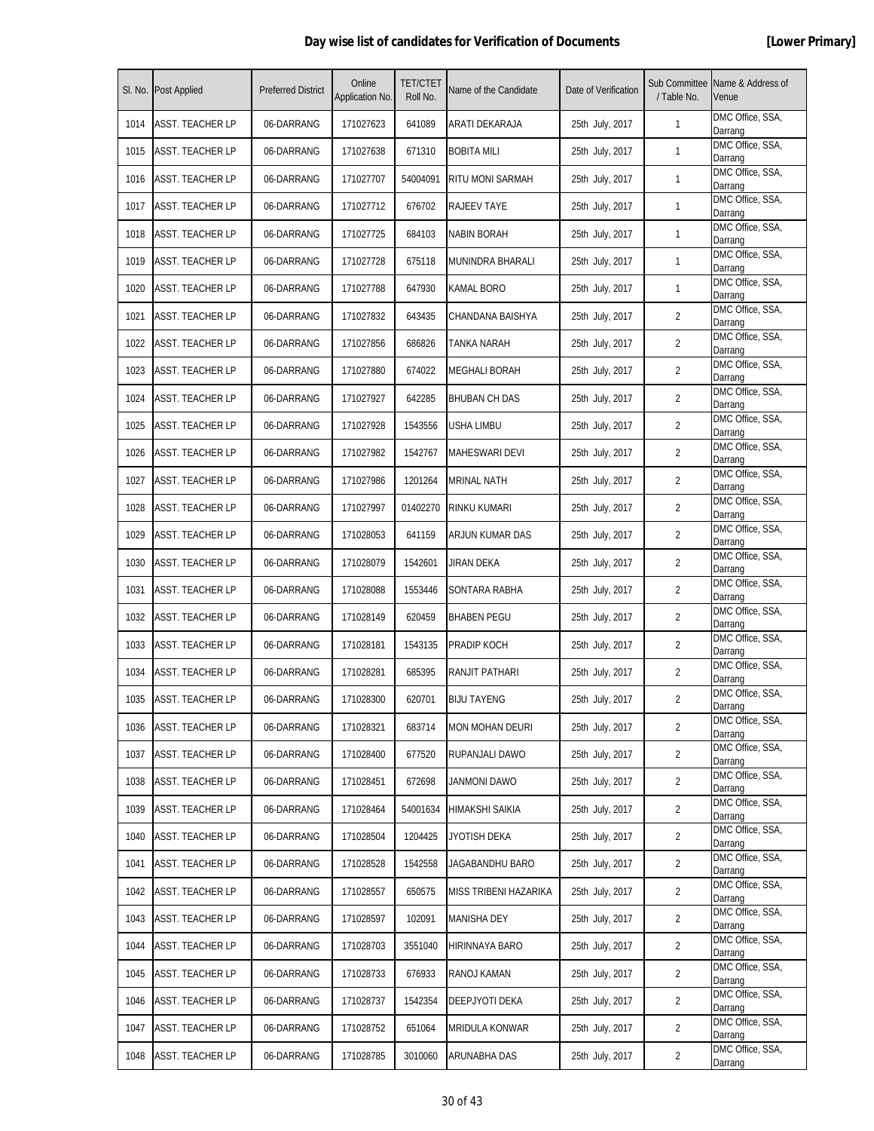| SI. No. | <b>Post Applied</b>     | <b>Preferred District</b> | Online<br>Application No. | <b>TET/CTET</b><br>Roll No. | Name of the Candidate   | Date of Verification | Sub Committee<br>/ Table No. | Name & Address of<br>Venue  |
|---------|-------------------------|---------------------------|---------------------------|-----------------------------|-------------------------|----------------------|------------------------------|-----------------------------|
| 1014    | <b>ASST. TEACHER LP</b> | 06-DARRANG                | 171027623                 | 641089                      | ARATI DEKARAJA          | 25th July, 2017      | 1                            | DMC Office, SSA,<br>Darrang |
| 1015    | ASST. TEACHER LP        | 06-DARRANG                | 171027638                 | 671310                      | <b>BOBITA MILI</b>      | 25th July, 2017      | $\mathbf{1}$                 | DMC Office, SSA,<br>Darrang |
| 1016    | <b>ASST. TEACHER LP</b> | 06-DARRANG                | 171027707                 | 54004091                    | <b>RITU MONI SARMAH</b> | 25th July, 2017      | 1                            | DMC Office, SSA,<br>Darrang |
| 1017    | <b>ASST. TEACHER LP</b> | 06-DARRANG                | 171027712                 | 676702                      | RAJEEV TAYE             | 25th July, 2017      | 1                            | DMC Office, SSA,<br>Darrang |
| 1018    | ASST. TEACHER LP        | 06-DARRANG                | 171027725                 | 684103                      | <b>NABIN BORAH</b>      | 25th July, 2017      | $\mathbf{1}$                 | DMC Office, SSA,<br>Darrang |
| 1019    | ASST. TEACHER LP        | 06-DARRANG                | 171027728                 | 675118                      | MUNINDRA BHARALI        | 25th July, 2017      | 1                            | DMC Office, SSA,<br>Darrang |
| 1020    | ASST. TEACHER LP        | 06-DARRANG                | 171027788                 | 647930                      | KAMAL BORO              | 25th July, 2017      | 1                            | DMC Office, SSA,<br>Darrang |
| 1021    | <b>ASST. TEACHER LP</b> | 06-DARRANG                | 171027832                 | 643435                      | CHANDANA BAISHYA        | 25th July, 2017      | $\overline{2}$               | DMC Office, SSA,<br>Darrang |
| 1022    | <b>ASST. TEACHER LP</b> | 06-DARRANG                | 171027856                 | 686826                      | TANKA NARAH             | 25th July, 2017      | 2                            | DMC Office, SSA,<br>Darrang |
| 1023    | ASST. TEACHER LP        | 06-DARRANG                | 171027880                 | 674022                      | <b>MEGHALI BORAH</b>    | 25th July, 2017      | $\overline{2}$               | DMC Office, SSA,<br>Darrang |
| 1024    | ASST. TEACHER LP        | 06-DARRANG                | 171027927                 | 642285                      | <b>BHUBAN CH DAS</b>    | 25th July, 2017      | 2                            | DMC Office, SSA,<br>Darrang |
| 1025    | ASST. TEACHER LP        | 06-DARRANG                | 171027928                 | 1543556                     | USHA LIMBU              | 25th July, 2017      | 2                            | DMC Office, SSA,<br>Darrang |
| 1026    | <b>ASST. TEACHER LP</b> | 06-DARRANG                | 171027982                 | 1542767                     | <b>MAHESWARI DEVI</b>   | 25th July, 2017      | $\overline{2}$               | DMC Office, SSA,<br>Darrang |
| 1027    | <b>ASST. TEACHER LP</b> | 06-DARRANG                | 171027986                 | 1201264                     | <b>MRINAL NATH</b>      | 25th July, 2017      | 2                            | DMC Office, SSA,<br>Darrang |
| 1028    | ASST. TEACHER LP        | 06-DARRANG                | 171027997                 | 01402270                    | RINKU KUMARI            | 25th July, 2017      | $\overline{2}$               | DMC Office, SSA,<br>Darrang |
| 1029    | ASST. TEACHER LP        | 06-DARRANG                | 171028053                 | 641159                      | ARJUN KUMAR DAS         | 25th July, 2017      | $\overline{2}$               | DMC Office, SSA,<br>Darrang |
| 1030    | ASST. TEACHER LP        | 06-DARRANG                | 171028079                 | 1542601                     | JIRAN DEKA              | 25th July, 2017      | 2                            | DMC Office, SSA,<br>Darrang |
| 1031    | <b>ASST. TEACHER LP</b> | 06-DARRANG                | 171028088                 | 1553446                     | SONTARA RABHA           | 25th July, 2017      | $\overline{2}$               | DMC Office, SSA,<br>Darrang |
| 1032    | ASST. TEACHER LP        | 06-DARRANG                | 171028149                 | 620459                      | <b>BHABEN PEGU</b>      | 25th July, 2017      | 2                            | DMC Office, SSA,<br>Darrang |
| 1033    | <b>ASST. TEACHER LP</b> | 06-DARRANG                | 171028181                 | 1543135                     | PRADIP KOCH             | 25th July, 2017      | 2                            | DMC Office, SSA,<br>Darrang |
| 1034    | ASST. TEACHER LP        | 06-DARRANG                | 171028281                 | 685395                      | RANJIT PATHARI          | 25th July, 2017      | $\overline{2}$               | DMC Office, SSA,<br>Darrang |
| 1035    | <b>ASST. TEACHER LP</b> | 06-DARRANG                | 171028300                 | 620701                      | <b>BIJU TAYENG</b>      | 25th July, 2017      | $\overline{2}$               | DMC Office, SSA,<br>Darrang |
| 1036    | ASST. TEACHER LP        | 06-DARRANG                | 171028321                 | 683714                      | <b>MON MOHAN DEURI</b>  | 25th July, 2017      | $\overline{2}$               | DMC Office, SSA,<br>Darrang |
| 1037    | <b>ASST. TEACHER LP</b> | 06-DARRANG                | 171028400                 | 677520                      | RUPANJALI DAWO          | 25th July, 2017      | $\overline{2}$               | DMC Office, SSA,<br>Darrang |
| 1038    | ASST. TEACHER LP        | 06-DARRANG                | 171028451                 | 672698                      | JANMONI DAWO            | 25th July, 2017      | 2                            | DMC Office, SSA,<br>Darrang |
| 1039    | <b>ASST. TEACHER LP</b> | 06-DARRANG                | 171028464                 | 54001634                    | HIMAKSHI SAIKIA         | 25th July, 2017      | $\overline{2}$               | DMC Office, SSA,<br>Darrang |
| 1040    | <b>ASST. TEACHER LP</b> | 06-DARRANG                | 171028504                 | 1204425                     | JYOTISH DEKA            | 25th July, 2017      | $\overline{2}$               | DMC Office, SSA,<br>Darrang |
| 1041    | <b>ASST. TEACHER LP</b> | 06-DARRANG                | 171028528                 | 1542558                     | JAGABANDHU BARO         | 25th July, 2017      | $\overline{2}$               | DMC Office, SSA,<br>Darrang |
| 1042    | <b>ASST. TEACHER LP</b> | 06-DARRANG                | 171028557                 | 650575                      | MISS TRIBENI HAZARIKA   | 25th July, 2017      | 2                            | DMC Office, SSA,<br>Darrang |
| 1043    | ASST. TEACHER LP        | 06-DARRANG                | 171028597                 | 102091                      | <b>MANISHA DEY</b>      | 25th July, 2017      | 2                            | DMC Office, SSA,<br>Darrang |
| 1044    | ASST. TEACHER LP        | 06-DARRANG                | 171028703                 | 3551040                     | HIRINNAYA BARO          | 25th July, 2017      | $\overline{2}$               | DMC Office, SSA,<br>Darrang |
| 1045    | <b>ASST. TEACHER LP</b> | 06-DARRANG                | 171028733                 | 676933                      | RANOJ KAMAN             | 25th July, 2017      | 2                            | DMC Office, SSA,<br>Darrang |
| 1046    | <b>ASST. TEACHER LP</b> | 06-DARRANG                | 171028737                 | 1542354                     | DEEPJYOTI DEKA          | 25th July, 2017      | 2                            | DMC Office, SSA,<br>Darrang |
| 1047    | <b>ASST. TEACHER LP</b> | 06-DARRANG                | 171028752                 | 651064                      | MRIDULA KONWAR          | 25th July, 2017      | $\overline{2}$               | DMC Office, SSA,<br>Darrang |
| 1048    | <b>ASST. TEACHER LP</b> | 06-DARRANG                | 171028785                 | 3010060                     | ARUNABHA DAS            | 25th July, 2017      | 2                            | DMC Office, SSA,<br>Darrang |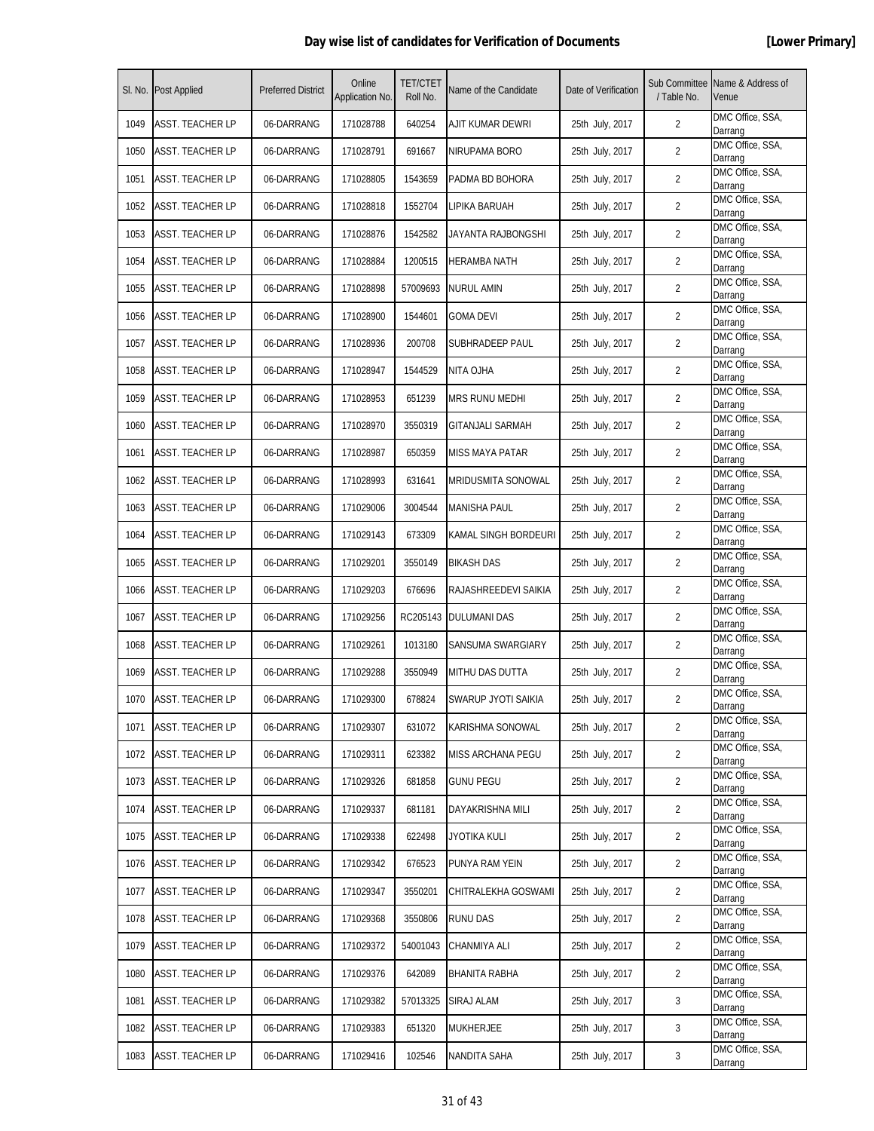| SI. No. | <b>Post Applied</b>     | <b>Preferred District</b> | Online<br>Application No. | <b>TET/CTET</b><br>Roll No. | Name of the Candidate     | Date of Verification | / Table No.    | Sub Committee Name & Address of<br>Venue |
|---------|-------------------------|---------------------------|---------------------------|-----------------------------|---------------------------|----------------------|----------------|------------------------------------------|
| 1049    | ASST. TEACHER LP        | 06-DARRANG                | 171028788                 | 640254                      | AJIT KUMAR DEWRI          | 25th July, 2017      | $\overline{2}$ | DMC Office, SSA,<br>Darrang              |
| 1050    | <b>ASST. TEACHER LP</b> | 06-DARRANG                | 171028791                 | 691667                      | NIRUPAMA BORO             | 25th July, 2017      | $\overline{2}$ | DMC Office, SSA,<br>Darrang              |
| 1051    | <b>ASST. TEACHER LP</b> | 06-DARRANG                | 171028805                 | 1543659                     | PADMA BD BOHORA           | 25th July, 2017      | 2              | DMC Office, SSA,<br>Darrang              |
| 1052    | ASST. TEACHER LP        | 06-DARRANG                | 171028818                 | 1552704                     | LIPIKA BARUAH             | 25th July, 2017      | 2              | DMC Office, SSA,<br>Darrang              |
| 1053    | <b>ASST. TEACHER LP</b> | 06-DARRANG                | 171028876                 | 1542582                     | JAYANTA RAJBONGSHI        | 25th July, 2017      | $\overline{2}$ | DMC Office, SSA,<br>Darrang              |
| 1054    | ASST. TEACHER LP        | 06-DARRANG                | 171028884                 | 1200515                     | HERAMBA NATH              | 25th July, 2017      | 2              | DMC Office, SSA,<br>Darrang              |
| 1055    | ASST. TEACHER LP        | 06-DARRANG                | 171028898                 | 57009693                    | <b>NURUL AMIN</b>         | 25th July, 2017      | $\overline{2}$ | DMC Office, SSA,<br>Darrang              |
| 1056    | <b>ASST. TEACHER LP</b> | 06-DARRANG                | 171028900                 | 1544601                     | <b>GOMA DEVI</b>          | 25th July, 2017      | $\overline{2}$ | DMC Office, SSA,<br>Darrang              |
| 1057    | ASST. TEACHER LP        | 06-DARRANG                | 171028936                 | 200708                      | SUBHRADEEP PAUL           | 25th July, 2017      | $\overline{2}$ | DMC Office, SSA,<br>Darrang              |
| 1058    | ASST. TEACHER LP        | 06-DARRANG                | 171028947                 | 1544529                     | NITA OJHA                 | 25th July, 2017      | 2              | DMC Office, SSA,<br>Darrang              |
| 1059    | <b>ASST. TEACHER LP</b> | 06-DARRANG                | 171028953                 | 651239                      | MRS RUNU MEDHI            | 25th July, 2017      | 2              | DMC Office, SSA,<br>Darrang              |
| 1060    | <b>ASST. TEACHER LP</b> | 06-DARRANG                | 171028970                 | 3550319                     | <b>GITANJALI SARMAH</b>   | 25th July, 2017      | 2              | DMC Office, SSA,<br>Darrang              |
| 1061    | <b>ASST. TEACHER LP</b> | 06-DARRANG                | 171028987                 | 650359                      | <b>MISS MAYA PATAR</b>    | 25th July, 2017      | $\overline{2}$ | DMC Office, SSA,<br>Darrang              |
| 1062    | ASST. TEACHER LP        | 06-DARRANG                | 171028993                 | 631641                      | <b>MRIDUSMITA SONOWAL</b> | 25th July, 2017      | $\overline{2}$ | DMC Office, SSA,<br>Darrang              |
| 1063    | ASST. TEACHER LP        | 06-DARRANG                | 171029006                 | 3004544                     | <b>MANISHA PAUL</b>       | 25th July, 2017      | 2              | DMC Office, SSA,<br>Darrang              |
| 1064    | ASST. TEACHER LP        | 06-DARRANG                | 171029143                 | 673309                      | KAMAL SINGH BORDEURI      | 25th July, 2017      | 2              | DMC Office, SSA,<br>Darrang              |
| 1065    | <b>ASST. TEACHER LP</b> | 06-DARRANG                | 171029201                 | 3550149                     | <b>BIKASH DAS</b>         | 25th July, 2017      | 2              | DMC Office, SSA,<br>Darrang              |
| 1066    | <b>ASST. TEACHER LP</b> | 06-DARRANG                | 171029203                 | 676696                      | RAJASHREEDEVI SAIKIA      | 25th July, 2017      | $\overline{2}$ | DMC Office, SSA,<br>Darrang              |
| 1067    | <b>ASST. TEACHER LP</b> | 06-DARRANG                | 171029256                 | RC205143                    | <b>DULUMANI DAS</b>       | 25th July, 2017      | 2              | DMC Office, SSA,<br>Darrang              |
| 1068    | ASST. TEACHER LP        | 06-DARRANG                | 171029261                 | 1013180                     | SANSUMA SWARGIARY         | 25th July, 2017      | 2              | DMC Office, SSA,<br>Darrang              |
| 1069    | ASST. TEACHER LP        | 06-DARRANG                | 171029288                 | 3550949                     | MITHU DAS DUTTA           | 25th July, 2017      | $\overline{2}$ | DMC Office, SSA,<br>Darrang              |
| 1070    | <b>ASST. TEACHER LP</b> | 06-DARRANG                | 171029300                 | 678824                      | SWARUP JYOTI SAIKIA       | 25th July, 2017      | $\overline{2}$ | DMC Office, SSA,<br>Darrang              |
| 1071    | ASST. TEACHER LP        | 06-DARRANG                | 171029307                 | 631072                      | KARISHMA SONOWAL          | 25th July, 2017      | $\overline{2}$ | DMC Office, SSA,<br>Darrang              |
| 1072    | <b>ASST. TEACHER LP</b> | 06-DARRANG                | 171029311                 | 623382                      | MISS ARCHANA PEGU         | 25th July, 2017      | 2              | DMC Office, SSA,<br>Darrang              |
| 1073    | <b>ASST. TEACHER LP</b> | 06-DARRANG                | 171029326                 | 681858                      | <b>GUNU PEGU</b>          | 25th July, 2017      | $\overline{2}$ | DMC Office, SSA,<br>Darrang              |
| 1074    | ASST. TEACHER LP        | 06-DARRANG                | 171029337                 | 681181                      | DAYAKRISHNA MILI          | 25th July, 2017      | $\overline{2}$ | DMC Office, SSA,<br>Darrang              |
| 1075    | <b>ASST. TEACHER LP</b> | 06-DARRANG                | 171029338                 | 622498                      | JYOTIKA KULI              | 25th July, 2017      | 2              | DMC Office, SSA,<br>Darrang              |
| 1076    | <b>ASST. TEACHER LP</b> | 06-DARRANG                | 171029342                 | 676523                      | PUNYA RAM YEIN            | 25th July, 2017      | $\overline{2}$ | DMC Office, SSA,<br>Darrang              |
| 1077    | <b>ASST. TEACHER LP</b> | 06-DARRANG                | 171029347                 | 3550201                     | CHITRALEKHA GOSWAMI       | 25th July, 2017      | 2              | DMC Office, SSA,<br>Darrang              |
| 1078    | <b>ASST. TEACHER LP</b> | 06-DARRANG                | 171029368                 | 3550806                     | <b>RUNU DAS</b>           | 25th July, 2017      | 2              | DMC Office, SSA,<br>Darrang              |
| 1079    | ASST. TEACHER LP        | 06-DARRANG                | 171029372                 | 54001043                    | CHANMIYA ALI              | 25th July, 2017      | $\overline{2}$ | DMC Office, SSA,<br>Darrang              |
| 1080    | <b>ASST. TEACHER LP</b> | 06-DARRANG                | 171029376                 | 642089                      | BHANITA RABHA             | 25th July, 2017      | 2              | DMC Office, SSA,<br>Darrang              |
| 1081    | <b>ASST. TEACHER LP</b> | 06-DARRANG                | 171029382                 | 57013325                    | SIRAJ ALAM                | 25th July, 2017      | 3              | DMC Office, SSA,<br>Darrang              |
| 1082    | ASST. TEACHER LP        | 06-DARRANG                | 171029383                 | 651320                      | <b>MUKHERJEE</b>          | 25th July, 2017      | 3              | DMC Office, SSA,<br>Darrang              |
| 1083    | <b>ASST. TEACHER LP</b> | 06-DARRANG                | 171029416                 | 102546                      | NANDITA SAHA              | 25th July, 2017      | 3              | DMC Office, SSA,<br>Darrang              |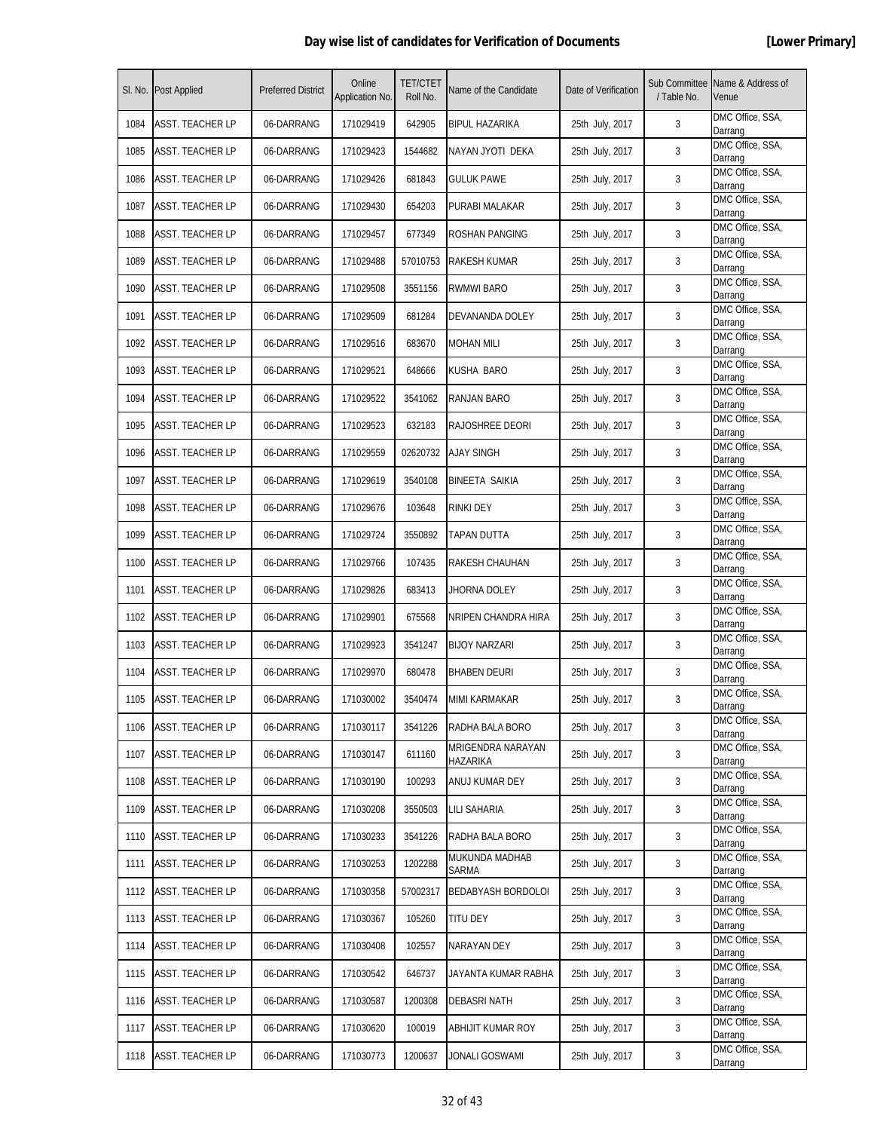| SI. No. | <b>Post Applied</b>     | <b>Preferred District</b> | Online<br>Application No. | <b>TET/CTET</b><br>Roll No. | Name of the Candidate         | Date of Verification | / Table No. | Sub Committee Name & Address of<br>Venue |
|---------|-------------------------|---------------------------|---------------------------|-----------------------------|-------------------------------|----------------------|-------------|------------------------------------------|
| 1084    | ASST. TEACHER LP        | 06-DARRANG                | 171029419                 | 642905                      | BIPUL HAZARIKA                | 25th July, 2017      | 3           | DMC Office, SSA,<br>Darrang              |
| 1085    | ASST. TEACHER LP        | 06-DARRANG                | 171029423                 | 1544682                     | NAYAN JYOTI DEKA              | 25th July, 2017      | 3           | DMC Office, SSA,<br>Darrang              |
| 1086    | <b>ASST. TEACHER LP</b> | 06-DARRANG                | 171029426                 | 681843                      | <b>GULUK PAWE</b>             | 25th July, 2017      | 3           | DMC Office, SSA,<br>Darrang              |
| 1087    | ASST. TEACHER LP        | 06-DARRANG                | 171029430                 | 654203                      | PURABI MALAKAR                | 25th July, 2017      | 3           | DMC Office, SSA,<br>Darrang              |
| 1088    | ASST. TEACHER LP        | 06-DARRANG                | 171029457                 | 677349                      | ROSHAN PANGING                | 25th July, 2017      | 3           | DMC Office, SSA,<br>Darrang              |
| 1089    | ASST. TEACHER LP        | 06-DARRANG                | 171029488                 | 57010753                    | RAKESH KUMAR                  | 25th July, 2017      | 3           | DMC Office, SSA,<br>Darrang              |
| 1090    | <b>ASST. TEACHER LP</b> | 06-DARRANG                | 171029508                 | 3551156                     | <b>RWMWI BARO</b>             | 25th July, 2017      | 3           | DMC Office, SSA,<br>Darrang              |
| 1091    | <b>ASST. TEACHER LP</b> | 06-DARRANG                | 171029509                 | 681284                      | DEVANANDA DOLEY               | 25th July, 2017      | 3           | DMC Office, SSA,<br>Darrang              |
| 1092    | ASST. TEACHER LP        | 06-DARRANG                | 171029516                 | 683670                      | <b>MOHAN MILI</b>             | 25th July, 2017      | 3           | DMC Office, SSA,<br>Darrang              |
| 1093    | ASST. TEACHER LP        | 06-DARRANG                | 171029521                 | 648666                      | KUSHA BARO                    | 25th July, 2017      | 3           | DMC Office, SSA,<br>Darrang              |
| 1094    | <b>ASST. TEACHER LP</b> | 06-DARRANG                | 171029522                 | 3541062                     | RANJAN BARO                   | 25th July, 2017      | 3           | DMC Office, SSA,<br>Darrang              |
| 1095    | ASST. TEACHER LP        | 06-DARRANG                | 171029523                 | 632183                      | RAJOSHREE DEORI               | 25th July, 2017      | 3           | DMC Office, SSA,<br>Darrang              |
| 1096    | <b>ASST. TEACHER LP</b> | 06-DARRANG                | 171029559                 | 02620732                    | <b>AJAY SINGH</b>             | 25th July, 2017      | 3           | DMC Office, SSA,<br>Darrang              |
| 1097    | ASST. TEACHER LP        | 06-DARRANG                | 171029619                 | 3540108                     | <b>BINEETA SAIKIA</b>         | 25th July, 2017      | 3           | DMC Office, SSA,<br>Darrang              |
| 1098    | ASST. TEACHER LP        | 06-DARRANG                | 171029676                 | 103648                      | RINKI DEY                     | 25th July, 2017      | 3           | DMC Office, SSA,<br>Darrang              |
| 1099    | ASST. TEACHER LP        | 06-DARRANG                | 171029724                 | 3550892                     | TAPAN DUTTA                   | 25th July, 2017      | 3           | DMC Office, SSA,<br>Darrang              |
| 1100    | <b>ASST. TEACHER LP</b> | 06-DARRANG                | 171029766                 | 107435                      | RAKESH CHAUHAN                | 25th July, 2017      | 3           | DMC Office, SSA,<br>Darrang              |
| 1101    | <b>ASST. TEACHER LP</b> | 06-DARRANG                | 171029826                 | 683413                      | JHORNA DOLEY                  | 25th July, 2017      | 3           | DMC Office, SSA,<br>Darrang              |
| 1102    | <b>ASST. TEACHER LP</b> | 06-DARRANG                | 171029901                 | 675568                      | NRIPEN CHANDRA HIRA           | 25th July, 2017      | 3           | DMC Office, SSA,<br>Darrang              |
| 1103    | ASST. TEACHER LP        | 06-DARRANG                | 171029923                 | 3541247                     | <b>BIJOY NARZARI</b>          | 25th July, 2017      | 3           | DMC Office, SSA,<br>Darrang              |
| 1104    | ASST. TEACHER LP        | 06-DARRANG                | 171029970                 | 680478                      | <b>BHABEN DEURI</b>           | 25th July, 2017      | 3           | DMC Office, SSA,<br>Darrang              |
| 1105    | <b>ASST. TEACHER LP</b> | 06-DARRANG                | 171030002                 | 3540474                     | <b>MIMI KARMAKAR</b>          | 25th July, 2017      | 3           | DMC Office, SSA,<br>Darrang              |
| 1106    | ASST. TEACHER LP        | 06-DARRANG                | 171030117                 | 3541226                     | RADHA BALA BORO               | 25th July, 2017      | 3           | DMC Office, SSA,<br>Darrang              |
| 1107    | <b>ASST. TEACHER LP</b> | 06-DARRANG                | 171030147                 | 611160                      | MRIGENDRA NARAYAN<br>HAZARIKA | 25th July, 2017      | 3           | DMC Office, SSA,<br>Darrang              |
| 1108    | <b>ASST. TEACHER LP</b> | 06-DARRANG                | 171030190                 | 100293                      | ANUJ KUMAR DEY                | 25th July, 2017      | 3           | DMC Office, SSA,<br>Darrang              |
| 1109    | ASST. TEACHER LP        | 06-DARRANG                | 171030208                 | 3550503                     | LILI SAHARIA                  | 25th July, 2017      | 3           | DMC Office, SSA,<br>Darrang              |
| 1110    | <b>ASST. TEACHER LP</b> | 06-DARRANG                | 171030233                 | 3541226                     | RADHA BALA BORO               | 25th July, 2017      | 3           | DMC Office, SSA,<br>Darrang              |
| 1111    | <b>ASST. TEACHER LP</b> | 06-DARRANG                | 171030253                 | 1202288                     | MUKUNDA MADHAB<br>SARMA       | 25th July, 2017      | 3           | DMC Office, SSA,<br>Darrang              |
| 1112    | <b>ASST. TEACHER LP</b> | 06-DARRANG                | 171030358                 | 57002317                    | <b>BEDABYASH BORDOLOI</b>     | 25th July, 2017      | 3           | DMC Office, SSA,<br>Darrang              |
| 1113    | <b>ASST. TEACHER LP</b> | 06-DARRANG                | 171030367                 | 105260                      | TITU DEY                      | 25th July, 2017      | 3           | DMC Office, SSA,<br>Darrang              |
| 1114    | ASST. TEACHER LP        | 06-DARRANG                | 171030408                 | 102557                      | NARAYAN DEY                   | 25th July, 2017      | 3           | DMC Office, SSA,<br>Darrang              |
| 1115    | <b>ASST. TEACHER LP</b> | 06-DARRANG                | 171030542                 | 646737                      | JAYANTA KUMAR RABHA           | 25th July, 2017      | 3           | DMC Office, SSA,<br>Darrang              |
| 1116    | <b>ASST. TEACHER LP</b> | 06-DARRANG                | 171030587                 | 1200308                     | <b>DEBASRI NATH</b>           | 25th July, 2017      | 3           | DMC Office, SSA,<br>Darrang              |
| 1117    | ASST. TEACHER LP        | 06-DARRANG                | 171030620                 | 100019                      | ABHIJIT KUMAR ROY             | 25th July, 2017      | 3           | DMC Office, SSA,<br>Darrang              |
| 1118    | <b>ASST. TEACHER LP</b> | 06-DARRANG                | 171030773                 | 1200637                     | JONALI GOSWAMI                | 25th July, 2017      | 3           | DMC Office, SSA,<br>Darrang              |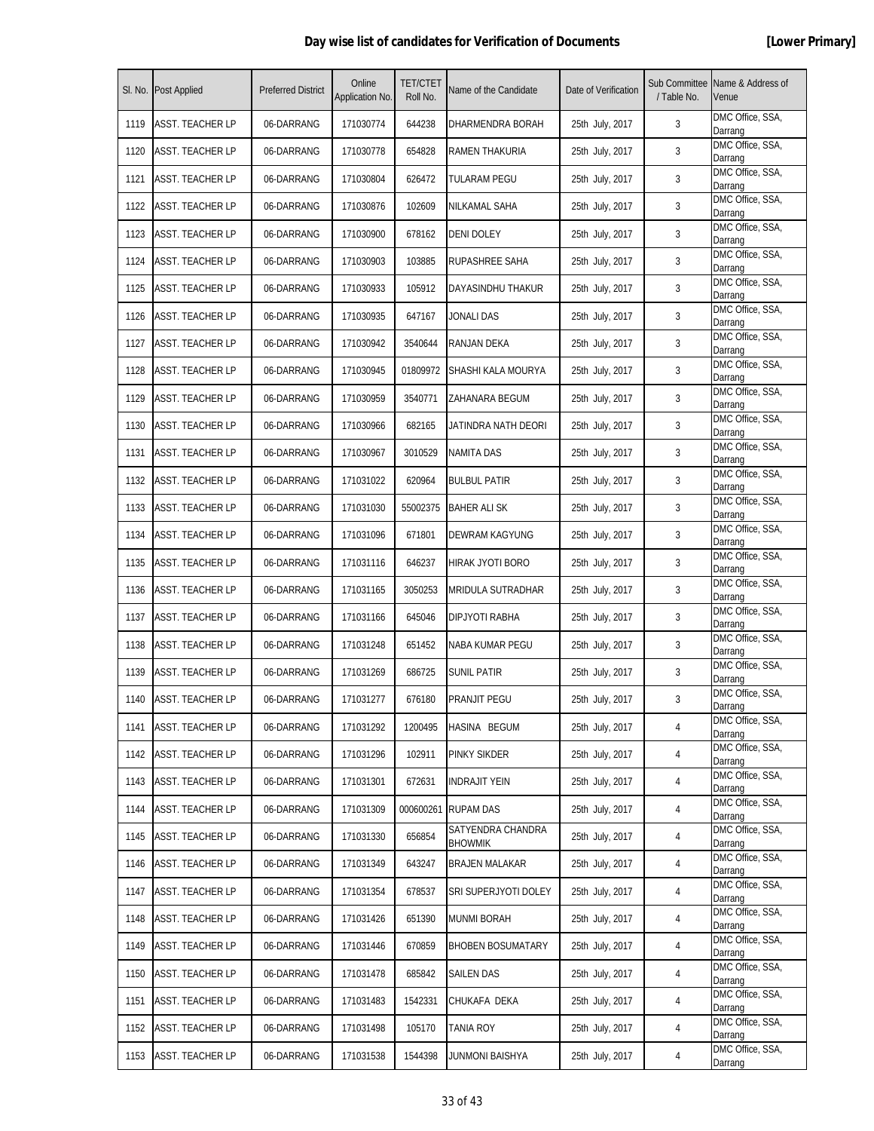| SI. No. | <b>Post Applied</b>     | <b>Preferred District</b> | Online<br>Application No. | <b>TET/CTET</b><br>Roll No. | Name of the Candidate               | Date of Verification | / Table No. | Sub Committee Name & Address of<br>Venue |
|---------|-------------------------|---------------------------|---------------------------|-----------------------------|-------------------------------------|----------------------|-------------|------------------------------------------|
| 1119    | <b>ASST. TEACHER LP</b> | 06-DARRANG                | 171030774                 | 644238                      | DHARMENDRA BORAH                    | 25th July, 2017      | 3           | DMC Office, SSA,<br>Darrang              |
| 1120    | ASST. TEACHER LP        | 06-DARRANG                | 171030778                 | 654828                      | RAMEN THAKURIA                      | 25th July, 2017      | 3           | DMC Office, SSA,<br>Darrang              |
| 1121    | <b>ASST. TEACHER LP</b> | 06-DARRANG                | 171030804                 | 626472                      | TULARAM PEGU                        | 25th July, 2017      | 3           | DMC Office, SSA,<br>Darrang              |
| 1122    | ASST. TEACHER LP        | 06-DARRANG                | 171030876                 | 102609                      | NILKAMAL SAHA                       | 25th July, 2017      | 3           | DMC Office, SSA,<br>Darrang              |
| 1123    | <b>ASST. TEACHER LP</b> | 06-DARRANG                | 171030900                 | 678162                      | DENI DOLEY                          | 25th July, 2017      | 3           | DMC Office, SSA,<br>Darrang              |
| 1124    | ASST. TEACHER LP        | 06-DARRANG                | 171030903                 | 103885                      | RUPASHREE SAHA                      | 25th July, 2017      | 3           | DMC Office, SSA,<br>Darrang              |
| 1125    | ASST. TEACHER LP        | 06-DARRANG                | 171030933                 | 105912                      | DAYASINDHU THAKUR                   | 25th July, 2017      | 3           | DMC Office, SSA,<br>Darrang              |
| 1126    | ASST. TEACHER LP        | 06-DARRANG                | 171030935                 | 647167                      | JONALI DAS                          | 25th July, 2017      | 3           | DMC Office, SSA,<br>Darrang              |
| 1127    | <b>ASST. TEACHER LP</b> | 06-DARRANG                | 171030942                 | 3540644                     | RANJAN DEKA                         | 25th July, 2017      | 3           | DMC Office, SSA,<br>Darrang              |
| 1128    | <b>ASST. TEACHER LP</b> | 06-DARRANG                | 171030945                 | 01809972                    | SHASHI KALA MOURYA                  | 25th July, 2017      | 3           | DMC Office, SSA,<br>Darrang              |
| 1129    | ASST. TEACHER LP        | 06-DARRANG                | 171030959                 | 3540771                     | ZAHANARA BEGUM                      | 25th July, 2017      | 3           | DMC Office, SSA,<br>Darrang              |
| 1130    | ASST. TEACHER LP        | 06-DARRANG                | 171030966                 | 682165                      | JATINDRA NATH DEORI                 | 25th July, 2017      | 3           | DMC Office, SSA,<br>Darrang              |
| 1131    | <b>ASST. TEACHER LP</b> | 06-DARRANG                | 171030967                 | 3010529                     | NAMITA DAS                          | 25th July, 2017      | 3           | DMC Office, SSA,<br>Darrang              |
| 1132    | ASST. TEACHER LP        | 06-DARRANG                | 171031022                 | 620964                      | <b>BULBUL PATIR</b>                 | 25th July, 2017      | 3           | DMC Office, SSA,<br>Darrang              |
| 1133    | ASST. TEACHER LP        | 06-DARRANG                | 171031030                 | 55002375                    | <b>BAHER ALI SK</b>                 | 25th July, 2017      | 3           | DMC Office, SSA,<br>Darrang              |
| 1134    | ASST. TEACHER LP        | 06-DARRANG                | 171031096                 | 671801                      | DEWRAM KAGYUNG                      | 25th July, 2017      | 3           | DMC Office, SSA,<br>Darrang              |
| 1135    | ASST. TEACHER LP        | 06-DARRANG                | 171031116                 | 646237                      | HIRAK JYOTI BORO                    | 25th July, 2017      | 3           | DMC Office, SSA,<br>Darrang              |
| 1136    | ASST. TEACHER LP        | 06-DARRANG                | 171031165                 | 3050253                     | MRIDULA SUTRADHAR                   | 25th July, 2017      | 3           | DMC Office, SSA,<br>Darrang              |
| 1137    | <b>ASST. TEACHER LP</b> | 06-DARRANG                | 171031166                 | 645046                      | DIPJYOTI RABHA                      | 25th July, 2017      | 3           | DMC Office, SSA,<br>Darrang              |
| 1138    | ASST. TEACHER LP        | 06-DARRANG                | 171031248                 | 651452                      | NABA KUMAR PEGU                     | 25th July, 2017      | 3           | DMC Office, SSA,<br>Darrang              |
| 1139    | ASST. TEACHER LP        | 06-DARRANG                | 171031269                 | 686725                      | SUNIL PATIR                         | 25th July, 2017      | 3           | DMC Office, SSA,<br>Darrang              |
| 1140    | <b>ASST. TEACHER LP</b> | 06-DARRANG                | 171031277                 | 676180                      | <b>PRANJIT PEGU</b>                 | 25th July, 2017      | 3           | DMC Office, SSA,<br>Darrang              |
| 1141    | ASST. TEACHER LP        | 06-DARRANG                | 171031292                 | 1200495                     | HASINA BEGUM                        | 25th July, 2017      | 4           | DMC Office, SSA,<br>Darrang              |
| 1142    | <b>ASST. TEACHER LP</b> | 06-DARRANG                | 171031296                 | 102911                      | PINKY SIKDER                        | 25th July, 2017      | 4           | DMC Office, SSA,<br>Darrang              |
| 1143    | <b>ASST. TEACHER LP</b> | 06-DARRANG                | 171031301                 | 672631                      | <b>INDRAJIT YEIN</b>                | 25th July, 2017      | 4           | DMC Office, SSA,<br>Darrang              |
| 1144    | ASST. TEACHER LP        | 06-DARRANG                | 171031309                 | 000600261                   | <b>RUPAM DAS</b>                    | 25th July, 2017      | 4           | DMC Office, SSA,<br>Darrang              |
| 1145    | <b>ASST. TEACHER LP</b> | 06-DARRANG                | 171031330                 | 656854                      | SATYENDRA CHANDRA<br><b>BHOWMIK</b> | 25th July, 2017      | 4           | DMC Office, SSA,<br>Darrang              |
| 1146    | <b>ASST. TEACHER LP</b> | 06-DARRANG                | 171031349                 | 643247                      | <b>BRAJEN MALAKAR</b>               | 25th July, 2017      | 4           | DMC Office, SSA,<br>Darrang              |
| 1147    | <b>ASST. TEACHER LP</b> | 06-DARRANG                | 171031354                 | 678537                      | SRI SUPERJYOTI DOLEY                | 25th July, 2017      | 4           | DMC Office, SSA,<br>Darrang              |
| 1148    | <b>ASST. TEACHER LP</b> | 06-DARRANG                | 171031426                 | 651390                      | <b>MUNMI BORAH</b>                  | 25th July, 2017      | 4           | DMC Office, SSA,<br>Darrang              |
| 1149    | ASST. TEACHER LP        | 06-DARRANG                | 171031446                 | 670859                      | <b>BHOBEN BOSUMATARY</b>            | 25th July, 2017      | 4           | DMC Office, SSA,<br>Darrang              |
| 1150    | <b>ASST. TEACHER LP</b> | 06-DARRANG                | 171031478                 | 685842                      | SAILEN DAS                          | 25th July, 2017      | 4           | DMC Office, SSA,<br>Darrang              |
| 1151    | <b>ASST. TEACHER LP</b> | 06-DARRANG                | 171031483                 | 1542331                     | CHUKAFA DEKA                        | 25th July, 2017      | 4           | DMC Office, SSA,<br>Darrang              |
| 1152    | <b>ASST. TEACHER LP</b> | 06-DARRANG                | 171031498                 | 105170                      | <b>TANIA ROY</b>                    | 25th July, 2017      | 4           | DMC Office, SSA,<br>Darrang              |
| 1153    | ASST. TEACHER LP        | 06-DARRANG                | 171031538                 | 1544398                     | JUNMONI BAISHYA                     | 25th July, 2017      | 4           | DMC Office, SSA,<br>Darrang              |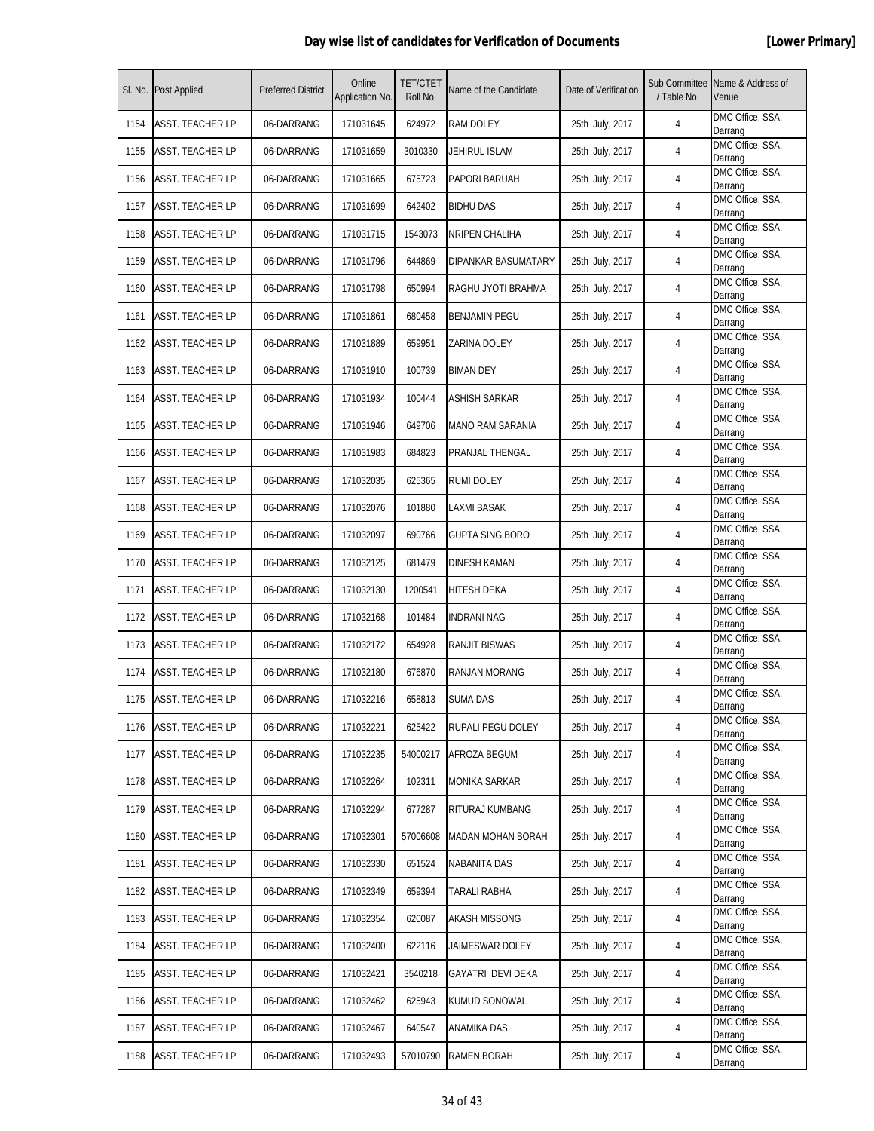| SI. No. | <b>Post Applied</b>     | <b>Preferred District</b> | Online<br>Application No. | <b>TET/CTET</b><br>Roll No. | Name of the Candidate   | Date of Verification | / Table No. | Sub Committee Name & Address of<br>Venue |
|---------|-------------------------|---------------------------|---------------------------|-----------------------------|-------------------------|----------------------|-------------|------------------------------------------|
| 1154    | ASST. TEACHER LP        | 06-DARRANG                | 171031645                 | 624972                      | RAM DOLEY               | 25th July, 2017      | 4           | DMC Office, SSA,<br>Darrang              |
| 1155    | <b>ASST. TEACHER LP</b> | 06-DARRANG                | 171031659                 | 3010330                     | <b>JEHIRUL ISLAM</b>    | 25th July, 2017      | 4           | DMC Office, SSA,<br>Darrang              |
| 1156    | <b>ASST. TEACHER LP</b> | 06-DARRANG                | 171031665                 | 675723                      | PAPORI BARUAH           | 25th July, 2017      | 4           | DMC Office, SSA,<br>Darrang              |
| 1157    | <b>ASST. TEACHER LP</b> | 06-DARRANG                | 171031699                 | 642402                      | <b>BIDHU DAS</b>        | 25th July, 2017      | 4           | DMC Office, SSA,<br>Darrang              |
| 1158    | ASST. TEACHER LP        | 06-DARRANG                | 171031715                 | 1543073                     | NRIPEN CHALIHA          | 25th July, 2017      | 4           | DMC Office, SSA,<br>Darrang              |
| 1159    | <b>ASST. TEACHER LP</b> | 06-DARRANG                | 171031796                 | 644869                      | DIPANKAR BASUMATARY     | 25th July, 2017      | 4           | DMC Office, SSA,<br>Darrang              |
| 1160    | <b>ASST. TEACHER LP</b> | 06-DARRANG                | 171031798                 | 650994                      | RAGHU JYOTI BRAHMA      | 25th July, 2017      | 4           | DMC Office, SSA,<br>Darrang              |
| 1161    | <b>ASST. TEACHER LP</b> | 06-DARRANG                | 171031861                 | 680458                      | <b>BENJAMIN PEGU</b>    | 25th July, 2017      | 4           | DMC Office, SSA,<br>Darrang              |
| 1162    | ASST. TEACHER LP        | 06-DARRANG                | 171031889                 | 659951                      | ZARINA DOLEY            | 25th July, 2017      | 4           | DMC Office, SSA,<br>Darrang              |
| 1163    | ASST. TEACHER LP        | 06-DARRANG                | 171031910                 | 100739                      | <b>BIMAN DEY</b>        | 25th July, 2017      | 4           | DMC Office, SSA,<br>Darrang              |
| 1164    | <b>ASST. TEACHER LP</b> | 06-DARRANG                | 171031934                 | 100444                      | ASHISH SARKAR           | 25th July, 2017      | 4           | DMC Office, SSA,<br>Darrang              |
| 1165    | ASST. TEACHER LP        | 06-DARRANG                | 171031946                 | 649706                      | <b>MANO RAM SARANIA</b> | 25th July, 2017      | 4           | DMC Office, SSA,<br>Darrang              |
| 1166    | <b>ASST. TEACHER LP</b> | 06-DARRANG                | 171031983                 | 684823                      | PRANJAL THENGAL         | 25th July, 2017      | 4           | DMC Office, SSA,<br>Darrang              |
| 1167    | <b>ASST. TEACHER LP</b> | 06-DARRANG                | 171032035                 | 625365                      | <b>RUMI DOLEY</b>       | 25th July, 2017      | 4           | DMC Office, SSA,<br>Darrang              |
| 1168    | ASST. TEACHER LP        | 06-DARRANG                | 171032076                 | 101880                      | LAXMI BASAK             | 25th July, 2017      | 4           | DMC Office, SSA,<br>Darrang              |
| 1169    | <b>ASST. TEACHER LP</b> | 06-DARRANG                | 171032097                 | 690766                      | <b>GUPTA SING BORO</b>  | 25th July, 2017      | 4           | DMC Office, SSA,<br>Darrang              |
| 1170    | <b>ASST. TEACHER LP</b> | 06-DARRANG                | 171032125                 | 681479                      | <b>DINESH KAMAN</b>     | 25th July, 2017      | 4           | DMC Office, SSA,<br>Darrang              |
| 1171    | <b>ASST. TEACHER LP</b> | 06-DARRANG                | 171032130                 | 1200541                     | <b>HITESH DEKA</b>      | 25th July, 2017      | 4           | DMC Office, SSA,<br>Darrang              |
| 1172    | <b>ASST. TEACHER LP</b> | 06-DARRANG                | 171032168                 | 101484                      | <b>INDRANI NAG</b>      | 25th July, 2017      | 4           | DMC Office, SSA,<br>Darrang              |
| 1173    | ASST. TEACHER LP        | 06-DARRANG                | 171032172                 | 654928                      | <b>RANJIT BISWAS</b>    | 25th July, 2017      | 4           | DMC Office, SSA,<br>Darrang              |
| 1174    | ASST. TEACHER LP        | 06-DARRANG                | 171032180                 | 676870                      | RANJAN MORANG           | 25th July, 2017      | 4           | DMC Office, SSA,<br>Darrang              |
| 1175    | <b>ASST. TEACHER LP</b> | 06-DARRANG                | 171032216                 | 658813                      | <b>SUMA DAS</b>         | 25th July, 2017      | 4           | DMC Office, SSA,<br>Darrang              |
| 1176    | <b>ASST. TEACHER LP</b> | 06-DARRANG                | 171032221                 | 625422                      | RUPALI PEGU DOLEY       | 25th July, 2017      | 4           | DMC Office, SSA,<br>Darrang              |
| 1177    | <b>ASST. TEACHER LP</b> | 06-DARRANG                | 171032235                 | 54000217                    | AFROZA BEGUM            | 25th July, 2017      | 4           | DMC Office, SSA,<br>Darrang              |
| 1178    | <b>ASST. TEACHER LP</b> | 06-DARRANG                | 171032264                 | 102311                      | <b>MONIKA SARKAR</b>    | 25th July, 2017      | 4           | DMC Office, SSA,<br>Darrang              |
| 1179    | ASST. TEACHER LP        | 06-DARRANG                | 171032294                 | 677287                      | RITURAJ KUMBANG         | 25th July, 2017      | 4           | DMC Office, SSA,<br>Darrang              |
| 1180    | <b>ASST. TEACHER LP</b> | 06-DARRANG                | 171032301                 | 57006608                    | MADAN MOHAN BORAH       | 25th July, 2017      | 4           | DMC Office, SSA,<br>Darrang              |
| 1181    | <b>ASST. TEACHER LP</b> | 06-DARRANG                | 171032330                 | 651524                      | NABANITA DAS            | 25th July, 2017      | 4           | DMC Office, SSA,<br>Darrang              |
| 1182    | <b>ASST. TEACHER LP</b> | 06-DARRANG                | 171032349                 | 659394                      | TARALI RABHA            | 25th July, 2017      | 4           | DMC Office, SSA,<br>Darrang              |
| 1183    | <b>ASST. TEACHER LP</b> | 06-DARRANG                | 171032354                 | 620087                      | AKASH MISSONG           | 25th July, 2017      | 4           | DMC Office, SSA,<br>Darrang              |
| 1184    | ASST. TEACHER LP        | 06-DARRANG                | 171032400                 | 622116                      | JAIMESWAR DOLEY         | 25th July, 2017      | 4           | DMC Office, SSA,<br>Darrang              |
| 1185    | <b>ASST. TEACHER LP</b> | 06-DARRANG                | 171032421                 | 3540218                     | GAYATRI DEVI DEKA       | 25th July, 2017      | 4           | DMC Office, SSA,<br>Darrang              |
| 1186    | ASST. TEACHER LP        | 06-DARRANG                | 171032462                 | 625943                      | KUMUD SONOWAL           | 25th July, 2017      | 4           | DMC Office, SSA,<br>Darrang              |
| 1187    | ASST. TEACHER LP        | 06-DARRANG                | 171032467                 | 640547                      | ANAMIKA DAS             | 25th July, 2017      | 4           | DMC Office, SSA,<br>Darrang              |
| 1188    | <b>ASST. TEACHER LP</b> | 06-DARRANG                | 171032493                 | 57010790                    | <b>RAMEN BORAH</b>      | 25th July, 2017      | 4           | DMC Office, SSA,<br>Darrang              |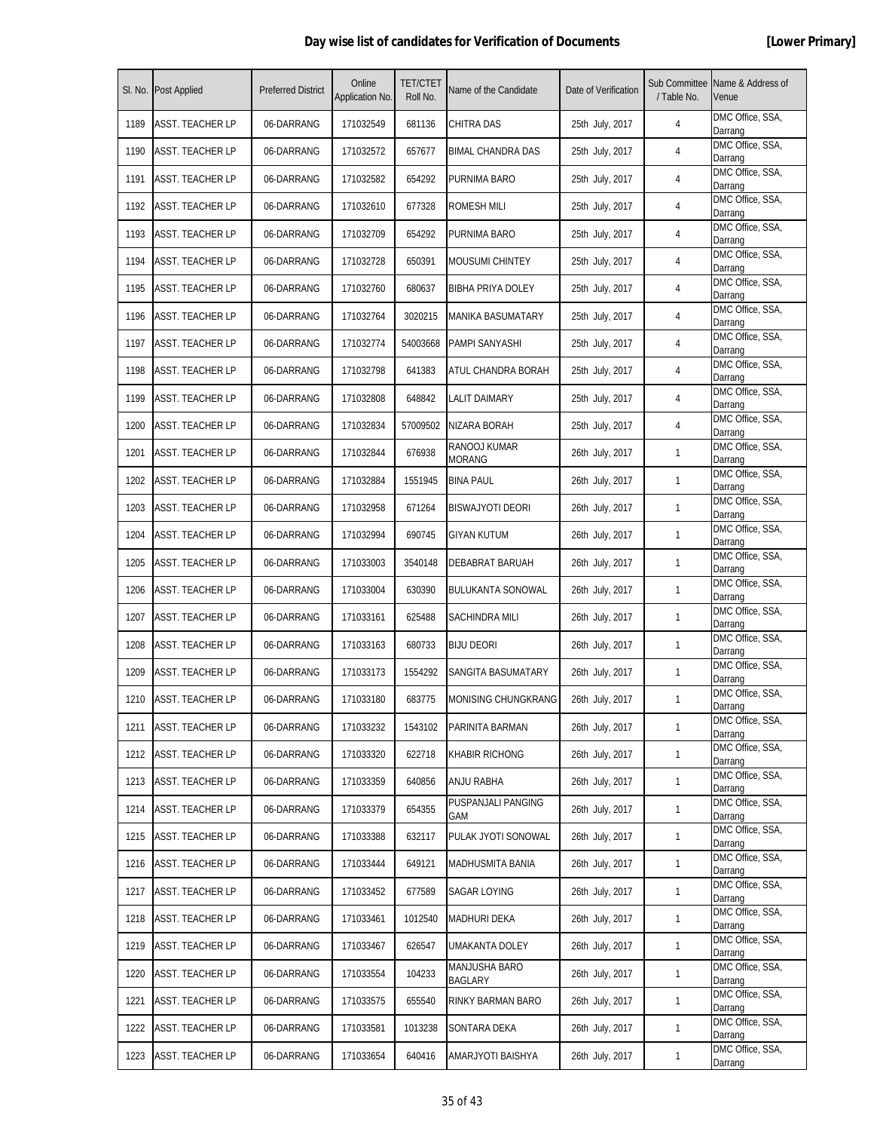| SI. No. | <b>Post Applied</b>     | <b>Preferred District</b> | Online<br>Application No. | <b>TET/CTET</b><br>Roll No. | Name of the Candidate         | Date of Verification | Sub Committee<br>/ Table No. | Name & Address of<br>Venue  |
|---------|-------------------------|---------------------------|---------------------------|-----------------------------|-------------------------------|----------------------|------------------------------|-----------------------------|
| 1189    | <b>ASST. TEACHER LP</b> | 06-DARRANG                | 171032549                 | 681136                      | <b>CHITRA DAS</b>             | 25th July, 2017      | 4                            | DMC Office, SSA,<br>Darrang |
| 1190    | ASST. TEACHER LP        | 06-DARRANG                | 171032572                 | 657677                      | <b>BIMAL CHANDRA DAS</b>      | 25th July, 2017      | 4                            | DMC Office, SSA,<br>Darrang |
| 1191    | <b>ASST. TEACHER LP</b> | 06-DARRANG                | 171032582                 | 654292                      | PURNIMA BARO                  | 25th July, 2017      | 4                            | DMC Office, SSA,<br>Darrang |
| 1192    | <b>ASST. TEACHER LP</b> | 06-DARRANG                | 171032610                 | 677328                      | <b>ROMESH MILI</b>            | 25th July, 2017      | 4                            | DMC Office, SSA,<br>Darrang |
| 1193    | <b>ASST. TEACHER LP</b> | 06-DARRANG                | 171032709                 | 654292                      | PURNIMA BARO                  | 25th July, 2017      | 4                            | DMC Office, SSA,<br>Darrang |
| 1194    | <b>ASST. TEACHER LP</b> | 06-DARRANG                | 171032728                 | 650391                      | <b>MOUSUMI CHINTEY</b>        | 25th July, 2017      | 4                            | DMC Office, SSA,<br>Darrang |
| 1195    | ASST. TEACHER LP        | 06-DARRANG                | 171032760                 | 680637                      | BIBHA PRIYA DOLEY             | 25th July, 2017      | 4                            | DMC Office, SSA,<br>Darrang |
| 1196    | <b>ASST. TEACHER LP</b> | 06-DARRANG                | 171032764                 | 3020215                     | MANIKA BASUMATARY             | 25th July, 2017      | 4                            | DMC Office, SSA,<br>Darrang |
| 1197    | <b>ASST. TEACHER LP</b> | 06-DARRANG                | 171032774                 | 54003668                    | PAMPI SANYASHI                | 25th July, 2017      | 4                            | DMC Office, SSA,<br>Darrang |
| 1198    | ASST. TEACHER LP        | 06-DARRANG                | 171032798                 | 641383                      | ATUL CHANDRA BORAH            | 25th July, 2017      | 4                            | DMC Office, SSA,<br>Darrang |
| 1199    | <b>ASST. TEACHER LP</b> | 06-DARRANG                | 171032808                 | 648842                      | LALIT DAIMARY                 | 25th July, 2017      | 4                            | DMC Office, SSA,<br>Darrang |
| 1200    | ASST. TEACHER LP        | 06-DARRANG                | 171032834                 | 57009502                    | NIZARA BORAH                  | 25th July, 2017      | 4                            | DMC Office, SSA,<br>Darrang |
| 1201    | <b>ASST. TEACHER LP</b> | 06-DARRANG                | 171032844                 | 676938                      | RANOOJ KUMAR<br><b>MORANG</b> | 26th July, 2017      | 1                            | DMC Office, SSA,<br>Darrang |
| 1202    | <b>ASST. TEACHER LP</b> | 06-DARRANG                | 171032884                 | 1551945                     | <b>BINA PAUL</b>              | 26th July, 2017      | 1                            | DMC Office, SSA,<br>Darrang |
| 1203    | ASST. TEACHER LP        | 06-DARRANG                | 171032958                 | 671264                      | <b>BISWAJYOTI DEORI</b>       | 26th July, 2017      | 1                            | DMC Office, SSA,<br>Darrang |
| 1204    | ASST. TEACHER LP        | 06-DARRANG                | 171032994                 | 690745                      | GIYAN KUTUM                   | 26th July, 2017      | 1                            | DMC Office, SSA,<br>Darrang |
| 1205    | ASST. TEACHER LP        | 06-DARRANG                | 171033003                 | 3540148                     | DEBABRAT BARUAH               | 26th July, 2017      | $\mathbf{1}$                 | DMC Office, SSA,<br>Darrang |
| 1206    | <b>ASST. TEACHER LP</b> | 06-DARRANG                | 171033004                 | 630390                      | <b>BULUKANTA SONOWAL</b>      | 26th July, 2017      | 1                            | DMC Office, SSA,<br>Darrang |
| 1207    | ASST. TEACHER LP        | 06-DARRANG                | 171033161                 | 625488                      | SACHINDRA MILI                | 26th July, 2017      | 1                            | DMC Office, SSA,<br>Darrang |
| 1208    | <b>ASST. TEACHER LP</b> | 06-DARRANG                | 171033163                 | 680733                      | <b>BIJU DEORI</b>             | 26th July, 2017      | 1                            | DMC Office, SSA,<br>Darrang |
| 1209    | ASST. TEACHER LP        | 06-DARRANG                | 171033173                 | 1554292                     | SANGITA BASUMATARY            | 26th July, 2017      | 1                            | DMC Office, SSA,<br>Darrang |
| 1210    | <b>ASST. TEACHER LP</b> | 06-DARRANG                | 171033180                 | 683775                      | MONISING CHUNGKRANG           | 26th July, 2017      | 1                            | DMC Office, SSA,<br>Darrang |
| 1211    | ASST. TEACHER LP        | 06-DARRANG                | 171033232                 | 1543102                     | PARINITA BARMAN               | 26th July, 2017      | 1                            | DMC Office, SSA,<br>Darrang |
| 1212    | <b>ASST. TEACHER LP</b> | 06-DARRANG                | 171033320                 | 622718                      | <b>KHABIR RICHONG</b>         | 26th July, 2017      | $\mathbf{1}$                 | DMC Office, SSA,<br>Darrang |
| 1213    | <b>ASST. TEACHER LP</b> | 06-DARRANG                | 171033359                 | 640856                      | ANJU RABHA                    | 26th July, 2017      | $\mathbf{1}$                 | DMC Office, SSA,<br>Darrang |
| 1214    | <b>ASST. TEACHER LP</b> | 06-DARRANG                | 171033379                 | 654355                      | PUSPANJALI PANGING<br>GAM     | 26th July, 2017      | 1                            | DMC Office, SSA,<br>Darrang |
| 1215    | <b>ASST. TEACHER LP</b> | 06-DARRANG                | 171033388                 | 632117                      | PULAK JYOTI SONOWAL           | 26th July, 2017      | 1                            | DMC Office, SSA,<br>Darrang |
| 1216    | <b>ASST. TEACHER LP</b> | 06-DARRANG                | 171033444                 | 649121                      | MADHUSMITA BANIA              | 26th July, 2017      | $\mathbf{1}$                 | DMC Office, SSA,<br>Darrang |
| 1217    | <b>ASST. TEACHER LP</b> | 06-DARRANG                | 171033452                 | 677589                      | SAGAR LOYING                  | 26th July, 2017      | $\mathbf{1}$                 | DMC Office, SSA,<br>Darrang |
| 1218    | ASST. TEACHER LP        | 06-DARRANG                | 171033461                 | 1012540                     | MADHURI DEKA                  | 26th July, 2017      | 1                            | DMC Office, SSA,<br>Darrang |
| 1219    | ASST. TEACHER LP        | 06-DARRANG                | 171033467                 | 626547                      | UMAKANTA DOLEY                | 26th July, 2017      | 1                            | DMC Office, SSA,<br>Darrang |
| 1220    | <b>ASST. TEACHER LP</b> | 06-DARRANG                | 171033554                 | 104233                      | MANJUSHA BARO<br>BAGLARY      | 26th July, 2017      | $\mathbf{1}$                 | DMC Office, SSA,<br>Darrang |
| 1221    | <b>ASST. TEACHER LP</b> | 06-DARRANG                | 171033575                 | 655540                      | RINKY BARMAN BARO             | 26th July, 2017      | $\mathbf{1}$                 | DMC Office, SSA,<br>Darrang |
| 1222    | ASST. TEACHER LP        | 06-DARRANG                | 171033581                 | 1013238                     | SONTARA DEKA                  | 26th July, 2017      | $\mathbf{1}$                 | DMC Office, SSA,<br>Darrang |
| 1223    | <b>ASST. TEACHER LP</b> | 06-DARRANG                | 171033654                 | 640416                      | AMARJYOTI BAISHYA             | 26th July, 2017      | 1                            | DMC Office, SSA,<br>Darrang |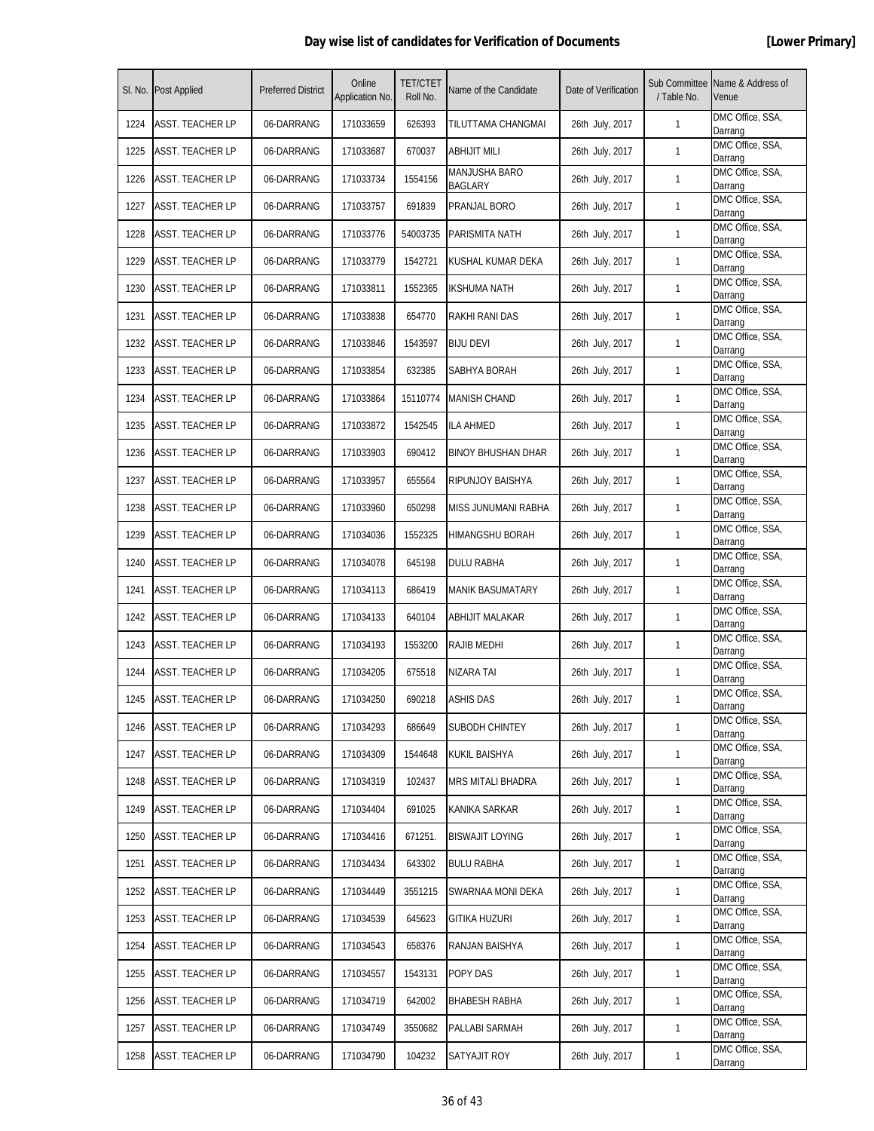| SI. No. | <b>Post Applied</b>     | <b>Preferred District</b> | Online<br>Application No. | <b>TET/CTET</b><br>Roll No. | Name of the Candidate     | Date of Verification | Sub Committee<br>/ Table No. | Name & Address of<br>Venue  |
|---------|-------------------------|---------------------------|---------------------------|-----------------------------|---------------------------|----------------------|------------------------------|-----------------------------|
| 1224    | <b>ASST. TEACHER LP</b> | 06-DARRANG                | 171033659                 | 626393                      | TILUTTAMA CHANGMAI        | 26th July, 2017      | 1                            | DMC Office, SSA,<br>Darrang |
| 1225    | ASST. TEACHER LP        | 06-DARRANG                | 171033687                 | 670037                      | <b>ABHIJIT MILI</b>       | 26th July, 2017      | $\mathbf{1}$                 | DMC Office, SSA,<br>Darrang |
| 1226    | <b>ASST. TEACHER LP</b> | 06-DARRANG                | 171033734                 | 1554156                     | MANJUSHA BARO<br>BAGLARY  | 26th July, 2017      | 1                            | DMC Office, SSA,<br>Darrang |
| 1227    | <b>ASST. TEACHER LP</b> | 06-DARRANG                | 171033757                 | 691839                      | PRANJAL BORO              | 26th July, 2017      | 1                            | DMC Office, SSA,<br>Darrang |
| 1228    | ASST. TEACHER LP        | 06-DARRANG                | 171033776                 | 54003735                    | PARISMITA NATH            | 26th July, 2017      | $\mathbf{1}$                 | DMC Office, SSA,<br>Darrang |
| 1229    | ASST. TEACHER LP        | 06-DARRANG                | 171033779                 | 1542721                     | KUSHAL KUMAR DEKA         | 26th July, 2017      | 1                            | DMC Office, SSA,<br>Darrang |
| 1230    | ASST. TEACHER LP        | 06-DARRANG                | 171033811                 | 1552365                     | <b>IKSHUMA NATH</b>       | 26th July, 2017      | 1                            | DMC Office, SSA,<br>Darrang |
| 1231    | <b>ASST. TEACHER LP</b> | 06-DARRANG                | 171033838                 | 654770                      | RAKHI RANI DAS            | 26th July, 2017      | 1                            | DMC Office, SSA,<br>Darrang |
| 1232    | <b>ASST. TEACHER LP</b> | 06-DARRANG                | 171033846                 | 1543597                     | <b>BIJU DEVI</b>          | 26th July, 2017      | 1                            | DMC Office, SSA,<br>Darrang |
| 1233    | ASST. TEACHER LP        | 06-DARRANG                | 171033854                 | 632385                      | SABHYA BORAH              | 26th July, 2017      | 1                            | DMC Office, SSA,<br>Darrang |
| 1234    | <b>ASST. TEACHER LP</b> | 06-DARRANG                | 171033864                 | 15110774                    | <b>MANISH CHAND</b>       | 26th July, 2017      | 1                            | DMC Office, SSA,<br>Darrang |
| 1235    | ASST. TEACHER LP        | 06-DARRANG                | 171033872                 | 1542545                     | ILA AHMED                 | 26th July, 2017      | 1                            | DMC Office, SSA,<br>Darrang |
| 1236    | <b>ASST. TEACHER LP</b> | 06-DARRANG                | 171033903                 | 690412                      | <b>BINOY BHUSHAN DHAR</b> | 26th July, 2017      | 1                            | DMC Office, SSA,<br>Darrang |
| 1237    | <b>ASST. TEACHER LP</b> | 06-DARRANG                | 171033957                 | 655564                      | RIPUNJOY BAISHYA          | 26th July, 2017      | 1                            | DMC Office, SSA,<br>Darrang |
| 1238    | ASST. TEACHER LP        | 06-DARRANG                | 171033960                 | 650298                      | MISS JUNUMANI RABHA       | 26th July, 2017      | 1                            | DMC Office, SSA,<br>Darrang |
| 1239    | ASST. TEACHER LP        | 06-DARRANG                | 171034036                 | 1552325                     | HIMANGSHU BORAH           | 26th July, 2017      | 1                            | DMC Office, SSA,<br>Darrang |
| 1240    | <b>ASST. TEACHER LP</b> | 06-DARRANG                | 171034078                 | 645198                      | DULU RABHA                | 26th July, 2017      | $\mathbf{1}$                 | DMC Office, SSA,<br>Darrang |
| 1241    | <b>ASST. TEACHER LP</b> | 06-DARRANG                | 171034113                 | 686419                      | <b>MANIK BASUMATARY</b>   | 26th July, 2017      | 1                            | DMC Office, SSA,<br>Darrang |
| 1242    | ASST. TEACHER LP        | 06-DARRANG                | 171034133                 | 640104                      | ABHIJIT MALAKAR           | 26th July, 2017      | 1                            | DMC Office, SSA,<br>Darrang |
| 1243    | ASST. TEACHER LP        | 06-DARRANG                | 171034193                 | 1553200                     | RAJIB MEDHI               | 26th July, 2017      | 1                            | DMC Office, SSA,<br>Darrang |
| 1244    | ASST. TEACHER LP        | 06-DARRANG                | 171034205                 | 675518                      | NIZARA TAI                | 26th July, 2017      | 1                            | DMC Office, SSA,<br>Darrang |
| 1245    | <b>ASST. TEACHER LP</b> | 06-DARRANG                | 171034250                 | 690218                      | <b>ASHIS DAS</b>          | 26th July, 2017      | 1                            | DMC Office, SSA,<br>Darrang |
| 1246    | ASST. TEACHER LP        | 06-DARRANG                | 171034293                 | 686649                      | SUBODH CHINTEY            | 26th July, 2017      | $\mathbf{1}$                 | DMC Office, SSA,<br>Darrang |
| 1247    | <b>ASST. TEACHER LP</b> | 06-DARRANG                | 171034309                 | 1544648                     | KUKIL BAISHYA             | 26th July, 2017      | $\mathbf{1}$                 | DMC Office, SSA,<br>Darrang |
| 1248    | ASST. TEACHER LP        | 06-DARRANG                | 171034319                 | 102437                      | <b>MRS MITALI BHADRA</b>  | 26th July, 2017      | $\mathbf{1}$                 | DMC Office, SSA,<br>Darrang |
| 1249    | ASST. TEACHER LP        | 06-DARRANG                | 171034404                 | 691025                      | KANIKA SARKAR             | 26th July, 2017      | 1                            | DMC Office, SSA,<br>Darrang |
| 1250    | <b>ASST. TEACHER LP</b> | 06-DARRANG                | 171034416                 | 671251.                     | <b>BISWAJIT LOYING</b>    | 26th July, 2017      | $\mathbf{1}$                 | DMC Office, SSA,<br>Darrang |
| 1251    | <b>ASST. TEACHER LP</b> | 06-DARRANG                | 171034434                 | 643302                      | <b>BULU RABHA</b>         | 26th July, 2017      | $\mathbf{1}$                 | DMC Office, SSA,<br>Darrang |
| 1252    | <b>ASST. TEACHER LP</b> | 06-DARRANG                | 171034449                 | 3551215                     | SWARNAA MONI DEKA         | 26th July, 2017      | $\mathbf{1}$                 | DMC Office, SSA,<br>Darrang |
| 1253    | ASST. TEACHER LP        | 06-DARRANG                | 171034539                 | 645623                      | GITIKA HUZURI             | 26th July, 2017      | $\mathbf{1}$                 | DMC Office, SSA,<br>Darrang |
| 1254    | ASST. TEACHER LP        | 06-DARRANG                | 171034543                 | 658376                      | RANJAN BAISHYA            | 26th July, 2017      | 1                            | DMC Office, SSA,<br>Darrang |
| 1255    | <b>ASST. TEACHER LP</b> | 06-DARRANG                | 171034557                 | 1543131                     | POPY DAS                  | 26th July, 2017      | $\mathbf{1}$                 | DMC Office, SSA,<br>Darrang |
| 1256    | <b>ASST. TEACHER LP</b> | 06-DARRANG                | 171034719                 | 642002                      | BHABESH RABHA             | 26th July, 2017      | $\mathbf{1}$                 | DMC Office, SSA,<br>Darrang |
| 1257    | <b>ASST. TEACHER LP</b> | 06-DARRANG                | 171034749                 | 3550682                     | PALLABI SARMAH            | 26th July, 2017      | $\mathbf{1}$                 | DMC Office, SSA,<br>Darrang |
| 1258    | <b>ASST. TEACHER LP</b> | 06-DARRANG                | 171034790                 | 104232                      | SATYAJIT ROY              | 26th July, 2017      | 1                            | DMC Office, SSA,<br>Darrang |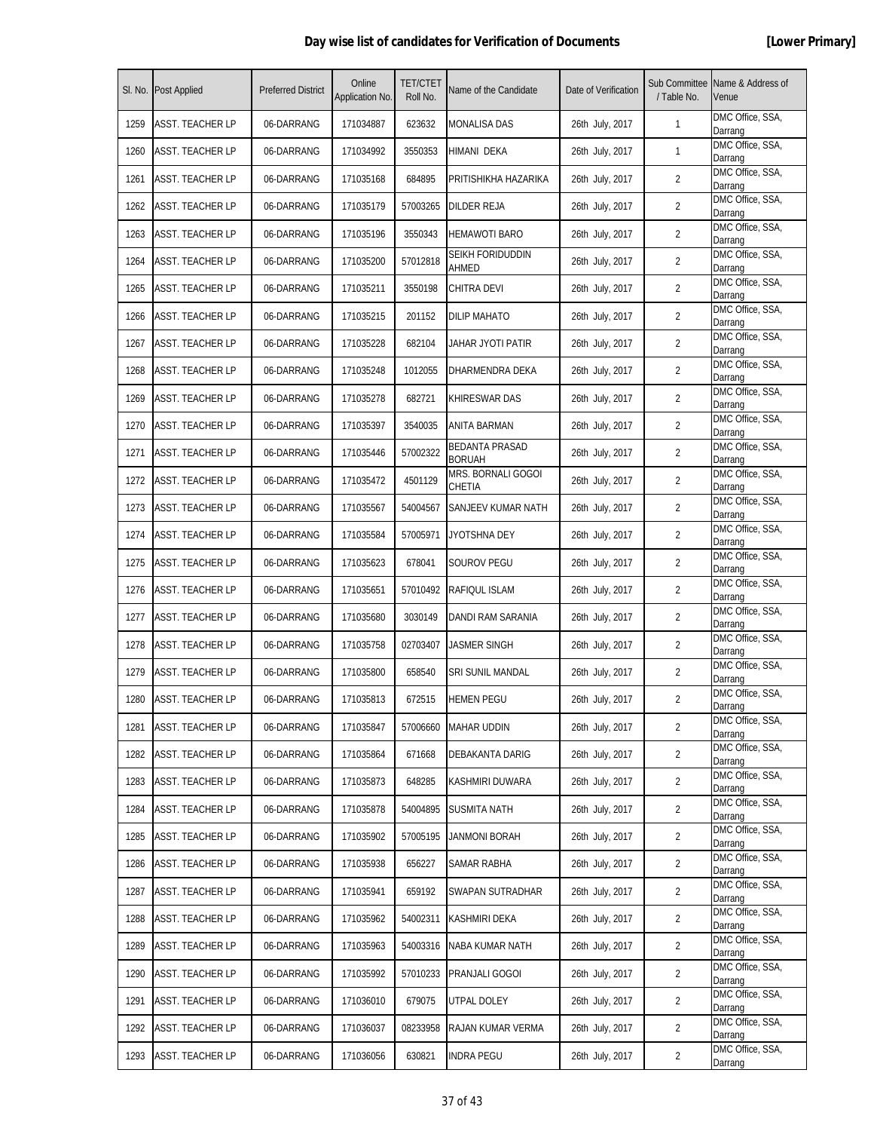| SI. No. | <b>Post Applied</b>     | <b>Preferred District</b> | Online<br>Application No. | <b>TET/CTET</b><br>Roll No. | Name of the Candidate                  | Date of Verification | / Table No.    | Sub Committee Name & Address of<br>Venue |
|---------|-------------------------|---------------------------|---------------------------|-----------------------------|----------------------------------------|----------------------|----------------|------------------------------------------|
| 1259    | <b>ASST. TEACHER LP</b> | 06-DARRANG                | 171034887                 | 623632                      | <b>MONALISA DAS</b>                    | 26th July, 2017      | $\mathbf{1}$   | DMC Office, SSA,<br>Darrang              |
| 1260    | <b>ASST. TEACHER LP</b> | 06-DARRANG                | 171034992                 | 3550353                     | HIMANI DEKA                            | 26th July, 2017      | $\mathbf{1}$   | DMC Office, SSA,<br>Darrang              |
| 1261    | <b>ASST. TEACHER LP</b> | 06-DARRANG                | 171035168                 | 684895                      | PRITISHIKHA HAZARIKA                   | 26th July, 2017      | 2              | DMC Office, SSA,<br>Darrang              |
| 1262    | ASST. TEACHER LP        | 06-DARRANG                | 171035179                 | 57003265                    | DILDER REJA                            | 26th July, 2017      | 2              | DMC Office, SSA,<br>Darrang              |
| 1263    | ASST. TEACHER LP        | 06-DARRANG                | 171035196                 | 3550343                     | <b>HEMAWOTI BARO</b>                   | 26th July, 2017      | 2              | DMC Office, SSA,<br>Darrang              |
| 1264    | ASST. TEACHER LP        | 06-DARRANG                | 171035200                 | 57012818                    | SEIKH FORIDUDDIN<br>AHMED              | 26th July, 2017      | $\overline{2}$ | DMC Office, SSA,<br>Darrang              |
| 1265    | <b>ASST. TEACHER LP</b> | 06-DARRANG                | 171035211                 | 3550198                     | <b>CHITRA DEVI</b>                     | 26th July, 2017      | $\overline{2}$ | DMC Office, SSA,<br>Darrang              |
| 1266    | ASST. TEACHER LP        | 06-DARRANG                | 171035215                 | 201152                      | <b>DILIP MAHATO</b>                    | 26th July, 2017      | $\overline{2}$ | DMC Office, SSA,<br>Darrang              |
| 1267    | ASST. TEACHER LP        | 06-DARRANG                | 171035228                 | 682104                      | JAHAR JYOTI PATIR                      | 26th July, 2017      | 2              | DMC Office, SSA,<br>Darrang              |
| 1268    | ASST. TEACHER LP        | 06-DARRANG                | 171035248                 | 1012055                     | DHARMENDRA DEKA                        | 26th July, 2017      | $\overline{2}$ | DMC Office, SSA,<br>Darrang              |
| 1269    | ASST. TEACHER LP        | 06-DARRANG                | 171035278                 | 682721                      | KHIRESWAR DAS                          | 26th July, 2017      | $\overline{2}$ | DMC Office, SSA,<br>Darrang              |
| 1270    | <b>ASST. TEACHER LP</b> | 06-DARRANG                | 171035397                 | 3540035                     | ANITA BARMAN                           | 26th July, 2017      | $\overline{2}$ | DMC Office, SSA,<br>Darrang              |
| 1271    | <b>ASST. TEACHER LP</b> | 06-DARRANG                | 171035446                 | 57002322                    | <b>BEDANTA PRASAD</b><br><b>BORUAH</b> | 26th July, 2017      | 2              | DMC Office, SSA,<br>Darrang              |
| 1272    | ASST. TEACHER LP        | 06-DARRANG                | 171035472                 | 4501129                     | MRS. BORNALI GOGOI<br>CHETIA           | 26th July, 2017      | 2              | DMC Office, SSA,<br>Darrang              |
| 1273    | ASST. TEACHER LP        | 06-DARRANG                | 171035567                 | 54004567                    | SANJEEV KUMAR NATH                     | 26th July, 2017      | 2              | DMC Office, SSA,<br>Darrang              |
| 1274    | ASST. TEACHER LP        | 06-DARRANG                | 171035584                 | 57005971                    | JYOTSHNA DEY                           | 26th July, 2017      | $\overline{2}$ | DMC Office, SSA,<br>Darrang              |
| 1275    | <b>ASST. TEACHER LP</b> | 06-DARRANG                | 171035623                 | 678041                      | SOUROV PEGU                            | 26th July, 2017      | 2              | DMC Office, SSA,<br>Darrang              |
| 1276    | <b>ASST. TEACHER LP</b> | 06-DARRANG                | 171035651                 | 57010492                    | RAFIQUL ISLAM                          | 26th July, 2017      | 2              | DMC Office, SSA,<br>Darrang              |
| 1277    | <b>ASST. TEACHER LP</b> | 06-DARRANG                | 171035680                 | 3030149                     | DANDI RAM SARANIA                      | 26th July, 2017      | 2              | DMC Office, SSA,<br>Darrang              |
| 1278    | ASST. TEACHER LP        | 06-DARRANG                | 171035758                 | 02703407                    | JASMER SINGH                           | 26th July, 2017      | $\overline{2}$ | DMC Office, SSA,<br>Darrang              |
| 1279    | ASST. TEACHER LP        | 06-DARRANG                | 171035800                 | 658540                      | SRI SUNIL MANDAL                       | 26th July, 2017      | $\overline{2}$ | DMC Office, SSA,<br>Darrang              |
| 1280    | <b>ASST. TEACHER LP</b> | 06-DARRANG                | 171035813                 | 672515                      | <b>HEMEN PEGU</b>                      | 26th July, 2017      | $\overline{2}$ | DMC Office, SSA,<br>Darrang              |
| 1281    | <b>ASST. TEACHER LP</b> | 06-DARRANG                | 171035847                 | 57006660                    | <b>MAHAR UDDIN</b>                     | 26th July, 2017      | $\overline{2}$ | DMC Office, SSA,<br>Darrang              |
| 1282    | ASST. TEACHER LP        | 06-DARRANG                | 171035864                 | 671668                      | DEBAKANTA DARIG                        | 26th July, 2017      | 2              | DMC Office, SSA,<br>Darrang              |
| 1283    | ASST. TEACHER LP        | 06-DARRANG                | 171035873                 | 648285                      | KASHMIRI DUWARA                        | 26th July, 2017      | 2              | DMC Office, SSA,<br>Darrang              |
| 1284    | <b>ASST. TEACHER LP</b> | 06-DARRANG                | 171035878                 | 54004895                    | <b>SUSMITA NATH</b>                    | 26th July, 2017      | $\overline{2}$ | DMC Office, SSA,<br>Darrang              |
| 1285    | <b>ASST. TEACHER LP</b> | 06-DARRANG                | 171035902                 | 57005195                    | JANMONI BORAH                          | 26th July, 2017      | $\overline{2}$ | DMC Office, SSA,<br>Darrang              |
| 1286    | ASST. TEACHER LP        | 06-DARRANG                | 171035938                 | 656227                      | SAMAR RABHA                            | 26th July, 2017      | $\overline{2}$ | DMC Office, SSA,<br>Darrang              |
| 1287    | ASST. TEACHER LP        | 06-DARRANG                | 171035941                 | 659192                      | SWAPAN SUTRADHAR                       | 26th July, 2017      | 2              | DMC Office, SSA,<br>Darrang              |
| 1288    | ASST. TEACHER LP        | 06-DARRANG                | 171035962                 | 54002311                    | KASHMIRI DEKA                          | 26th July, 2017      | 2              | DMC Office, SSA,<br>Darrang              |
| 1289    | <b>ASST. TEACHER LP</b> | 06-DARRANG                | 171035963                 | 54003316                    | NABA KUMAR NATH                        | 26th July, 2017      | $\overline{2}$ | DMC Office, SSA,<br>Darrang              |
| 1290    | <b>ASST. TEACHER LP</b> | 06-DARRANG                | 171035992                 | 57010233                    | PRANJALI GOGOI                         | 26th July, 2017      | $\overline{2}$ | DMC Office, SSA,<br>Darrang              |
| 1291    | <b>ASST. TEACHER LP</b> | 06-DARRANG                | 171036010                 | 679075                      | UTPAL DOLEY                            | 26th July, 2017      | $\overline{2}$ | DMC Office, SSA,<br>Darrang              |
| 1292    | ASST. TEACHER LP        | 06-DARRANG                | 171036037                 | 08233958                    | RAJAN KUMAR VERMA                      | 26th July, 2017      | 2              | DMC Office, SSA,<br>Darrang              |
| 1293    | <b>ASST. TEACHER LP</b> | 06-DARRANG                | 171036056                 | 630821                      | <b>INDRA PEGU</b>                      | 26th July, 2017      | $\overline{2}$ | DMC Office, SSA,<br>Darrang              |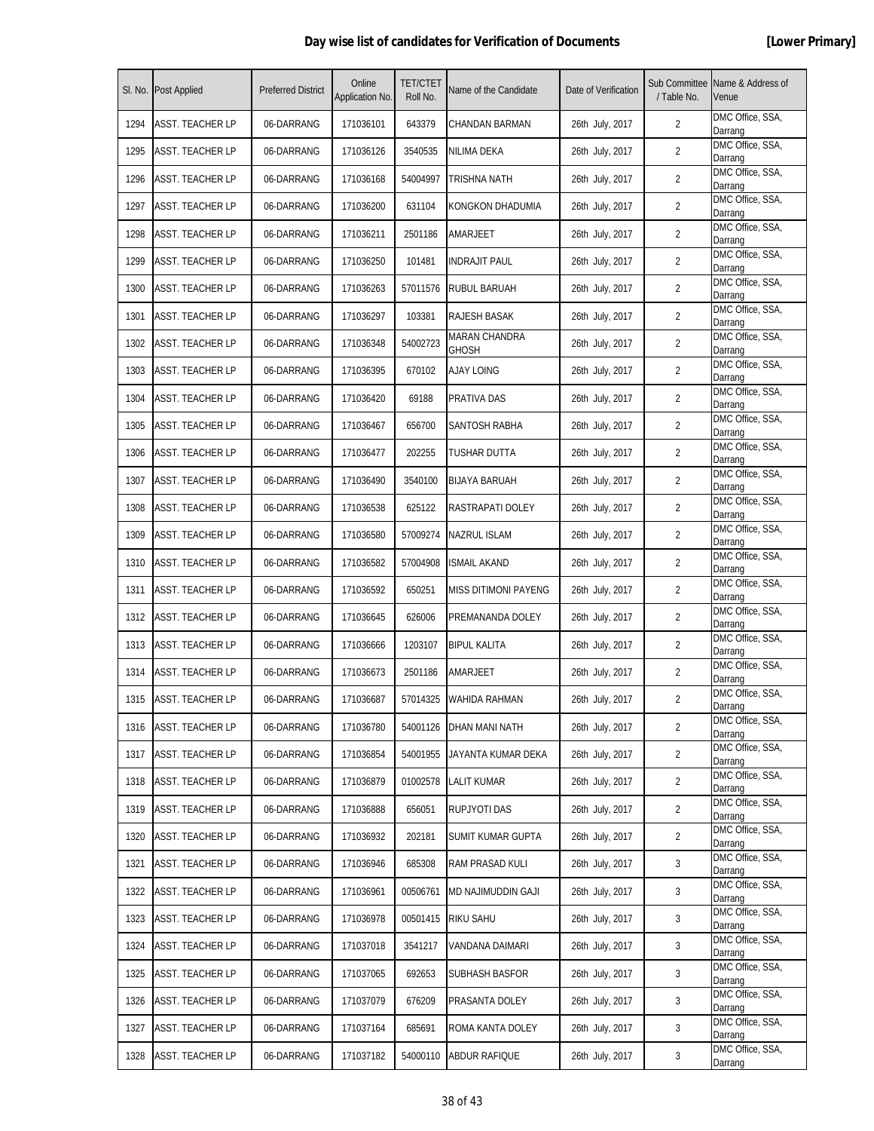| SI. No. | <b>Post Applied</b>     | <b>Preferred District</b> | Online<br>Application No. | <b>TET/CTET</b><br>Roll No. | Name of the Candidate         | Date of Verification | / Table No.    | Sub Committee Name & Address of<br>Venue |
|---------|-------------------------|---------------------------|---------------------------|-----------------------------|-------------------------------|----------------------|----------------|------------------------------------------|
| 1294    | <b>ASST. TEACHER LP</b> | 06-DARRANG                | 171036101                 | 643379                      | CHANDAN BARMAN                | 26th July, 2017      | $\overline{2}$ | DMC Office, SSA,<br>Darrang              |
| 1295    | ASST. TEACHER LP        | 06-DARRANG                | 171036126                 | 3540535                     | NILIMA DEKA                   | 26th July, 2017      | $\overline{2}$ | DMC Office, SSA,<br>Darrang              |
| 1296    | <b>ASST. TEACHER LP</b> | 06-DARRANG                | 171036168                 | 54004997                    | TRISHNA NATH                  | 26th July, 2017      | $\overline{2}$ | DMC Office, SSA,<br>Darrang              |
| 1297    | ASST. TEACHER LP        | 06-DARRANG                | 171036200                 | 631104                      | KONGKON DHADUMIA              | 26th July, 2017      | 2              | DMC Office, SSA,<br>Darrang              |
| 1298    | ASST. TEACHER LP        | 06-DARRANG                | 171036211                 | 2501186                     | AMARJEET                      | 26th July, 2017      | 2              | DMC Office, SSA,<br>Darrang              |
| 1299    | ASST. TEACHER LP        | 06-DARRANG                | 171036250                 | 101481                      | <b>INDRAJIT PAUL</b>          | 26th July, 2017      | $\overline{2}$ | DMC Office, SSA,<br>Darrang              |
| 1300    | <b>ASST. TEACHER LP</b> | 06-DARRANG                | 171036263                 | 57011576                    | RUBUL BARUAH                  | 26th July, 2017      | $\overline{2}$ | DMC Office, SSA,<br>Darrang              |
| 1301    | <b>ASST. TEACHER LP</b> | 06-DARRANG                | 171036297                 | 103381                      | RAJESH BASAK                  | 26th July, 2017      | $\overline{2}$ | DMC Office, SSA,<br>Darrang              |
| 1302    | ASST. TEACHER LP        | 06-DARRANG                | 171036348                 | 54002723                    | MARAN CHANDRA<br><b>GHOSH</b> | 26th July, 2017      | 2              | DMC Office, SSA,<br>Darrang              |
| 1303    | ASST. TEACHER LP        | 06-DARRANG                | 171036395                 | 670102                      | <b>AJAY LOING</b>             | 26th July, 2017      | 2              | DMC Office, SSA,<br>Darrang              |
| 1304    | <b>ASST. TEACHER LP</b> | 06-DARRANG                | 171036420                 | 69188                       | PRATIVA DAS                   | 26th July, 2017      | $\overline{2}$ | DMC Office, SSA,<br>Darrang              |
| 1305    | <b>ASST. TEACHER LP</b> | 06-DARRANG                | 171036467                 | 656700                      | SANTOSH RABHA                 | 26th July, 2017      | $\overline{2}$ | DMC Office, SSA,<br>Darrang              |
| 1306    | ASST. TEACHER LP        | 06-DARRANG                | 171036477                 | 202255                      | TUSHAR DUTTA                  | 26th July, 2017      | $\overline{2}$ | DMC Office, SSA,<br>Darrang              |
| 1307    | ASST. TEACHER LP        | 06-DARRANG                | 171036490                 | 3540100                     | <b>BIJAYA BARUAH</b>          | 26th July, 2017      | 2              | DMC Office, SSA,<br>Darrang              |
| 1308    | ASST. TEACHER LP        | 06-DARRANG                | 171036538                 | 625122                      | RASTRAPATI DOLEY              | 26th July, 2017      | 2              | DMC Office, SSA,<br>Darrang              |
| 1309    | <b>ASST. TEACHER LP</b> | 06-DARRANG                | 171036580                 | 57009274                    | NAZRUL ISLAM                  | 26th July, 2017      | $\overline{2}$ | DMC Office, SSA,<br>Darrang              |
| 1310    | <b>ASST. TEACHER LP</b> | 06-DARRANG                | 171036582                 | 57004908                    | <b>ISMAIL AKAND</b>           | 26th July, 2017      | $\overline{2}$ | DMC Office, SSA,<br>Darrang              |
| 1311    | <b>ASST. TEACHER LP</b> | 06-DARRANG                | 171036592                 | 650251                      | <b>MISS DITIMONI PAYENG</b>   | 26th July, 2017      | 2              | DMC Office, SSA,<br>Darrang              |
| 1312    | <b>ASST. TEACHER LP</b> | 06-DARRANG                | 171036645                 | 626006                      | PREMANANDA DOLEY              | 26th July, 2017      | 2              | DMC Office, SSA,<br>Darrang              |
| 1313    | ASST. TEACHER LP        | 06-DARRANG                | 171036666                 | 1203107                     | <b>BIPUL KALITA</b>           | 26th July, 2017      | 2              | DMC Office, SSA,<br>Darrang              |
| 1314    | ASST. TEACHER LP        | 06-DARRANG                | 171036673                 | 2501186                     | AMARJEET                      | 26th July, 2017      | $\overline{2}$ | DMC Office, SSA,<br>Darrang              |
| 1315    | <b>ASST. TEACHER LP</b> | 06-DARRANG                | 171036687                 | 57014325                    | <b>WAHIDA RAHMAN</b>          | 26th July, 2017      | $\overline{2}$ | DMC Office, SSA,<br>Darrang              |
| 1316    | <b>ASST. TEACHER LP</b> | 06-DARRANG                | 171036780                 | 54001126                    | <b>DHAN MANI NATH</b>         | 26th July, 2017      | $\overline{2}$ | DMC Office, SSA,<br>Darrang              |
| 1317    | <b>ASST. TEACHER LP</b> | 06-DARRANG                | 171036854                 | 54001955                    | JAYANTA KUMAR DEKA            | 26th July, 2017      | 2              | DMC Office, SSA,<br>Darrang              |
| 1318    | <b>ASST. TEACHER LP</b> | 06-DARRANG                | 171036879                 | 01002578                    | LALIT KUMAR                   | 26th July, 2017      | 2              | DMC Office, SSA,<br>Darrang              |
| 1319    | <b>ASST. TEACHER LP</b> | 06-DARRANG                | 171036888                 | 656051                      | RUPJYOTI DAS                  | 26th July, 2017      | $\overline{2}$ | DMC Office, SSA,<br>Darrang              |
| 1320    | <b>ASST. TEACHER LP</b> | 06-DARRANG                | 171036932                 | 202181                      | SUMIT KUMAR GUPTA             | 26th July, 2017      | $\overline{2}$ | DMC Office, SSA,<br>Darrang              |
| 1321    | <b>ASST. TEACHER LP</b> | 06-DARRANG                | 171036946                 | 685308                      | RAM PRASAD KULI               | 26th July, 2017      | 3              | DMC Office, SSA,<br>Darrang              |
| 1322    | ASST. TEACHER LP        | 06-DARRANG                | 171036961                 | 00506761                    | MD NAJIMUDDIN GAJI            | 26th July, 2017      | 3              | DMC Office, SSA,<br>Darrang              |
| 1323    | ASST. TEACHER LP        | 06-DARRANG                | 171036978                 | 00501415                    | RIKU SAHU                     | 26th July, 2017      | 3              | DMC Office, SSA,<br>Darrang              |
| 1324    | <b>ASST. TEACHER LP</b> | 06-DARRANG                | 171037018                 | 3541217                     | VANDANA DAIMARI               | 26th July, 2017      | 3              | DMC Office, SSA,<br>Darrang              |
| 1325    | <b>ASST. TEACHER LP</b> | 06-DARRANG                | 171037065                 | 692653                      | SUBHASH BASFOR                | 26th July, 2017      | 3              | DMC Office, SSA,<br>Darrang              |
| 1326    | <b>ASST. TEACHER LP</b> | 06-DARRANG                | 171037079                 | 676209                      | PRASANTA DOLEY                | 26th July, 2017      | 3              | DMC Office, SSA,<br>Darrang              |
| 1327    | ASST. TEACHER LP        | 06-DARRANG                | 171037164                 | 685691                      | ROMA KANTA DOLEY              | 26th July, 2017      | 3              | DMC Office, SSA,<br>Darrang              |
| 1328    | <b>ASST. TEACHER LP</b> | 06-DARRANG                | 171037182                 | 54000110                    | ABDUR RAFIQUE                 | 26th July, 2017      | 3              | DMC Office, SSA,<br>Darrang              |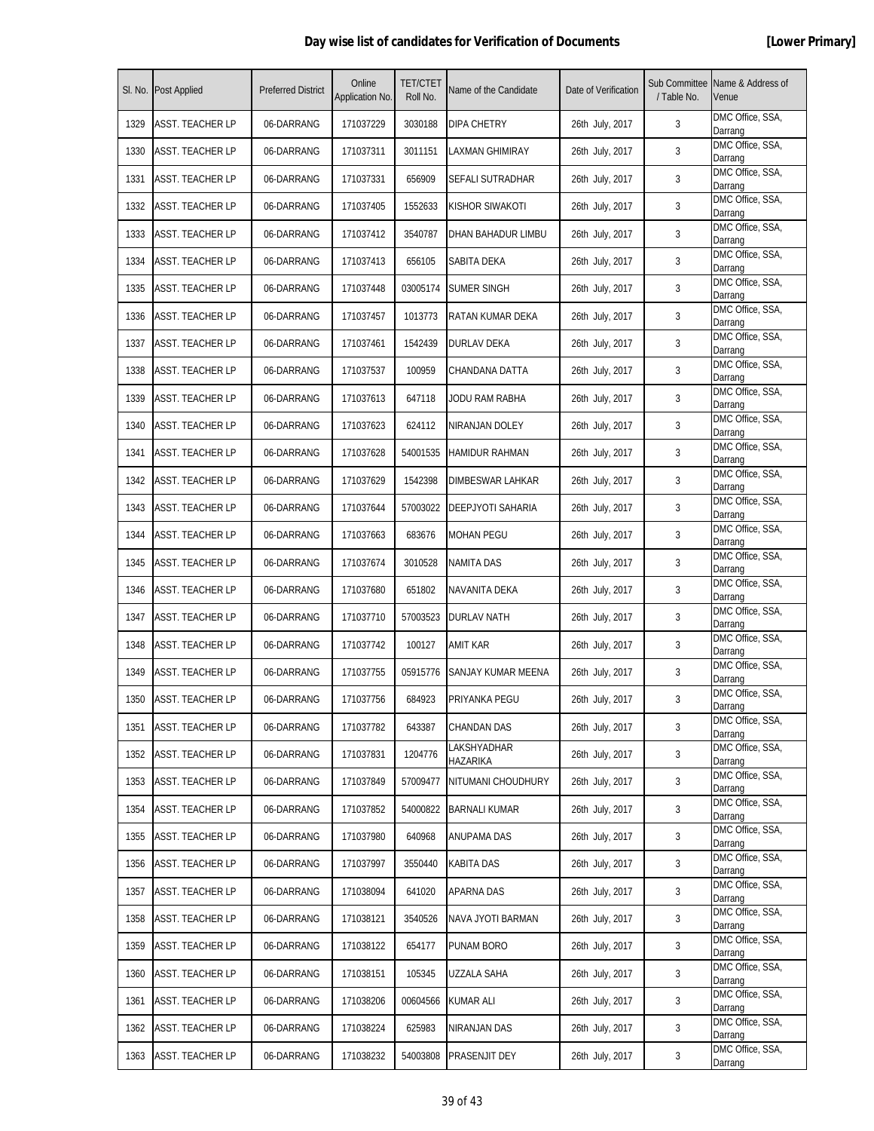| SI. No. | <b>Post Applied</b>     | <b>Preferred District</b> | Online<br>Application No. | <b>TET/CTET</b><br>Roll No. | Name of the Candidate   | Date of Verification | / Table No. | Sub Committee Name & Address of<br>Venue |
|---------|-------------------------|---------------------------|---------------------------|-----------------------------|-------------------------|----------------------|-------------|------------------------------------------|
| 1329    | ASST. TEACHER LP        | 06-DARRANG                | 171037229                 | 3030188                     | DIPA CHETRY             | 26th July, 2017      | 3           | DMC Office, SSA,<br>Darrang              |
| 1330    | <b>ASST. TEACHER LP</b> | 06-DARRANG                | 171037311                 | 3011151                     | LAXMAN GHIMIRAY         | 26th July, 2017      | 3           | DMC Office, SSA,<br>Darrang              |
| 1331    | <b>ASST. TEACHER LP</b> | 06-DARRANG                | 171037331                 | 656909                      | SEFALI SUTRADHAR        | 26th July, 2017      | 3           | DMC Office, SSA,<br>Darrang              |
| 1332    | ASST. TEACHER LP        | 06-DARRANG                | 171037405                 | 1552633                     | KISHOR SIWAKOTI         | 26th July, 2017      | 3           | DMC Office, SSA,<br>Darrang              |
| 1333    | ASST. TEACHER LP        | 06-DARRANG                | 171037412                 | 3540787                     | DHAN BAHADUR LIMBU      | 26th July, 2017      | 3           | DMC Office, SSA,<br>Darrang              |
| 1334    | ASST. TEACHER LP        | 06-DARRANG                | 171037413                 | 656105                      | SABITA DEKA             | 26th July, 2017      | 3           | DMC Office, SSA,<br>Darrang              |
| 1335    | <b>ASST. TEACHER LP</b> | 06-DARRANG                | 171037448                 | 03005174                    | SUMER SINGH             | 26th July, 2017      | 3           | DMC Office, SSA,<br>Darrang              |
| 1336    | <b>ASST. TEACHER LP</b> | 06-DARRANG                | 171037457                 | 1013773                     | RATAN KUMAR DEKA        | 26th July, 2017      | 3           | DMC Office, SSA,<br>Darrang              |
| 1337    | ASST. TEACHER LP        | 06-DARRANG                | 171037461                 | 1542439                     | DURLAV DEKA             | 26th July, 2017      | 3           | DMC Office, SSA,<br>Darrang              |
| 1338    | ASST. TEACHER LP        | 06-DARRANG                | 171037537                 | 100959                      | CHANDANA DATTA          | 26th July, 2017      | 3           | DMC Office, SSA,<br>Darrang              |
| 1339    | ASST. TEACHER LP        | 06-DARRANG                | 171037613                 | 647118                      | JODU RAM RABHA          | 26th July, 2017      | 3           | DMC Office, SSA,<br>Darrang              |
| 1340    | <b>ASST. TEACHER LP</b> | 06-DARRANG                | 171037623                 | 624112                      | NIRANJAN DOLEY          | 26th July, 2017      | 3           | DMC Office, SSA,<br>Darrang              |
| 1341    | <b>ASST. TEACHER LP</b> | 06-DARRANG                | 171037628                 | 54001535                    | <b>HAMIDUR RAHMAN</b>   | 26th July, 2017      | 3           | DMC Office, SSA,<br>Darrang              |
| 1342    | ASST. TEACHER LP        | 06-DARRANG                | 171037629                 | 1542398                     | DIMBESWAR LAHKAR        | 26th July, 2017      | 3           | DMC Office, SSA,<br>Darrang              |
| 1343    | ASST. TEACHER LP        | 06-DARRANG                | 171037644                 | 57003022                    | DEEPJYOTI SAHARIA       | 26th July, 2017      | 3           | DMC Office, SSA,<br>Darrang              |
| 1344    | <b>ASST. TEACHER LP</b> | 06-DARRANG                | 171037663                 | 683676                      | <b>MOHAN PEGU</b>       | 26th July, 2017      | 3           | DMC Office, SSA,<br>Darrang              |
| 1345    | <b>ASST. TEACHER LP</b> | 06-DARRANG                | 171037674                 | 3010528                     | <b>NAMITA DAS</b>       | 26th July, 2017      | 3           | DMC Office, SSA,<br>Darrang              |
| 1346    | <b>ASST. TEACHER LP</b> | 06-DARRANG                | 171037680                 | 651802                      | NAVANITA DEKA           | 26th July, 2017      | 3           | DMC Office, SSA,<br>Darrang              |
| 1347    | <b>ASST. TEACHER LP</b> | 06-DARRANG                | 171037710                 | 57003523                    | <b>DURLAV NATH</b>      | 26th July, 2017      | 3           | DMC Office, SSA,<br>Darrang              |
| 1348    | ASST. TEACHER LP        | 06-DARRANG                | 171037742                 | 100127                      | amit kar                | 26th July, 2017      | 3           | DMC Office, SSA,<br>Darrang              |
| 1349    | <b>ASST. TEACHER LP</b> | 06-DARRANG                | 171037755                 | 05915776                    | SANJAY KUMAR MEENA      | 26th July, 2017      | 3           | DMC Office, SSA,<br>Darrang              |
| 1350    | <b>ASST. TEACHER LP</b> | 06-DARRANG                | 171037756                 | 684923                      | PRIYANKA PEGU           | 26th July, 2017      | 3           | DMC Office, SSA,<br>Darrang              |
| 1351    | <b>ASST. TEACHER LP</b> | 06-DARRANG                | 171037782                 | 643387                      | <b>CHANDAN DAS</b>      | 26th July, 2017      | 3           | DMC Office, SSA,<br>Darrang              |
| 1352    | <b>ASST. TEACHER LP</b> | 06-DARRANG                | 171037831                 | 1204776                     | LAKSHYADHAR<br>HAZARIKA | 26th July, 2017      | 3           | DMC Office, SSA,<br>Darrang              |
| 1353    | ASST. TEACHER LP        | 06-DARRANG                | 171037849                 | 57009477                    | NITUMANI CHOUDHURY      | 26th July, 2017      | 3           | DMC Office, SSA,<br>Darrang              |
| 1354    | <b>ASST. TEACHER LP</b> | 06-DARRANG                | 171037852                 | 54000822                    | <b>BARNALI KUMAR</b>    | 26th July, 2017      | 3           | DMC Office, SSA,<br>Darrang              |
| 1355    | <b>ASST. TEACHER LP</b> | 06-DARRANG                | 171037980                 | 640968                      | ANUPAMA DAS             | 26th July, 2017      | 3           | DMC Office, SSA,<br>Darrang              |
| 1356    | ASST. TEACHER LP        | 06-DARRANG                | 171037997                 | 3550440                     | KABITA DAS              | 26th July, 2017      | 3           | DMC Office, SSA,<br>Darrang              |
| 1357    | <b>ASST. TEACHER LP</b> | 06-DARRANG                | 171038094                 | 641020                      | APARNA DAS              | 26th July, 2017      | 3           | DMC Office, SSA,<br>Darrang              |
| 1358    | ASST. TEACHER LP        | 06-DARRANG                | 171038121                 | 3540526                     | NAVA JYOTI BARMAN       | 26th July, 2017      | 3           | DMC Office, SSA,<br>Darrang              |
| 1359    | <b>ASST. TEACHER LP</b> | 06-DARRANG                | 171038122                 | 654177                      | PUNAM BORO              | 26th July, 2017      | 3           | DMC Office, SSA,<br>Darrang              |
| 1360    | <b>ASST. TEACHER LP</b> | 06-DARRANG                | 171038151                 | 105345                      | UZZALA SAHA             | 26th July, 2017      | 3           | DMC Office, SSA,<br>Darrang              |
| 1361    | <b>ASST. TEACHER LP</b> | 06-DARRANG                | 171038206                 | 00604566                    | KUMAR ALI               | 26th July, 2017      | 3           | DMC Office, SSA,<br>Darrang              |
| 1362    | ASST. TEACHER LP        | 06-DARRANG                | 171038224                 | 625983                      | NIRANJAN DAS            | 26th July, 2017      | 3           | DMC Office, SSA,<br>Darrang              |
| 1363    | <b>ASST. TEACHER LP</b> | 06-DARRANG                | 171038232                 | 54003808                    | PRASENJIT DEY           | 26th July, 2017      | 3           | DMC Office, SSA,<br>Darrang              |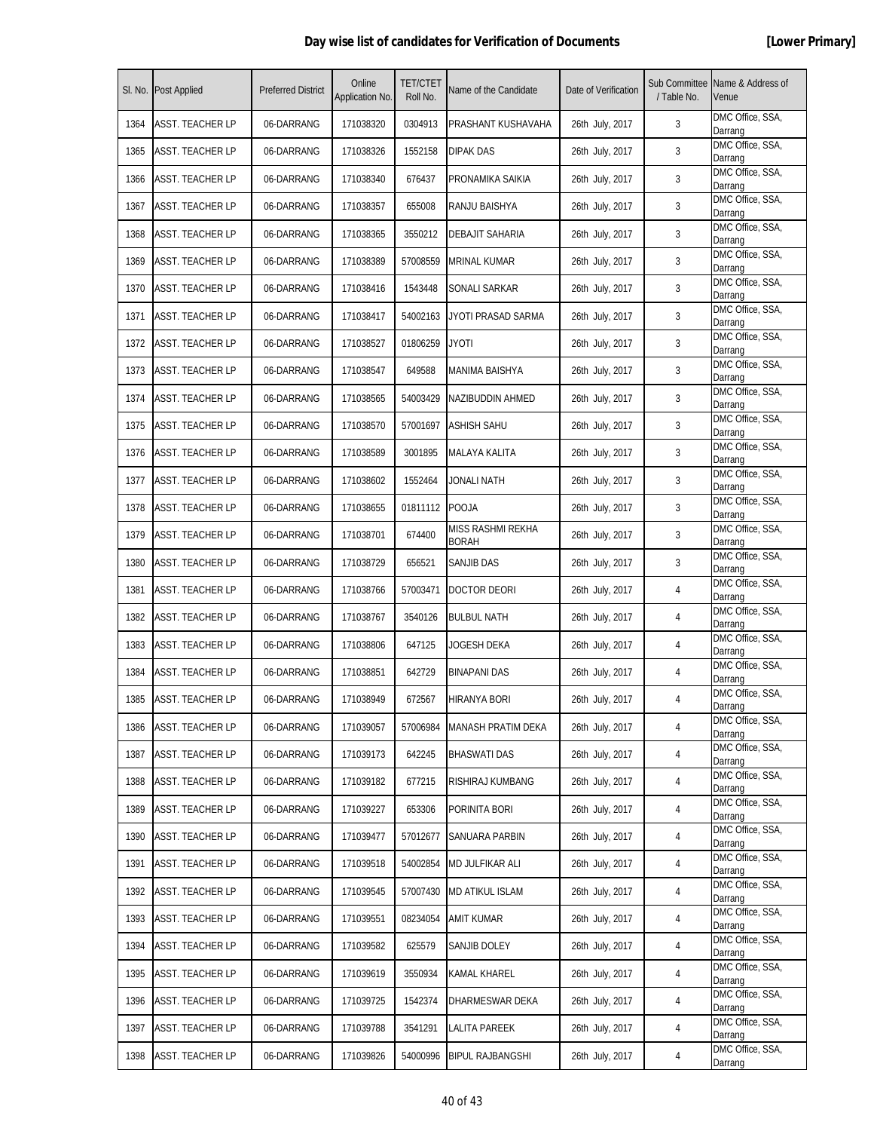| SI. No. | <b>Post Applied</b>     | <b>Preferred District</b> | Online<br>Application No. | <b>TET/CTET</b><br>Roll No. | Name of the Candidate      | Date of Verification | / Table No. | Sub Committee Name & Address of<br>Venue |
|---------|-------------------------|---------------------------|---------------------------|-----------------------------|----------------------------|----------------------|-------------|------------------------------------------|
| 1364    | ASST. TEACHER LP        | 06-DARRANG                | 171038320                 | 0304913                     | PRASHANT KUSHAVAHA         | 26th July, 2017      | 3           | DMC Office, SSA,<br>Darrang              |
| 1365    | ASST. TEACHER LP        | 06-DARRANG                | 171038326                 | 1552158                     | <b>DIPAK DAS</b>           | 26th July, 2017      | 3           | DMC Office, SSA,<br>Darrang              |
| 1366    | <b>ASST. TEACHER LP</b> | 06-DARRANG                | 171038340                 | 676437                      | PRONAMIKA SAIKIA           | 26th July, 2017      | 3           | DMC Office, SSA,<br>Darrang              |
| 1367    | ASST. TEACHER LP        | 06-DARRANG                | 171038357                 | 655008                      | RANJU BAISHYA              | 26th July, 2017      | 3           | DMC Office, SSA,<br>Darrang              |
| 1368    | ASST. TEACHER LP        | 06-DARRANG                | 171038365                 | 3550212                     | DEBAJIT SAHARIA            | 26th July, 2017      | 3           | DMC Office, SSA,<br>Darrang              |
| 1369    | ASST. TEACHER LP        | 06-DARRANG                | 171038389                 | 57008559                    | MRINAL KUMAR               | 26th July, 2017      | 3           | DMC Office, SSA,<br>Darrang              |
| 1370    | <b>ASST. TEACHER LP</b> | 06-DARRANG                | 171038416                 | 1543448                     | SONALI SARKAR              | 26th July, 2017      | 3           | DMC Office, SSA,<br>Darrang              |
| 1371    | <b>ASST. TEACHER LP</b> | 06-DARRANG                | 171038417                 | 54002163                    | JYOTI PRASAD SARMA         | 26th July, 2017      | 3           | DMC Office, SSA,<br>Darrang              |
| 1372    | ASST. TEACHER LP        | 06-DARRANG                | 171038527                 | 01806259                    | JYOTI                      | 26th July, 2017      | 3           | DMC Office, SSA,<br>Darrang              |
| 1373    | ASST. TEACHER LP        | 06-DARRANG                | 171038547                 | 649588                      | MANIMA BAISHYA             | 26th July, 2017      | 3           | DMC Office, SSA,<br>Darrang              |
| 1374    | <b>ASST. TEACHER LP</b> | 06-DARRANG                | 171038565                 | 54003429                    | NAZIBUDDIN AHMED           | 26th July, 2017      | 3           | DMC Office, SSA,<br>Darrang              |
| 1375    | <b>ASST. TEACHER LP</b> | 06-DARRANG                | 171038570                 | 57001697                    | <b>ASHISH SAHU</b>         | 26th July, 2017      | 3           | DMC Office, SSA,<br>Darrang              |
| 1376    | <b>ASST. TEACHER LP</b> | 06-DARRANG                | 171038589                 | 3001895                     | <b>MALAYA KALITA</b>       | 26th July, 2017      | 3           | DMC Office, SSA,<br>Darrang              |
| 1377    | <b>ASST. TEACHER LP</b> | 06-DARRANG                | 171038602                 | 1552464                     | JONALI NATH                | 26th July, 2017      | 3           | DMC Office, SSA,<br>Darrang              |
| 1378    | ASST. TEACHER LP        | 06-DARRANG                | 171038655                 | 01811112                    | <b>POOJA</b>               | 26th July, 2017      | 3           | DMC Office, SSA,<br>Darrang              |
| 1379    | <b>ASST. TEACHER LP</b> | 06-DARRANG                | 171038701                 | 674400                      | MISS RASHMI REKHA<br>BORAH | 26th July, 2017      | 3           | DMC Office, SSA,<br>Darrang              |
| 1380    | <b>ASST. TEACHER LP</b> | 06-DARRANG                | 171038729                 | 656521                      | SANJIB DAS                 | 26th July, 2017      | 3           | DMC Office, SSA,<br>Darrang              |
| 1381    | <b>ASST. TEACHER LP</b> | 06-DARRANG                | 171038766                 | 57003471                    | <b>DOCTOR DEORI</b>        | 26th July, 2017      | 4           | DMC Office, SSA,<br>Darrang              |
| 1382    | <b>ASST. TEACHER LP</b> | 06-DARRANG                | 171038767                 | 3540126                     | <b>BULBUL NATH</b>         | 26th July, 2017      | 4           | DMC Office, SSA,<br>Darrang              |
| 1383    | ASST. TEACHER LP        | 06-DARRANG                | 171038806                 | 647125                      | JOGESH DEKA                | 26th July, 2017      | 4           | DMC Office, SSA,<br>Darrang              |
| 1384    | <b>ASST. TEACHER LP</b> | 06-DARRANG                | 171038851                 | 642729                      | BINAPANI DAS               | 26th July, 2017      | 4           | DMC Office, SSA,<br>Darrang              |
| 1385    | <b>ASST. TEACHER LP</b> | 06-DARRANG                | 171038949                 | 672567                      | HIRANYA BORI               | 26th July, 2017      | 4           | DMC Office, SSA,<br>Darrang              |
| 1386    | ASST. TEACHER LP        | 06-DARRANG                | 171039057                 | 57006984                    | <b>MANASH PRATIM DEKA</b>  | 26th July, 2017      | 4           | DMC Office, SSA,<br>Darrang              |
| 1387    | <b>ASST. TEACHER LP</b> | 06-DARRANG                | 171039173                 | 642245                      | <b>BHASWATI DAS</b>        | 26th July, 2017      | 4           | DMC Office, SSA,<br>Darrang              |
| 1388    | ASST. TEACHER LP        | 06-DARRANG                | 171039182                 | 677215                      | RISHIRAJ KUMBANG           | 26th July, 2017      | 4           | DMC Office, SSA,<br>Darrang              |
| 1389    | <b>ASST. TEACHER LP</b> | 06-DARRANG                | 171039227                 | 653306                      | PORINITA BORI              | 26th July, 2017      | 4           | DMC Office, SSA,<br>Darrang              |
| 1390    | <b>ASST. TEACHER LP</b> | 06-DARRANG                | 171039477                 | 57012677                    | SANUARA PARBIN             | 26th July, 2017      | 4           | DMC Office, SSA,<br>Darrang              |
| 1391    | <b>ASST. TEACHER LP</b> | 06-DARRANG                | 171039518                 | 54002854                    | MD JULFIKAR ALI            | 26th July, 2017      | 4           | DMC Office, SSA,<br>Darrang              |
| 1392    | ASST. TEACHER LP        | 06-DARRANG                | 171039545                 | 57007430                    | <b>MD ATIKUL ISLAM</b>     | 26th July, 2017      | 4           | DMC Office, SSA,<br>Darrang              |
| 1393    | <b>ASST. TEACHER LP</b> | 06-DARRANG                | 171039551                 | 08234054                    | AMIT KUMAR                 | 26th July, 2017      | 4           | DMC Office, SSA,<br>Darrang              |
| 1394    | ASST. TEACHER LP        | 06-DARRANG                | 171039582                 | 625579                      | SANJIB DOLEY               | 26th July, 2017      | 4           | DMC Office, SSA,<br>Darrang              |
| 1395    | <b>ASST. TEACHER LP</b> | 06-DARRANG                | 171039619                 | 3550934                     | KAMAL KHAREL               | 26th July, 2017      | 4           | DMC Office, SSA,<br>Darrang              |
| 1396    | <b>ASST. TEACHER LP</b> | 06-DARRANG                | 171039725                 | 1542374                     | DHARMESWAR DEKA            | 26th July, 2017      | 4           | DMC Office, SSA,<br>Darrang              |
| 1397    | ASST. TEACHER LP        | 06-DARRANG                | 171039788                 | 3541291                     | <b>LALITA PAREEK</b>       | 26th July, 2017      | 4           | DMC Office, SSA,<br>Darrang              |
| 1398    | <b>ASST. TEACHER LP</b> | 06-DARRANG                | 171039826                 | 54000996                    | <b>BIPUL RAJBANGSHI</b>    | 26th July, 2017      | 4           | DMC Office, SSA,<br>Darrang              |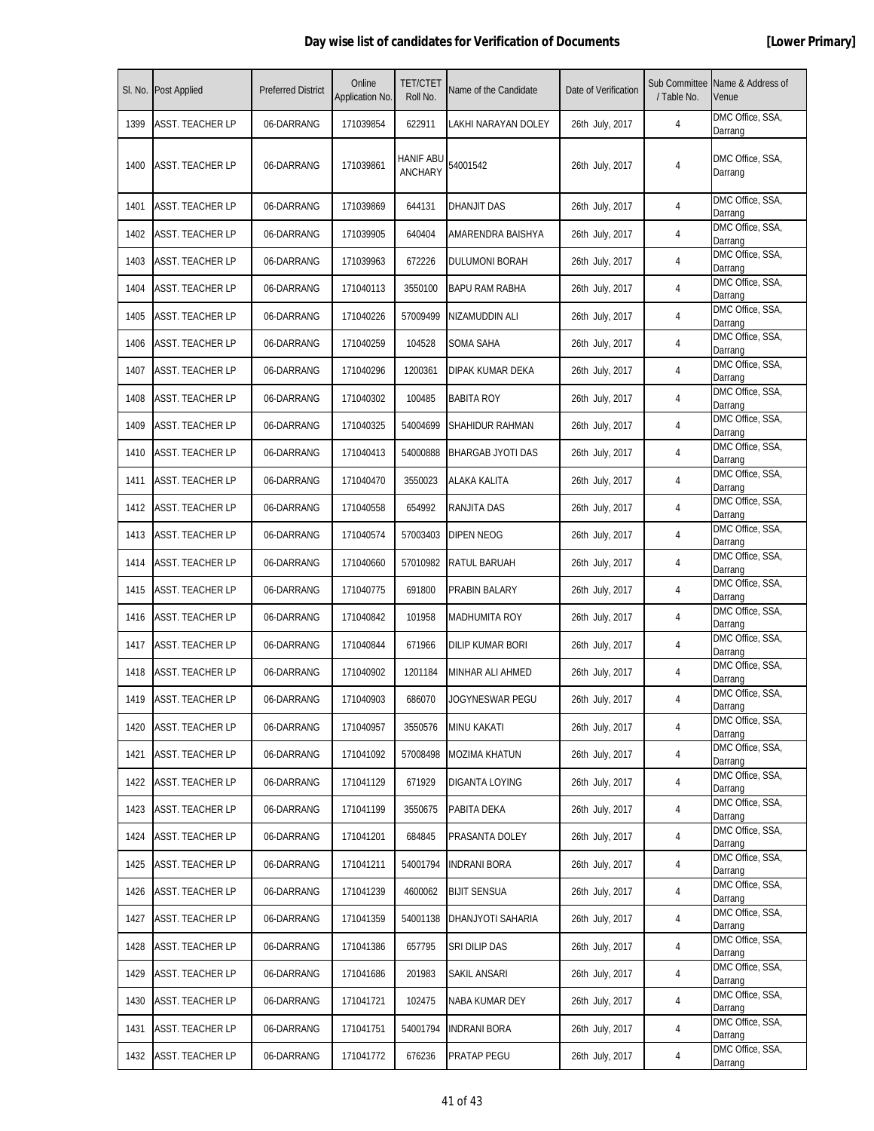| SI. No. | <b>Post Applied</b>     | <b>Preferred District</b> | Online<br>Application No. | <b>TET/CTET</b><br>Roll No. | Name of the Candidate | Date of Verification | / Table No. | Sub Committee Name & Address of<br>Venue |
|---------|-------------------------|---------------------------|---------------------------|-----------------------------|-----------------------|----------------------|-------------|------------------------------------------|
| 1399    | ASST. TEACHER LP        | 06-DARRANG                | 171039854                 | 622911                      | LAKHI NARAYAN DOLEY   | 26th July, 2017      | 4           | DMC Office, SSA,<br>Darrang              |
| 1400    | ASST. TEACHER LP        | 06-DARRANG                | 171039861                 | HANIF ABU<br><b>ANCHARY</b> | 54001542              | 26th July, 2017      | 4           | DMC Office, SSA,<br>Darrang              |
| 1401    | ASST. TEACHER LP        | 06-DARRANG                | 171039869                 | 644131                      | DHANJIT DAS           | 26th July, 2017      | 4           | DMC Office, SSA,<br>Darrang              |
| 1402    | <b>ASST. TEACHER LP</b> | 06-DARRANG                | 171039905                 | 640404                      | AMARENDRA BAISHYA     | 26th July, 2017      | 4           | DMC Office, SSA,<br>Darrang              |
| 1403    | ASST. TEACHER LP        | 06-DARRANG                | 171039963                 | 672226                      | DULUMONI BORAH        | 26th July, 2017      | 4           | DMC Office, SSA,<br>Darrang              |
| 1404    | <b>ASST. TEACHER LP</b> | 06-DARRANG                | 171040113                 | 3550100                     | <b>BAPU RAM RABHA</b> | 26th July, 2017      | 4           | DMC Office, SSA,<br>Darrang              |
| 1405    | ASST. TEACHER LP        | 06-DARRANG                | 171040226                 | 57009499                    | NIZAMUDDIN ALI        | 26th July, 2017      | 4           | DMC Office, SSA,<br>Darrang              |
| 1406    | ASST. TEACHER LP        | 06-DARRANG                | 171040259                 | 104528                      | SOMA SAHA             | 26th July, 2017      | 4           | DMC Office, SSA,<br>Darrang              |
| 1407    | ASST. TEACHER LP        | 06-DARRANG                | 171040296                 | 1200361                     | DIPAK KUMAR DEKA      | 26th July, 2017      | 4           | DMC Office, SSA,<br>Darrang              |
| 1408    | ASST. TEACHER LP        | 06-DARRANG                | 171040302                 | 100485                      | <b>BABITA ROY</b>     | 26th July, 2017      | 4           | DMC Office, SSA,<br>Darrang              |
| 1409    | <b>ASST. TEACHER LP</b> | 06-DARRANG                | 171040325                 | 54004699                    | SHAHIDUR RAHMAN       | 26th July, 2017      | 4           | DMC Office, SSA,<br>Darrang              |
| 1410    | ASST. TEACHER LP        | 06-DARRANG                | 171040413                 | 54000888                    | BHARGAB JYOTI DAS     | 26th July, 2017      | 4           | DMC Office, SSA,<br>Darrang              |
| 1411    | ASST. TEACHER LP        | 06-DARRANG                | 171040470                 | 3550023                     | ALAKA KALITA          | 26th July, 2017      | 4           | DMC Office, SSA,<br>Darrang              |
| 1412    | ASST. TEACHER LP        | 06-DARRANG                | 171040558                 | 654992                      | RANJITA DAS           | 26th July, 2017      | 4           | DMC Office, SSA,<br>Darrang              |
| 1413    | ASST. TEACHER LP        | 06-DARRANG                | 171040574                 | 57003403                    | DIPEN NEOG            | 26th July, 2017      | 4           | DMC Office, SSA,<br>Darrang              |
| 1414    | <b>ASST. TEACHER LP</b> | 06-DARRANG                | 171040660                 | 57010982                    | RATUL BARUAH          | 26th July, 2017      | 4           | DMC Office, SSA,<br>Darrang              |
| 1415    | ASST. TEACHER LP        | 06-DARRANG                | 171040775                 | 691800                      | PRABIN BALARY         | 26th July, 2017      | 4           | DMC Office, SSA,<br>Darrang              |
| 1416    | ASST. TEACHER LP        | 06-DARRANG                | 171040842                 | 101958                      | <b>MADHUMITA ROY</b>  | 26th July, 2017      | 4           | DMC Office, SSA,<br>Darrang              |
| 1417    | <b>ASST. TEACHER LP</b> | 06-DARRANG                | 171040844                 | 671966                      | DILIP KUMAR BORI      | 26th July, 2017      | 4           | DMC Office, SSA,<br>Darrang              |
| 1418    | <b>ASST. TEACHER LP</b> | 06-DARRANG                | 171040902                 | 1201184                     | MINHAR ALI AHMED      | 26th July, 2017      | 4           | DMC Office, SSA,<br>Darrang              |
| 1419    | <b>ASST. TEACHER LP</b> | 06-DARRANG                | 171040903                 | 686070                      | JOGYNESWAR PEGU       | 26th July, 2017      | 4           | DMC Office, SSA,<br>Darrang              |
| 1420    | <b>ASST. TEACHER LP</b> | 06-DARRANG                | 171040957                 | 3550576                     | <b>MINU KAKATI</b>    | 26th July, 2017      | 4           | DMC Office, SSA,<br>Darrang              |
| 1421    | <b>ASST. TEACHER LP</b> | 06-DARRANG                | 171041092                 | 57008498                    | MOZIMA KHATUN         | 26th July, 2017      | 4           | DMC Office, SSA,<br>Darrang              |
| 1422    | <b>ASST. TEACHER LP</b> | 06-DARRANG                | 171041129                 | 671929                      | DIGANTA LOYING        | 26th July, 2017      | 4           | DMC Office, SSA,<br>Darrang              |
| 1423    | <b>ASST. TEACHER LP</b> | 06-DARRANG                | 171041199                 | 3550675                     | PABITA DEKA           | 26th July, 2017      | 4           | DMC Office, SSA,<br>Darrang              |
| 1424    | ASST. TEACHER LP        | 06-DARRANG                | 171041201                 | 684845                      | PRASANTA DOLEY        | 26th July, 2017      | 4           | DMC Office, SSA,<br>Darrang              |
| 1425    | ASST. TEACHER LP        | 06-DARRANG                | 171041211                 | 54001794                    | <b>INDRANI BORA</b>   | 26th July, 2017      | 4           | DMC Office, SSA,<br>Darrang              |
| 1426    | ASST. TEACHER LP        | 06-DARRANG                | 171041239                 | 4600062                     | <b>BIJIT SENSUA</b>   | 26th July, 2017      | 4           | DMC Office, SSA,<br>Darrang              |
| 1427    | <b>ASST. TEACHER LP</b> | 06-DARRANG                | 171041359                 | 54001138                    | DHANJYOTI SAHARIA     | 26th July, 2017      | 4           | DMC Office, SSA,<br>Darrang              |
| 1428    | <b>ASST. TEACHER LP</b> | 06-DARRANG                | 171041386                 | 657795                      | SRI DILIP DAS         | 26th July, 2017      | 4           | DMC Office, SSA,<br>Darrang              |
| 1429    | ASST. TEACHER LP        | 06-DARRANG                | 171041686                 | 201983                      | SAKIL ANSARI          | 26th July, 2017      | 4           | DMC Office, SSA,<br>Darrang              |
| 1430    | ASST. TEACHER LP        | 06-DARRANG                | 171041721                 | 102475                      | NABA KUMAR DEY        | 26th July, 2017      | 4           | DMC Office, SSA,<br>Darrang              |
| 1431    | <b>ASST. TEACHER LP</b> | 06-DARRANG                | 171041751                 | 54001794                    | <b>INDRANI BORA</b>   | 26th July, 2017      | 4           | DMC Office, SSA,<br>Darrang              |
| 1432    | <b>ASST. TEACHER LP</b> | 06-DARRANG                | 171041772                 | 676236                      | PRATAP PEGU           | 26th July, 2017      | 4           | DMC Office, SSA,<br>Darrang              |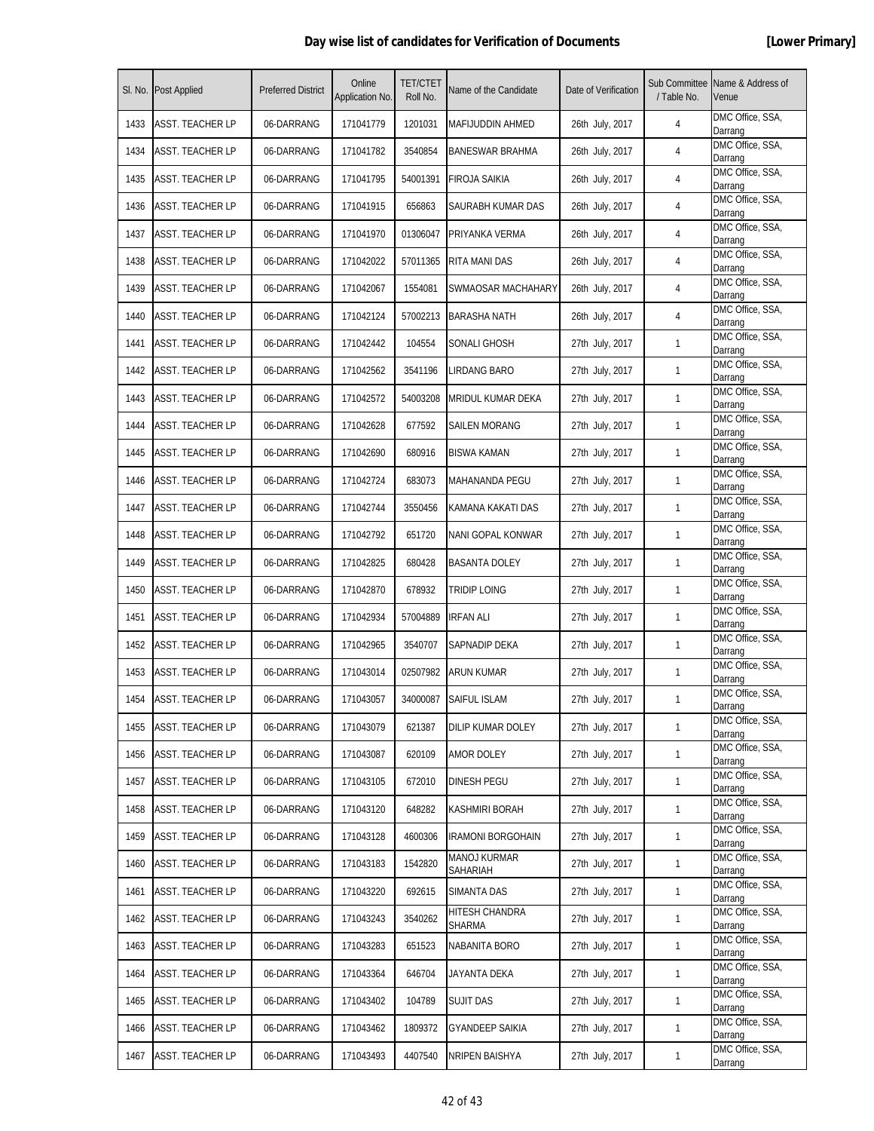| SI. No. | <b>Post Applied</b>     | <b>Preferred District</b> | Online<br>Application No. | <b>TET/CTET</b><br>Roll No. | Name of the Candidate           | Date of Verification | Sub Committee<br>/ Table No. | Name & Address of<br>Venue  |
|---------|-------------------------|---------------------------|---------------------------|-----------------------------|---------------------------------|----------------------|------------------------------|-----------------------------|
| 1433    | ASST. TEACHER LP        | 06-DARRANG                | 171041779                 | 1201031                     | <b>MAFIJUDDIN AHMED</b>         | 26th July, 2017      | 4                            | DMC Office, SSA,<br>Darrang |
| 1434    | ASST. TEACHER LP        | 06-DARRANG                | 171041782                 | 3540854                     | <b>BANESWAR BRAHMA</b>          | 26th July, 2017      | 4                            | DMC Office, SSA,<br>Darrang |
| 1435    | ASST. TEACHER LP        | 06-DARRANG                | 171041795                 | 54001391                    | FIROJA SAIKIA                   | 26th July, 2017      | 4                            | DMC Office, SSA,<br>Darrang |
| 1436    | <b>ASST. TEACHER LP</b> | 06-DARRANG                | 171041915                 | 656863                      | SAURABH KUMAR DAS               | 26th July, 2017      | 4                            | DMC Office, SSA,<br>Darrang |
| 1437    | ASST. TEACHER LP        | 06-DARRANG                | 171041970                 | 01306047                    | PRIYANKA VERMA                  | 26th July, 2017      | 4                            | DMC Office, SSA,<br>Darrang |
| 1438    | ASST. TEACHER LP        | 06-DARRANG                | 171042022                 | 57011365                    | RITA MANI DAS                   | 26th July, 2017      | 4                            | DMC Office, SSA,<br>Darrang |
| 1439    | ASST. TEACHER LP        | 06-DARRANG                | 171042067                 | 1554081                     | SWMAOSAR MACHAHARY              | 26th July, 2017      | 4                            | DMC Office, SSA,<br>Darrang |
| 1440    | <b>ASST. TEACHER LP</b> | 06-DARRANG                | 171042124                 | 57002213                    | <b>BARASHA NATH</b>             | 26th July, 2017      | 4                            | DMC Office, SSA,<br>Darrang |
| 1441    | <b>ASST. TEACHER LP</b> | 06-DARRANG                | 171042442                 | 104554                      | SONALI GHOSH                    | 27th July, 2017      | 1                            | DMC Office, SSA,<br>Darrang |
| 1442    | ASST. TEACHER LP        | 06-DARRANG                | 171042562                 | 3541196                     | LIRDANG BARO                    | 27th July, 2017      | 1                            | DMC Office, SSA,<br>Darrang |
| 1443    | ASST. TEACHER LP        | 06-DARRANG                | 171042572                 | 54003208                    | <b>MRIDUL KUMAR DEKA</b>        | 27th July, 2017      | $\mathbf{1}$                 | DMC Office, SSA,<br>Darrang |
| 1444    | ASST. TEACHER LP        | 06-DARRANG                | 171042628                 | 677592                      | SAILEN MORANG                   | 27th July, 2017      | 1                            | DMC Office, SSA,<br>Darrang |
| 1445    | <b>ASST. TEACHER LP</b> | 06-DARRANG                | 171042690                 | 680916                      | BISWA KAMAN                     | 27th July, 2017      | 1                            | DMC Office, SSA,<br>Darrang |
| 1446    | <b>ASST. TEACHER LP</b> | 06-DARRANG                | 171042724                 | 683073                      | <b>MAHANANDA PEGU</b>           | 27th July, 2017      | 1                            | DMC Office, SSA,<br>Darrang |
| 1447    | ASST. TEACHER LP        | 06-DARRANG                | 171042744                 | 3550456                     | KAMANA KAKATI DAS               | 27th July, 2017      | 1                            | DMC Office, SSA,<br>Darrang |
| 1448    | ASST. TEACHER LP        | 06-DARRANG                | 171042792                 | 651720                      | NANI GOPAL KONWAR               | 27th July, 2017      | $\mathbf{1}$                 | DMC Office, SSA,<br>Darrang |
| 1449    | <b>ASST. TEACHER LP</b> | 06-DARRANG                | 171042825                 | 680428                      | <b>BASANTA DOLEY</b>            | 27th July, 2017      | 1                            | DMC Office, SSA,<br>Darrang |
| 1450    | <b>ASST. TEACHER LP</b> | 06-DARRANG                | 171042870                 | 678932                      | TRIDIP LOING                    | 27th July, 2017      | 1                            | DMC Office, SSA,<br>Darrang |
| 1451    | ASST. TEACHER LP        | 06-DARRANG                | 171042934                 | 57004889                    | <b>IRFAN ALI</b>                | 27th July, 2017      | 1                            | DMC Office, SSA,<br>Darrang |
| 1452    | ASST. TEACHER LP        | 06-DARRANG                | 171042965                 | 3540707                     | SAPNADIP DEKA                   | 27th July, 2017      | $\mathbf{1}$                 | DMC Office, SSA,<br>Darrang |
| 1453    | <b>ASST. TEACHER LP</b> | 06-DARRANG                | 171043014                 | 02507982                    | ARUN KUMAR                      | 27th July, 2017      | $\mathbf{1}$                 | DMC Office, SSA,<br>Darrang |
| 1454    | <b>ASST. TEACHER LP</b> | 06-DARRANG                | 171043057                 | 34000087                    | SAIFUL ISLAM                    | 27th July, 2017      | 1                            | DMC Office, SSA,<br>Darrang |
| 1455    | ASST. TEACHER LP        | 06-DARRANG                | 171043079                 | 621387                      | DILIP KUMAR DOLEY               | 27th July, 2017      | $\mathbf{1}$                 | DMC Office, SSA,<br>Darrang |
| 1456    | ASST. TEACHER LP        | 06-DARRANG                | 171043087                 | 620109                      | AMOR DOLEY                      | 27th July, 2017      | $\mathbf{1}$                 | DMC Office, SSA,<br>Darrang |
| 1457    | ASST. TEACHER LP        | 06-DARRANG                | 171043105                 | 672010                      | DINESH PEGU                     | 27th July, 2017      | $\mathbf{1}$                 | DMC Office, SSA,<br>Darrang |
| 1458    | ASST. TEACHER LP        | 06-DARRANG                | 171043120                 | 648282                      | KASHMIRI BORAH                  | 27th July, 2017      | 1                            | DMC Office, SSA,<br>Darrang |
| 1459    | <b>ASST. TEACHER LP</b> | 06-DARRANG                | 171043128                 | 4600306                     | <b>IRAMONI BORGOHAIN</b>        | 27th July, 2017      | $\mathbf{1}$                 | DMC Office, SSA,<br>Darrang |
| 1460    | <b>ASST. TEACHER LP</b> | 06-DARRANG                | 171043183                 | 1542820                     | <b>MANOJ KURMAR</b><br>SAHARIAH | 27th July, 2017      | $\mathbf{1}$                 | DMC Office, SSA,<br>Darrang |
| 1461    | <b>ASST. TEACHER LP</b> | 06-DARRANG                | 171043220                 | 692615                      | SIMANTA DAS                     | 27th July, 2017      | $\mathbf{1}$                 | DMC Office, SSA,<br>Darrang |
| 1462    | ASST. TEACHER LP        | 06-DARRANG                | 171043243                 | 3540262                     | HITESH CHANDRA<br>SHARMA        | 27th July, 2017      | $\mathbf{1}$                 | DMC Office, SSA,<br>Darrang |
| 1463    | ASST. TEACHER LP        | 06-DARRANG                | 171043283                 | 651523                      | NABANITA BORO                   | 27th July, 2017      | 1                            | DMC Office, SSA,<br>Darrang |
| 1464    | <b>ASST. TEACHER LP</b> | 06-DARRANG                | 171043364                 | 646704                      | JAYANTA DEKA                    | 27th July, 2017      | $\mathbf{1}$                 | DMC Office, SSA,<br>Darrang |
| 1465    | <b>ASST. TEACHER LP</b> | 06-DARRANG                | 171043402                 | 104789                      | <b>SUJIT DAS</b>                | 27th July, 2017      | $\mathbf{1}$                 | DMC Office, SSA,<br>Darrang |
| 1466    | ASST. TEACHER LP        | 06-DARRANG                | 171043462                 | 1809372                     | <b>GYANDEEP SAIKIA</b>          | 27th July, 2017      | $\mathbf{1}$                 | DMC Office, SSA,<br>Darrang |
| 1467    | ASST. TEACHER LP        | 06-DARRANG                | 171043493                 | 4407540                     | NRIPEN BAISHYA                  | 27th July, 2017      | $\mathbf{1}$                 | DMC Office, SSA,<br>Darrang |